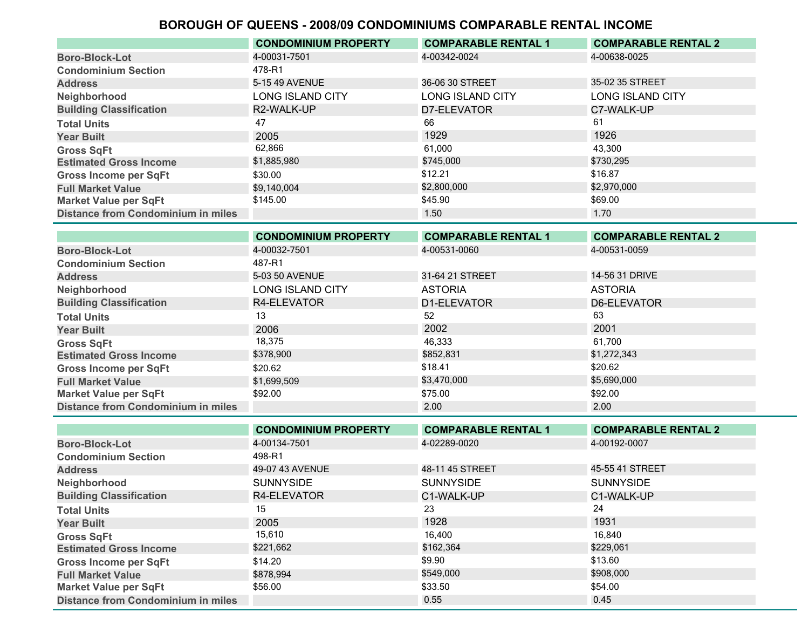|                                           | <b>CONDOMINIUM PROPERTY</b> | <b>COMPARABLE RENTAL 1</b> | <b>COMPARABLE RENTAL 2</b> |
|-------------------------------------------|-----------------------------|----------------------------|----------------------------|
| <b>Boro-Block-Lot</b>                     | 4-00031-7501                | 4-00342-0024               | 4-00638-0025               |
| <b>Condominium Section</b>                | 478-R1                      |                            |                            |
| <b>Address</b>                            | 5-15 49 AVENUE              | 36-06 30 STREET            | 35-02 35 STREET            |
| Neighborhood                              | <b>LONG ISLAND CITY</b>     | <b>LONG ISLAND CITY</b>    | <b>LONG ISLAND CITY</b>    |
| <b>Building Classification</b>            | R2-WALK-UP                  | D7-ELEVATOR                | C7-WALK-UP                 |
| <b>Total Units</b>                        | 47                          | 66                         | 61                         |
| <b>Year Built</b>                         | 2005                        | 1929                       | 1926                       |
| <b>Gross SqFt</b>                         | 62,866                      | 61.000                     | 43,300                     |
| <b>Estimated Gross Income</b>             | \$1,885,980                 | \$745,000                  | \$730,295                  |
| <b>Gross Income per SqFt</b>              | \$30.00                     | \$12.21                    | \$16.87                    |
| <b>Full Market Value</b>                  | \$9,140,004                 | \$2,800,000                | \$2,970,000                |
| <b>Market Value per SqFt</b>              | \$145.00                    | \$45.90                    | \$69.00                    |
| <b>Distance from Condominium in miles</b> |                             | 1.50                       | 1.70                       |

|                                           | <b>CONDOMINIUM PROPERTY</b> | <b>COMPARABLE RENTAL 1</b> | <b>COMPARABLE RENTAL 2</b> |
|-------------------------------------------|-----------------------------|----------------------------|----------------------------|
| <b>Boro-Block-Lot</b>                     | 4-00032-7501                | 4-00531-0060               | 4-00531-0059               |
| <b>Condominium Section</b>                | 487-R1                      |                            |                            |
| <b>Address</b>                            | 5-03 50 AVENUE              | 31-64 21 STREET            | 14-56 31 DRIVE             |
| Neighborhood                              | <b>LONG ISLAND CITY</b>     | <b>ASTORIA</b>             | <b>ASTORIA</b>             |
| <b>Building Classification</b>            | R4-ELEVATOR                 | D1-ELEVATOR                | D6-ELEVATOR                |
| <b>Total Units</b>                        | 13                          | 52                         | 63                         |
| <b>Year Built</b>                         | 2006                        | 2002                       | 2001                       |
| <b>Gross SqFt</b>                         | 18,375                      | 46,333                     | 61.700                     |
| <b>Estimated Gross Income</b>             | \$378,900                   | \$852,831                  | \$1,272,343                |
| <b>Gross Income per SqFt</b>              | \$20.62                     | \$18.41                    | \$20.62                    |
| <b>Full Market Value</b>                  | \$1,699,509                 | \$3,470,000                | \$5,690,000                |
| <b>Market Value per SqFt</b>              | \$92.00                     | \$75.00                    | \$92.00                    |
| <b>Distance from Condominium in miles</b> |                             | 2.00                       | 2.00                       |

|                                           | <b>CONDOMINIUM PROPERTY</b> | <b>COMPARABLE RENTAL 1</b> | <b>COMPARABLE RENTAL 2</b> |
|-------------------------------------------|-----------------------------|----------------------------|----------------------------|
| <b>Boro-Block-Lot</b>                     | 4-00134-7501                | 4-02289-0020               | 4-00192-0007               |
| <b>Condominium Section</b>                | 498-R1                      |                            |                            |
| <b>Address</b>                            | 49-07 43 AVENUE             | 48-11 45 STREET            | 45-55 41 STREET            |
| Neighborhood                              | <b>SUNNYSIDE</b>            | <b>SUNNYSIDE</b>           | <b>SUNNYSIDE</b>           |
| <b>Building Classification</b>            | R4-ELEVATOR                 | C1-WALK-UP                 | C1-WALK-UP                 |
| <b>Total Units</b>                        | 15                          | 23                         | 24                         |
| <b>Year Built</b>                         | 2005                        | 1928                       | 1931                       |
| <b>Gross SqFt</b>                         | 15,610                      | 16,400                     | 16.840                     |
| <b>Estimated Gross Income</b>             | \$221,662                   | \$162,364                  | \$229,061                  |
| <b>Gross Income per SqFt</b>              | \$14.20                     | \$9.90                     | \$13.60                    |
| <b>Full Market Value</b>                  | \$878.994                   | \$549,000                  | \$908,000                  |
| <b>Market Value per SqFt</b>              | \$56.00                     | \$33.50                    | \$54.00                    |
| <b>Distance from Condominium in miles</b> |                             | 0.55                       | 0.45                       |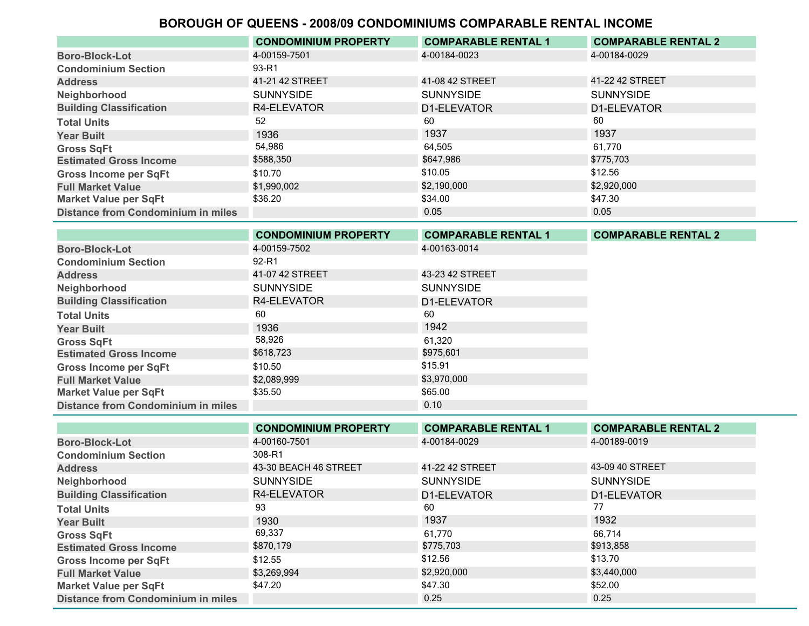|                                           | <b>CONDOMINIUM PROPERTY</b> | <b>COMPARABLE RENTAL 1</b> | <b>COMPARABLE RENTAL 2</b> |
|-------------------------------------------|-----------------------------|----------------------------|----------------------------|
| <b>Boro-Block-Lot</b>                     | 4-00159-7501                | 4-00184-0023               | 4-00184-0029               |
| <b>Condominium Section</b>                | 93-R1                       |                            |                            |
| <b>Address</b>                            | 41-21 42 STREET             | 41-08 42 STREET            | 41-22 42 STREET            |
| Neighborhood                              | <b>SUNNYSIDE</b>            | <b>SUNNYSIDE</b>           | <b>SUNNYSIDE</b>           |
| <b>Building Classification</b>            | R4-ELEVATOR                 | D1-ELEVATOR                | D1-ELEVATOR                |
| <b>Total Units</b>                        | 52                          | 60                         | 60                         |
| <b>Year Built</b>                         | 1936                        | 1937                       | 1937                       |
| <b>Gross SqFt</b>                         | 54,986                      | 64,505                     | 61.770                     |
| <b>Estimated Gross Income</b>             | \$588,350                   | \$647.986                  | \$775,703                  |
| <b>Gross Income per SqFt</b>              | \$10.70                     | \$10.05                    | \$12.56                    |
| <b>Full Market Value</b>                  | \$1,990,002                 | \$2,190,000                | \$2,920,000                |
| <b>Market Value per SqFt</b>              | \$36.20                     | \$34.00                    | \$47.30                    |
| <b>Distance from Condominium in miles</b> |                             | 0.05                       | 0.05                       |

|                                           | <b>CONDOMINIUM PROPERTY</b> | <b>COMPARABLE RENTAL 1</b> | <b>COMPARABLE RENTAL 2</b> |
|-------------------------------------------|-----------------------------|----------------------------|----------------------------|
| <b>Boro-Block-Lot</b>                     | 4-00159-7502                | 4-00163-0014               |                            |
| <b>Condominium Section</b>                | 92-R1                       |                            |                            |
| <b>Address</b>                            | 41-07 42 STREET             | 43-23 42 STREET            |                            |
| Neighborhood                              | <b>SUNNYSIDE</b>            | <b>SUNNYSIDE</b>           |                            |
| <b>Building Classification</b>            | R4-ELEVATOR                 | D1-ELEVATOR                |                            |
| <b>Total Units</b>                        | 60                          | 60                         |                            |
| <b>Year Built</b>                         | 1936                        | 1942                       |                            |
| <b>Gross SqFt</b>                         | 58,926                      | 61,320                     |                            |
| <b>Estimated Gross Income</b>             | \$618,723                   | \$975,601                  |                            |
| <b>Gross Income per SqFt</b>              | \$10.50                     | \$15.91                    |                            |
| <b>Full Market Value</b>                  | \$2,089,999                 | \$3,970,000                |                            |
| <b>Market Value per SqFt</b>              | \$35.50                     | \$65.00                    |                            |
| <b>Distance from Condominium in miles</b> |                             | 0.10                       |                            |

|                                           | <b>CONDOMINIUM PROPERTY</b> | <b>COMPARABLE RENTAL 1</b> | <b>COMPARABLE RENTAL 2</b> |
|-------------------------------------------|-----------------------------|----------------------------|----------------------------|
| <b>Boro-Block-Lot</b>                     | 4-00160-7501                | 4-00184-0029               | 4-00189-0019               |
| <b>Condominium Section</b>                | 308-R1                      |                            |                            |
| <b>Address</b>                            | 43-30 BEACH 46 STREET       | 41-22 42 STREET            | 43-09 40 STREET            |
| Neighborhood                              | <b>SUNNYSIDE</b>            | <b>SUNNYSIDE</b>           | <b>SUNNYSIDE</b>           |
| <b>Building Classification</b>            | R4-ELEVATOR                 | D1-ELEVATOR                | D1-ELEVATOR                |
| <b>Total Units</b>                        | 93                          | 60                         | 77                         |
| <b>Year Built</b>                         | 1930                        | 1937                       | 1932                       |
| <b>Gross SqFt</b>                         | 69,337                      | 61.770                     | 66.714                     |
| <b>Estimated Gross Income</b>             | \$870,179                   | \$775,703                  | \$913,858                  |
| <b>Gross Income per SqFt</b>              | \$12.55                     | \$12.56                    | \$13.70                    |
| <b>Full Market Value</b>                  | \$3,269,994                 | \$2,920,000                | \$3,440,000                |
| <b>Market Value per SqFt</b>              | \$47.20                     | \$47.30                    | \$52.00                    |
| <b>Distance from Condominium in miles</b> |                             | 0.25                       | 0.25                       |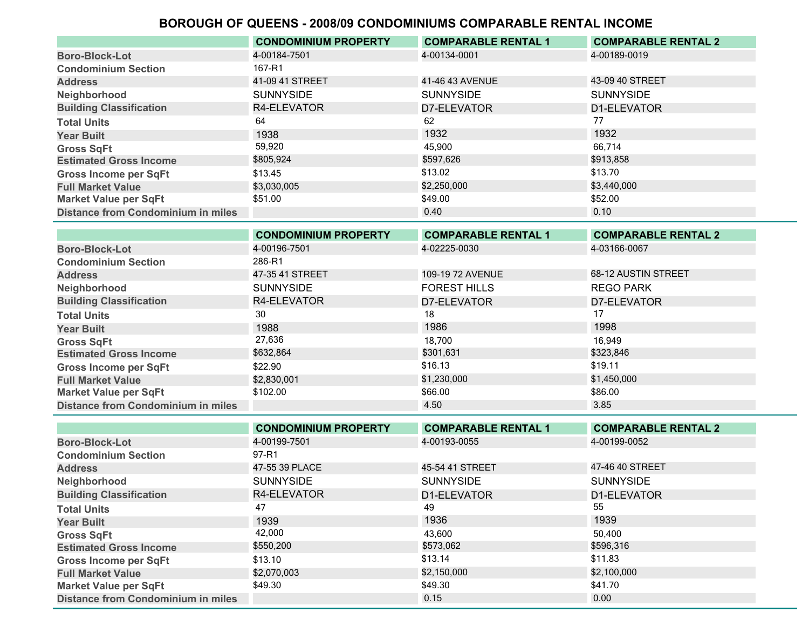|                                           | <b>CONDOMINIUM PROPERTY</b> | <b>COMPARABLE RENTAL 1</b> | <b>COMPARABLE RENTAL 2</b> |
|-------------------------------------------|-----------------------------|----------------------------|----------------------------|
| <b>Boro-Block-Lot</b>                     | 4-00184-7501                | 4-00134-0001               | 4-00189-0019               |
| <b>Condominium Section</b>                | 167-R1                      |                            |                            |
| <b>Address</b>                            | 41-09 41 STREET             | 41-46 43 AVENUE            | 43-09 40 STREET            |
| Neighborhood                              | <b>SUNNYSIDE</b>            | <b>SUNNYSIDE</b>           | <b>SUNNYSIDE</b>           |
| <b>Building Classification</b>            | R4-ELEVATOR                 | D7-ELEVATOR                | D1-ELEVATOR                |
| <b>Total Units</b>                        | 64                          | 62                         | 77                         |
| <b>Year Built</b>                         | 1938                        | 1932                       | 1932                       |
| <b>Gross SqFt</b>                         | 59,920                      | 45.900                     | 66.714                     |
| <b>Estimated Gross Income</b>             | \$805,924                   | \$597.626                  | \$913,858                  |
| <b>Gross Income per SqFt</b>              | \$13.45                     | \$13.02                    | \$13.70                    |
| <b>Full Market Value</b>                  | \$3,030,005                 | \$2,250,000                | \$3,440,000                |
| <b>Market Value per SqFt</b>              | \$51.00                     | \$49.00                    | \$52.00                    |
| <b>Distance from Condominium in miles</b> |                             | 0.40                       | 0.10                       |

|                                           | <b>CONDOMINIUM PROPERTY</b> | <b>COMPARABLE RENTAL 1</b> | <b>COMPARABLE RENTAL 2</b> |
|-------------------------------------------|-----------------------------|----------------------------|----------------------------|
| <b>Boro-Block-Lot</b>                     | 4-00196-7501                | 4-02225-0030               | 4-03166-0067               |
| <b>Condominium Section</b>                | 286-R1                      |                            |                            |
| <b>Address</b>                            | 47-35 41 STREET             | 109-19 72 AVENUE           | 68-12 AUSTIN STREET        |
| Neighborhood                              | <b>SUNNYSIDE</b>            | <b>FOREST HILLS</b>        | <b>REGO PARK</b>           |
| <b>Building Classification</b>            | R4-ELEVATOR                 | D7-ELEVATOR                | D7-ELEVATOR                |
| <b>Total Units</b>                        | 30                          | 18                         |                            |
| <b>Year Built</b>                         | 1988                        | 1986                       | 1998                       |
| <b>Gross SqFt</b>                         | 27,636                      | 18.700                     | 16.949                     |
| <b>Estimated Gross Income</b>             | \$632,864                   | \$301,631                  | \$323,846                  |
| <b>Gross Income per SqFt</b>              | \$22.90                     | \$16.13                    | \$19.11                    |
| <b>Full Market Value</b>                  | \$2,830,001                 | \$1,230,000                | \$1,450,000                |
| <b>Market Value per SqFt</b>              | \$102.00                    | \$66.00                    | \$86.00                    |
| <b>Distance from Condominium in miles</b> |                             | 4.50                       | 3.85                       |

|                                           | <b>CONDOMINIUM PROPERTY</b> | <b>COMPARABLE RENTAL 1</b> | <b>COMPARABLE RENTAL 2</b> |
|-------------------------------------------|-----------------------------|----------------------------|----------------------------|
| <b>Boro-Block-Lot</b>                     | 4-00199-7501                | 4-00193-0055               | 4-00199-0052               |
| <b>Condominium Section</b>                | 97-R1                       |                            |                            |
| <b>Address</b>                            | 47-55 39 PLACE              | 45-54 41 STREET            | 47-46 40 STREET            |
| Neighborhood                              | <b>SUNNYSIDE</b>            | <b>SUNNYSIDE</b>           | <b>SUNNYSIDE</b>           |
| <b>Building Classification</b>            | R4-ELEVATOR                 | D1-ELEVATOR                | D1-ELEVATOR                |
| <b>Total Units</b>                        | 47                          | 49                         | 55                         |
| <b>Year Built</b>                         | 1939                        | 1936                       | 1939                       |
| <b>Gross SqFt</b>                         | 42,000                      | 43.600                     | 50.400                     |
| <b>Estimated Gross Income</b>             | \$550,200                   | \$573,062                  | \$596,316                  |
| <b>Gross Income per SqFt</b>              | \$13.10                     | \$13.14                    | \$11.83                    |
| <b>Full Market Value</b>                  | \$2,070,003                 | \$2,150,000                | \$2,100,000                |
| <b>Market Value per SqFt</b>              | \$49.30                     | \$49.30                    | \$41.70                    |
| <b>Distance from Condominium in miles</b> |                             | 0.15                       | 0.00                       |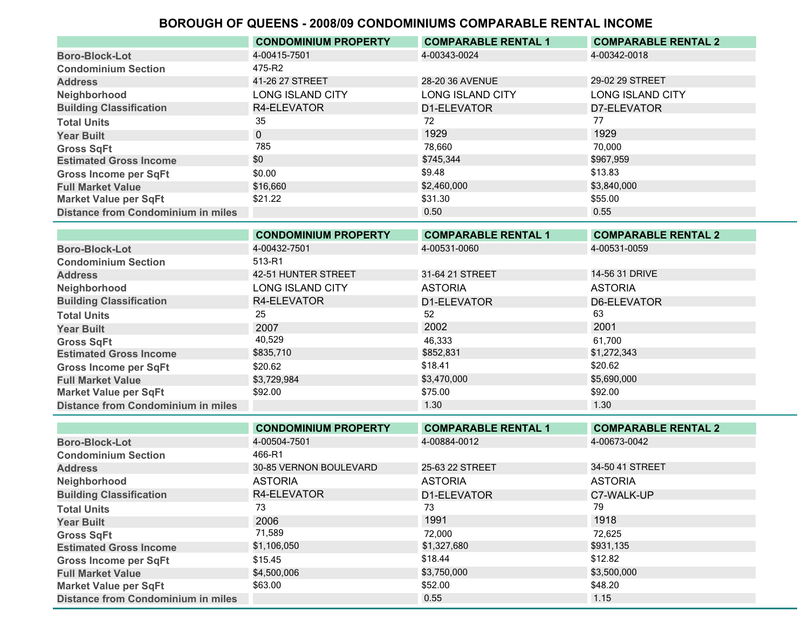|                                           | <b>CONDOMINIUM PROPERTY</b> | <b>COMPARABLE RENTAL 1</b> | <b>COMPARABLE RENTAL 2</b> |
|-------------------------------------------|-----------------------------|----------------------------|----------------------------|
| <b>Boro-Block-Lot</b>                     | 4-00415-7501                | 4-00343-0024               | 4-00342-0018               |
| <b>Condominium Section</b>                | 475-R2                      |                            |                            |
| <b>Address</b>                            | 41-26 27 STREET             | 28-20 36 AVENUE            | 29-02 29 STREET            |
| Neighborhood                              | <b>LONG ISLAND CITY</b>     | <b>LONG ISLAND CITY</b>    | <b>LONG ISLAND CITY</b>    |
| <b>Building Classification</b>            | R4-ELEVATOR                 | D1-ELEVATOR                | D7-ELEVATOR                |
| <b>Total Units</b>                        | 35                          | 72                         | 77                         |
| <b>Year Built</b>                         | $\Omega$                    | 1929                       | 1929                       |
| <b>Gross SqFt</b>                         | 785                         | 78,660                     | 70.000                     |
| <b>Estimated Gross Income</b>             | \$0                         | \$745,344                  | \$967,959                  |
| <b>Gross Income per SqFt</b>              | \$0.00                      | \$9.48                     | \$13.83                    |
| <b>Full Market Value</b>                  | \$16,660                    | \$2,460,000                | \$3,840,000                |
| <b>Market Value per SqFt</b>              | \$21.22                     | \$31.30                    | \$55.00                    |
| <b>Distance from Condominium in miles</b> |                             | 0.50                       | 0.55                       |

|                                           | <b>CONDOMINIUM PROPERTY</b> | <b>COMPARABLE RENTAL 1</b> | <b>COMPARABLE RENTAL 2</b> |
|-------------------------------------------|-----------------------------|----------------------------|----------------------------|
| <b>Boro-Block-Lot</b>                     | 4-00432-7501                | 4-00531-0060               | 4-00531-0059               |
| <b>Condominium Section</b>                | 513-R1                      |                            |                            |
| <b>Address</b>                            | 42-51 HUNTER STREET         | 31-64 21 STREET            | 14-56 31 DRIVE             |
| Neighborhood                              | LONG ISLAND CITY            | <b>ASTORIA</b>             | <b>ASTORIA</b>             |
| <b>Building Classification</b>            | R4-ELEVATOR                 | D1-ELEVATOR                | D6-ELEVATOR                |
| <b>Total Units</b>                        | 25                          | 52                         | 63                         |
| <b>Year Built</b>                         | 2007                        | 2002                       | 2001                       |
| <b>Gross SqFt</b>                         | 40,529                      | 46,333                     | 61,700                     |
| <b>Estimated Gross Income</b>             | \$835,710                   | \$852,831                  | \$1,272,343                |
| <b>Gross Income per SqFt</b>              | \$20.62                     | \$18.41                    | \$20.62                    |
| <b>Full Market Value</b>                  | \$3,729,984                 | \$3,470,000                | \$5,690,000                |
| <b>Market Value per SqFt</b>              | \$92.00                     | \$75.00                    | \$92.00                    |
| <b>Distance from Condominium in miles</b> |                             | 1.30                       | 1.30                       |

|                                           | <b>CONDOMINIUM PROPERTY</b> | <b>COMPARABLE RENTAL 1</b> | <b>COMPARABLE RENTAL 2</b> |
|-------------------------------------------|-----------------------------|----------------------------|----------------------------|
| <b>Boro-Block-Lot</b>                     | 4-00504-7501                | 4-00884-0012               | 4-00673-0042               |
| <b>Condominium Section</b>                | 466-R1                      |                            |                            |
| <b>Address</b>                            | 30-85 VERNON BOULEVARD      | 25-63 22 STREET            | 34-50 41 STREET            |
| Neighborhood                              | <b>ASTORIA</b>              | <b>ASTORIA</b>             | <b>ASTORIA</b>             |
| <b>Building Classification</b>            | R4-ELEVATOR                 | D1-ELEVATOR                | C7-WALK-UP                 |
| <b>Total Units</b>                        | 73                          | 73                         | 79                         |
| <b>Year Built</b>                         | 2006                        | 1991                       | 1918                       |
| <b>Gross SqFt</b>                         | 71,589                      | 72.000                     | 72.625                     |
| <b>Estimated Gross Income</b>             | \$1,106,050                 | \$1,327,680                | \$931,135                  |
| <b>Gross Income per SqFt</b>              | \$15.45                     | \$18.44                    | \$12.82                    |
| <b>Full Market Value</b>                  | \$4,500,006                 | \$3,750,000                | \$3,500,000                |
| <b>Market Value per SqFt</b>              | \$63.00                     | \$52.00                    | \$48.20                    |
| <b>Distance from Condominium in miles</b> |                             | 0.55                       | 1.15                       |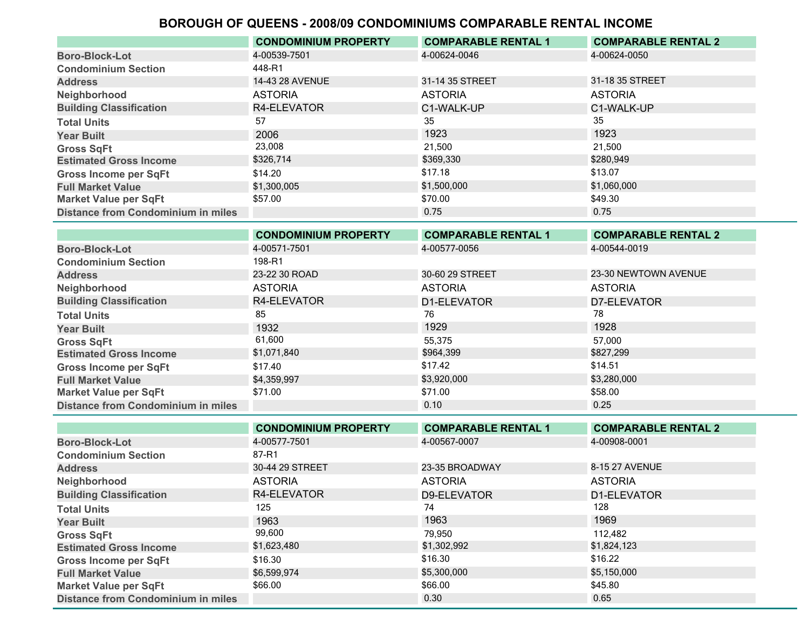|                                           | <b>CONDOMINIUM PROPERTY</b> | <b>COMPARABLE RENTAL 1</b> | <b>COMPARABLE RENTAL 2</b> |
|-------------------------------------------|-----------------------------|----------------------------|----------------------------|
| <b>Boro-Block-Lot</b>                     | 4-00539-7501                | 4-00624-0046               | 4-00624-0050               |
| <b>Condominium Section</b>                | 448-R1                      |                            |                            |
| <b>Address</b>                            | 14-43 28 AVENUE             | 31-14 35 STREET            | 31-18 35 STREET            |
| Neighborhood                              | <b>ASTORIA</b>              | <b>ASTORIA</b>             | <b>ASTORIA</b>             |
| <b>Building Classification</b>            | R4-ELEVATOR                 | C1-WALK-UP                 | C1-WALK-UP                 |
| <b>Total Units</b>                        | 57                          | 35                         | 35                         |
| <b>Year Built</b>                         | 2006                        | 1923                       | 1923                       |
| <b>Gross SqFt</b>                         | 23,008                      | 21.500                     | 21.500                     |
| <b>Estimated Gross Income</b>             | \$326,714                   | \$369,330                  | \$280,949                  |
| <b>Gross Income per SqFt</b>              | \$14.20                     | \$17.18                    | \$13.07                    |
| <b>Full Market Value</b>                  | \$1,300,005                 | \$1,500,000                | \$1,060,000                |
| <b>Market Value per SqFt</b>              | \$57.00                     | \$70.00                    | \$49.30                    |
| <b>Distance from Condominium in miles</b> |                             | 0.75                       | 0.75                       |

|                                           | <b>CONDOMINIUM PROPERTY</b> | <b>COMPARABLE RENTAL 1</b> | <b>COMPARABLE RENTAL 2</b> |
|-------------------------------------------|-----------------------------|----------------------------|----------------------------|
| <b>Boro-Block-Lot</b>                     | 4-00571-7501                | 4-00577-0056               | 4-00544-0019               |
| <b>Condominium Section</b>                | 198-R1                      |                            |                            |
| <b>Address</b>                            | 23-22 30 ROAD               | 30-60 29 STREET            | 23-30 NEWTOWN AVENUE       |
| Neighborhood                              | <b>ASTORIA</b>              | <b>ASTORIA</b>             | <b>ASTORIA</b>             |
| <b>Building Classification</b>            | R4-ELEVATOR                 | D1-ELEVATOR                | D7-ELEVATOR                |
| <b>Total Units</b>                        | 85                          | 76                         | 78                         |
| <b>Year Built</b>                         | 1932                        | 1929                       | 1928                       |
| <b>Gross SqFt</b>                         | 61,600                      | 55,375                     | 57,000                     |
| <b>Estimated Gross Income</b>             | \$1,071,840                 | \$964,399                  | \$827,299                  |
| <b>Gross Income per SqFt</b>              | \$17.40                     | \$17.42                    | \$14.51                    |
| <b>Full Market Value</b>                  | \$4,359,997                 | \$3,920,000                | \$3,280,000                |
| <b>Market Value per SqFt</b>              | \$71.00                     | \$71.00                    | \$58.00                    |
| <b>Distance from Condominium in miles</b> |                             | 0.10                       | 0.25                       |

|                                           | <b>CONDOMINIUM PROPERTY</b> | <b>COMPARABLE RENTAL 1</b> | <b>COMPARABLE RENTAL 2</b> |
|-------------------------------------------|-----------------------------|----------------------------|----------------------------|
| <b>Boro-Block-Lot</b>                     | 4-00577-7501                | 4-00567-0007               | 4-00908-0001               |
| <b>Condominium Section</b>                | 87-R1                       |                            |                            |
| <b>Address</b>                            | 30-44 29 STREET             | 23-35 BROADWAY             | 8-15 27 AVENUE             |
| Neighborhood                              | <b>ASTORIA</b>              | <b>ASTORIA</b>             | <b>ASTORIA</b>             |
| <b>Building Classification</b>            | R4-ELEVATOR                 | D9-ELEVATOR                | D1-ELEVATOR                |
| <b>Total Units</b>                        | 125                         | 74                         | 128                        |
| <b>Year Built</b>                         | 1963                        | 1963                       | 1969                       |
| <b>Gross SqFt</b>                         | 99,600                      | 79.950                     | 112,482                    |
| <b>Estimated Gross Income</b>             | \$1,623,480                 | \$1,302,992                | \$1,824,123                |
| <b>Gross Income per SqFt</b>              | \$16.30                     | \$16.30                    | \$16.22                    |
| <b>Full Market Value</b>                  | \$6,599,974                 | \$5,300,000                | \$5,150,000                |
| <b>Market Value per SqFt</b>              | \$66.00                     | \$66.00                    | \$45.80                    |
| <b>Distance from Condominium in miles</b> |                             | 0.30                       | 0.65                       |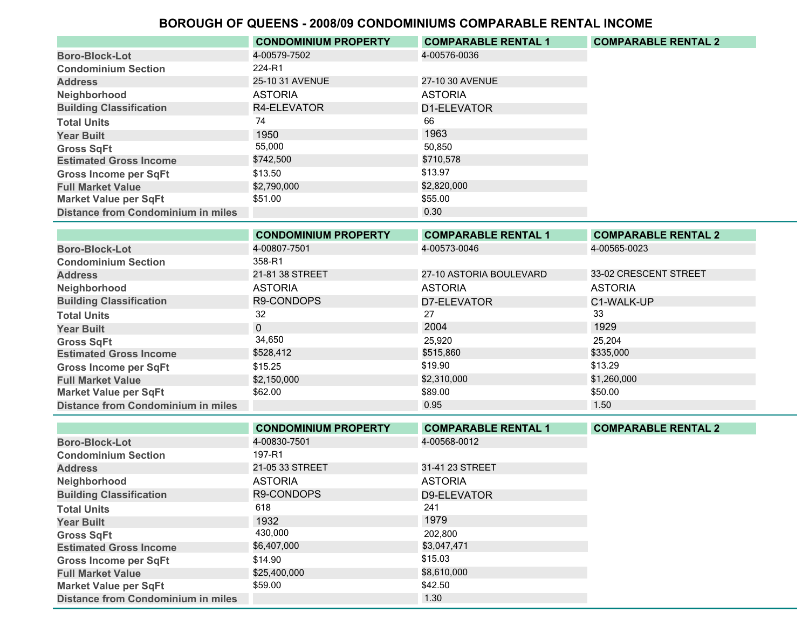|                                           | <b>CONDOMINIUM PROPERTY</b> | <b>COMPARABLE RENTAL 1</b> | <b>COMPARABLE RENTAL 2</b> |
|-------------------------------------------|-----------------------------|----------------------------|----------------------------|
| <b>Boro-Block-Lot</b>                     | 4-00579-7502                | 4-00576-0036               |                            |
| <b>Condominium Section</b>                | 224-R1                      |                            |                            |
| <b>Address</b>                            | 25-10 31 AVENUE             | 27-10 30 AVENUE            |                            |
| Neighborhood                              | <b>ASTORIA</b>              | <b>ASTORIA</b>             |                            |
| <b>Building Classification</b>            | R4-ELEVATOR                 | D1-ELEVATOR                |                            |
| <b>Total Units</b>                        | 74                          | 66                         |                            |
| <b>Year Built</b>                         | 1950                        | 1963                       |                            |
| <b>Gross SqFt</b>                         | 55,000                      | 50,850                     |                            |
| <b>Estimated Gross Income</b>             | \$742,500                   | \$710,578                  |                            |
| <b>Gross Income per SqFt</b>              | \$13.50                     | \$13.97                    |                            |
| <b>Full Market Value</b>                  | \$2,790,000                 | \$2,820,000                |                            |
| <b>Market Value per SqFt</b>              | \$51.00                     | \$55.00                    |                            |
| <b>Distance from Condominium in miles</b> |                             | 0.30                       |                            |

|                                           | <b>CONDOMINIUM PROPERTY</b> | <b>COMPARABLE RENTAL 1</b> | <b>COMPARABLE RENTAL 2</b> |
|-------------------------------------------|-----------------------------|----------------------------|----------------------------|
| <b>Boro-Block-Lot</b>                     | 4-00807-7501                | 4-00573-0046               | 4-00565-0023               |
| <b>Condominium Section</b>                | 358-R1                      |                            |                            |
| <b>Address</b>                            | 21-81 38 STREET             | 27-10 ASTORIA BOULEVARD    | 33-02 CRESCENT STREET      |
| Neighborhood                              | <b>ASTORIA</b>              | <b>ASTORIA</b>             | <b>ASTORIA</b>             |
| <b>Building Classification</b>            | R9-CONDOPS                  | D7-ELEVATOR                | C1-WALK-UP                 |
| <b>Total Units</b>                        | 32                          | 27                         | 33                         |
| <b>Year Built</b>                         | $\mathbf{0}$                | 2004                       | 1929                       |
| <b>Gross SqFt</b>                         | 34,650                      | 25,920                     | 25,204                     |
| <b>Estimated Gross Income</b>             | \$528,412                   | \$515,860                  | \$335,000                  |
| <b>Gross Income per SqFt</b>              | \$15.25                     | \$19.90                    | \$13.29                    |
| <b>Full Market Value</b>                  | \$2,150,000                 | \$2,310,000                | \$1,260,000                |
| <b>Market Value per SqFt</b>              | \$62.00                     | \$89.00                    | \$50.00                    |
| <b>Distance from Condominium in miles</b> |                             | 0.95                       | 1.50                       |

|                                           | <b>CONDOMINIUM PROPERTY</b> | <b>COMPARABLE RENTAL 1</b> | <b>COMPARABLE RENTAL 2</b> |
|-------------------------------------------|-----------------------------|----------------------------|----------------------------|
| <b>Boro-Block-Lot</b>                     | 4-00830-7501                | 4-00568-0012               |                            |
| <b>Condominium Section</b>                | 197-R1                      |                            |                            |
| <b>Address</b>                            | 21-05 33 STREET             | 31-41 23 STREET            |                            |
| Neighborhood                              | <b>ASTORIA</b>              | <b>ASTORIA</b>             |                            |
| <b>Building Classification</b>            | R9-CONDOPS                  | D9-ELEVATOR                |                            |
| <b>Total Units</b>                        | 618                         | 241                        |                            |
| <b>Year Built</b>                         | 1932                        | 1979                       |                            |
| <b>Gross SqFt</b>                         | 430,000                     | 202.800                    |                            |
| <b>Estimated Gross Income</b>             | \$6,407,000                 | \$3,047,471                |                            |
| <b>Gross Income per SqFt</b>              | \$14.90                     | \$15.03                    |                            |
| <b>Full Market Value</b>                  | \$25,400,000                | \$8,610,000                |                            |
| <b>Market Value per SqFt</b>              | \$59.00                     | \$42.50                    |                            |
| <b>Distance from Condominium in miles</b> |                             | 1.30                       |                            |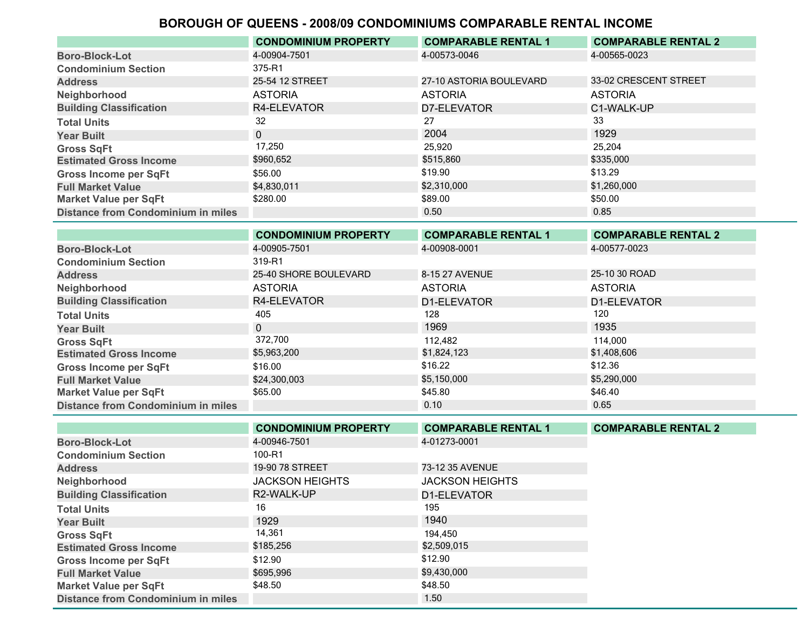|                                           | <b>CONDOMINIUM PROPERTY</b> | <b>COMPARABLE RENTAL 1</b> | <b>COMPARABLE RENTAL 2</b> |
|-------------------------------------------|-----------------------------|----------------------------|----------------------------|
| <b>Boro-Block-Lot</b>                     | 4-00904-7501                | 4-00573-0046               | 4-00565-0023               |
| <b>Condominium Section</b>                | 375-R1                      |                            |                            |
| <b>Address</b>                            | 25-54 12 STREET             | 27-10 ASTORIA BOULEVARD    | 33-02 CRESCENT STREET      |
| Neighborhood                              | <b>ASTORIA</b>              | <b>ASTORIA</b>             | <b>ASTORIA</b>             |
| <b>Building Classification</b>            | R4-ELEVATOR                 | D7-ELEVATOR                | C1-WALK-UP                 |
| <b>Total Units</b>                        | 32                          | 27                         | 33                         |
| <b>Year Built</b>                         | $\mathbf{0}$                | 2004                       | 1929                       |
| <b>Gross SqFt</b>                         | 17,250                      | 25,920                     | 25,204                     |
| <b>Estimated Gross Income</b>             | \$960,652                   | \$515,860                  | \$335,000                  |
| <b>Gross Income per SqFt</b>              | \$56.00                     | \$19.90                    | \$13.29                    |
| <b>Full Market Value</b>                  | \$4,830,011                 | \$2,310,000                | \$1,260,000                |
| <b>Market Value per SqFt</b>              | \$280.00                    | \$89.00                    | \$50.00                    |
| <b>Distance from Condominium in miles</b> |                             | 0.50                       | 0.85                       |

|                                           | <b>CONDOMINIUM PROPERTY</b> | <b>COMPARABLE RENTAL 1</b> | <b>COMPARABLE RENTAL 2</b> |
|-------------------------------------------|-----------------------------|----------------------------|----------------------------|
| <b>Boro-Block-Lot</b>                     | 4-00905-7501                | 4-00908-0001               | 4-00577-0023               |
| <b>Condominium Section</b>                | 319-R1                      |                            |                            |
| <b>Address</b>                            | 25-40 SHORE BOULEVARD       | 8-15 27 AVENUE             | 25-10 30 ROAD              |
| Neighborhood                              | <b>ASTORIA</b>              | <b>ASTORIA</b>             | <b>ASTORIA</b>             |
| <b>Building Classification</b>            | R4-ELEVATOR                 | D1-ELEVATOR                | D1-ELEVATOR                |
| <b>Total Units</b>                        | 405                         | 128                        | 120                        |
| <b>Year Built</b>                         | $\mathbf{0}$                | 1969                       | 1935                       |
| <b>Gross SqFt</b>                         | 372,700                     | 112,482                    | 114,000                    |
| <b>Estimated Gross Income</b>             | \$5,963,200                 | \$1,824,123                | \$1,408,606                |
| <b>Gross Income per SqFt</b>              | \$16.00                     | \$16.22                    | \$12.36                    |
| <b>Full Market Value</b>                  | \$24,300,003                | \$5,150,000                | \$5,290,000                |
| <b>Market Value per SqFt</b>              | \$65.00                     | \$45.80                    | \$46.40                    |
| <b>Distance from Condominium in miles</b> |                             | 0.10                       | 0.65                       |

|                                           | <b>CONDOMINIUM PROPERTY</b> | <b>COMPARABLE RENTAL 1</b> | <b>COMPARABLE RENTAL 2</b> |
|-------------------------------------------|-----------------------------|----------------------------|----------------------------|
| <b>Boro-Block-Lot</b>                     | 4-00946-7501                | 4-01273-0001               |                            |
| <b>Condominium Section</b>                | 100-R1                      |                            |                            |
| <b>Address</b>                            | 19-90 78 STREET             | 73-12 35 AVENUE            |                            |
| Neighborhood                              | <b>JACKSON HEIGHTS</b>      | <b>JACKSON HEIGHTS</b>     |                            |
| <b>Building Classification</b>            | R2-WALK-UP                  | D1-ELEVATOR                |                            |
| <b>Total Units</b>                        | 16                          | 195                        |                            |
| <b>Year Built</b>                         | 1929                        | 1940                       |                            |
| <b>Gross SqFt</b>                         | 14,361                      | 194.450                    |                            |
| <b>Estimated Gross Income</b>             | \$185,256                   | \$2,509,015                |                            |
| <b>Gross Income per SqFt</b>              | \$12.90                     | \$12.90                    |                            |
| <b>Full Market Value</b>                  | \$695,996                   | \$9,430,000                |                            |
| <b>Market Value per SqFt</b>              | \$48.50                     | \$48.50                    |                            |
| <b>Distance from Condominium in miles</b> |                             | 1.50                       |                            |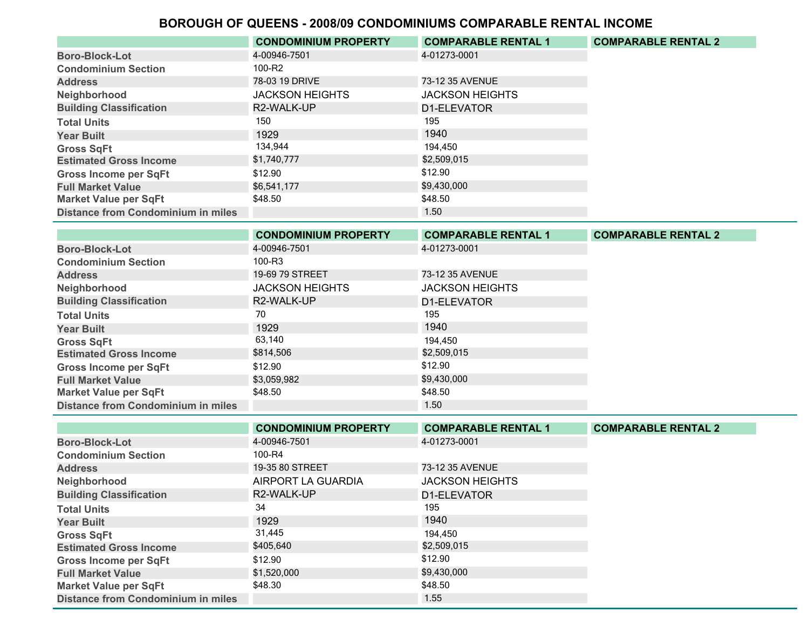|                                           | <b>CONDOMINIUM PROPERTY</b> | <b>COMPARABLE RENTAL 1</b> | <b>COMPARABLE RENTAL 2</b> |
|-------------------------------------------|-----------------------------|----------------------------|----------------------------|
| <b>Boro-Block-Lot</b>                     | 4-00946-7501                | 4-01273-0001               |                            |
| <b>Condominium Section</b>                | 100-R2                      |                            |                            |
| <b>Address</b>                            | 78-03 19 DRIVE              | 73-12 35 AVENUE            |                            |
| Neighborhood                              | <b>JACKSON HEIGHTS</b>      | <b>JACKSON HEIGHTS</b>     |                            |
| <b>Building Classification</b>            | R2-WALK-UP                  | D1-ELEVATOR                |                            |
| <b>Total Units</b>                        | 150                         | 195                        |                            |
| <b>Year Built</b>                         | 1929                        | 1940                       |                            |
| <b>Gross SqFt</b>                         | 134,944                     | 194.450                    |                            |
| <b>Estimated Gross Income</b>             | \$1,740,777                 | \$2,509,015                |                            |
| <b>Gross Income per SqFt</b>              | \$12.90                     | \$12.90                    |                            |
| <b>Full Market Value</b>                  | \$6,541,177                 | \$9,430,000                |                            |
| <b>Market Value per SqFt</b>              | \$48.50                     | \$48.50                    |                            |
| <b>Distance from Condominium in miles</b> |                             | 1.50                       |                            |

|                                           | <b>CONDOMINIUM PROPERTY</b> | <b>COMPARABLE RENTAL 1</b> | <b>COMPARABLE RENTAL 2</b> |
|-------------------------------------------|-----------------------------|----------------------------|----------------------------|
| <b>Boro-Block-Lot</b>                     | 4-00946-7501                | 4-01273-0001               |                            |
| <b>Condominium Section</b>                | 100-R3                      |                            |                            |
| <b>Address</b>                            | 19-69 79 STREET             | 73-12 35 AVENUE            |                            |
| Neighborhood                              | <b>JACKSON HEIGHTS</b>      | <b>JACKSON HEIGHTS</b>     |                            |
| <b>Building Classification</b>            | R2-WALK-UP                  | D1-ELEVATOR                |                            |
| <b>Total Units</b>                        | 70                          | 195                        |                            |
| <b>Year Built</b>                         | 1929                        | 1940                       |                            |
| <b>Gross SqFt</b>                         | 63,140                      | 194.450                    |                            |
| <b>Estimated Gross Income</b>             | \$814,506                   | \$2,509,015                |                            |
| <b>Gross Income per SqFt</b>              | \$12.90                     | \$12.90                    |                            |
| <b>Full Market Value</b>                  | \$3,059,982                 | \$9,430,000                |                            |
| Market Value per SqFt                     | \$48.50                     | \$48.50                    |                            |
| <b>Distance from Condominium in miles</b> |                             | 1.50 <sub>1</sub>          |                            |

|                                           | <b>CONDOMINIUM PROPERTY</b> | <b>COMPARABLE RENTAL 1</b> | <b>COMPARABLE RENTAL 2</b> |
|-------------------------------------------|-----------------------------|----------------------------|----------------------------|
| <b>Boro-Block-Lot</b>                     | 4-00946-7501                | 4-01273-0001               |                            |
| <b>Condominium Section</b>                | 100-R4                      |                            |                            |
| <b>Address</b>                            | 19-35 80 STREET             | 73-12 35 AVENUE            |                            |
| Neighborhood                              | AIRPORT LA GUARDIA          | <b>JACKSON HEIGHTS</b>     |                            |
| <b>Building Classification</b>            | R2-WALK-UP                  | D1-ELEVATOR                |                            |
| <b>Total Units</b>                        | 34                          | 195                        |                            |
| <b>Year Built</b>                         | 1929                        | 1940                       |                            |
| <b>Gross SqFt</b>                         | 31,445                      | 194.450                    |                            |
| <b>Estimated Gross Income</b>             | \$405,640                   | \$2,509,015                |                            |
| <b>Gross Income per SqFt</b>              | \$12.90                     | \$12.90                    |                            |
| <b>Full Market Value</b>                  | \$1,520,000                 | \$9,430,000                |                            |
| <b>Market Value per SqFt</b>              | \$48.30                     | \$48.50                    |                            |
| <b>Distance from Condominium in miles</b> |                             | 1.55                       |                            |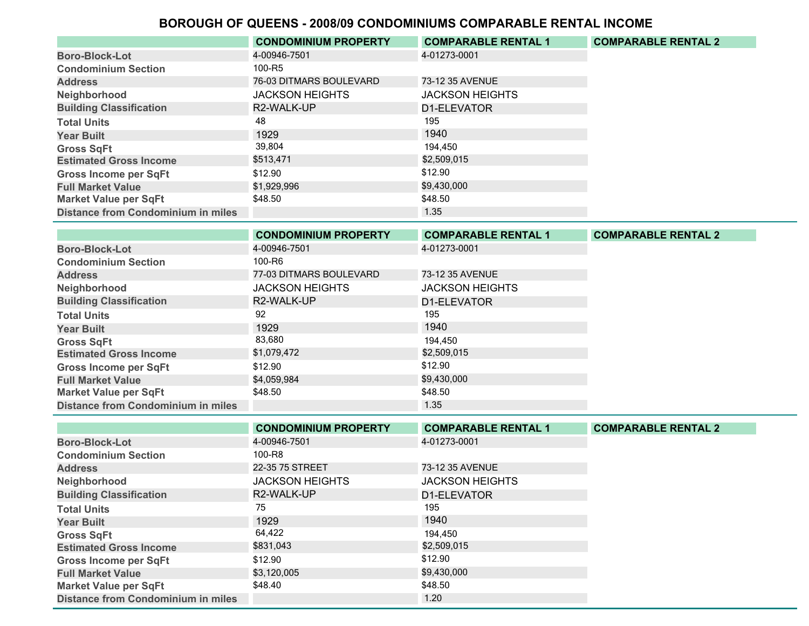|                                           | <b>CONDOMINIUM PROPERTY</b> | <b>COMPARABLE RENTAL 1</b> | <b>COMPARABLE RENTAL 2</b> |
|-------------------------------------------|-----------------------------|----------------------------|----------------------------|
| <b>Boro-Block-Lot</b>                     | 4-00946-7501                | 4-01273-0001               |                            |
| <b>Condominium Section</b>                | 100-R5                      |                            |                            |
| <b>Address</b>                            | 76-03 DITMARS BOULEVARD     | 73-12 35 AVENUE            |                            |
| Neighborhood                              | <b>JACKSON HEIGHTS</b>      | <b>JACKSON HEIGHTS</b>     |                            |
| <b>Building Classification</b>            | R2-WALK-UP                  | D1-ELEVATOR                |                            |
| <b>Total Units</b>                        | 48                          | 195                        |                            |
| <b>Year Built</b>                         | 1929                        | 1940                       |                            |
| <b>Gross SqFt</b>                         | 39,804                      | 194.450                    |                            |
| <b>Estimated Gross Income</b>             | \$513,471                   | \$2,509,015                |                            |
| <b>Gross Income per SqFt</b>              | \$12.90                     | \$12.90                    |                            |
| <b>Full Market Value</b>                  | \$1,929,996                 | \$9,430,000                |                            |
| <b>Market Value per SqFt</b>              | \$48.50                     | \$48.50                    |                            |
| <b>Distance from Condominium in miles</b> |                             | 1.35                       |                            |

|                                           | <b>CONDOMINIUM PROPERTY</b> | <b>COMPARABLE RENTAL 1</b> | <b>COMPARABLE RENTAL 2</b> |
|-------------------------------------------|-----------------------------|----------------------------|----------------------------|
| <b>Boro-Block-Lot</b>                     | 4-00946-7501                | 4-01273-0001               |                            |
| <b>Condominium Section</b>                | 100-R6                      |                            |                            |
| <b>Address</b>                            | 77-03 DITMARS BOULEVARD     | 73-12 35 AVENUE            |                            |
| Neighborhood                              | <b>JACKSON HEIGHTS</b>      | <b>JACKSON HEIGHTS</b>     |                            |
| <b>Building Classification</b>            | R2-WALK-UP                  | D1-ELEVATOR                |                            |
| <b>Total Units</b>                        | 92                          | 195                        |                            |
| <b>Year Built</b>                         | 1929                        | 1940                       |                            |
| <b>Gross SqFt</b>                         | 83,680                      | 194.450                    |                            |
| <b>Estimated Gross Income</b>             | \$1,079,472                 | \$2,509,015                |                            |
| <b>Gross Income per SqFt</b>              | \$12.90                     | \$12.90                    |                            |
| <b>Full Market Value</b>                  | \$4,059,984                 | \$9,430,000                |                            |
| <b>Market Value per SqFt</b>              | \$48.50                     | \$48.50                    |                            |
| <b>Distance from Condominium in miles</b> |                             | 1.35                       |                            |

|                                           | <b>CONDOMINIUM PROPERTY</b> | <b>COMPARABLE RENTAL 1</b> | <b>COMPARABLE RENTAL 2</b> |
|-------------------------------------------|-----------------------------|----------------------------|----------------------------|
| <b>Boro-Block-Lot</b>                     | 4-00946-7501                | 4-01273-0001               |                            |
| <b>Condominium Section</b>                | 100-R8                      |                            |                            |
| <b>Address</b>                            | 22-35 75 STREET             | 73-12 35 AVENUE            |                            |
| Neighborhood                              | <b>JACKSON HEIGHTS</b>      | <b>JACKSON HEIGHTS</b>     |                            |
| <b>Building Classification</b>            | R2-WALK-UP                  | D1-ELEVATOR                |                            |
| <b>Total Units</b>                        | 75                          | 195                        |                            |
| <b>Year Built</b>                         | 1929                        | 1940                       |                            |
| <b>Gross SqFt</b>                         | 64,422                      | 194.450                    |                            |
| <b>Estimated Gross Income</b>             | \$831,043                   | \$2,509,015                |                            |
| <b>Gross Income per SqFt</b>              | \$12.90                     | \$12.90                    |                            |
| <b>Full Market Value</b>                  | \$3,120,005                 | \$9,430,000                |                            |
| <b>Market Value per SqFt</b>              | \$48.40                     | \$48.50                    |                            |
| <b>Distance from Condominium in miles</b> |                             | 1.20                       |                            |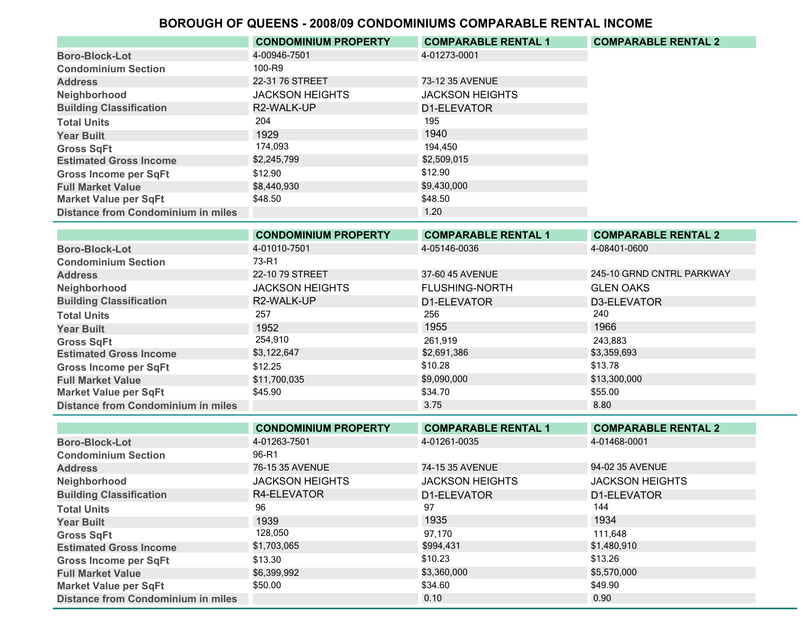|                                           | <b>CONDOMINIUM PROPERTY</b> | <b>COMPARABLE RENTAL 1</b> | <b>COMPARABLE RENTAL 2</b> |
|-------------------------------------------|-----------------------------|----------------------------|----------------------------|
| <b>Boro-Block-Lot</b>                     | 4-00946-7501                | 4-01273-0001               |                            |
| <b>Condominium Section</b>                | 100-R9                      |                            |                            |
| <b>Address</b>                            | 22-31 76 STREET             | 73-12 35 AVENUE            |                            |
| Neighborhood                              | <b>JACKSON HEIGHTS</b>      | <b>JACKSON HEIGHTS</b>     |                            |
| <b>Building Classification</b>            | R2-WALK-UP                  | D1-ELEVATOR                |                            |
| <b>Total Units</b>                        | 204                         | 195                        |                            |
| <b>Year Built</b>                         | 1929                        | 1940                       |                            |
| <b>Gross SqFt</b>                         | 174,093                     | 194.450                    |                            |
| <b>Estimated Gross Income</b>             | \$2,245,799                 | \$2,509,015                |                            |
| <b>Gross Income per SqFt</b>              | \$12.90                     | \$12.90                    |                            |
| <b>Full Market Value</b>                  | \$8.440.930                 | \$9,430,000                |                            |
| <b>Market Value per SqFt</b>              | \$48.50                     | \$48.50                    |                            |
| <b>Distance from Condominium in miles</b> |                             | 1.20                       |                            |

|                                           | <b>CONDOMINIUM PROPERTY</b> | <b>COMPARABLE RENTAL 1</b> | <b>COMPARABLE RENTAL 2</b> |
|-------------------------------------------|-----------------------------|----------------------------|----------------------------|
| <b>Boro-Block-Lot</b>                     | 4-01010-7501                | 4-05146-0036               | 4-08401-0600               |
| <b>Condominium Section</b>                | 73-R1                       |                            |                            |
| <b>Address</b>                            | 22-10 79 STREET             | 37-60 45 AVENUE            | 245-10 GRND CNTRL PARKWAY  |
| Neighborhood                              | <b>JACKSON HEIGHTS</b>      | <b>FLUSHING-NORTH</b>      | <b>GLEN OAKS</b>           |
| <b>Building Classification</b>            | R2-WALK-UP                  | D1-ELEVATOR                | D3-ELEVATOR                |
| <b>Total Units</b>                        | 257                         | 256                        | 240                        |
| <b>Year Built</b>                         | 1952                        | 1955                       | 1966                       |
| <b>Gross SqFt</b>                         | 254,910                     | 261.919                    | 243.883                    |
| <b>Estimated Gross Income</b>             | \$3,122,647                 | \$2,691,386                | \$3,359,693                |
| <b>Gross Income per SqFt</b>              | \$12.25                     | \$10.28                    | \$13.78                    |
| <b>Full Market Value</b>                  | \$11,700,035                | \$9,090,000                | \$13,300,000               |
| <b>Market Value per SqFt</b>              | \$45.90                     | \$34.70                    | \$55.00                    |
| <b>Distance from Condominium in miles</b> |                             | 3.75                       | 8.80                       |

|                                           | <b>CONDOMINIUM PROPERTY</b> | <b>COMPARABLE RENTAL 1</b> | <b>COMPARABLE RENTAL 2</b> |
|-------------------------------------------|-----------------------------|----------------------------|----------------------------|
| <b>Boro-Block-Lot</b>                     | 4-01263-7501                | 4-01261-0035               | 4-01468-0001               |
| <b>Condominium Section</b>                | 96-R1                       |                            |                            |
| <b>Address</b>                            | 76-15 35 AVENUE             | 74-15 35 AVENUE            | 94-02 35 AVENUE            |
| Neighborhood                              | <b>JACKSON HEIGHTS</b>      | <b>JACKSON HEIGHTS</b>     | <b>JACKSON HEIGHTS</b>     |
| <b>Building Classification</b>            | R4-ELEVATOR                 | D1-ELEVATOR                | D1-ELEVATOR                |
| <b>Total Units</b>                        | 96                          | 97                         | 144                        |
| <b>Year Built</b>                         | 1939                        | 1935                       | 1934                       |
| <b>Gross SqFt</b>                         | 128,050                     | 97.170                     | 111.648                    |
| <b>Estimated Gross Income</b>             | \$1,703,065                 | \$994,431                  | \$1,480,910                |
| <b>Gross Income per SqFt</b>              | \$13.30                     | \$10.23                    | \$13.26                    |
| <b>Full Market Value</b>                  | \$6,399,992                 | \$3,360,000                | \$5,570,000                |
| <b>Market Value per SqFt</b>              | \$50.00                     | \$34.60                    | \$49.90                    |
| <b>Distance from Condominium in miles</b> |                             | 0.10                       | 0.90                       |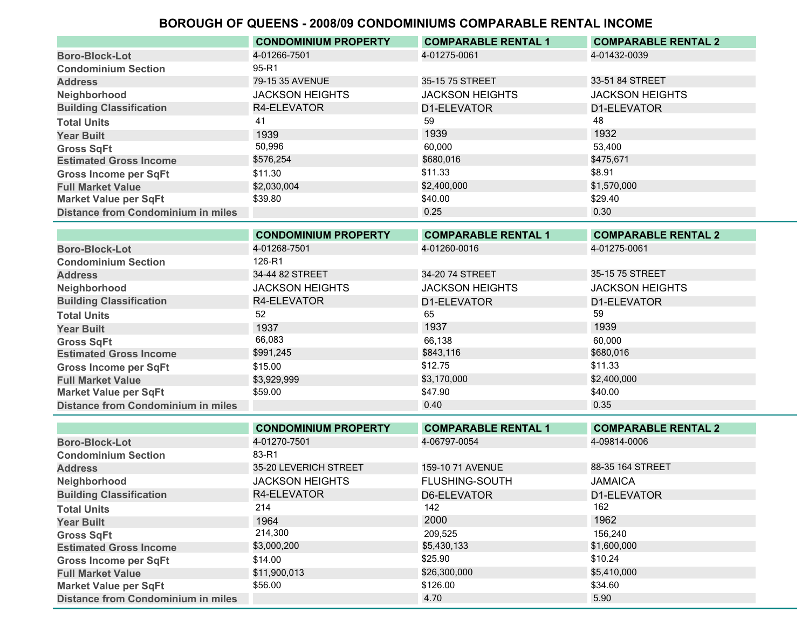| <b>Distance from Condominium in miles</b> |                             | 0.25                       | 0.30                       |
|-------------------------------------------|-----------------------------|----------------------------|----------------------------|
| <b>Market Value per SqFt</b>              | \$39.80                     | \$40.00                    | \$29.40                    |
| <b>Full Market Value</b>                  | \$2,030,004                 | \$2,400,000                | \$1,570,000                |
| <b>Gross Income per SqFt</b>              | \$11.30                     | \$11.33                    | \$8.91                     |
| <b>Estimated Gross Income</b>             | \$576,254                   | \$680,016                  | \$475,671                  |
| <b>Gross SqFt</b>                         | 50,996                      | 60.000                     | 53,400                     |
| <b>Year Built</b>                         | 1939                        | 1939                       | 1932                       |
| <b>Total Units</b>                        | 41                          | 59                         | 48                         |
| <b>Building Classification</b>            | R4-ELEVATOR                 | D1-ELEVATOR                | D1-ELEVATOR                |
| Neighborhood                              | <b>JACKSON HEIGHTS</b>      | <b>JACKSON HEIGHTS</b>     | <b>JACKSON HEIGHTS</b>     |
| <b>Address</b>                            | 79-15 35 AVENUE             | 35-15 75 STREET            | 33-51 84 STREET            |
| <b>Condominium Section</b>                | 95-R1                       |                            |                            |
| <b>Boro-Block-Lot</b>                     | 4-01266-7501                | 4-01275-0061               | 4-01432-0039               |
|                                           | <b>CONDOMINIUM PROPERTY</b> | <b>COMPARABLE RENTAL 1</b> | <b>COMPARABLE RENTAL 2</b> |

|                                           | <b>CONDOMINIUM PROPERTY</b> | <b>COMPARABLE RENTAL 1</b> | <b>COMPARABLE RENTAL 2</b> |
|-------------------------------------------|-----------------------------|----------------------------|----------------------------|
| <b>Boro-Block-Lot</b>                     | 4-01268-7501                | 4-01260-0016               | 4-01275-0061               |
| <b>Condominium Section</b>                | 126-R1                      |                            |                            |
| <b>Address</b>                            | 34-44 82 STREET             | 34-20 74 STREET            | 35-15 75 STREET            |
| Neighborhood                              | <b>JACKSON HEIGHTS</b>      | <b>JACKSON HEIGHTS</b>     | <b>JACKSON HEIGHTS</b>     |
| <b>Building Classification</b>            | R4-ELEVATOR                 | D1-ELEVATOR                | D1-ELEVATOR                |
| <b>Total Units</b>                        | 52                          | 65                         | 59                         |
| <b>Year Built</b>                         | 1937                        | 1937                       | 1939                       |
| <b>Gross SqFt</b>                         | 66,083                      | 66.138                     | 60.000                     |
| <b>Estimated Gross Income</b>             | \$991,245                   | \$843,116                  | \$680,016                  |
| <b>Gross Income per SqFt</b>              | \$15.00                     | \$12.75                    | \$11.33                    |
| <b>Full Market Value</b>                  | \$3,929,999                 | \$3,170,000                | \$2,400,000                |
| <b>Market Value per SqFt</b>              | \$59.00                     | \$47.90                    | \$40.00                    |
| <b>Distance from Condominium in miles</b> |                             | 0.40                       | 0.35                       |

|                                           | <b>CONDOMINIUM PROPERTY</b> | <b>COMPARABLE RENTAL 1</b> | <b>COMPARABLE RENTAL 2</b> |
|-------------------------------------------|-----------------------------|----------------------------|----------------------------|
| <b>Boro-Block-Lot</b>                     | 4-01270-7501                | 4-06797-0054               | 4-09814-0006               |
| <b>Condominium Section</b>                | 83-R1                       |                            |                            |
| <b>Address</b>                            | 35-20 LEVERICH STREET       | 159-10 71 AVENUE           | 88-35 164 STREET           |
| Neighborhood                              | <b>JACKSON HEIGHTS</b>      | <b>FLUSHING-SOUTH</b>      | <b>JAMAICA</b>             |
| <b>Building Classification</b>            | R4-ELEVATOR                 | D6-ELEVATOR                | D1-ELEVATOR                |
| <b>Total Units</b>                        | 214                         | 142                        | 162                        |
| <b>Year Built</b>                         | 1964                        | 2000                       | 1962                       |
| <b>Gross SqFt</b>                         | 214,300                     | 209.525                    | 156.240                    |
| <b>Estimated Gross Income</b>             | \$3,000,200                 | \$5,430,133                | \$1,600,000                |
| <b>Gross Income per SqFt</b>              | \$14.00                     | \$25.90                    | \$10.24                    |
| <b>Full Market Value</b>                  | \$11,900,013                | \$26,300,000               | \$5,410,000                |
| <b>Market Value per SqFt</b>              | \$56.00                     | \$126.00                   | \$34.60                    |
| <b>Distance from Condominium in miles</b> |                             | 4.70                       | 5.90                       |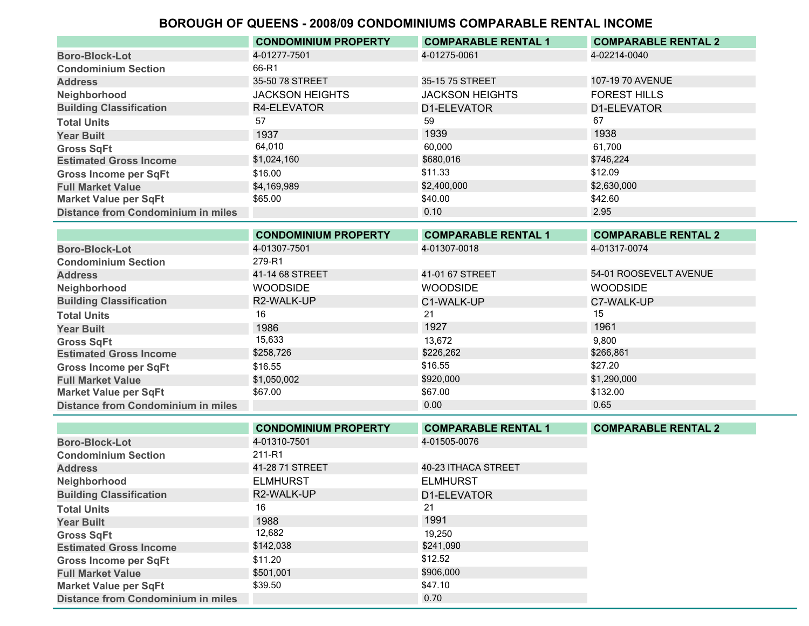|                                           | <b>CONDOMINIUM PROPERTY</b> | <b>COMPARABLE RENTAL 1</b> | <b>COMPARABLE RENTAL 2</b> |
|-------------------------------------------|-----------------------------|----------------------------|----------------------------|
| <b>Boro-Block-Lot</b>                     | 4-01277-7501                | 4-01275-0061               | 4-02214-0040               |
| <b>Condominium Section</b>                | 66-R1                       |                            |                            |
| <b>Address</b>                            | 35-50 78 STREET             | 35-15 75 STREET            | 107-19 70 AVENUE           |
| Neighborhood                              | <b>JACKSON HEIGHTS</b>      | <b>JACKSON HEIGHTS</b>     | <b>FOREST HILLS</b>        |
| <b>Building Classification</b>            | R4-ELEVATOR                 | D1-ELEVATOR                | D1-ELEVATOR                |
| <b>Total Units</b>                        | 57                          | 59                         | 67                         |
| <b>Year Built</b>                         | 1937                        | 1939                       | 1938                       |
| <b>Gross SqFt</b>                         | 64,010                      | 60.000                     | 61.700                     |
| <b>Estimated Gross Income</b>             | \$1,024,160                 | \$680,016                  | \$746,224                  |
| <b>Gross Income per SqFt</b>              | \$16.00                     | \$11.33                    | \$12.09                    |
| <b>Full Market Value</b>                  | \$4,169,989                 | \$2,400,000                | \$2,630,000                |
| <b>Market Value per SqFt</b>              | \$65.00                     | \$40.00                    | \$42.60                    |
| <b>Distance from Condominium in miles</b> |                             | 0.10                       | 2.95                       |

|                                           | <b>CONDOMINIUM PROPERTY</b> | <b>COMPARABLE RENTAL 1</b> | <b>COMPARABLE RENTAL 2</b> |
|-------------------------------------------|-----------------------------|----------------------------|----------------------------|
| <b>Boro-Block-Lot</b>                     | 4-01307-7501                | 4-01307-0018               | 4-01317-0074               |
| <b>Condominium Section</b>                | 279-R1                      |                            |                            |
| <b>Address</b>                            | 41-14 68 STREET             | 41-01 67 STREET            | 54-01 ROOSEVELT AVENUE     |
| Neighborhood                              | <b>WOODSIDE</b>             | <b>WOODSIDE</b>            | <b>WOODSIDE</b>            |
| <b>Building Classification</b>            | R2-WALK-UP                  | C1-WALK-UP                 | C7-WALK-UP                 |
| <b>Total Units</b>                        | 16                          | 21                         | 15                         |
| <b>Year Built</b>                         | 1986                        | 1927                       | 1961                       |
| <b>Gross SqFt</b>                         | 15,633                      | 13,672                     | 9.800                      |
| <b>Estimated Gross Income</b>             | \$258,726                   | \$226,262                  | \$266,861                  |
| <b>Gross Income per SqFt</b>              | \$16.55                     | \$16.55                    | \$27.20                    |
| <b>Full Market Value</b>                  | \$1,050,002                 | \$920,000                  | \$1,290,000                |
| <b>Market Value per SqFt</b>              | \$67.00                     | \$67.00                    | \$132.00                   |
| <b>Distance from Condominium in miles</b> |                             | 0.00                       | 0.65                       |

|                                           | <b>CONDOMINIUM PROPERTY</b> | <b>COMPARABLE RENTAL 1</b> | <b>COMPARABLE RENTAL 2</b> |
|-------------------------------------------|-----------------------------|----------------------------|----------------------------|
| <b>Boro-Block-Lot</b>                     | 4-01310-7501                | 4-01505-0076               |                            |
| <b>Condominium Section</b>                | 211-R1                      |                            |                            |
| <b>Address</b>                            | 41-28 71 STREET             | 40-23 ITHACA STREET        |                            |
| Neighborhood                              | <b>ELMHURST</b>             | <b>ELMHURST</b>            |                            |
| <b>Building Classification</b>            | R2-WALK-UP                  | D1-ELEVATOR                |                            |
| <b>Total Units</b>                        | 16                          | 21                         |                            |
| <b>Year Built</b>                         | 1988                        | 1991                       |                            |
| <b>Gross SqFt</b>                         | 12,682                      | 19.250                     |                            |
| <b>Estimated Gross Income</b>             | \$142,038                   | \$241,090                  |                            |
| <b>Gross Income per SqFt</b>              | \$11.20                     | \$12.52                    |                            |
| <b>Full Market Value</b>                  | \$501,001                   | \$906,000                  |                            |
| <b>Market Value per SqFt</b>              | \$39.50                     | \$47.10                    |                            |
| <b>Distance from Condominium in miles</b> |                             | 0.70                       |                            |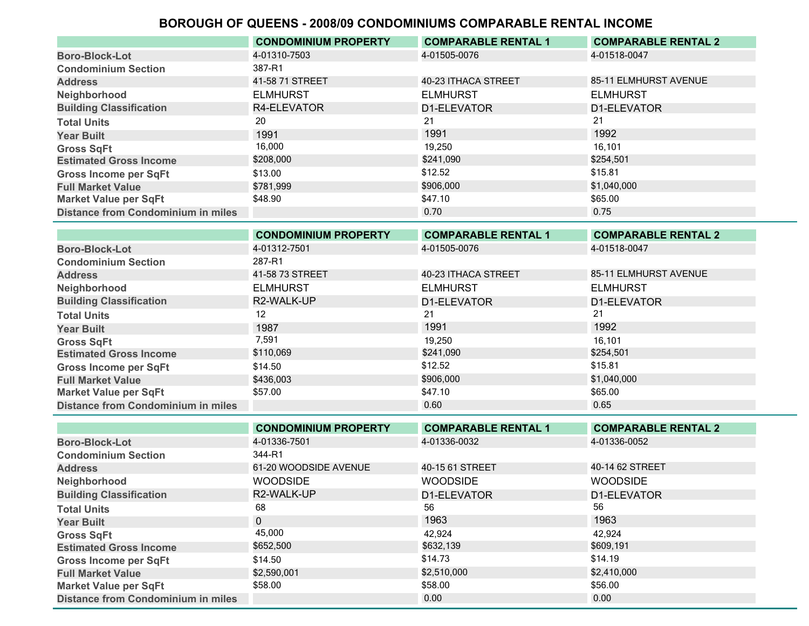|                                           | <b>CONDOMINIUM PROPERTY</b> | <b>COMPARABLE RENTAL 1</b> | <b>COMPARABLE RENTAL 2</b> |
|-------------------------------------------|-----------------------------|----------------------------|----------------------------|
| <b>Boro-Block-Lot</b>                     | 4-01310-7503                | 4-01505-0076               | 4-01518-0047               |
| <b>Condominium Section</b>                | 387-R1                      |                            |                            |
| <b>Address</b>                            | 41-58 71 STREET             | 40-23 ITHACA STREET        | 85-11 ELMHURST AVENUE      |
| Neighborhood                              | <b>ELMHURST</b>             | <b>ELMHURST</b>            | <b>ELMHURST</b>            |
| <b>Building Classification</b>            | R4-ELEVATOR                 | D1-ELEVATOR                | D1-ELEVATOR                |
| <b>Total Units</b>                        | 20                          | 21                         | 21                         |
| <b>Year Built</b>                         | 1991                        | 1991                       | 1992                       |
| <b>Gross SqFt</b>                         | 16,000                      | 19.250                     | 16.101                     |
| <b>Estimated Gross Income</b>             | \$208,000                   | \$241,090                  | \$254,501                  |
| <b>Gross Income per SqFt</b>              | \$13.00                     | \$12.52                    | \$15.81                    |
| <b>Full Market Value</b>                  | \$781.999                   | \$906,000                  | \$1,040,000                |
| <b>Market Value per SqFt</b>              | \$48.90                     | \$47.10                    | \$65.00                    |
| <b>Distance from Condominium in miles</b> |                             | 0.70                       | 0.75                       |

|                                           | <b>CONDOMINIUM PROPERTY</b> | <b>COMPARABLE RENTAL 1</b> | <b>COMPARABLE RENTAL 2</b> |
|-------------------------------------------|-----------------------------|----------------------------|----------------------------|
| <b>Boro-Block-Lot</b>                     | 4-01312-7501                | 4-01505-0076               | 4-01518-0047               |
| <b>Condominium Section</b>                | 287-R1                      |                            |                            |
| <b>Address</b>                            | 41-58 73 STREET             | 40-23 ITHACA STREET        | 85-11 ELMHURST AVENUE      |
| Neighborhood                              | <b>ELMHURST</b>             | <b>ELMHURST</b>            | <b>ELMHURST</b>            |
| <b>Building Classification</b>            | R2-WALK-UP                  | D1-ELEVATOR                | D1-ELEVATOR                |
| <b>Total Units</b>                        | 12                          | 21                         | 21                         |
| <b>Year Built</b>                         | 1987                        | 1991                       | 1992                       |
| <b>Gross SqFt</b>                         | 7,591                       | 19,250                     | 16,101                     |
| <b>Estimated Gross Income</b>             | \$110,069                   | \$241,090                  | \$254,501                  |
| <b>Gross Income per SqFt</b>              | \$14.50                     | \$12.52                    | \$15.81                    |
| <b>Full Market Value</b>                  | \$436,003                   | \$906,000                  | \$1,040,000                |
| <b>Market Value per SqFt</b>              | \$57.00                     | \$47.10                    | \$65.00                    |
| <b>Distance from Condominium in miles</b> |                             | 0.60                       | 0.65                       |

|                                           | <b>CONDOMINIUM PROPERTY</b> | <b>COMPARABLE RENTAL 1</b> | <b>COMPARABLE RENTAL 2</b> |
|-------------------------------------------|-----------------------------|----------------------------|----------------------------|
| <b>Boro-Block-Lot</b>                     | 4-01336-7501                | 4-01336-0032               | 4-01336-0052               |
| <b>Condominium Section</b>                | 344-R1                      |                            |                            |
| <b>Address</b>                            | 61-20 WOODSIDE AVENUE       | 40-15 61 STREET            | 40-14 62 STREET            |
| Neighborhood                              | <b>WOODSIDE</b>             | <b>WOODSIDE</b>            | <b>WOODSIDE</b>            |
| <b>Building Classification</b>            | R2-WALK-UP                  | D1-ELEVATOR                | D1-ELEVATOR                |
| <b>Total Units</b>                        | 68                          | 56                         | 56                         |
| <b>Year Built</b>                         | $\mathbf{0}$                | 1963                       | 1963                       |
| <b>Gross SqFt</b>                         | 45,000                      | 42.924                     | 42,924                     |
| <b>Estimated Gross Income</b>             | \$652,500                   | \$632,139                  | \$609,191                  |
| <b>Gross Income per SqFt</b>              | \$14.50                     | \$14.73                    | \$14.19                    |
| <b>Full Market Value</b>                  | \$2,590,001                 | \$2,510,000                | \$2,410,000                |
| <b>Market Value per SqFt</b>              | \$58.00                     | \$58.00                    | \$56.00                    |
| <b>Distance from Condominium in miles</b> |                             | 0.00                       | 0.00                       |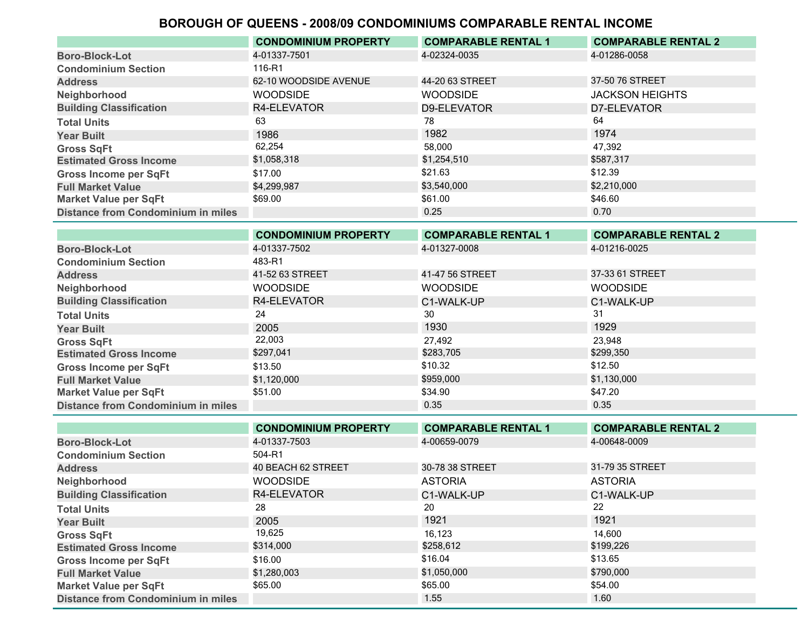|                                           | <b>CONDOMINIUM PROPERTY</b> | <b>COMPARABLE RENTAL 1</b> | <b>COMPARABLE RENTAL 2</b> |
|-------------------------------------------|-----------------------------|----------------------------|----------------------------|
| <b>Boro-Block-Lot</b>                     | 4-01337-7501                | 4-02324-0035               | 4-01286-0058               |
| <b>Condominium Section</b>                | 116-R1                      |                            |                            |
| <b>Address</b>                            | 62-10 WOODSIDE AVENUE       | 44-20 63 STREET            | 37-50 76 STREET            |
| Neighborhood                              | <b>WOODSIDE</b>             | <b>WOODSIDE</b>            | <b>JACKSON HEIGHTS</b>     |
| <b>Building Classification</b>            | R4-ELEVATOR                 | D9-ELEVATOR                | D7-ELEVATOR                |
| <b>Total Units</b>                        | 63                          | 78                         | 64                         |
| <b>Year Built</b>                         | 1986                        | 1982                       | 1974                       |
| <b>Gross SqFt</b>                         | 62,254                      | 58.000                     | 47.392                     |
| <b>Estimated Gross Income</b>             | \$1,058,318                 | \$1,254,510                | \$587,317                  |
| <b>Gross Income per SqFt</b>              | \$17.00                     | \$21.63                    | \$12.39                    |
| <b>Full Market Value</b>                  | \$4,299,987                 | \$3,540,000                | \$2,210,000                |
| <b>Market Value per SqFt</b>              | \$69.00                     | \$61.00                    | \$46.60                    |
| <b>Distance from Condominium in miles</b> |                             | 0.25                       | 0.70                       |

|                                           | <b>CONDOMINIUM PROPERTY</b> | <b>COMPARABLE RENTAL 1</b> | <b>COMPARABLE RENTAL 2</b> |
|-------------------------------------------|-----------------------------|----------------------------|----------------------------|
| <b>Boro-Block-Lot</b>                     | 4-01337-7502                | 4-01327-0008               | 4-01216-0025               |
| <b>Condominium Section</b>                | 483-R1                      |                            |                            |
| <b>Address</b>                            | 41-52 63 STREET             | 41-47 56 STREET            | 37-33 61 STREET            |
| Neighborhood                              | <b>WOODSIDE</b>             | <b>WOODSIDE</b>            | <b>WOODSIDE</b>            |
| <b>Building Classification</b>            | R4-ELEVATOR                 | C1-WALK-UP                 | C1-WALK-UP                 |
| <b>Total Units</b>                        | 24                          | 30                         | 31                         |
| <b>Year Built</b>                         | 2005                        | 1930                       | 1929                       |
| <b>Gross SqFt</b>                         | 22,003                      | 27,492                     | 23,948                     |
| <b>Estimated Gross Income</b>             | \$297,041                   | \$283,705                  | \$299,350                  |
| <b>Gross Income per SqFt</b>              | \$13.50                     | \$10.32                    | \$12.50                    |
| <b>Full Market Value</b>                  | \$1,120,000                 | \$959,000                  | \$1,130,000                |
| <b>Market Value per SqFt</b>              | \$51.00                     | \$34.90                    | \$47.20                    |
| <b>Distance from Condominium in miles</b> |                             | 0.35                       | 0.35                       |

|                                           | <b>CONDOMINIUM PROPERTY</b> | <b>COMPARABLE RENTAL 1</b> | <b>COMPARABLE RENTAL 2</b> |
|-------------------------------------------|-----------------------------|----------------------------|----------------------------|
| <b>Boro-Block-Lot</b>                     | 4-01337-7503                | 4-00659-0079               | 4-00648-0009               |
| <b>Condominium Section</b>                | 504-R1                      |                            |                            |
| <b>Address</b>                            | 40 BEACH 62 STREET          | 30-78 38 STREET            | 31-79 35 STREET            |
| Neighborhood                              | <b>WOODSIDE</b>             | <b>ASTORIA</b>             | <b>ASTORIA</b>             |
| <b>Building Classification</b>            | R4-ELEVATOR                 | C1-WALK-UP                 | C1-WALK-UP                 |
| <b>Total Units</b>                        | 28                          | 20                         | 22                         |
| <b>Year Built</b>                         | 2005                        | 1921                       | 1921                       |
| <b>Gross SqFt</b>                         | 19,625                      | 16,123                     | 14.600                     |
| <b>Estimated Gross Income</b>             | \$314,000                   | \$258,612                  | \$199,226                  |
| <b>Gross Income per SqFt</b>              | \$16.00                     | \$16.04                    | \$13.65                    |
| <b>Full Market Value</b>                  | \$1,280,003                 | \$1,050,000                | \$790,000                  |
| <b>Market Value per SqFt</b>              | \$65.00                     | \$65.00                    | \$54.00                    |
| <b>Distance from Condominium in miles</b> |                             | 1.55                       | 1.60                       |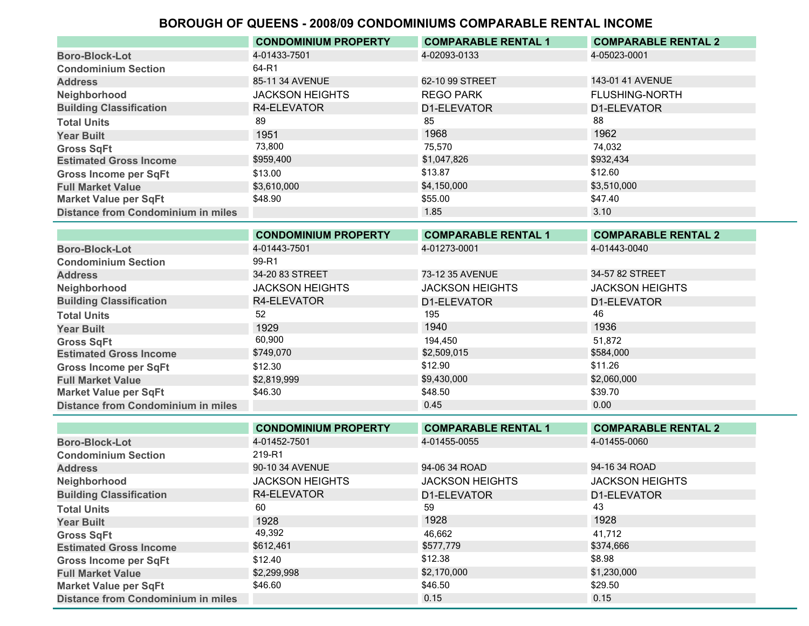|                                           | <b>CONDOMINIUM PROPERTY</b> | <b>COMPARABLE RENTAL 1</b> | <b>COMPARABLE RENTAL 2</b> |
|-------------------------------------------|-----------------------------|----------------------------|----------------------------|
| <b>Boro-Block-Lot</b>                     | 4-01433-7501                | 4-02093-0133               | 4-05023-0001               |
| <b>Condominium Section</b>                | 64-R1                       |                            |                            |
| <b>Address</b>                            | 85-11 34 AVENUE             | 62-10 99 STREET            | 143-01 41 AVENUE           |
| Neighborhood                              | <b>JACKSON HEIGHTS</b>      | <b>REGO PARK</b>           | <b>FLUSHING-NORTH</b>      |
| <b>Building Classification</b>            | R4-ELEVATOR                 | D1-ELEVATOR                | D1-ELEVATOR                |
| <b>Total Units</b>                        | 89                          | 85                         | 88                         |
| <b>Year Built</b>                         | 1951                        | 1968                       | 1962                       |
| <b>Gross SqFt</b>                         | 73,800                      | 75,570                     | 74.032                     |
| <b>Estimated Gross Income</b>             | \$959,400                   | \$1,047,826                | \$932,434                  |
| <b>Gross Income per SqFt</b>              | \$13.00                     | \$13.87                    | \$12.60                    |
| <b>Full Market Value</b>                  | \$3,610,000                 | \$4,150,000                | \$3,510,000                |
| <b>Market Value per SqFt</b>              | \$48.90                     | \$55.00                    | \$47.40                    |
| <b>Distance from Condominium in miles</b> |                             | 1.85                       | 3.10                       |

|                                           | <b>CONDOMINIUM PROPERTY</b> | <b>COMPARABLE RENTAL 1</b> | <b>COMPARABLE RENTAL 2</b> |
|-------------------------------------------|-----------------------------|----------------------------|----------------------------|
| <b>Boro-Block-Lot</b>                     | 4-01443-7501                | 4-01273-0001               | 4-01443-0040               |
| <b>Condominium Section</b>                | 99-R1                       |                            |                            |
| <b>Address</b>                            | 34-20 83 STREET             | 73-12 35 AVENUE            | 34-57 82 STREET            |
| Neighborhood                              | <b>JACKSON HEIGHTS</b>      | <b>JACKSON HEIGHTS</b>     | <b>JACKSON HEIGHTS</b>     |
| <b>Building Classification</b>            | R4-ELEVATOR                 | D1-ELEVATOR                | D1-ELEVATOR                |
| <b>Total Units</b>                        | 52                          | 195                        | 46                         |
| <b>Year Built</b>                         | 1929                        | 1940                       | 1936                       |
| <b>Gross SqFt</b>                         | 60,900                      | 194.450                    | 51.872                     |
| <b>Estimated Gross Income</b>             | \$749,070                   | \$2,509,015                | \$584,000                  |
| <b>Gross Income per SqFt</b>              | \$12.30                     | \$12.90                    | \$11.26                    |
| <b>Full Market Value</b>                  | \$2,819,999                 | \$9,430,000                | \$2,060,000                |
| <b>Market Value per SqFt</b>              | \$46.30                     | \$48.50                    | \$39.70                    |
| <b>Distance from Condominium in miles</b> |                             | 0.45                       | 0.00                       |

|                                           | <b>CONDOMINIUM PROPERTY</b> | <b>COMPARABLE RENTAL 1</b> | <b>COMPARABLE RENTAL 2</b> |
|-------------------------------------------|-----------------------------|----------------------------|----------------------------|
| <b>Boro-Block-Lot</b>                     | 4-01452-7501                | 4-01455-0055               | 4-01455-0060               |
| <b>Condominium Section</b>                | 219-R1                      |                            |                            |
| <b>Address</b>                            | 90-10 34 AVENUE             | 94-06 34 ROAD              | 94-16 34 ROAD              |
| Neighborhood                              | <b>JACKSON HEIGHTS</b>      | <b>JACKSON HEIGHTS</b>     | <b>JACKSON HEIGHTS</b>     |
| <b>Building Classification</b>            | R4-ELEVATOR                 | D1-ELEVATOR                | D1-ELEVATOR                |
| <b>Total Units</b>                        | 60                          | 59                         | 43                         |
| <b>Year Built</b>                         | 1928                        | 1928                       | 1928                       |
| <b>Gross SqFt</b>                         | 49,392                      | 46,662                     | 41.712                     |
| <b>Estimated Gross Income</b>             | \$612,461                   | \$577,779                  | \$374,666                  |
| <b>Gross Income per SqFt</b>              | \$12.40                     | \$12.38                    | \$8.98                     |
| <b>Full Market Value</b>                  | \$2,299,998                 | \$2,170,000                | \$1,230,000                |
| <b>Market Value per SqFt</b>              | \$46.60                     | \$46.50                    | \$29.50                    |
| <b>Distance from Condominium in miles</b> |                             | 0.15                       | 0.15                       |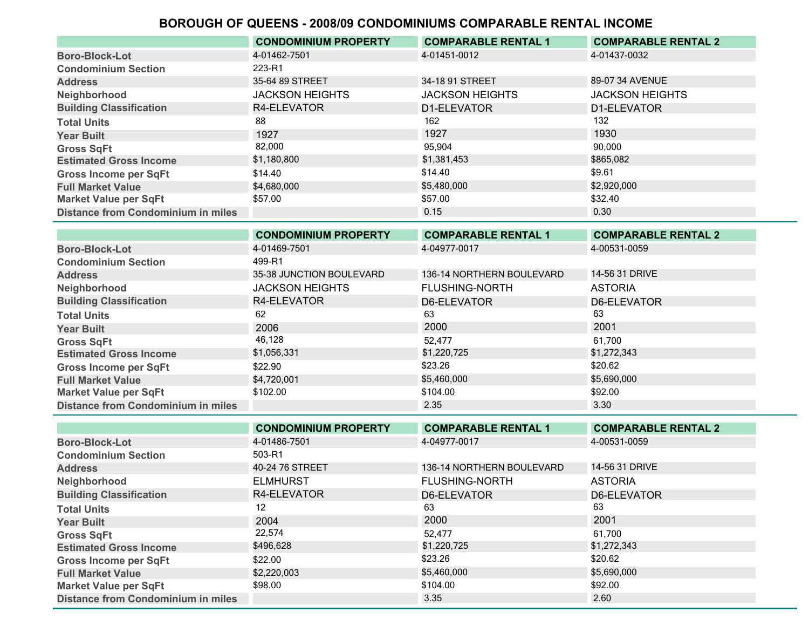|                                           | <b>CONDOMINIUM PROPERTY</b> | <b>COMPARABLE RENTAL 1</b> | <b>COMPARABLE RENTAL 2</b> |
|-------------------------------------------|-----------------------------|----------------------------|----------------------------|
| <b>Boro-Block-Lot</b>                     | 4-01462-7501                | 4-01451-0012               | 4-01437-0032               |
| <b>Condominium Section</b>                | 223-R1                      |                            |                            |
| <b>Address</b>                            | 35-64 89 STREET             | 34-18 91 STREET            | 89-07 34 AVENUE            |
| Neighborhood                              | <b>JACKSON HEIGHTS</b>      | <b>JACKSON HEIGHTS</b>     | <b>JACKSON HEIGHTS</b>     |
| <b>Building Classification</b>            | R4-ELEVATOR                 | D1-ELEVATOR                | D1-ELEVATOR                |
| <b>Total Units</b>                        | 88                          | 162                        | 132                        |
| <b>Year Built</b>                         | 1927                        | 1927                       | 1930                       |
| <b>Gross SqFt</b>                         | 82,000                      | 95,904                     | 90,000                     |
| <b>Estimated Gross Income</b>             | \$1,180,800                 | \$1,381,453                | \$865,082                  |
| <b>Gross Income per SqFt</b>              | \$14.40                     | \$14.40                    | \$9.61                     |
| <b>Full Market Value</b>                  | \$4.680.000                 | \$5,480,000                | \$2,920,000                |
| <b>Market Value per SqFt</b>              | \$57.00                     | \$57.00                    | \$32.40                    |
| <b>Distance from Condominium in miles</b> |                             | 0.15                       | 0.30                       |

|                                           | <b>CONDOMINIUM PROPERTY</b> | <b>COMPARABLE RENTAL 1</b> | <b>COMPARABLE RENTAL 2</b> |
|-------------------------------------------|-----------------------------|----------------------------|----------------------------|
| <b>Boro-Block-Lot</b>                     | 4-01469-7501                | 4-04977-0017               | 4-00531-0059               |
| <b>Condominium Section</b>                | 499-R1                      |                            |                            |
| <b>Address</b>                            | 35-38 JUNCTION BOULEVARD    | 136-14 NORTHERN BOULEVARD  | 14-56 31 DRIVE             |
| Neighborhood                              | <b>JACKSON HEIGHTS</b>      | <b>FLUSHING-NORTH</b>      | <b>ASTORIA</b>             |
| <b>Building Classification</b>            | R4-ELEVATOR                 | D6-ELEVATOR                | D6-ELEVATOR                |
| <b>Total Units</b>                        | 62                          | 63                         | 63                         |
| <b>Year Built</b>                         | 2006                        | 2000                       | 2001                       |
| <b>Gross SqFt</b>                         | 46,128                      | 52,477                     | 61.700                     |
| <b>Estimated Gross Income</b>             | \$1,056,331                 | \$1,220,725                | \$1,272,343                |
| <b>Gross Income per SqFt</b>              | \$22.90                     | \$23.26                    | \$20.62                    |
| <b>Full Market Value</b>                  | \$4,720,001                 | \$5,460,000                | \$5,690,000                |
| <b>Market Value per SqFt</b>              | \$102.00                    | \$104.00                   | \$92.00                    |
| <b>Distance from Condominium in miles</b> |                             | 2.35                       | 3.30                       |

|                                           | <b>CONDOMINIUM PROPERTY</b> | <b>COMPARABLE RENTAL 1</b> | <b>COMPARABLE RENTAL 2</b> |
|-------------------------------------------|-----------------------------|----------------------------|----------------------------|
| <b>Boro-Block-Lot</b>                     | 4-01486-7501                | 4-04977-0017               | 4-00531-0059               |
| <b>Condominium Section</b>                | 503-R1                      |                            |                            |
| <b>Address</b>                            | 40-24 76 STREET             | 136-14 NORTHERN BOULEVARD  | 14-56 31 DRIVE             |
| Neighborhood                              | <b>ELMHURST</b>             | <b>FLUSHING-NORTH</b>      | <b>ASTORIA</b>             |
| <b>Building Classification</b>            | R4-ELEVATOR                 | D6-ELEVATOR                | D6-ELEVATOR                |
| <b>Total Units</b>                        | 12                          | 63                         | 63                         |
| <b>Year Built</b>                         | 2004                        | 2000                       | 2001                       |
| <b>Gross SqFt</b>                         | 22,574                      | 52.477                     | 61.700                     |
| <b>Estimated Gross Income</b>             | \$496,628                   | \$1,220,725                | \$1,272,343                |
| <b>Gross Income per SqFt</b>              | \$22.00                     | \$23.26                    | \$20.62                    |
| <b>Full Market Value</b>                  | \$2,220,003                 | \$5,460,000                | \$5,690,000                |
| <b>Market Value per SqFt</b>              | \$98.00                     | \$104.00                   | \$92.00                    |
| <b>Distance from Condominium in miles</b> |                             | 3.35                       | 2.60                       |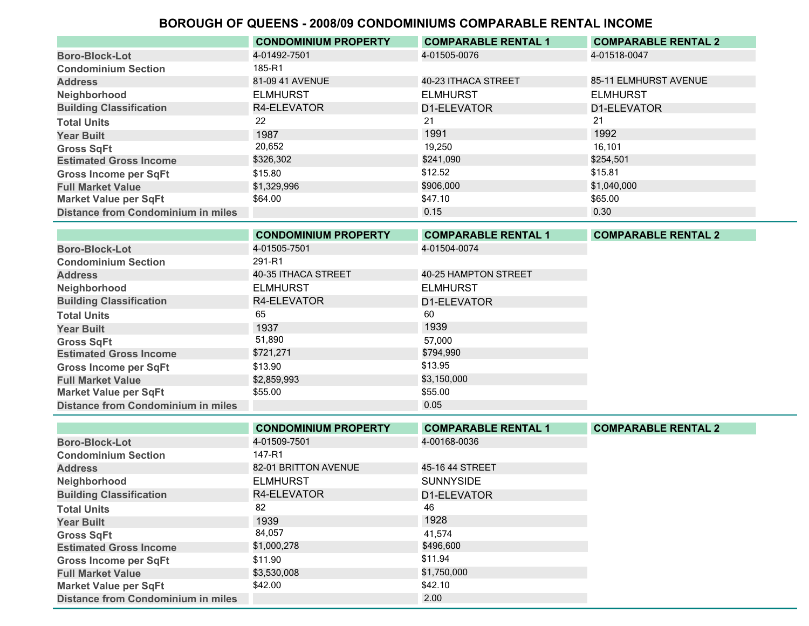|                                           | <b>CONDOMINIUM PROPERTY</b> | <b>COMPARABLE RENTAL 1</b> | <b>COMPARABLE RENTAL 2</b> |
|-------------------------------------------|-----------------------------|----------------------------|----------------------------|
| <b>Boro-Block-Lot</b>                     | 4-01492-7501                | 4-01505-0076               | 4-01518-0047               |
| <b>Condominium Section</b>                | 185-R1                      |                            |                            |
| <b>Address</b>                            | 81-09 41 AVENUE             | 40-23 ITHACA STREET        | 85-11 ELMHURST AVENUE      |
| Neighborhood                              | <b>ELMHURST</b>             | <b>ELMHURST</b>            | <b>ELMHURST</b>            |
| <b>Building Classification</b>            | R4-ELEVATOR                 | D1-ELEVATOR                | D1-ELEVATOR                |
| <b>Total Units</b>                        | 22                          | 21                         | 21                         |
| <b>Year Built</b>                         | 1987                        | 1991                       | 1992                       |
| <b>Gross SqFt</b>                         | 20,652                      | 19,250                     | 16.101                     |
| <b>Estimated Gross Income</b>             | \$326,302                   | \$241,090                  | \$254,501                  |
| <b>Gross Income per SqFt</b>              | \$15.80                     | \$12.52                    | \$15.81                    |
| <b>Full Market Value</b>                  | \$1,329,996                 | \$906,000                  | \$1,040,000                |
| <b>Market Value per SqFt</b>              | \$64.00                     | \$47.10                    | \$65.00                    |
| <b>Distance from Condominium in miles</b> |                             | 0.15                       | 0.30                       |

|                                           | <b>CONDOMINIUM PROPERTY</b> | <b>COMPARABLE RENTAL 1</b> | <b>COMPARABLE RENTAL 2</b> |
|-------------------------------------------|-----------------------------|----------------------------|----------------------------|
| <b>Boro-Block-Lot</b>                     | 4-01505-7501                | 4-01504-0074               |                            |
| <b>Condominium Section</b>                | 291-R1                      |                            |                            |
| <b>Address</b>                            | 40-35 ITHACA STREET         | 40-25 HAMPTON STREET       |                            |
| Neighborhood                              | <b>ELMHURST</b>             | <b>ELMHURST</b>            |                            |
| <b>Building Classification</b>            | R4-ELEVATOR                 | D1-ELEVATOR                |                            |
| <b>Total Units</b>                        | 65                          | 60                         |                            |
| <b>Year Built</b>                         | 1937                        | 1939                       |                            |
| <b>Gross SqFt</b>                         | 51,890                      | 57,000                     |                            |
| <b>Estimated Gross Income</b>             | \$721,271                   | \$794,990                  |                            |
| <b>Gross Income per SqFt</b>              | \$13.90                     | \$13.95                    |                            |
| <b>Full Market Value</b>                  | \$2,859,993                 | \$3,150,000                |                            |
| <b>Market Value per SqFt</b>              | \$55.00                     | \$55.00                    |                            |
| <b>Distance from Condominium in miles</b> |                             | 0.05                       |                            |

|                                           | <b>CONDOMINIUM PROPERTY</b> | <b>COMPARABLE RENTAL 1</b> | <b>COMPARABLE RENTAL 2</b> |
|-------------------------------------------|-----------------------------|----------------------------|----------------------------|
| <b>Boro-Block-Lot</b>                     | 4-01509-7501                | 4-00168-0036               |                            |
| <b>Condominium Section</b>                | 147-R1                      |                            |                            |
| <b>Address</b>                            | 82-01 BRITTON AVENUE        | 45-16 44 STREET            |                            |
| Neighborhood                              | <b>ELMHURST</b>             | <b>SUNNYSIDE</b>           |                            |
| <b>Building Classification</b>            | R4-ELEVATOR                 | D1-ELEVATOR                |                            |
| <b>Total Units</b>                        | 82                          | 46                         |                            |
| <b>Year Built</b>                         | 1939                        | 1928                       |                            |
| <b>Gross SqFt</b>                         | 84,057                      | 41,574                     |                            |
| <b>Estimated Gross Income</b>             | \$1,000,278                 | \$496,600                  |                            |
| <b>Gross Income per SqFt</b>              | \$11.90                     | \$11.94                    |                            |
| <b>Full Market Value</b>                  | \$3,530,008                 | \$1,750,000                |                            |
| <b>Market Value per SqFt</b>              | \$42.00                     | \$42.10                    |                            |
| <b>Distance from Condominium in miles</b> |                             | 2.00                       |                            |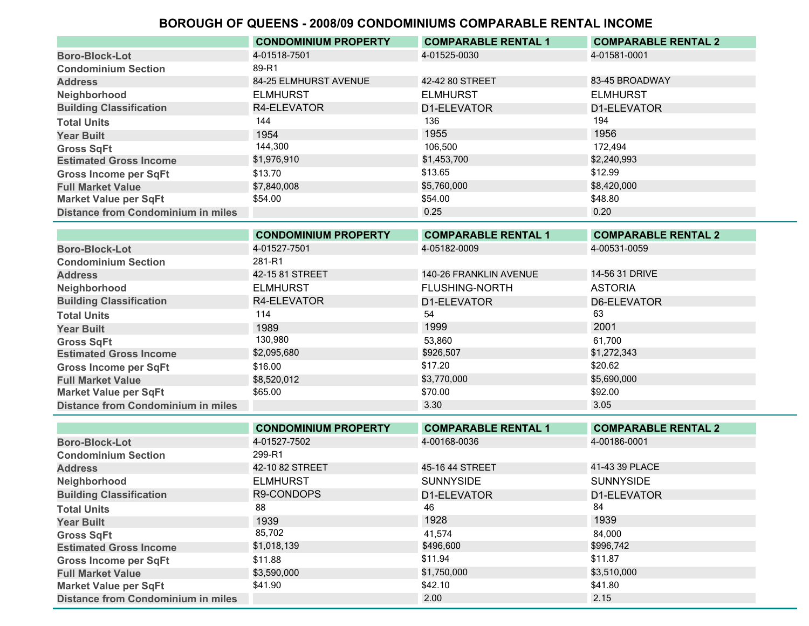|                                           | <b>CONDOMINIUM PROPERTY</b> | <b>COMPARABLE RENTAL 1</b> | <b>COMPARABLE RENTAL 2</b> |
|-------------------------------------------|-----------------------------|----------------------------|----------------------------|
| <b>Boro-Block-Lot</b>                     | 4-01518-7501                | 4-01525-0030               | 4-01581-0001               |
| <b>Condominium Section</b>                | 89-R1                       |                            |                            |
| <b>Address</b>                            | 84-25 ELMHURST AVENUE       | 42-42 80 STREET            | 83-45 BROADWAY             |
| Neighborhood                              | <b>ELMHURST</b>             | <b>ELMHURST</b>            | <b>ELMHURST</b>            |
| <b>Building Classification</b>            | R4-ELEVATOR                 | D1-ELEVATOR                | D1-ELEVATOR                |
| <b>Total Units</b>                        | 144                         | 136                        | 194                        |
| <b>Year Built</b>                         | 1954                        | 1955                       | 1956                       |
| <b>Gross SqFt</b>                         | 144,300                     | 106.500                    | 172.494                    |
| <b>Estimated Gross Income</b>             | \$1,976,910                 | \$1,453,700                | \$2,240,993                |
| <b>Gross Income per SqFt</b>              | \$13.70                     | \$13.65                    | \$12.99                    |
| <b>Full Market Value</b>                  | \$7,840,008                 | \$5,760,000                | \$8,420,000                |
| <b>Market Value per SqFt</b>              | \$54.00                     | \$54.00                    | \$48.80                    |
| <b>Distance from Condominium in miles</b> |                             | 0.25                       | 0.20                       |

|                                           | <b>CONDOMINIUM PROPERTY</b> | <b>COMPARABLE RENTAL 1</b> | <b>COMPARABLE RENTAL 2</b> |
|-------------------------------------------|-----------------------------|----------------------------|----------------------------|
| <b>Boro-Block-Lot</b>                     | 4-01527-7501                | 4-05182-0009               | 4-00531-0059               |
| <b>Condominium Section</b>                | 281-R1                      |                            |                            |
| <b>Address</b>                            | 42-15 81 STREET             | 140-26 FRANKLIN AVENUE     | 14-56 31 DRIVE             |
| Neighborhood                              | <b>ELMHURST</b>             | <b>FLUSHING-NORTH</b>      | <b>ASTORIA</b>             |
| <b>Building Classification</b>            | R4-ELEVATOR                 | D1-ELEVATOR                | D6-ELEVATOR                |
| <b>Total Units</b>                        | 114                         | 54                         | 63                         |
| <b>Year Built</b>                         | 1989                        | 1999                       | 2001                       |
| <b>Gross SqFt</b>                         | 130,980                     | 53,860                     | 61,700                     |
| <b>Estimated Gross Income</b>             | \$2,095,680                 | \$926,507                  | \$1,272,343                |
| <b>Gross Income per SqFt</b>              | \$16.00                     | \$17.20                    | \$20.62                    |
| <b>Full Market Value</b>                  | \$8,520,012                 | \$3,770,000                | \$5,690,000                |
| <b>Market Value per SqFt</b>              | \$65.00                     | \$70.00                    | \$92.00                    |
| <b>Distance from Condominium in miles</b> |                             | 3.30                       | 3.05                       |

|                                           | <b>CONDOMINIUM PROPERTY</b> | <b>COMPARABLE RENTAL 1</b> | <b>COMPARABLE RENTAL 2</b> |
|-------------------------------------------|-----------------------------|----------------------------|----------------------------|
| <b>Boro-Block-Lot</b>                     | 4-01527-7502                | 4-00168-0036               | 4-00186-0001               |
| <b>Condominium Section</b>                | 299-R1                      |                            |                            |
| <b>Address</b>                            | 42-10 82 STREET             | 45-16 44 STREET            | 41-43 39 PLACE             |
| Neighborhood                              | <b>ELMHURST</b>             | <b>SUNNYSIDE</b>           | <b>SUNNYSIDE</b>           |
| <b>Building Classification</b>            | R9-CONDOPS                  | D1-ELEVATOR                | D1-ELEVATOR                |
| <b>Total Units</b>                        | 88                          | 46                         | 84                         |
| <b>Year Built</b>                         | 1939                        | 1928                       | 1939                       |
| <b>Gross SqFt</b>                         | 85,702                      | 41.574                     | 84.000                     |
| <b>Estimated Gross Income</b>             | \$1,018,139                 | \$496,600                  | \$996,742                  |
| <b>Gross Income per SqFt</b>              | \$11.88                     | \$11.94                    | \$11.87                    |
| <b>Full Market Value</b>                  | \$3,590,000                 | \$1,750,000                | \$3,510,000                |
| <b>Market Value per SqFt</b>              | \$41.90                     | \$42.10                    | \$41.80                    |
| <b>Distance from Condominium in miles</b> |                             | 2.00                       | 2.15                       |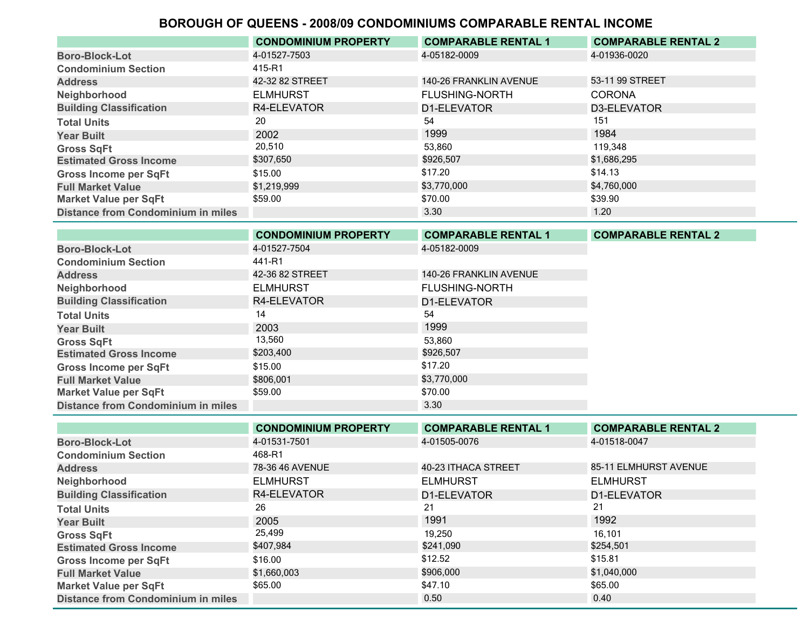|                                           | <b>CONDOMINIUM PROPERTY</b> | <b>COMPARABLE RENTAL 1</b> | <b>COMPARABLE RENTAL 2</b> |
|-------------------------------------------|-----------------------------|----------------------------|----------------------------|
| <b>Boro-Block-Lot</b>                     | 4-01527-7503                | 4-05182-0009               | 4-01936-0020               |
| <b>Condominium Section</b>                | 415-R1                      |                            |                            |
| <b>Address</b>                            | 42-32 82 STREET             | 140-26 FRANKLIN AVENUE     | 53-11 99 STREET            |
| Neighborhood                              | <b>ELMHURST</b>             | <b>FLUSHING-NORTH</b>      | <b>CORONA</b>              |
| <b>Building Classification</b>            | R4-ELEVATOR                 | D1-ELEVATOR                | D3-ELEVATOR                |
| <b>Total Units</b>                        | 20                          | 54                         | 151                        |
| <b>Year Built</b>                         | 2002                        | 1999                       | 1984                       |
| <b>Gross SqFt</b>                         | 20,510                      | 53,860                     | 119.348                    |
| <b>Estimated Gross Income</b>             | \$307,650                   | \$926,507                  | \$1,686,295                |
| <b>Gross Income per SqFt</b>              | \$15.00                     | \$17.20                    | \$14.13                    |
| <b>Full Market Value</b>                  | \$1,219,999                 | \$3,770,000                | \$4,760,000                |
| <b>Market Value per SqFt</b>              | \$59.00                     | \$70.00                    | \$39.90                    |
| <b>Distance from Condominium in miles</b> |                             | 3.30                       | 1.20                       |

|                                           | <b>CONDOMINIUM PROPERTY</b> | <b>COMPARABLE RENTAL 1</b> | <b>COMPARABLE RENTAL 2</b> |
|-------------------------------------------|-----------------------------|----------------------------|----------------------------|
| <b>Boro-Block-Lot</b>                     | 4-01527-7504                | 4-05182-0009               |                            |
| <b>Condominium Section</b>                | 441-R1                      |                            |                            |
| <b>Address</b>                            | 42-36 82 STREET             | 140-26 FRANKLIN AVENUE     |                            |
| Neighborhood                              | <b>ELMHURST</b>             | <b>FLUSHING-NORTH</b>      |                            |
| <b>Building Classification</b>            | R4-ELEVATOR                 | D1-ELEVATOR                |                            |
| <b>Total Units</b>                        | 14                          | 54                         |                            |
| <b>Year Built</b>                         | 2003                        | 1999                       |                            |
| <b>Gross SqFt</b>                         | 13,560                      | 53,860                     |                            |
| <b>Estimated Gross Income</b>             | \$203,400                   | \$926,507                  |                            |
| <b>Gross Income per SqFt</b>              | \$15.00                     | \$17.20                    |                            |
| <b>Full Market Value</b>                  | \$806.001                   | \$3,770,000                |                            |
| <b>Market Value per SqFt</b>              | \$59.00                     | \$70.00                    |                            |
| <b>Distance from Condominium in miles</b> |                             | 3.30                       |                            |

|                                           | <b>CONDOMINIUM PROPERTY</b> | <b>COMPARABLE RENTAL 1</b> | <b>COMPARABLE RENTAL 2</b> |
|-------------------------------------------|-----------------------------|----------------------------|----------------------------|
| <b>Boro-Block-Lot</b>                     | 4-01531-7501                | 4-01505-0076               | 4-01518-0047               |
| <b>Condominium Section</b>                | 468-R1                      |                            |                            |
| <b>Address</b>                            | 78-36 46 AVENUE             | 40-23 ITHACA STREET        | 85-11 ELMHURST AVENUE      |
| Neighborhood                              | <b>ELMHURST</b>             | <b>ELMHURST</b>            | <b>ELMHURST</b>            |
| <b>Building Classification</b>            | R4-ELEVATOR                 | D1-ELEVATOR                | D1-ELEVATOR                |
| <b>Total Units</b>                        | 26                          | 21                         | 21                         |
| <b>Year Built</b>                         | 2005                        | 1991                       | 1992                       |
| <b>Gross SqFt</b>                         | 25,499                      | 19.250                     | 16,101                     |
| <b>Estimated Gross Income</b>             | \$407,984                   | \$241,090                  | \$254,501                  |
| <b>Gross Income per SqFt</b>              | \$16.00                     | \$12.52                    | \$15.81                    |
| <b>Full Market Value</b>                  | \$1,660,003                 | \$906,000                  | \$1,040,000                |
| <b>Market Value per SqFt</b>              | \$65.00                     | \$47.10                    | \$65.00                    |
| <b>Distance from Condominium in miles</b> |                             | 0.50                       | 0.40                       |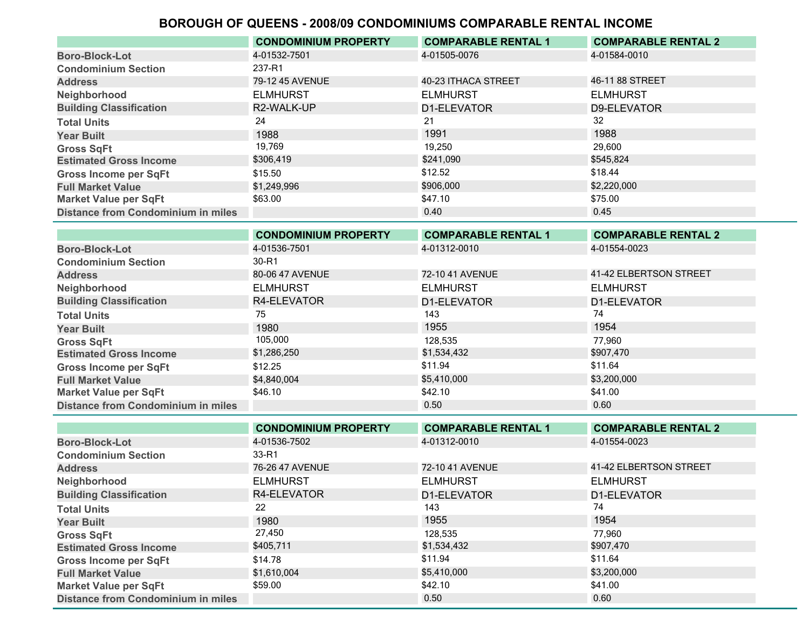|                                           | <b>CONDOMINIUM PROPERTY</b> | <b>COMPARABLE RENTAL 1</b> | <b>COMPARABLE RENTAL 2</b> |
|-------------------------------------------|-----------------------------|----------------------------|----------------------------|
| <b>Boro-Block-Lot</b>                     | 4-01532-7501                | 4-01505-0076               | 4-01584-0010               |
| <b>Condominium Section</b>                | 237-R1                      |                            |                            |
| <b>Address</b>                            | 79-12 45 AVENUE             | 40-23 ITHACA STREET        | 46-11 88 STREET            |
| Neighborhood                              | <b>ELMHURST</b>             | <b>ELMHURST</b>            | <b>ELMHURST</b>            |
| <b>Building Classification</b>            | R2-WALK-UP                  | D1-ELEVATOR                | D9-ELEVATOR                |
| <b>Total Units</b>                        | 24                          | 21                         | 32                         |
| <b>Year Built</b>                         | 1988                        | 1991                       | 1988                       |
| <b>Gross SqFt</b>                         | 19,769                      | 19.250                     | 29,600                     |
| <b>Estimated Gross Income</b>             | \$306,419                   | \$241,090                  | \$545,824                  |
| <b>Gross Income per SqFt</b>              | \$15.50                     | \$12.52                    | \$18.44                    |
| <b>Full Market Value</b>                  | \$1,249,996                 | \$906,000                  | \$2,220,000                |
| <b>Market Value per SqFt</b>              | \$63.00                     | \$47.10                    | \$75.00                    |
| <b>Distance from Condominium in miles</b> |                             | 0.40                       | 0.45                       |

|                                           | <b>CONDOMINIUM PROPERTY</b> | <b>COMPARABLE RENTAL 1</b> | <b>COMPARABLE RENTAL 2</b> |
|-------------------------------------------|-----------------------------|----------------------------|----------------------------|
| <b>Boro-Block-Lot</b>                     | 4-01536-7501                | 4-01312-0010               | 4-01554-0023               |
| <b>Condominium Section</b>                | 30-R1                       |                            |                            |
| <b>Address</b>                            | 80-06 47 AVENUE             | 72-10 41 AVENUE            | 41-42 ELBERTSON STREET     |
| Neighborhood                              | <b>ELMHURST</b>             | <b>ELMHURST</b>            | <b>ELMHURST</b>            |
| <b>Building Classification</b>            | R4-ELEVATOR                 | D1-ELEVATOR                | D1-ELEVATOR                |
| <b>Total Units</b>                        | 75                          | 143                        | 74                         |
| <b>Year Built</b>                         | 1980                        | 1955                       | 1954                       |
| <b>Gross SqFt</b>                         | 105,000                     | 128,535                    | 77,960                     |
| <b>Estimated Gross Income</b>             | \$1,286,250                 | \$1,534,432                | \$907,470                  |
| <b>Gross Income per SqFt</b>              | \$12.25                     | \$11.94                    | \$11.64                    |
| <b>Full Market Value</b>                  | \$4,840,004                 | \$5,410,000                | \$3,200,000                |
| <b>Market Value per SqFt</b>              | \$46.10                     | \$42.10                    | \$41.00                    |
| <b>Distance from Condominium in miles</b> |                             | 0.50                       | 0.60                       |

|                                           | <b>CONDOMINIUM PROPERTY</b> | <b>COMPARABLE RENTAL 1</b> | <b>COMPARABLE RENTAL 2</b> |
|-------------------------------------------|-----------------------------|----------------------------|----------------------------|
| <b>Boro-Block-Lot</b>                     | 4-01536-7502                | 4-01312-0010               | 4-01554-0023               |
| <b>Condominium Section</b>                | 33-R1                       |                            |                            |
| <b>Address</b>                            | 76-26 47 AVENUE             | 72-10 41 AVENUE            | 41-42 ELBERTSON STREET     |
| Neighborhood                              | <b>ELMHURST</b>             | <b>ELMHURST</b>            | <b>ELMHURST</b>            |
| <b>Building Classification</b>            | R4-ELEVATOR                 | D1-ELEVATOR                | D1-ELEVATOR                |
| <b>Total Units</b>                        | 22                          | 143                        | 74                         |
| <b>Year Built</b>                         | 1980                        | 1955                       | 1954                       |
| <b>Gross SqFt</b>                         | 27,450                      | 128,535                    | 77,960                     |
| <b>Estimated Gross Income</b>             | \$405,711                   | \$1,534,432                | \$907,470                  |
| <b>Gross Income per SqFt</b>              | \$14.78                     | \$11.94                    | \$11.64                    |
| <b>Full Market Value</b>                  | \$1,610,004                 | \$5,410,000                | \$3,200,000                |
| <b>Market Value per SqFt</b>              | \$59.00                     | \$42.10                    | \$41.00                    |
| <b>Distance from Condominium in miles</b> |                             | 0.50                       | 0.60                       |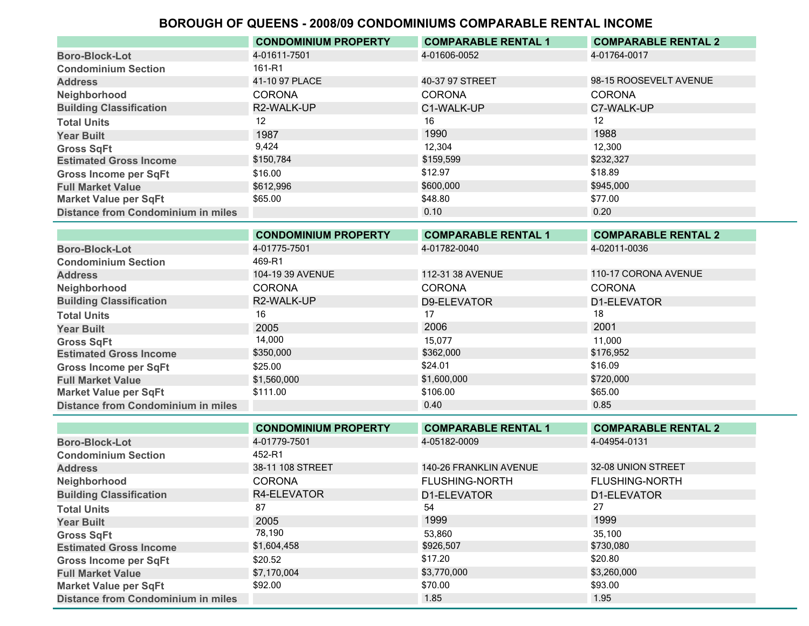|                                           | <b>CONDOMINIUM PROPERTY</b> | <b>COMPARABLE RENTAL 1</b> | <b>COMPARABLE RENTAL 2</b> |
|-------------------------------------------|-----------------------------|----------------------------|----------------------------|
| <b>Boro-Block-Lot</b>                     | 4-01611-7501                | 4-01606-0052               | 4-01764-0017               |
| <b>Condominium Section</b>                | 161-R1                      |                            |                            |
| <b>Address</b>                            | 41-10 97 PLACE              | 40-37 97 STREET            | 98-15 ROOSEVELT AVENUE     |
| Neighborhood                              | <b>CORONA</b>               | <b>CORONA</b>              | <b>CORONA</b>              |
| <b>Building Classification</b>            | R2-WALK-UP                  | C1-WALK-UP                 | C7-WALK-UP                 |
| <b>Total Units</b>                        | 12                          | 16                         | 12                         |
| <b>Year Built</b>                         | 1987                        | 1990                       | 1988                       |
| <b>Gross SqFt</b>                         | 9.424                       | 12.304                     | 12.300                     |
| <b>Estimated Gross Income</b>             | \$150,784                   | \$159,599                  | \$232,327                  |
| <b>Gross Income per SqFt</b>              | \$16.00                     | \$12.97                    | \$18.89                    |
| <b>Full Market Value</b>                  | \$612.996                   | \$600,000                  | \$945,000                  |
| <b>Market Value per SqFt</b>              | \$65.00                     | \$48.80                    | \$77.00                    |
| <b>Distance from Condominium in miles</b> |                             | 0.10                       | 0.20                       |

|                                           | <b>CONDOMINIUM PROPERTY</b> | <b>COMPARABLE RENTAL 1</b> | <b>COMPARABLE RENTAL 2</b> |
|-------------------------------------------|-----------------------------|----------------------------|----------------------------|
| <b>Boro-Block-Lot</b>                     | 4-01775-7501                | 4-01782-0040               | 4-02011-0036               |
| <b>Condominium Section</b>                | 469-R1                      |                            |                            |
| <b>Address</b>                            | 104-19 39 AVENUE            | 112-31 38 AVENUE           | 110-17 CORONA AVENUE       |
| Neighborhood                              | <b>CORONA</b>               | <b>CORONA</b>              | <b>CORONA</b>              |
| <b>Building Classification</b>            | R2-WALK-UP                  | D9-ELEVATOR                | D1-ELEVATOR                |
| <b>Total Units</b>                        | 16                          | 17                         | 18                         |
| <b>Year Built</b>                         | 2005                        | 2006                       | 2001                       |
| <b>Gross SqFt</b>                         | 14,000                      | 15,077                     | 11,000                     |
| <b>Estimated Gross Income</b>             | \$350,000                   | \$362,000                  | \$176,952                  |
| <b>Gross Income per SqFt</b>              | \$25.00                     | \$24.01                    | \$16.09                    |
| <b>Full Market Value</b>                  | \$1,560,000                 | \$1,600,000                | \$720,000                  |
| <b>Market Value per SqFt</b>              | \$111.00                    | \$106.00                   | \$65.00                    |
| <b>Distance from Condominium in miles</b> |                             | 0.40                       | 0.85                       |

|                                           | <b>CONDOMINIUM PROPERTY</b> | <b>COMPARABLE RENTAL 1</b> | <b>COMPARABLE RENTAL 2</b> |
|-------------------------------------------|-----------------------------|----------------------------|----------------------------|
| <b>Boro-Block-Lot</b>                     | 4-01779-7501                | 4-05182-0009               | 4-04954-0131               |
| <b>Condominium Section</b>                | 452-R1                      |                            |                            |
| <b>Address</b>                            | 38-11 108 STREET            | 140-26 FRANKLIN AVENUE     | 32-08 UNION STREET         |
| Neighborhood                              | <b>CORONA</b>               | <b>FLUSHING-NORTH</b>      | <b>FLUSHING-NORTH</b>      |
| <b>Building Classification</b>            | R4-ELEVATOR                 | D1-ELEVATOR                | D1-ELEVATOR                |
| <b>Total Units</b>                        | 87                          | 54                         | 27                         |
| <b>Year Built</b>                         | 2005                        | 1999                       | 1999                       |
| <b>Gross SqFt</b>                         | 78,190                      | 53,860                     | 35.100                     |
| <b>Estimated Gross Income</b>             | \$1,604,458                 | \$926,507                  | \$730,080                  |
| <b>Gross Income per SqFt</b>              | \$20.52                     | \$17.20                    | \$20.80                    |
| <b>Full Market Value</b>                  | \$7,170,004                 | \$3,770,000                | \$3,260,000                |
| <b>Market Value per SqFt</b>              | \$92.00                     | \$70.00                    | \$93.00                    |
| <b>Distance from Condominium in miles</b> |                             | 1.85                       | 1.95                       |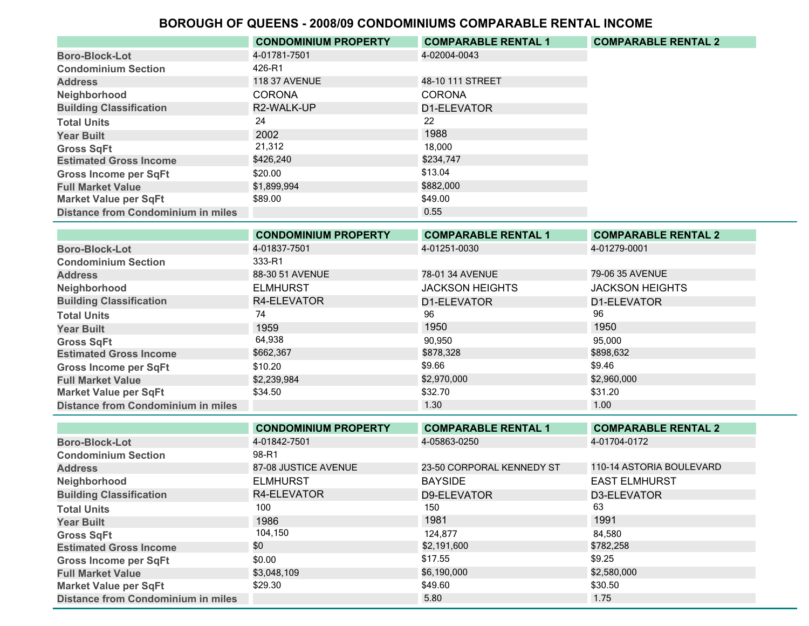|                                           | <b>CONDOMINIUM PROPERTY</b> | <b>COMPARABLE RENTAL 1</b> | <b>COMPARABLE RENTAL 2</b> |
|-------------------------------------------|-----------------------------|----------------------------|----------------------------|
| <b>Boro-Block-Lot</b>                     | 4-01781-7501                | 4-02004-0043               |                            |
| <b>Condominium Section</b>                | 426-R1                      |                            |                            |
| <b>Address</b>                            | <b>118 37 AVENUE</b>        | 48-10 111 STREET           |                            |
| Neighborhood                              | <b>CORONA</b>               | <b>CORONA</b>              |                            |
| <b>Building Classification</b>            | R2-WALK-UP                  | D1-ELEVATOR                |                            |
| <b>Total Units</b>                        | 24                          | 22                         |                            |
| <b>Year Built</b>                         | 2002                        | 1988                       |                            |
| <b>Gross SqFt</b>                         | 21,312                      | 18.000                     |                            |
| <b>Estimated Gross Income</b>             | \$426,240                   | \$234,747                  |                            |
| <b>Gross Income per SqFt</b>              | \$20.00                     | \$13.04                    |                            |
| <b>Full Market Value</b>                  | \$1,899,994                 | \$882,000                  |                            |
| <b>Market Value per SqFt</b>              | \$89.00                     | \$49.00                    |                            |
| <b>Distance from Condominium in miles</b> |                             | 0.55                       |                            |

|                                           | <b>CONDOMINIUM PROPERTY</b> | <b>COMPARABLE RENTAL 1</b> | <b>COMPARABLE RENTAL 2</b> |
|-------------------------------------------|-----------------------------|----------------------------|----------------------------|
| <b>Boro-Block-Lot</b>                     | 4-01837-7501                | 4-01251-0030               | 4-01279-0001               |
| <b>Condominium Section</b>                | 333-R1                      |                            |                            |
| <b>Address</b>                            | 88-30 51 AVENUE             | 78-01 34 AVENUE            | 79-06 35 AVENUE            |
| Neighborhood                              | <b>ELMHURST</b>             | <b>JACKSON HEIGHTS</b>     | <b>JACKSON HEIGHTS</b>     |
| <b>Building Classification</b>            | R4-ELEVATOR                 | D1-ELEVATOR                | D1-ELEVATOR                |
| <b>Total Units</b>                        | 74                          | 96                         | 96                         |
| <b>Year Built</b>                         | 1959                        | 1950                       | 1950                       |
| <b>Gross SqFt</b>                         | 64,938                      | 90,950                     | 95,000                     |
| <b>Estimated Gross Income</b>             | \$662,367                   | \$878,328                  | \$898,632                  |
| <b>Gross Income per SqFt</b>              | \$10.20                     | \$9.66                     | \$9.46                     |
| <b>Full Market Value</b>                  | \$2,239,984                 | \$2,970,000                | \$2,960,000                |
| <b>Market Value per SqFt</b>              | \$34.50                     | \$32.70                    | \$31.20                    |
| <b>Distance from Condominium in miles</b> |                             | 1.30                       | 1.00                       |

|                                           | <b>CONDOMINIUM PROPERTY</b> | <b>COMPARABLE RENTAL 1</b> | <b>COMPARABLE RENTAL 2</b> |
|-------------------------------------------|-----------------------------|----------------------------|----------------------------|
| <b>Boro-Block-Lot</b>                     | 4-01842-7501                | 4-05863-0250               | 4-01704-0172               |
| <b>Condominium Section</b>                | 98-R1                       |                            |                            |
| <b>Address</b>                            | 87-08 JUSTICE AVENUE        | 23-50 CORPORAL KENNEDY ST  | 110-14 ASTORIA BOULEVARD   |
| Neighborhood                              | <b>ELMHURST</b>             | <b>BAYSIDE</b>             | <b>EAST ELMHURST</b>       |
| <b>Building Classification</b>            | R4-ELEVATOR                 | D9-ELEVATOR                | D3-ELEVATOR                |
| <b>Total Units</b>                        | 100                         | 150                        | 63                         |
| <b>Year Built</b>                         | 1986                        | 1981                       | 1991                       |
| <b>Gross SqFt</b>                         | 104,150                     | 124.877                    | 84.580                     |
| <b>Estimated Gross Income</b>             | \$0                         | \$2,191,600                | \$782,258                  |
| <b>Gross Income per SqFt</b>              | \$0.00                      | \$17.55                    | \$9.25                     |
| <b>Full Market Value</b>                  | \$3,048,109                 | \$6,190,000                | \$2,580,000                |
| <b>Market Value per SqFt</b>              | \$29.30                     | \$49.60                    | \$30.50                    |
| <b>Distance from Condominium in miles</b> |                             | 5.80                       | 1.75                       |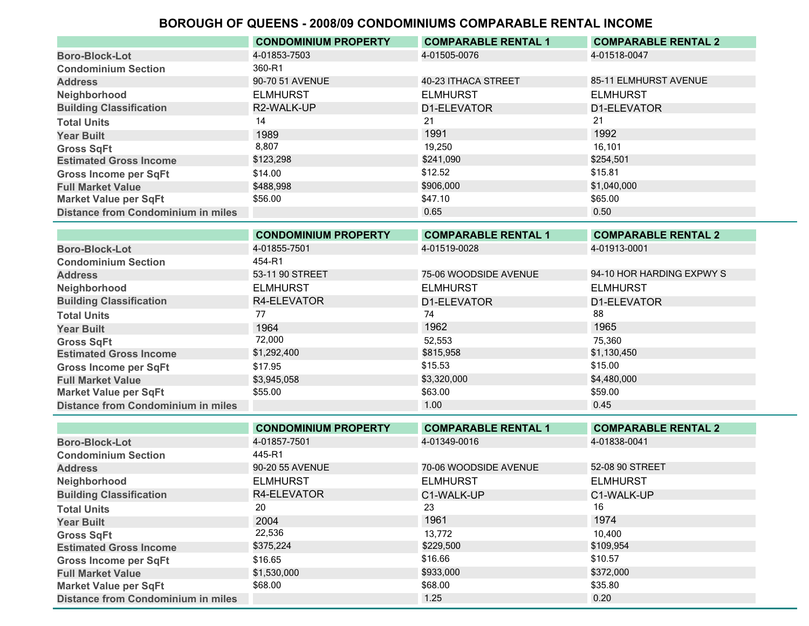|                                           | <b>CONDOMINIUM PROPERTY</b> | <b>COMPARABLE RENTAL 1</b> | <b>COMPARABLE RENTAL 2</b> |
|-------------------------------------------|-----------------------------|----------------------------|----------------------------|
| <b>Boro-Block-Lot</b>                     | 4-01853-7503                | 4-01505-0076               | 4-01518-0047               |
| <b>Condominium Section</b>                | 360-R1                      |                            |                            |
| <b>Address</b>                            | 90-70 51 AVENUE             | 40-23 ITHACA STREET        | 85-11 ELMHURST AVENUE      |
| Neighborhood                              | <b>ELMHURST</b>             | <b>ELMHURST</b>            | <b>ELMHURST</b>            |
| <b>Building Classification</b>            | R2-WALK-UP                  | D1-ELEVATOR                | D1-ELEVATOR                |
| <b>Total Units</b>                        | 14                          | 21                         | 21                         |
| <b>Year Built</b>                         | 1989                        | 1991                       | 1992                       |
| <b>Gross SqFt</b>                         | 8.807                       | 19.250                     | 16.101                     |
| <b>Estimated Gross Income</b>             | \$123,298                   | \$241,090                  | \$254,501                  |
| <b>Gross Income per SqFt</b>              | \$14.00                     | \$12.52                    | \$15.81                    |
| <b>Full Market Value</b>                  | \$488.998                   | \$906,000                  | \$1,040,000                |
| <b>Market Value per SqFt</b>              | \$56.00                     | \$47.10                    | \$65.00                    |
| <b>Distance from Condominium in miles</b> |                             | 0.65                       | 0.50                       |

|                                           | <b>CONDOMINIUM PROPERTY</b> | <b>COMPARABLE RENTAL 1</b> | <b>COMPARABLE RENTAL 2</b> |
|-------------------------------------------|-----------------------------|----------------------------|----------------------------|
| <b>Boro-Block-Lot</b>                     | 4-01855-7501                | 4-01519-0028               | 4-01913-0001               |
| <b>Condominium Section</b>                | 454-R1                      |                            |                            |
| <b>Address</b>                            | 53-11 90 STREET             | 75-06 WOODSIDE AVENUE      | 94-10 HOR HARDING EXPWY S  |
| Neighborhood                              | <b>ELMHURST</b>             | <b>ELMHURST</b>            | <b>ELMHURST</b>            |
| <b>Building Classification</b>            | R4-ELEVATOR                 | D1-ELEVATOR                | D1-ELEVATOR                |
| <b>Total Units</b>                        | 77                          | 74                         | 88                         |
| <b>Year Built</b>                         | 1964                        | 1962                       | 1965                       |
| <b>Gross SqFt</b>                         | 72,000                      | 52,553                     | 75,360                     |
| <b>Estimated Gross Income</b>             | \$1,292,400                 | \$815,958                  | \$1,130,450                |
| <b>Gross Income per SqFt</b>              | \$17.95                     | \$15.53                    | \$15.00                    |
| <b>Full Market Value</b>                  | \$3,945,058                 | \$3,320,000                | \$4,480,000                |
| <b>Market Value per SqFt</b>              | \$55.00                     | \$63.00                    | \$59.00                    |
| <b>Distance from Condominium in miles</b> |                             | 1.00                       | 0.45                       |

|                                           | <b>CONDOMINIUM PROPERTY</b> | <b>COMPARABLE RENTAL 1</b> | <b>COMPARABLE RENTAL 2</b> |
|-------------------------------------------|-----------------------------|----------------------------|----------------------------|
| <b>Boro-Block-Lot</b>                     | 4-01857-7501                | 4-01349-0016               | 4-01838-0041               |
| <b>Condominium Section</b>                | 445-R1                      |                            |                            |
| <b>Address</b>                            | 90-20 55 AVENUE             | 70-06 WOODSIDE AVENUE      | 52-08 90 STREET            |
| Neighborhood                              | <b>ELMHURST</b>             | <b>ELMHURST</b>            | <b>ELMHURST</b>            |
| <b>Building Classification</b>            | R4-ELEVATOR                 | C1-WALK-UP                 | C1-WALK-UP                 |
| <b>Total Units</b>                        | 20                          | 23                         | 16                         |
| <b>Year Built</b>                         | 2004                        | 1961                       | 1974                       |
| <b>Gross SqFt</b>                         | 22,536                      | 13.772                     | 10.400                     |
| <b>Estimated Gross Income</b>             | \$375,224                   | \$229,500                  | \$109,954                  |
| <b>Gross Income per SqFt</b>              | \$16.65                     | \$16.66                    | \$10.57                    |
| <b>Full Market Value</b>                  | \$1,530,000                 | \$933,000                  | \$372,000                  |
| <b>Market Value per SqFt</b>              | \$68.00                     | \$68.00                    | \$35.80                    |
| <b>Distance from Condominium in miles</b> |                             | 1.25                       | 0.20                       |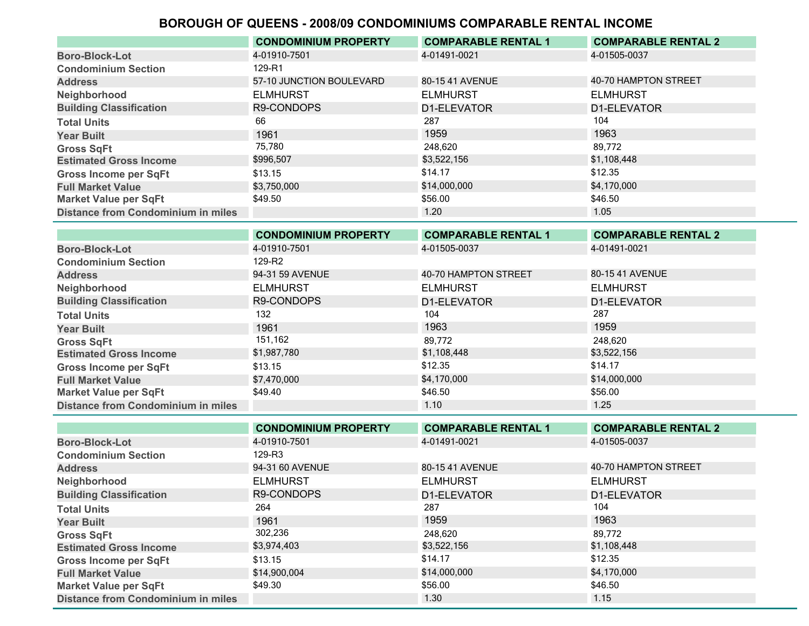|                                           | <b>CONDOMINIUM PROPERTY</b> | <b>COMPARABLE RENTAL 1</b> | <b>COMPARABLE RENTAL 2</b> |
|-------------------------------------------|-----------------------------|----------------------------|----------------------------|
| <b>Boro-Block-Lot</b>                     | 4-01910-7501                | 4-01491-0021               | 4-01505-0037               |
| <b>Condominium Section</b>                | 129-R1                      |                            |                            |
| <b>Address</b>                            | 57-10 JUNCTION BOULEVARD    | 80-1541 AVENUE             | 40-70 HAMPTON STREET       |
| Neighborhood                              | <b>ELMHURST</b>             | <b>ELMHURST</b>            | <b>ELMHURST</b>            |
| <b>Building Classification</b>            | R9-CONDOPS                  | D1-ELEVATOR                | D1-ELEVATOR                |
| <b>Total Units</b>                        | 66                          | 287                        | 104                        |
| <b>Year Built</b>                         | 1961                        | 1959                       | 1963                       |
| <b>Gross SqFt</b>                         | 75,780                      | 248.620                    | 89.772                     |
| <b>Estimated Gross Income</b>             | \$996,507                   | \$3,522,156                | \$1,108,448                |
| <b>Gross Income per SqFt</b>              | \$13.15                     | \$14.17                    | \$12.35                    |
| <b>Full Market Value</b>                  | \$3,750,000                 | \$14,000,000               | \$4,170,000                |
| <b>Market Value per SqFt</b>              | \$49.50                     | \$56.00                    | \$46.50                    |
| <b>Distance from Condominium in miles</b> |                             | 1.20                       | 1.05                       |

|                                           | <b>CONDOMINIUM PROPERTY</b> | <b>COMPARABLE RENTAL 1</b> | <b>COMPARABLE RENTAL 2</b> |
|-------------------------------------------|-----------------------------|----------------------------|----------------------------|
| <b>Boro-Block-Lot</b>                     | 4-01910-7501                | 4-01505-0037               | 4-01491-0021               |
| <b>Condominium Section</b>                | 129-R2                      |                            |                            |
| <b>Address</b>                            | 94-31 59 AVENUE             | 40-70 HAMPTON STREET       | 80-1541 AVENUE             |
| Neighborhood                              | <b>ELMHURST</b>             | <b>ELMHURST</b>            | <b>ELMHURST</b>            |
| <b>Building Classification</b>            | R9-CONDOPS                  | D1-ELEVATOR                | D1-ELEVATOR                |
| <b>Total Units</b>                        | 132                         | 104                        | 287                        |
| <b>Year Built</b>                         | 1961                        | 1963                       | 1959                       |
| <b>Gross SqFt</b>                         | 151,162                     | 89.772                     | 248,620                    |
| <b>Estimated Gross Income</b>             | \$1,987,780                 | \$1,108,448                | \$3,522,156                |
| <b>Gross Income per SqFt</b>              | \$13.15                     | \$12.35                    | \$14.17                    |
| <b>Full Market Value</b>                  | \$7,470,000                 | \$4,170,000                | \$14,000,000               |
| <b>Market Value per SqFt</b>              | \$49.40                     | \$46.50                    | \$56.00                    |
| <b>Distance from Condominium in miles</b> |                             | 1.10                       | 1.25                       |

|                                           | <b>CONDOMINIUM PROPERTY</b> | <b>COMPARABLE RENTAL 1</b> | <b>COMPARABLE RENTAL 2</b> |
|-------------------------------------------|-----------------------------|----------------------------|----------------------------|
| <b>Boro-Block-Lot</b>                     | 4-01910-7501                | 4-01491-0021               | 4-01505-0037               |
| <b>Condominium Section</b>                | 129-R3                      |                            |                            |
| <b>Address</b>                            | 94-31 60 AVENUE             | 80-15 41 AVENUE            | 40-70 HAMPTON STREET       |
| Neighborhood                              | <b>ELMHURST</b>             | <b>ELMHURST</b>            | <b>ELMHURST</b>            |
| <b>Building Classification</b>            | R9-CONDOPS                  | D1-ELEVATOR                | D1-ELEVATOR                |
| <b>Total Units</b>                        | 264                         | 287                        | 104                        |
| <b>Year Built</b>                         | 1961                        | 1959                       | 1963                       |
| <b>Gross SqFt</b>                         | 302,236                     | 248,620                    | 89,772                     |
| <b>Estimated Gross Income</b>             | \$3,974,403                 | \$3,522,156                | \$1,108,448                |
| <b>Gross Income per SqFt</b>              | \$13.15                     | \$14.17                    | \$12.35                    |
| <b>Full Market Value</b>                  | \$14,900,004                | \$14,000,000               | \$4,170,000                |
| <b>Market Value per SqFt</b>              | \$49.30                     | \$56.00                    | \$46.50                    |
| <b>Distance from Condominium in miles</b> |                             | 1.30                       | 1.15                       |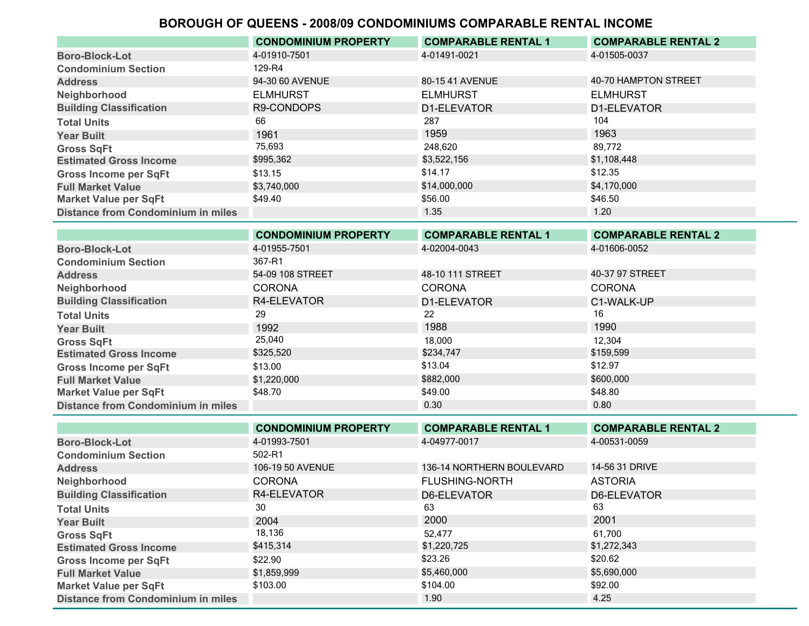|                                           | <b>CONDOMINIUM PROPERTY</b> | <b>COMPARABLE RENTAL 1</b> | <b>COMPARABLE RENTAL 2</b> |
|-------------------------------------------|-----------------------------|----------------------------|----------------------------|
| <b>Boro-Block-Lot</b>                     | 4-01910-7501                | 4-01491-0021               | 4-01505-0037               |
| <b>Condominium Section</b>                | 129-R4                      |                            |                            |
| <b>Address</b>                            | 94-30 60 AVENUE             | 80-15 41 AVENUE            | 40-70 HAMPTON STREET       |
| Neighborhood                              | <b>ELMHURST</b>             | <b>ELMHURST</b>            | <b>ELMHURST</b>            |
| <b>Building Classification</b>            | R9-CONDOPS                  | D1-ELEVATOR                | D1-ELEVATOR                |
| <b>Total Units</b>                        | 66                          | 287                        | 104                        |
| <b>Year Built</b>                         | 1961                        | 1959                       | 1963                       |
| <b>Gross SqFt</b>                         | 75,693                      | 248.620                    | 89,772                     |
| <b>Estimated Gross Income</b>             | \$995,362                   | \$3,522,156                | \$1,108,448                |
| <b>Gross Income per SqFt</b>              | \$13.15                     | \$14.17                    | \$12.35                    |
| <b>Full Market Value</b>                  | \$3,740,000                 | \$14,000,000               | \$4,170,000                |
| <b>Market Value per SqFt</b>              | \$49.40                     | \$56.00                    | \$46.50                    |
| <b>Distance from Condominium in miles</b> |                             | 1.35                       | 1.20                       |

|                                           | <b>CONDOMINIUM PROPERTY</b> | <b>COMPARABLE RENTAL 1</b> | <b>COMPARABLE RENTAL 2</b> |
|-------------------------------------------|-----------------------------|----------------------------|----------------------------|
| <b>Boro-Block-Lot</b>                     | 4-01955-7501                | 4-02004-0043               | 4-01606-0052               |
| <b>Condominium Section</b>                | 367-R1                      |                            |                            |
| <b>Address</b>                            | 54-09 108 STREET            | 48-10 111 STREET           | 40-37 97 STREET            |
| Neighborhood                              | <b>CORONA</b>               | <b>CORONA</b>              | <b>CORONA</b>              |
| <b>Building Classification</b>            | R4-ELEVATOR                 | D1-ELEVATOR                | C1-WALK-UP                 |
| <b>Total Units</b>                        | 29                          | 22                         | 16                         |
| <b>Year Built</b>                         | 1992                        | 1988                       | 1990                       |
| <b>Gross SqFt</b>                         | 25,040                      | 18,000                     | 12,304                     |
| <b>Estimated Gross Income</b>             | \$325,520                   | \$234,747                  | \$159,599                  |
| <b>Gross Income per SqFt</b>              | \$13.00                     | \$13.04                    | \$12.97                    |
| <b>Full Market Value</b>                  | \$1,220,000                 | \$882,000                  | \$600,000                  |
| <b>Market Value per SqFt</b>              | \$48.70                     | \$49.00                    | \$48.80                    |
| <b>Distance from Condominium in miles</b> |                             | 0.30                       | 0.80                       |

|                                           | <b>CONDOMINIUM PROPERTY</b> | <b>COMPARABLE RENTAL 1</b> | <b>COMPARABLE RENTAL 2</b> |
|-------------------------------------------|-----------------------------|----------------------------|----------------------------|
| <b>Boro-Block-Lot</b>                     | 4-01993-7501                | 4-04977-0017               | 4-00531-0059               |
| <b>Condominium Section</b>                | 502-R1                      |                            |                            |
| <b>Address</b>                            | 106-19 50 AVENUE            | 136-14 NORTHERN BOULEVARD  | 14-56 31 DRIVE             |
| Neighborhood                              | <b>CORONA</b>               | <b>FLUSHING-NORTH</b>      | <b>ASTORIA</b>             |
| <b>Building Classification</b>            | R4-ELEVATOR                 | D6-ELEVATOR                | D6-ELEVATOR                |
| <b>Total Units</b>                        | 30                          | 63                         | 63                         |
| <b>Year Built</b>                         | 2004                        | 2000                       | 2001                       |
| <b>Gross SqFt</b>                         | 18,136                      | 52,477                     | 61,700                     |
| <b>Estimated Gross Income</b>             | \$415,314                   | \$1,220,725                | \$1,272,343                |
| <b>Gross Income per SqFt</b>              | \$22.90                     | \$23.26                    | \$20.62                    |
| <b>Full Market Value</b>                  | \$1,859,999                 | \$5,460,000                | \$5,690,000                |
| <b>Market Value per SqFt</b>              | \$103.00                    | \$104.00                   | \$92.00                    |
| <b>Distance from Condominium in miles</b> |                             | 1.90                       | 4.25                       |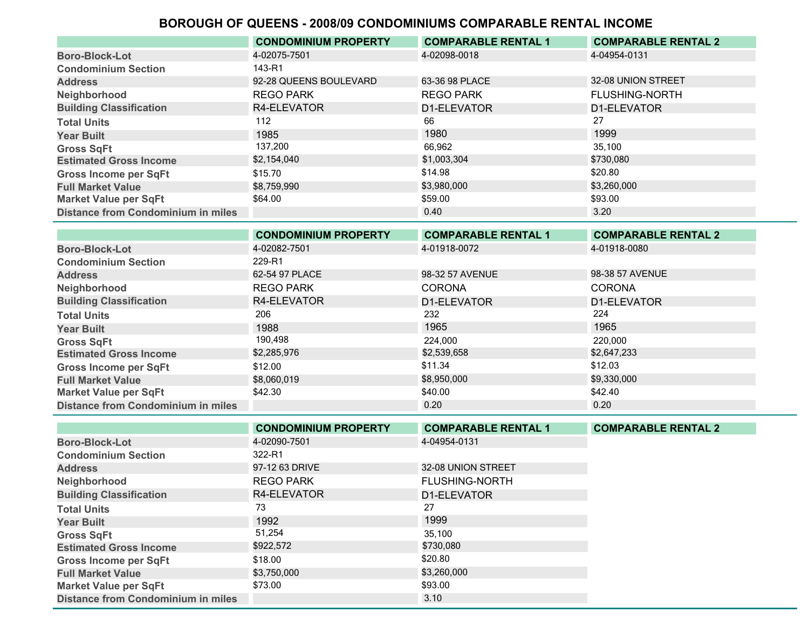|                                           | <b>CONDOMINIUM PROPERTY</b> | <b>COMPARABLE RENTAL 1</b> | <b>COMPARABLE RENTAL 2</b> |
|-------------------------------------------|-----------------------------|----------------------------|----------------------------|
| <b>Boro-Block-Lot</b>                     | 4-02075-7501                | 4-02098-0018               | 4-04954-0131               |
| <b>Condominium Section</b>                | 143-R1                      |                            |                            |
| <b>Address</b>                            | 92-28 QUEENS BOULEVARD      | 63-36 98 PLACE             | 32-08 UNION STREET         |
| Neighborhood                              | <b>REGO PARK</b>            | <b>REGO PARK</b>           | <b>FLUSHING-NORTH</b>      |
| <b>Building Classification</b>            | R4-ELEVATOR                 | D1-ELEVATOR                | D1-ELEVATOR                |
| <b>Total Units</b>                        | 112                         | 66                         | 27                         |
| <b>Year Built</b>                         | 1985                        | 1980                       | 1999                       |
| <b>Gross SqFt</b>                         | 137,200                     | 66.962                     | 35.100                     |
| <b>Estimated Gross Income</b>             | \$2,154,040                 | \$1,003,304                | \$730,080                  |
| <b>Gross Income per SqFt</b>              | \$15.70                     | \$14.98                    | \$20.80                    |
| <b>Full Market Value</b>                  | \$8,759,990                 | \$3,980,000                | \$3,260,000                |
| <b>Market Value per SqFt</b>              | \$64.00                     | \$59.00                    | \$93.00                    |
| <b>Distance from Condominium in miles</b> |                             | 0.40                       | 3.20                       |

|                                           | <b>CONDOMINIUM PROPERTY</b> | <b>COMPARABLE RENTAL 1</b> | <b>COMPARABLE RENTAL 2</b> |
|-------------------------------------------|-----------------------------|----------------------------|----------------------------|
| <b>Boro-Block-Lot</b>                     | 4-02082-7501                | 4-01918-0072               | 4-01918-0080               |
| <b>Condominium Section</b>                | 229-R1                      |                            |                            |
| <b>Address</b>                            | 62-54 97 PLACE              | 98-32 57 AVENUE            | 98-38 57 AVENUE            |
| Neighborhood                              | <b>REGO PARK</b>            | <b>CORONA</b>              | <b>CORONA</b>              |
| <b>Building Classification</b>            | R4-ELEVATOR                 | D1-ELEVATOR                | D1-ELEVATOR                |
| <b>Total Units</b>                        | 206                         | 232                        | 224                        |
| <b>Year Built</b>                         | 1988                        | 1965                       | 1965                       |
| <b>Gross SqFt</b>                         | 190,498                     | 224,000                    | 220,000                    |
| <b>Estimated Gross Income</b>             | \$2,285,976                 | \$2,539,658                | \$2,647,233                |
| <b>Gross Income per SqFt</b>              | \$12.00                     | \$11.34                    | \$12.03                    |
| <b>Full Market Value</b>                  | \$8,060,019                 | \$8,950,000                | \$9,330,000                |
| <b>Market Value per SqFt</b>              | \$42.30                     | \$40.00                    | \$42.40                    |
| <b>Distance from Condominium in miles</b> |                             | 0.20                       | 0.20                       |

|                                           | <b>CONDOMINIUM PROPERTY</b> | <b>COMPARABLE RENTAL 1</b> | <b>COMPARABLE RENTAL 2</b> |
|-------------------------------------------|-----------------------------|----------------------------|----------------------------|
| <b>Boro-Block-Lot</b>                     | 4-02090-7501                | 4-04954-0131               |                            |
| <b>Condominium Section</b>                | 322-R1                      |                            |                            |
| <b>Address</b>                            | 97-12 63 DRIVE              | 32-08 UNION STREET         |                            |
| Neighborhood                              | <b>REGO PARK</b>            | <b>FLUSHING-NORTH</b>      |                            |
| <b>Building Classification</b>            | R4-ELEVATOR                 | D1-ELEVATOR                |                            |
| <b>Total Units</b>                        | 73                          | 27                         |                            |
| <b>Year Built</b>                         | 1992                        | 1999                       |                            |
| <b>Gross SqFt</b>                         | 51,254                      | 35.100                     |                            |
| <b>Estimated Gross Income</b>             | \$922,572                   | \$730,080                  |                            |
| <b>Gross Income per SqFt</b>              | \$18.00                     | \$20.80                    |                            |
| <b>Full Market Value</b>                  | \$3,750,000                 | \$3,260,000                |                            |
| <b>Market Value per SqFt</b>              | \$73.00                     | \$93.00                    |                            |
| <b>Distance from Condominium in miles</b> |                             | 3.10                       |                            |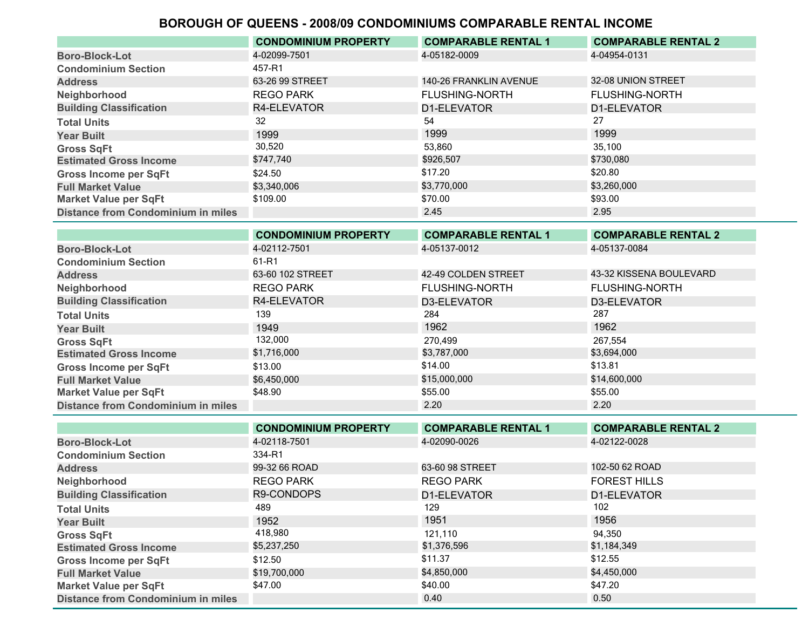|                                           | <b>CONDOMINIUM PROPERTY</b> | <b>COMPARABLE RENTAL 1</b> | <b>COMPARABLE RENTAL 2</b> |
|-------------------------------------------|-----------------------------|----------------------------|----------------------------|
| <b>Boro-Block-Lot</b>                     | 4-02099-7501                | 4-05182-0009               | 4-04954-0131               |
| <b>Condominium Section</b>                | 457-R1                      |                            |                            |
| <b>Address</b>                            | 63-26 99 STREET             | 140-26 FRANKLIN AVENUE     | 32-08 UNION STREET         |
| Neighborhood                              | <b>REGO PARK</b>            | <b>FLUSHING-NORTH</b>      | <b>FLUSHING-NORTH</b>      |
| <b>Building Classification</b>            | R4-ELEVATOR                 | D1-ELEVATOR                | D1-ELEVATOR                |
| <b>Total Units</b>                        | 32                          | 54                         | 27                         |
| <b>Year Built</b>                         | 1999                        | 1999                       | 1999                       |
| <b>Gross SqFt</b>                         | 30,520                      | 53,860                     | 35,100                     |
| <b>Estimated Gross Income</b>             | \$747,740                   | \$926,507                  | \$730,080                  |
| <b>Gross Income per SqFt</b>              | \$24.50                     | \$17.20                    | \$20.80                    |
| <b>Full Market Value</b>                  | \$3,340,006                 | \$3,770,000                | \$3,260,000                |
| <b>Market Value per SqFt</b>              | \$109.00                    | \$70.00                    | \$93.00                    |
| <b>Distance from Condominium in miles</b> |                             | 2.45                       | 2.95                       |
|                                           |                             |                            |                            |

|                                           | <b>CONDOMINIUM PROPERTY</b> | <b>COMPARABLE RENTAL 1</b> | <b>COMPARABLE RENTAL 2</b> |
|-------------------------------------------|-----------------------------|----------------------------|----------------------------|
| <b>Boro-Block-Lot</b>                     | 4-02112-7501                | 4-05137-0012               | 4-05137-0084               |
| <b>Condominium Section</b>                | 61-R1                       |                            |                            |
| <b>Address</b>                            | 63-60 102 STREET            | 42-49 COLDEN STREET        | 43-32 KISSENA BOULEVARD    |
| Neighborhood                              | <b>REGO PARK</b>            | <b>FLUSHING-NORTH</b>      | <b>FLUSHING-NORTH</b>      |
| <b>Building Classification</b>            | R4-ELEVATOR                 | D3-ELEVATOR                | D3-ELEVATOR                |
| <b>Total Units</b>                        | 139                         | 284                        | 287                        |
| <b>Year Built</b>                         | 1949                        | 1962                       | 1962                       |
| <b>Gross SqFt</b>                         | 132,000                     | 270.499                    | 267.554                    |
| <b>Estimated Gross Income</b>             | \$1,716,000                 | \$3,787,000                | \$3,694,000                |
| <b>Gross Income per SqFt</b>              | \$13.00                     | \$14.00                    | \$13.81                    |
| <b>Full Market Value</b>                  | \$6,450,000                 | \$15,000,000               | \$14,600,000               |
| <b>Market Value per SqFt</b>              | \$48.90                     | \$55.00                    | \$55.00                    |
| <b>Distance from Condominium in miles</b> |                             | 2.20                       | 2.20                       |
|                                           |                             |                            |                            |

|                                           | <b>CONDOMINIUM PROPERTY</b> | <b>COMPARABLE RENTAL 1</b> | <b>COMPARABLE RENTAL 2</b> |
|-------------------------------------------|-----------------------------|----------------------------|----------------------------|
| <b>Boro-Block-Lot</b>                     | 4-02118-7501                | 4-02090-0026               | 4-02122-0028               |
| <b>Condominium Section</b>                | 334-R1                      |                            |                            |
| <b>Address</b>                            | 99-32 66 ROAD               | 63-60 98 STREET            | 102-50 62 ROAD             |
| Neighborhood                              | <b>REGO PARK</b>            | <b>REGO PARK</b>           | <b>FOREST HILLS</b>        |
| <b>Building Classification</b>            | R9-CONDOPS                  | D1-ELEVATOR                | D1-ELEVATOR                |
| <b>Total Units</b>                        | 489                         | 129                        | 102                        |
| <b>Year Built</b>                         | 1952                        | 1951                       | 1956                       |
| <b>Gross SqFt</b>                         | 418,980                     | 121.110                    | 94,350                     |
| <b>Estimated Gross Income</b>             | \$5,237,250                 | \$1,376,596                | \$1,184,349                |
| <b>Gross Income per SqFt</b>              | \$12.50                     | \$11.37                    | \$12.55                    |
| <b>Full Market Value</b>                  | \$19,700,000                | \$4,850,000                | \$4,450,000                |
| <b>Market Value per SqFt</b>              | \$47.00                     | \$40.00                    | \$47.20                    |
| <b>Distance from Condominium in miles</b> |                             | 0.40                       | 0.50                       |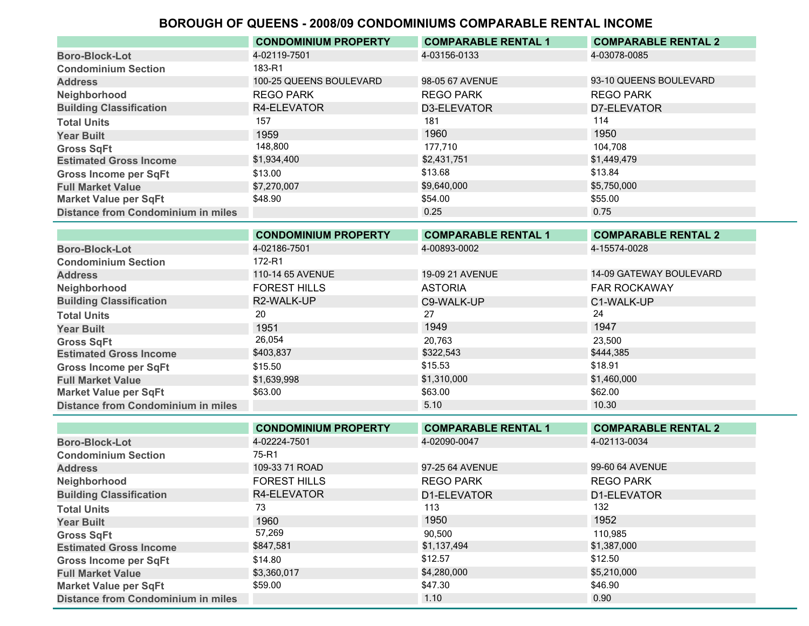|                                           | <b>CONDOMINIUM PROPERTY</b> | <b>COMPARABLE RENTAL 1</b> | <b>COMPARABLE RENTAL 2</b> |
|-------------------------------------------|-----------------------------|----------------------------|----------------------------|
| <b>Boro-Block-Lot</b>                     | 4-02119-7501                | 4-03156-0133               | 4-03078-0085               |
| <b>Condominium Section</b>                | 183-R1                      |                            |                            |
| <b>Address</b>                            | 100-25 QUEENS BOULEVARD     | 98-05 67 AVENUE            | 93-10 QUEENS BOULEVARD     |
| Neighborhood                              | <b>REGO PARK</b>            | <b>REGO PARK</b>           | <b>REGO PARK</b>           |
| <b>Building Classification</b>            | R4-ELEVATOR                 | D3-ELEVATOR                | D7-ELEVATOR                |
| <b>Total Units</b>                        | 157                         | 181                        | 114                        |
| <b>Year Built</b>                         | 1959                        | 1960                       | 1950                       |
| <b>Gross SqFt</b>                         | 148,800                     | 177.710                    | 104.708                    |
| <b>Estimated Gross Income</b>             | \$1,934,400                 | \$2,431,751                | \$1,449,479                |
| <b>Gross Income per SqFt</b>              | \$13.00                     | \$13.68                    | \$13.84                    |
| <b>Full Market Value</b>                  | \$7,270,007                 | \$9,640,000                | \$5,750,000                |
| <b>Market Value per SqFt</b>              | \$48.90                     | \$54.00                    | \$55.00                    |
| <b>Distance from Condominium in miles</b> |                             | 0.25                       | 0.75                       |

|                                           | <b>CONDOMINIUM PROPERTY</b> | <b>COMPARABLE RENTAL 1</b> | <b>COMPARABLE RENTAL 2</b> |
|-------------------------------------------|-----------------------------|----------------------------|----------------------------|
| <b>Boro-Block-Lot</b>                     | 4-02186-7501                | 4-00893-0002               | 4-15574-0028               |
| <b>Condominium Section</b>                | 172-R1                      |                            |                            |
| <b>Address</b>                            | 110-14 65 AVENUE            | <b>19-09 21 AVENUE</b>     | 14-09 GATEWAY BOULEVARD    |
| Neighborhood                              | <b>FOREST HILLS</b>         | <b>ASTORIA</b>             | <b>FAR ROCKAWAY</b>        |
| <b>Building Classification</b>            | R2-WALK-UP                  | C9-WALK-UP                 | C1-WALK-UP                 |
| <b>Total Units</b>                        | 20                          | 27                         | 24                         |
| <b>Year Built</b>                         | 1951                        | 1949                       | 1947                       |
| <b>Gross SqFt</b>                         | 26,054                      | 20.763                     | 23,500                     |
| <b>Estimated Gross Income</b>             | \$403,837                   | \$322,543                  | \$444,385                  |
| <b>Gross Income per SqFt</b>              | \$15.50                     | \$15.53                    | \$18.91                    |
| <b>Full Market Value</b>                  | \$1,639,998                 | \$1,310,000                | \$1,460,000                |
| <b>Market Value per SqFt</b>              | \$63.00                     | \$63.00                    | \$62.00                    |
| <b>Distance from Condominium in miles</b> |                             | 5.10                       | 10.30                      |

|                                           | <b>CONDOMINIUM PROPERTY</b> | <b>COMPARABLE RENTAL 1</b> | <b>COMPARABLE RENTAL 2</b> |
|-------------------------------------------|-----------------------------|----------------------------|----------------------------|
| <b>Boro-Block-Lot</b>                     | 4-02224-7501                | 4-02090-0047               | 4-02113-0034               |
| <b>Condominium Section</b>                | 75-R1                       |                            |                            |
| <b>Address</b>                            | 109-33 71 ROAD              | 97-25 64 AVENUE            | 99-60 64 AVENUE            |
| Neighborhood                              | <b>FOREST HILLS</b>         | <b>REGO PARK</b>           | <b>REGO PARK</b>           |
| <b>Building Classification</b>            | R4-ELEVATOR                 | D1-ELEVATOR                | D1-ELEVATOR                |
| <b>Total Units</b>                        | 73                          | 113                        | 132                        |
| <b>Year Built</b>                         | 1960                        | 1950                       | 1952                       |
| <b>Gross SqFt</b>                         | 57,269                      | 90,500                     | 110.985                    |
| <b>Estimated Gross Income</b>             | \$847,581                   | \$1,137,494                | \$1,387,000                |
| <b>Gross Income per SqFt</b>              | \$14.80                     | \$12.57                    | \$12.50                    |
| <b>Full Market Value</b>                  | \$3,360,017                 | \$4,280,000                | \$5,210,000                |
| <b>Market Value per SqFt</b>              | \$59.00                     | \$47.30                    | \$46.90                    |
| <b>Distance from Condominium in miles</b> |                             | 1.10                       | 0.90                       |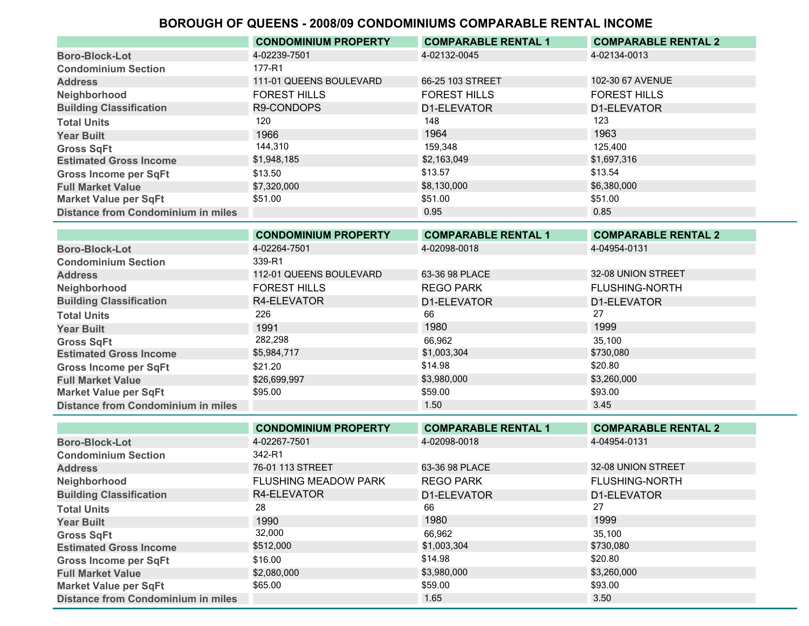|                                           | <b>CONDOMINIUM PROPERTY</b> | <b>COMPARABLE RENTAL 1</b> | <b>COMPARABLE RENTAL 2</b> |
|-------------------------------------------|-----------------------------|----------------------------|----------------------------|
| <b>Boro-Block-Lot</b>                     | 4-02239-7501                | 4-02132-0045               | 4-02134-0013               |
| <b>Condominium Section</b>                | 177-R1                      |                            |                            |
| <b>Address</b>                            | 111-01 QUEENS BOULEVARD     | 66-25 103 STREET           | 102-30 67 AVENUE           |
| Neighborhood                              | <b>FOREST HILLS</b>         | <b>FOREST HILLS</b>        | <b>FOREST HILLS</b>        |
| <b>Building Classification</b>            | R9-CONDOPS                  | D1-ELEVATOR                | D1-ELEVATOR                |
| <b>Total Units</b>                        | 120                         | 148                        | 123                        |
| <b>Year Built</b>                         | 1966                        | 1964                       | 1963                       |
| <b>Gross SqFt</b>                         | 144,310                     | 159,348                    | 125,400                    |
| <b>Estimated Gross Income</b>             | \$1,948,185                 | \$2,163,049                | \$1,697,316                |
| <b>Gross Income per SqFt</b>              | \$13.50                     | \$13.57                    | \$13.54                    |
| <b>Full Market Value</b>                  | \$7,320,000                 | \$8,130,000                | \$6,380,000                |
| <b>Market Value per SqFt</b>              | \$51.00                     | \$51.00                    | \$51.00                    |
| <b>Distance from Condominium in miles</b> |                             | 0.95                       | 0.85                       |
|                                           |                             |                            |                            |

|                                           | <b>CONDOMINIUM PROPERTY</b> | <b>COMPARABLE RENTAL 1</b> | <b>COMPARABLE RENTAL 2</b> |
|-------------------------------------------|-----------------------------|----------------------------|----------------------------|
| <b>Boro-Block-Lot</b>                     | 4-02264-7501                | 4-02098-0018               | 4-04954-0131               |
| <b>Condominium Section</b>                | 339-R1                      |                            |                            |
| <b>Address</b>                            | 112-01 QUEENS BOULEVARD     | 63-36 98 PLACE             | 32-08 UNION STREET         |
| Neighborhood                              | <b>FOREST HILLS</b>         | REGO PARK                  | <b>FLUSHING-NORTH</b>      |
| <b>Building Classification</b>            | R4-ELEVATOR                 | D1-ELEVATOR                | D1-ELEVATOR                |
| <b>Total Units</b>                        | 226                         | 66                         | 27                         |
| <b>Year Built</b>                         | 1991                        | 1980                       | 1999                       |
| <b>Gross SqFt</b>                         | 282,298                     | 66,962                     | 35.100                     |
| <b>Estimated Gross Income</b>             | \$5,984,717                 | \$1,003,304                | \$730,080                  |
| <b>Gross Income per SqFt</b>              | \$21.20                     | \$14.98                    | \$20.80                    |
| <b>Full Market Value</b>                  | \$26,699,997                | \$3,980,000                | \$3,260,000                |
| <b>Market Value per SqFt</b>              | \$95.00                     | \$59.00                    | \$93.00                    |
| <b>Distance from Condominium in miles</b> |                             | 1.50                       | 3.45                       |

|                                           | <b>CONDOMINIUM PROPERTY</b> | <b>COMPARABLE RENTAL 1</b> | <b>COMPARABLE RENTAL 2</b> |
|-------------------------------------------|-----------------------------|----------------------------|----------------------------|
| <b>Boro-Block-Lot</b>                     | 4-02267-7501                | 4-02098-0018               | 4-04954-0131               |
| <b>Condominium Section</b>                | 342-R1                      |                            |                            |
| <b>Address</b>                            | 76-01 113 STREET            | 63-36 98 PLACE             | 32-08 UNION STREET         |
| Neighborhood                              | <b>FLUSHING MEADOW PARK</b> | <b>REGO PARK</b>           | <b>FLUSHING-NORTH</b>      |
| <b>Building Classification</b>            | R4-ELEVATOR                 | D1-ELEVATOR                | D1-ELEVATOR                |
| <b>Total Units</b>                        | 28                          | 66                         | 27                         |
| <b>Year Built</b>                         | 1990                        | 1980                       | 1999                       |
| <b>Gross SqFt</b>                         | 32,000                      | 66.962                     | 35.100                     |
| <b>Estimated Gross Income</b>             | \$512,000                   | \$1,003,304                | \$730,080                  |
| <b>Gross Income per SqFt</b>              | \$16.00                     | \$14.98                    | \$20.80                    |
| <b>Full Market Value</b>                  | \$2,080,000                 | \$3,980,000                | \$3,260,000                |
| <b>Market Value per SqFt</b>              | \$65.00                     | \$59.00                    | \$93.00                    |
| <b>Distance from Condominium in miles</b> |                             | 1.65                       | 3.50                       |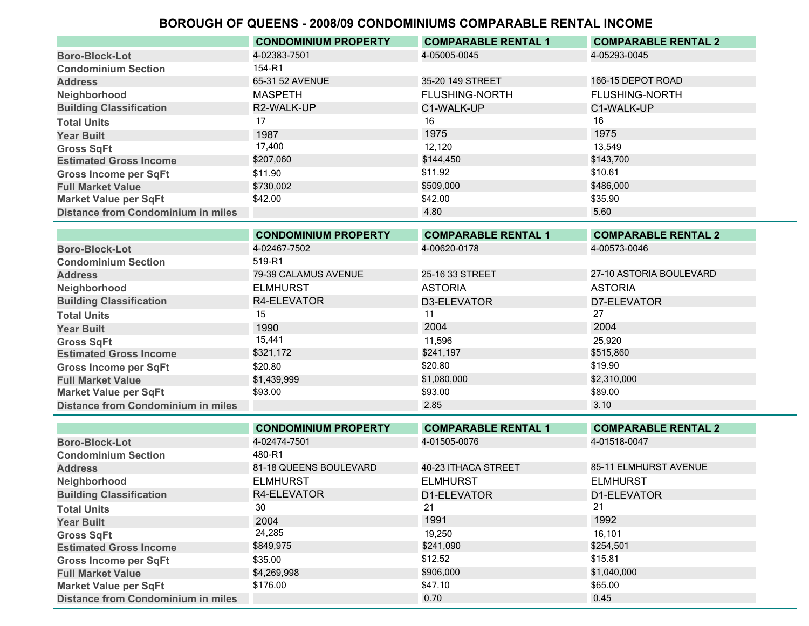|                                           | <b>CONDOMINIUM PROPERTY</b> | <b>COMPARABLE RENTAL 1</b> | <b>COMPARABLE RENTAL 2</b> |
|-------------------------------------------|-----------------------------|----------------------------|----------------------------|
| <b>Boro-Block-Lot</b>                     | 4-02383-7501                | 4-05005-0045               | 4-05293-0045               |
| <b>Condominium Section</b>                | 154-R1                      |                            |                            |
| <b>Address</b>                            | 65-31 52 AVENUE             | 35-20 149 STREET           | 166-15 DEPOT ROAD          |
| Neighborhood                              | <b>MASPETH</b>              | <b>FLUSHING-NORTH</b>      | <b>FLUSHING-NORTH</b>      |
| <b>Building Classification</b>            | R2-WALK-UP                  | C1-WALK-UP                 | C1-WALK-UP                 |
| <b>Total Units</b>                        |                             | 16                         | 16                         |
| <b>Year Built</b>                         | 1987                        | 1975                       | 1975                       |
| <b>Gross SqFt</b>                         | 17,400                      | 12.120                     | 13.549                     |
| <b>Estimated Gross Income</b>             | \$207,060                   | \$144,450                  | \$143,700                  |
| <b>Gross Income per SqFt</b>              | \$11.90                     | \$11.92                    | \$10.61                    |
| <b>Full Market Value</b>                  | \$730.002                   | \$509,000                  | \$486,000                  |
| <b>Market Value per SqFt</b>              | \$42.00                     | \$42.00                    | \$35.90                    |
| <b>Distance from Condominium in miles</b> |                             | 4.80                       | 5.60                       |

|                                           | <b>CONDOMINIUM PROPERTY</b> | <b>COMPARABLE RENTAL 1</b> | <b>COMPARABLE RENTAL 2</b> |
|-------------------------------------------|-----------------------------|----------------------------|----------------------------|
| <b>Boro-Block-Lot</b>                     | 4-02467-7502                | 4-00620-0178               | 4-00573-0046               |
| <b>Condominium Section</b>                | 519-R1                      |                            |                            |
| <b>Address</b>                            | 79-39 CALAMUS AVENUE        | 25-16 33 STREET            | 27-10 ASTORIA BOULEVARD    |
| Neighborhood                              | <b>ELMHURST</b>             | <b>ASTORIA</b>             | <b>ASTORIA</b>             |
| <b>Building Classification</b>            | R4-ELEVATOR                 | D3-ELEVATOR                | D7-ELEVATOR                |
| <b>Total Units</b>                        | 15                          | 11                         | 27                         |
| <b>Year Built</b>                         | 1990                        | 2004                       | 2004                       |
| <b>Gross SqFt</b>                         | 15,441                      | 11,596                     | 25,920                     |
| <b>Estimated Gross Income</b>             | \$321,172                   | \$241,197                  | \$515,860                  |
| <b>Gross Income per SqFt</b>              | \$20.80                     | \$20.80                    | \$19.90                    |
| <b>Full Market Value</b>                  | \$1,439,999                 | \$1,080,000                | \$2,310,000                |
| <b>Market Value per SqFt</b>              | \$93.00                     | \$93.00                    | \$89.00                    |
| <b>Distance from Condominium in miles</b> |                             | 2.85                       | 3.10                       |

|                                           | <b>CONDOMINIUM PROPERTY</b> | <b>COMPARABLE RENTAL 1</b> | <b>COMPARABLE RENTAL 2</b> |
|-------------------------------------------|-----------------------------|----------------------------|----------------------------|
| <b>Boro-Block-Lot</b>                     | 4-02474-7501                | 4-01505-0076               | 4-01518-0047               |
| <b>Condominium Section</b>                | 480-R1                      |                            |                            |
| <b>Address</b>                            | 81-18 QUEENS BOULEVARD      | 40-23 ITHACA STREET        | 85-11 ELMHURST AVENUE      |
| Neighborhood                              | <b>ELMHURST</b>             | <b>ELMHURST</b>            | <b>ELMHURST</b>            |
| <b>Building Classification</b>            | R4-ELEVATOR                 | D1-ELEVATOR                | D1-ELEVATOR                |
| <b>Total Units</b>                        | 30                          | 21                         | 21                         |
| <b>Year Built</b>                         | 2004                        | 1991                       | 1992                       |
| <b>Gross SqFt</b>                         | 24,285                      | 19.250                     | 16,101                     |
| <b>Estimated Gross Income</b>             | \$849,975                   | \$241,090                  | \$254,501                  |
| <b>Gross Income per SqFt</b>              | \$35.00                     | \$12.52                    | \$15.81                    |
| <b>Full Market Value</b>                  | \$4,269,998                 | \$906,000                  | \$1,040,000                |
| <b>Market Value per SqFt</b>              | \$176.00                    | \$47.10                    | \$65.00                    |
| <b>Distance from Condominium in miles</b> |                             | 0.70                       | 0.45                       |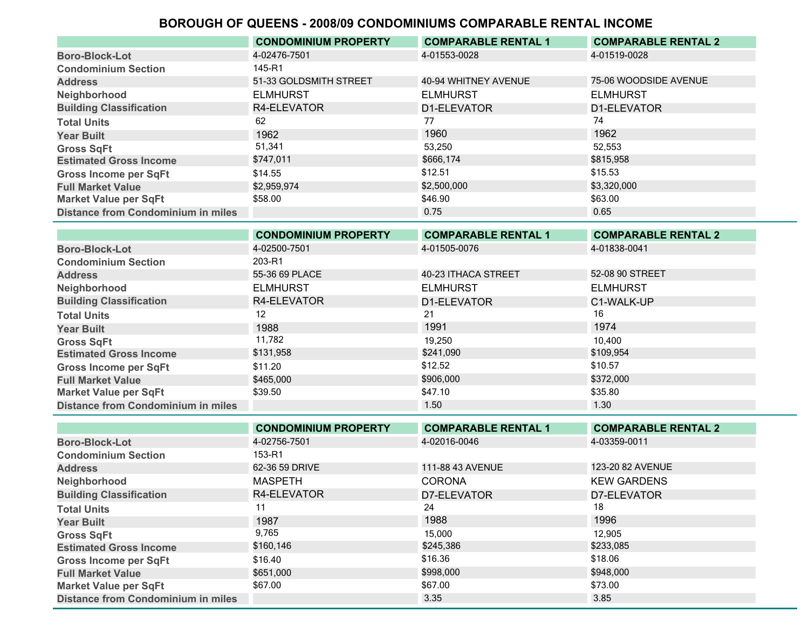|                                           | <b>CONDOMINIUM PROPERTY</b> | <b>COMPARABLE RENTAL 1</b> | <b>COMPARABLE RENTAL 2</b> |
|-------------------------------------------|-----------------------------|----------------------------|----------------------------|
| <b>Boro-Block-Lot</b>                     | 4-02476-7501                | 4-01553-0028               | 4-01519-0028               |
| <b>Condominium Section</b>                | 145-R1                      |                            |                            |
| <b>Address</b>                            | 51-33 GOLDSMITH STREET      | 40-94 WHITNEY AVENUE       | 75-06 WOODSIDE AVENUE      |
| Neighborhood                              | <b>ELMHURST</b>             | <b>ELMHURST</b>            | <b>ELMHURST</b>            |
| <b>Building Classification</b>            | R4-ELEVATOR                 | D1-ELEVATOR                | D1-ELEVATOR                |
| <b>Total Units</b>                        | 62                          | 77                         | 74                         |
| <b>Year Built</b>                         | 1962                        | 1960                       | 1962                       |
| <b>Gross SqFt</b>                         | 51,341                      | 53,250                     | 52,553                     |
| <b>Estimated Gross Income</b>             | \$747,011                   | \$666,174                  | \$815,958                  |
| <b>Gross Income per SqFt</b>              | \$14.55                     | \$12.51                    | \$15.53                    |
| <b>Full Market Value</b>                  | \$2,959,974                 | \$2,500,000                | \$3,320,000                |
| <b>Market Value per SqFt</b>              | \$58.00                     | \$46.90                    | \$63.00                    |
| <b>Distance from Condominium in miles</b> |                             | 0.75                       | 0.65                       |

|                                           | <b>CONDOMINIUM PROPERTY</b> | <b>COMPARABLE RENTAL 1</b> | <b>COMPARABLE RENTAL 2</b> |
|-------------------------------------------|-----------------------------|----------------------------|----------------------------|
| <b>Boro-Block-Lot</b>                     | 4-02500-7501                | 4-01505-0076               | 4-01838-0041               |
| <b>Condominium Section</b>                | 203-R1                      |                            |                            |
| <b>Address</b>                            | 55-36 69 PLACE              | 40-23 ITHACA STREET        | 52-08 90 STREET            |
| Neighborhood                              | <b>ELMHURST</b>             | <b>ELMHURST</b>            | <b>ELMHURST</b>            |
| <b>Building Classification</b>            | R4-ELEVATOR                 | D1-ELEVATOR                | C1-WALK-UP                 |
| <b>Total Units</b>                        | 12                          | 21                         | 16                         |
| <b>Year Built</b>                         | 1988                        | 1991                       | 1974                       |
| <b>Gross SqFt</b>                         | 11,782                      | 19,250                     | 10,400                     |
| <b>Estimated Gross Income</b>             | \$131,958                   | \$241,090                  | \$109,954                  |
| <b>Gross Income per SqFt</b>              | \$11.20                     | \$12.52                    | \$10.57                    |
| <b>Full Market Value</b>                  | \$465,000                   | \$906,000                  | \$372,000                  |
| <b>Market Value per SqFt</b>              | \$39.50                     | \$47.10                    | \$35.80                    |
| <b>Distance from Condominium in miles</b> |                             | 1.50                       | 1.30                       |

|                                           | <b>CONDOMINIUM PROPERTY</b> | <b>COMPARABLE RENTAL 1</b> | <b>COMPARABLE RENTAL 2</b> |
|-------------------------------------------|-----------------------------|----------------------------|----------------------------|
| <b>Boro-Block-Lot</b>                     | 4-02756-7501                | 4-02016-0046               | 4-03359-0011               |
| <b>Condominium Section</b>                | 153-R1                      |                            |                            |
| <b>Address</b>                            | 62-36 59 DRIVE              | 111-88 43 AVENUE           | 123-20 82 AVENUE           |
| Neighborhood                              | <b>MASPETH</b>              | <b>CORONA</b>              | <b>KEW GARDENS</b>         |
| <b>Building Classification</b>            | R4-ELEVATOR                 | D7-ELEVATOR                | D7-ELEVATOR                |
| <b>Total Units</b>                        |                             | 24                         | 18                         |
| <b>Year Built</b>                         | 1987                        | 1988                       | 1996                       |
| <b>Gross SqFt</b>                         | 9,765                       | 15,000                     | 12.905                     |
| <b>Estimated Gross Income</b>             | \$160,146                   | \$245,386                  | \$233,085                  |
| <b>Gross Income per SqFt</b>              | \$16.40                     | \$16.36                    | \$18.06                    |
| <b>Full Market Value</b>                  | \$651.000                   | \$998,000                  | \$948,000                  |
| <b>Market Value per SqFt</b>              | \$67.00                     | \$67.00                    | \$73.00                    |
| <b>Distance from Condominium in miles</b> |                             | 3.35                       | 3.85                       |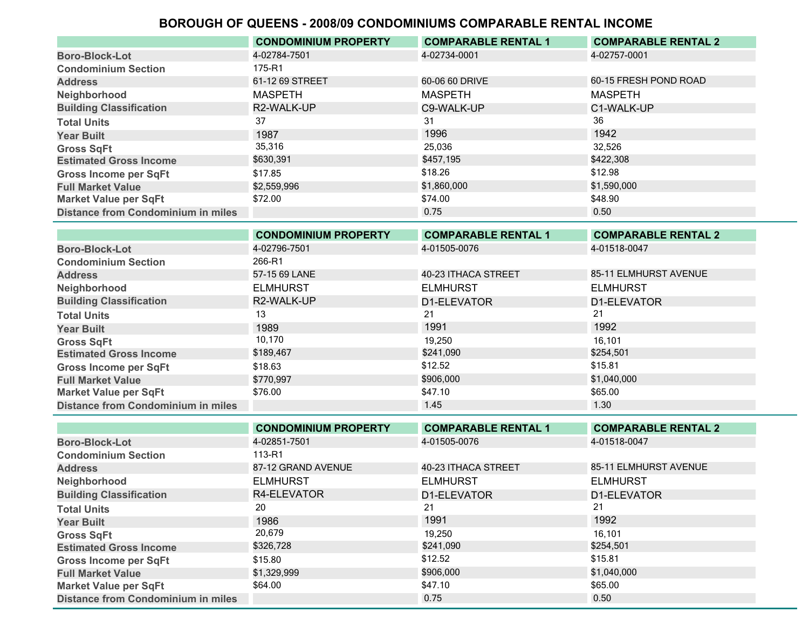|                                           | <b>CONDOMINIUM PROPERTY</b> | <b>COMPARABLE RENTAL 1</b> | <b>COMPARABLE RENTAL 2</b> |
|-------------------------------------------|-----------------------------|----------------------------|----------------------------|
| <b>Boro-Block-Lot</b>                     | 4-02784-7501                | 4-02734-0001               | 4-02757-0001               |
| <b>Condominium Section</b>                | 175-R1                      |                            |                            |
| <b>Address</b>                            | 61-12 69 STREET             | 60-06 60 DRIVE             | 60-15 FRESH POND ROAD      |
| Neighborhood                              | <b>MASPETH</b>              | <b>MASPETH</b>             | <b>MASPETH</b>             |
| <b>Building Classification</b>            | R2-WALK-UP                  | C9-WALK-UP                 | C1-WALK-UP                 |
| <b>Total Units</b>                        | 37                          | 31                         | 36                         |
| <b>Year Built</b>                         | 1987                        | 1996                       | 1942                       |
| <b>Gross SqFt</b>                         | 35,316                      | 25.036                     | 32,526                     |
| <b>Estimated Gross Income</b>             | \$630,391                   | \$457.195                  | \$422,308                  |
| <b>Gross Income per SqFt</b>              | \$17.85                     | \$18.26                    | \$12.98                    |
| <b>Full Market Value</b>                  | \$2,559,996                 | \$1,860,000                | \$1,590,000                |
| <b>Market Value per SqFt</b>              | \$72.00                     | \$74.00                    | \$48.90                    |
| <b>Distance from Condominium in miles</b> |                             | 0.75                       | 0.50                       |

|                                           | <b>CONDOMINIUM PROPERTY</b> | <b>COMPARABLE RENTAL 1</b> | <b>COMPARABLE RENTAL 2</b> |
|-------------------------------------------|-----------------------------|----------------------------|----------------------------|
| <b>Boro-Block-Lot</b>                     | 4-02796-7501                | 4-01505-0076               | 4-01518-0047               |
| <b>Condominium Section</b>                | 266-R1                      |                            |                            |
| <b>Address</b>                            | 57-15 69 LANE               | 40-23 ITHACA STREET        | 85-11 ELMHURST AVENUE      |
| Neighborhood                              | <b>ELMHURST</b>             | <b>ELMHURST</b>            | <b>ELMHURST</b>            |
| <b>Building Classification</b>            | R2-WALK-UP                  | D1-ELEVATOR                | D1-ELEVATOR                |
| <b>Total Units</b>                        | 13                          | 21                         | 21                         |
| <b>Year Built</b>                         | 1989                        | 1991                       | 1992                       |
| <b>Gross SqFt</b>                         | 10,170                      | 19,250                     | 16,101                     |
| <b>Estimated Gross Income</b>             | \$189,467                   | \$241,090                  | \$254,501                  |
| <b>Gross Income per SqFt</b>              | \$18.63                     | \$12.52                    | \$15.81                    |
| <b>Full Market Value</b>                  | \$770,997                   | \$906,000                  | \$1,040,000                |
| <b>Market Value per SqFt</b>              | \$76.00                     | \$47.10                    | \$65.00                    |
| <b>Distance from Condominium in miles</b> |                             | 1.45                       | 1.30                       |

|                                           | <b>CONDOMINIUM PROPERTY</b> | <b>COMPARABLE RENTAL 1</b> | <b>COMPARABLE RENTAL 2</b> |
|-------------------------------------------|-----------------------------|----------------------------|----------------------------|
| <b>Boro-Block-Lot</b>                     | 4-02851-7501                | 4-01505-0076               | 4-01518-0047               |
| <b>Condominium Section</b>                | 113-R1                      |                            |                            |
| <b>Address</b>                            | 87-12 GRAND AVENUE          | 40-23 ITHACA STREET        | 85-11 ELMHURST AVENUE      |
| Neighborhood                              | <b>ELMHURST</b>             | <b>ELMHURST</b>            | <b>ELMHURST</b>            |
| <b>Building Classification</b>            | R4-ELEVATOR                 | D1-ELEVATOR                | D1-ELEVATOR                |
| <b>Total Units</b>                        | 20                          | 21                         | 21                         |
| <b>Year Built</b>                         | 1986                        | 1991                       | 1992                       |
| <b>Gross SqFt</b>                         | 20,679                      | 19.250                     | 16.101                     |
| <b>Estimated Gross Income</b>             | \$326,728                   | \$241,090                  | \$254,501                  |
| <b>Gross Income per SqFt</b>              | \$15.80                     | \$12.52                    | \$15.81                    |
| <b>Full Market Value</b>                  | \$1,329,999                 | \$906,000                  | \$1,040,000                |
| <b>Market Value per SqFt</b>              | \$64.00                     | \$47.10                    | \$65.00                    |
| <b>Distance from Condominium in miles</b> |                             | 0.75                       | 0.50                       |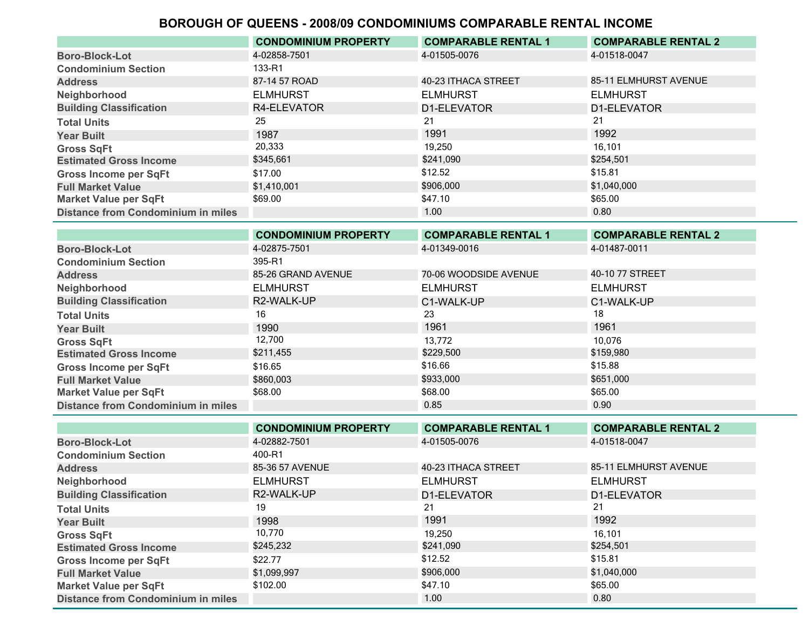|                                           | <b>CONDOMINIUM PROPERTY</b> | <b>COMPARABLE RENTAL 1</b> | <b>COMPARABLE RENTAL 2</b> |
|-------------------------------------------|-----------------------------|----------------------------|----------------------------|
| <b>Boro-Block-Lot</b>                     | 4-02858-7501                | 4-01505-0076               | 4-01518-0047               |
| <b>Condominium Section</b>                | 133-R1                      |                            |                            |
| <b>Address</b>                            | 87-14 57 ROAD               | 40-23 ITHACA STREET        | 85-11 ELMHURST AVENUE      |
| Neighborhood                              | <b>ELMHURST</b>             | <b>ELMHURST</b>            | <b>ELMHURST</b>            |
| <b>Building Classification</b>            | R4-ELEVATOR                 | D1-ELEVATOR                | D1-ELEVATOR                |
| <b>Total Units</b>                        | 25                          | 21                         | 21                         |
| <b>Year Built</b>                         | 1987                        | 1991                       | 1992                       |
| <b>Gross SqFt</b>                         | 20,333                      | 19.250                     | 16.101                     |
| <b>Estimated Gross Income</b>             | \$345,661                   | \$241,090                  | \$254,501                  |
| <b>Gross Income per SqFt</b>              | \$17.00                     | \$12.52                    | \$15.81                    |
| <b>Full Market Value</b>                  | \$1,410,001                 | \$906,000                  | \$1,040,000                |
| <b>Market Value per SqFt</b>              | \$69.00                     | \$47.10                    | \$65.00                    |
| <b>Distance from Condominium in miles</b> |                             | 1.00                       | 0.80                       |

|                                           | <b>CONDOMINIUM PROPERTY</b> | <b>COMPARABLE RENTAL 1</b> | <b>COMPARABLE RENTAL 2</b> |
|-------------------------------------------|-----------------------------|----------------------------|----------------------------|
| <b>Boro-Block-Lot</b>                     | 4-02875-7501                | 4-01349-0016               | 4-01487-0011               |
| <b>Condominium Section</b>                | 395-R1                      |                            |                            |
| <b>Address</b>                            | 85-26 GRAND AVENUE          | 70-06 WOODSIDE AVENUE      | 40-10 77 STREET            |
| Neighborhood                              | <b>ELMHURST</b>             | <b>ELMHURST</b>            | <b>ELMHURST</b>            |
| <b>Building Classification</b>            | R2-WALK-UP                  | C1-WALK-UP                 | C1-WALK-UP                 |
| <b>Total Units</b>                        | 16                          | 23                         | 18                         |
| <b>Year Built</b>                         | 1990                        | 1961                       | 1961                       |
| <b>Gross SqFt</b>                         | 12,700                      | 13,772                     | 10.076                     |
| <b>Estimated Gross Income</b>             | \$211,455                   | \$229,500                  | \$159,980                  |
| <b>Gross Income per SqFt</b>              | \$16.65                     | \$16.66                    | \$15.88                    |
| <b>Full Market Value</b>                  | \$860,003                   | \$933,000                  | \$651,000                  |
| <b>Market Value per SqFt</b>              | \$68.00                     | \$68.00                    | \$65.00                    |
| <b>Distance from Condominium in miles</b> |                             | 0.85                       | 0.90                       |

|                                           | <b>CONDOMINIUM PROPERTY</b> | <b>COMPARABLE RENTAL 1</b> | <b>COMPARABLE RENTAL 2</b> |
|-------------------------------------------|-----------------------------|----------------------------|----------------------------|
| <b>Boro-Block-Lot</b>                     | 4-02882-7501                | 4-01505-0076               | 4-01518-0047               |
| <b>Condominium Section</b>                | 400-R1                      |                            |                            |
| <b>Address</b>                            | 85-36 57 AVENUE             | 40-23 ITHACA STREET        | 85-11 ELMHURST AVENUE      |
| Neighborhood                              | <b>ELMHURST</b>             | <b>ELMHURST</b>            | <b>ELMHURST</b>            |
| <b>Building Classification</b>            | R2-WALK-UP                  | D1-ELEVATOR                | D1-ELEVATOR                |
| <b>Total Units</b>                        | 19                          | 21                         | 21                         |
| <b>Year Built</b>                         | 1998                        | 1991                       | 1992                       |
| <b>Gross SqFt</b>                         | 10,770                      | 19.250                     | 16.101                     |
| <b>Estimated Gross Income</b>             | \$245,232                   | \$241,090                  | \$254,501                  |
| <b>Gross Income per SqFt</b>              | \$22.77                     | \$12.52                    | \$15.81                    |
| <b>Full Market Value</b>                  | \$1,099,997                 | \$906,000                  | \$1,040,000                |
| <b>Market Value per SqFt</b>              | \$102.00                    | \$47.10                    | \$65.00                    |
| <b>Distance from Condominium in miles</b> |                             | 1.00                       | 0.80                       |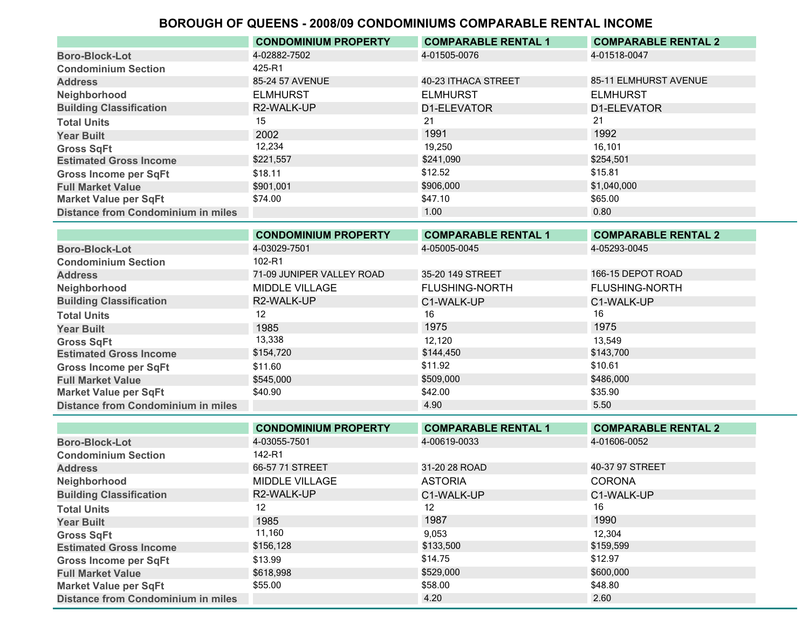|                                           | <b>CONDOMINIUM PROPERTY</b> | <b>COMPARABLE RENTAL 1</b> | <b>COMPARABLE RENTAL 2</b> |
|-------------------------------------------|-----------------------------|----------------------------|----------------------------|
| <b>Boro-Block-Lot</b>                     | 4-02882-7502                | 4-01505-0076               | 4-01518-0047               |
| <b>Condominium Section</b>                | 425-R1                      |                            |                            |
| <b>Address</b>                            | 85-24 57 AVENUE             | 40-23 ITHACA STREET        | 85-11 ELMHURST AVENUE      |
| Neighborhood                              | <b>ELMHURST</b>             | <b>ELMHURST</b>            | <b>ELMHURST</b>            |
| <b>Building Classification</b>            | R2-WALK-UP                  | D1-ELEVATOR                | D1-ELEVATOR                |
| <b>Total Units</b>                        | 15                          | 21                         | 21                         |
| <b>Year Built</b>                         | 2002                        | 1991                       | 1992                       |
| <b>Gross SqFt</b>                         | 12,234                      | 19.250                     | 16,101                     |
| <b>Estimated Gross Income</b>             | \$221,557                   | \$241,090                  | \$254,501                  |
| <b>Gross Income per SqFt</b>              | \$18.11                     | \$12.52                    | \$15.81                    |
| <b>Full Market Value</b>                  | \$901,001                   | \$906,000                  | \$1,040,000                |
| <b>Market Value per SqFt</b>              | \$74.00                     | \$47.10                    | \$65.00                    |
| <b>Distance from Condominium in miles</b> |                             | 1.00 <sub>1</sub>          | 0.80                       |

|                                           | <b>CONDOMINIUM PROPERTY</b> | <b>COMPARABLE RENTAL 1</b> | <b>COMPARABLE RENTAL 2</b> |
|-------------------------------------------|-----------------------------|----------------------------|----------------------------|
| <b>Boro-Block-Lot</b>                     | 4-03029-7501                | 4-05005-0045               | 4-05293-0045               |
| <b>Condominium Section</b>                | $102 - R1$                  |                            |                            |
| <b>Address</b>                            | 71-09 JUNIPER VALLEY ROAD   | 35-20 149 STREET           | 166-15 DEPOT ROAD          |
| Neighborhood                              | MIDDLE VILLAGE              | <b>FLUSHING-NORTH</b>      | <b>FLUSHING-NORTH</b>      |
| <b>Building Classification</b>            | R2-WALK-UP                  | C1-WALK-UP                 | C1-WALK-UP                 |
| <b>Total Units</b>                        | 12                          | 16                         | 16                         |
| <b>Year Built</b>                         | 1985                        | 1975                       | 1975                       |
| <b>Gross SqFt</b>                         | 13,338                      | 12.120                     | 13.549                     |
| <b>Estimated Gross Income</b>             | \$154,720                   | \$144,450                  | \$143,700                  |
| <b>Gross Income per SqFt</b>              | \$11.60                     | \$11.92                    | \$10.61                    |
| <b>Full Market Value</b>                  | \$545.000                   | \$509,000                  | \$486,000                  |
| <b>Market Value per SqFt</b>              | \$40.90                     | \$42.00                    | \$35.90                    |
| <b>Distance from Condominium in miles</b> |                             | 4.90                       | 5.50                       |

|                                           | <b>CONDOMINIUM PROPERTY</b> | <b>COMPARABLE RENTAL 1</b> | <b>COMPARABLE RENTAL 2</b> |
|-------------------------------------------|-----------------------------|----------------------------|----------------------------|
| <b>Boro-Block-Lot</b>                     | 4-03055-7501                | 4-00619-0033               | 4-01606-0052               |
| <b>Condominium Section</b>                | 142-R1                      |                            |                            |
| <b>Address</b>                            | 66-57 71 STREET             | 31-20 28 ROAD              | 40-37 97 STREET            |
| Neighborhood                              | MIDDLE VILLAGE              | <b>ASTORIA</b>             | <b>CORONA</b>              |
| <b>Building Classification</b>            | R2-WALK-UP                  | C1-WALK-UP                 | C1-WALK-UP                 |
| <b>Total Units</b>                        | 12.                         | 12                         | 16                         |
| <b>Year Built</b>                         | 1985                        | 1987                       | 1990                       |
| <b>Gross SqFt</b>                         | 11,160                      | 9,053                      | 12.304                     |
| <b>Estimated Gross Income</b>             | \$156,128                   | \$133,500                  | \$159,599                  |
| <b>Gross Income per SqFt</b>              | \$13.99                     | \$14.75                    | \$12.97                    |
| <b>Full Market Value</b>                  | \$618,998                   | \$529,000                  | \$600,000                  |
| <b>Market Value per SqFt</b>              | \$55.00                     | \$58.00                    | \$48.80                    |
| <b>Distance from Condominium in miles</b> |                             | 4.20                       | 2.60                       |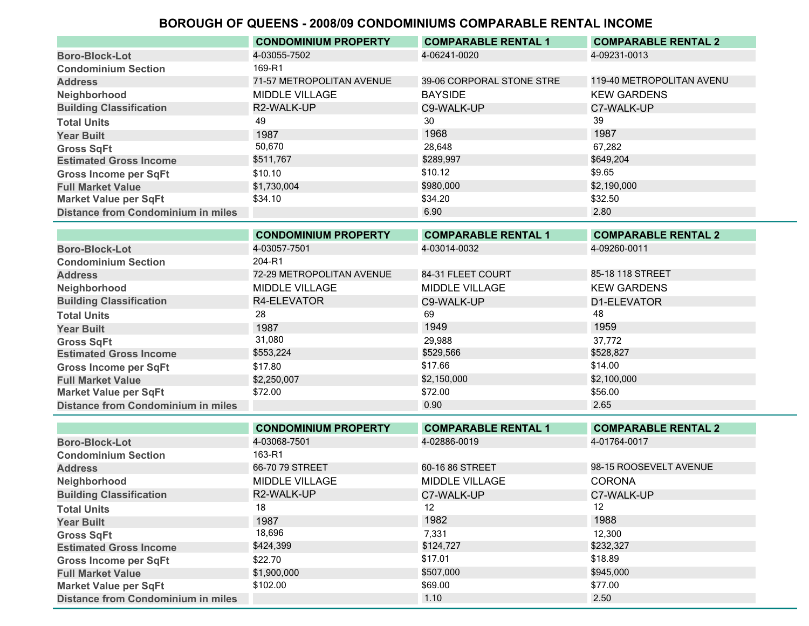|                                           | <b>CONDOMINIUM PROPERTY</b> | <b>COMPARABLE RENTAL 1</b> | <b>COMPARABLE RENTAL 2</b> |
|-------------------------------------------|-----------------------------|----------------------------|----------------------------|
| <b>Boro-Block-Lot</b>                     | 4-03055-7502                | 4-06241-0020               | 4-09231-0013               |
| <b>Condominium Section</b>                | 169-R1                      |                            |                            |
| <b>Address</b>                            | 71-57 METROPOLITAN AVENUE   | 39-06 CORPORAL STONE STRE  | 119-40 METROPOLITAN AVENU  |
| Neighborhood                              | MIDDLE VILLAGE              | <b>BAYSIDE</b>             | <b>KEW GARDENS</b>         |
| <b>Building Classification</b>            | R2-WALK-UP                  | C9-WALK-UP                 | C7-WALK-UP                 |
| <b>Total Units</b>                        | 49                          | 30                         | 39                         |
| <b>Year Built</b>                         | 1987                        | 1968.                      | 1987                       |
| <b>Gross SqFt</b>                         | 50,670                      | 28.648                     | 67.282                     |
| <b>Estimated Gross Income</b>             | \$511,767                   | \$289,997                  | \$649,204                  |
| <b>Gross Income per SqFt</b>              | \$10.10                     | \$10.12                    | \$9.65                     |
| <b>Full Market Value</b>                  | \$1,730,004                 | \$980,000                  | \$2,190,000                |
| <b>Market Value per SqFt</b>              | \$34.10                     | \$34.20                    | \$32.50                    |
| <b>Distance from Condominium in miles</b> |                             | 6.90                       | 2.80                       |
|                                           |                             |                            |                            |

|                                           | <b>CONDOMINIUM PROPERTY</b> | <b>COMPARABLE RENTAL 1</b> | <b>COMPARABLE RENTAL 2</b> |
|-------------------------------------------|-----------------------------|----------------------------|----------------------------|
| <b>Boro-Block-Lot</b>                     | 4-03057-7501                | 4-03014-0032               | 4-09260-0011               |
| <b>Condominium Section</b>                | 204-R1                      |                            |                            |
| <b>Address</b>                            | 72-29 METROPOLITAN AVENUE   | 84-31 FLEET COURT          | 85-18 118 STREET           |
| Neighborhood                              | MIDDLE VILLAGE              | MIDDLE VILLAGE             | <b>KEW GARDENS</b>         |
| <b>Building Classification</b>            | R4-ELEVATOR                 | C9-WALK-UP                 | D1-ELEVATOR                |
| <b>Total Units</b>                        | 28                          | 69                         | 48                         |
| <b>Year Built</b>                         | 1987                        | 1949                       | 1959                       |
| <b>Gross SqFt</b>                         | 31,080                      | 29,988                     | 37.772                     |
| <b>Estimated Gross Income</b>             | \$553,224                   | \$529,566                  | \$528,827                  |
| <b>Gross Income per SqFt</b>              | \$17.80                     | \$17.66                    | \$14.00                    |
| <b>Full Market Value</b>                  | \$2,250,007                 | \$2,150,000                | \$2,100,000                |
| <b>Market Value per SqFt</b>              | \$72.00                     | \$72.00                    | \$56.00                    |
| <b>Distance from Condominium in miles</b> |                             | 0.90                       | 2.65                       |

|                                           | <b>CONDOMINIUM PROPERTY</b> | <b>COMPARABLE RENTAL 1</b> | <b>COMPARABLE RENTAL 2</b> |
|-------------------------------------------|-----------------------------|----------------------------|----------------------------|
| <b>Boro-Block-Lot</b>                     | 4-03068-7501                | 4-02886-0019               | 4-01764-0017               |
| <b>Condominium Section</b>                | 163-R1                      |                            |                            |
| <b>Address</b>                            | 66-70 79 STREET             | 60-16 86 STREET            | 98-15 ROOSEVELT AVENUE     |
| Neighborhood                              | <b>MIDDLE VILLAGE</b>       | <b>MIDDLE VILLAGE</b>      | <b>CORONA</b>              |
| <b>Building Classification</b>            | R2-WALK-UP                  | C7-WALK-UP                 | C7-WALK-UP                 |
| <b>Total Units</b>                        | 18                          | 12                         | 12                         |
| <b>Year Built</b>                         | 1987                        | 1982                       | 1988                       |
| <b>Gross SqFt</b>                         | 18,696                      | 7,331                      | 12,300                     |
| <b>Estimated Gross Income</b>             | \$424,399                   | \$124,727                  | \$232,327                  |
| <b>Gross Income per SqFt</b>              | \$22.70                     | \$17.01                    | \$18.89                    |
| <b>Full Market Value</b>                  | \$1,900,000                 | \$507,000                  | \$945,000                  |
| <b>Market Value per SqFt</b>              | \$102.00                    | \$69.00                    | \$77.00                    |
| <b>Distance from Condominium in miles</b> |                             | 1.10                       | 2.50                       |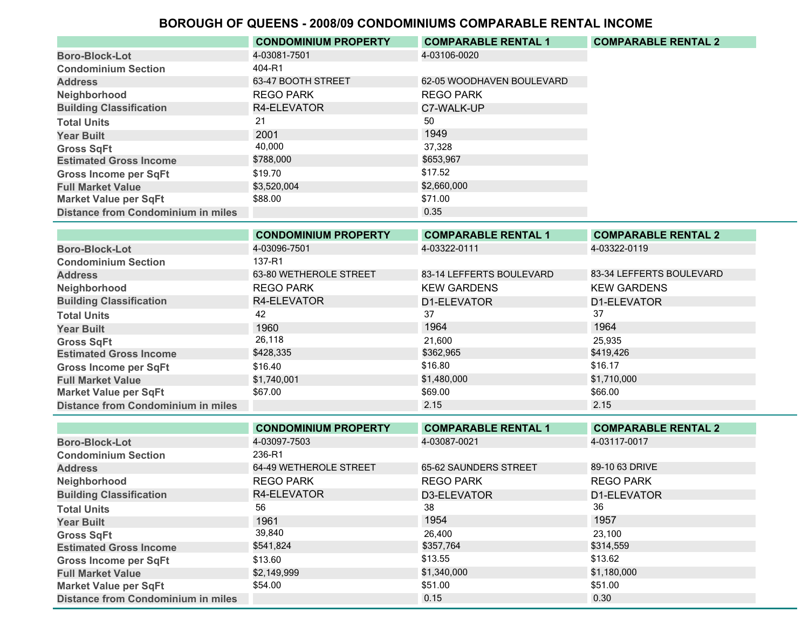|                                           | <b>CONDOMINIUM PROPERTY</b> | <b>COMPARABLE RENTAL 1</b> | <b>COMPARABLE RENTAL 2</b> |
|-------------------------------------------|-----------------------------|----------------------------|----------------------------|
| <b>Boro-Block-Lot</b>                     | 4-03081-7501                | 4-03106-0020               |                            |
| <b>Condominium Section</b>                | 404-R1                      |                            |                            |
| <b>Address</b>                            | 63-47 BOOTH STREET          | 62-05 WOODHAVEN BOULEVARD  |                            |
| Neighborhood                              | <b>REGO PARK</b>            | <b>REGO PARK</b>           |                            |
| <b>Building Classification</b>            | R4-ELEVATOR                 | C7-WALK-UP                 |                            |
| <b>Total Units</b>                        | 21                          | 50                         |                            |
| <b>Year Built</b>                         | 2001                        | 1949                       |                            |
| <b>Gross SqFt</b>                         | 40,000                      | 37.328                     |                            |
| <b>Estimated Gross Income</b>             | \$788,000                   | \$653,967                  |                            |
| <b>Gross Income per SqFt</b>              | \$19.70                     | \$17.52                    |                            |
| <b>Full Market Value</b>                  | \$3,520,004                 | \$2,660,000                |                            |
| <b>Market Value per SqFt</b>              | \$88.00                     | \$71.00                    |                            |
| <b>Distance from Condominium in miles</b> |                             | 0.35                       |                            |

|                                           | <b>CONDOMINIUM PROPERTY</b> | <b>COMPARABLE RENTAL 1</b> | <b>COMPARABLE RENTAL 2</b> |
|-------------------------------------------|-----------------------------|----------------------------|----------------------------|
| <b>Boro-Block-Lot</b>                     | 4-03096-7501                | 4-03322-0111               | 4-03322-0119               |
| <b>Condominium Section</b>                | 137-R1                      |                            |                            |
| <b>Address</b>                            | 63-80 WETHEROLE STREET      | 83-14 LEFFERTS BOULEVARD   | 83-34 LEFFERTS BOULEVARD   |
| Neighborhood                              | <b>REGO PARK</b>            | <b>KEW GARDENS</b>         | <b>KEW GARDENS</b>         |
| <b>Building Classification</b>            | R4-ELEVATOR                 | D1-ELEVATOR                | D1-ELEVATOR                |
| <b>Total Units</b>                        | 42                          | 37                         | 37                         |
| <b>Year Built</b>                         | 1960                        | 1964                       | 1964                       |
| <b>Gross SqFt</b>                         | 26,118                      | 21,600                     | 25,935                     |
| <b>Estimated Gross Income</b>             | \$428,335                   | \$362,965                  | \$419,426                  |
| <b>Gross Income per SqFt</b>              | \$16.40                     | \$16.80                    | \$16.17                    |
| <b>Full Market Value</b>                  | \$1,740,001                 | \$1,480,000                | \$1,710,000                |
| <b>Market Value per SqFt</b>              | \$67.00                     | \$69.00                    | \$66.00                    |
| <b>Distance from Condominium in miles</b> |                             | 2.15                       | 2.15                       |

|                                           | <b>CONDOMINIUM PROPERTY</b> | <b>COMPARABLE RENTAL 1</b> | <b>COMPARABLE RENTAL 2</b> |
|-------------------------------------------|-----------------------------|----------------------------|----------------------------|
| <b>Boro-Block-Lot</b>                     | 4-03097-7503                | 4-03087-0021               | 4-03117-0017               |
| <b>Condominium Section</b>                | 236-R1                      |                            |                            |
| <b>Address</b>                            | 64-49 WETHEROLE STREET      | 65-62 SAUNDERS STREET      | 89-10 63 DRIVE             |
| Neighborhood                              | <b>REGO PARK</b>            | <b>REGO PARK</b>           | <b>REGO PARK</b>           |
| <b>Building Classification</b>            | R4-ELEVATOR                 | D3-ELEVATOR                | D1-ELEVATOR                |
| <b>Total Units</b>                        | 56                          | 38                         | 36                         |
| <b>Year Built</b>                         | 1961                        | 1954                       | 1957                       |
| <b>Gross SqFt</b>                         | 39,840                      | 26.400                     | 23.100                     |
| <b>Estimated Gross Income</b>             | \$541,824                   | \$357,764                  | \$314,559                  |
| <b>Gross Income per SqFt</b>              | \$13.60                     | \$13.55                    | \$13.62                    |
| <b>Full Market Value</b>                  | \$2,149,999                 | \$1,340,000                | \$1,180,000                |
| <b>Market Value per SqFt</b>              | \$54.00                     | \$51.00                    | \$51.00                    |
| <b>Distance from Condominium in miles</b> |                             | 0.15                       | 0.30                       |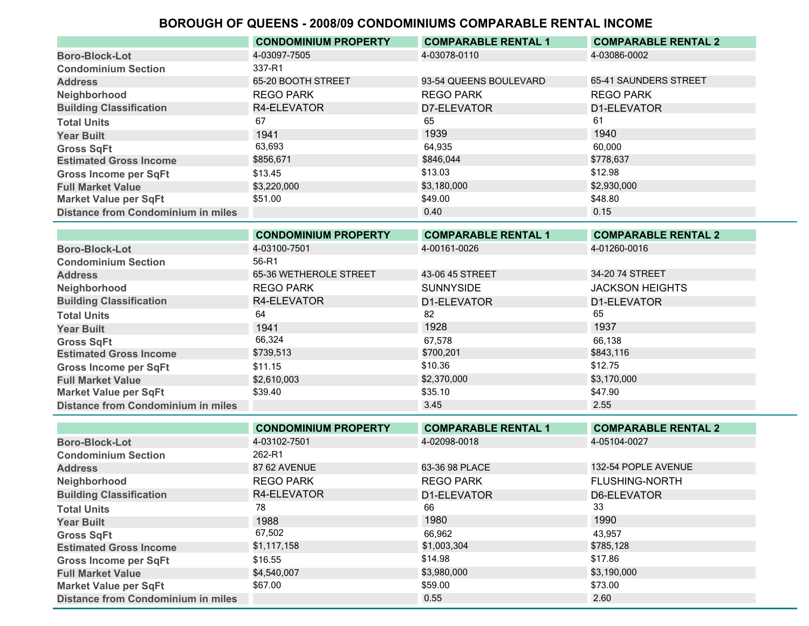|                                           | <b>CONDOMINIUM PROPERTY</b> | <b>COMPARABLE RENTAL 1</b> | <b>COMPARABLE RENTAL 2</b> |
|-------------------------------------------|-----------------------------|----------------------------|----------------------------|
| <b>Boro-Block-Lot</b>                     | 4-03097-7505                | 4-03078-0110               | 4-03086-0002               |
| <b>Condominium Section</b>                | 337-R1                      |                            |                            |
| <b>Address</b>                            | 65-20 BOOTH STREET          | 93-54 QUEENS BOULEVARD     | 65-41 SAUNDERS STREET      |
| Neighborhood                              | <b>REGO PARK</b>            | <b>REGO PARK</b>           | <b>REGO PARK</b>           |
| <b>Building Classification</b>            | R4-ELEVATOR                 | D7-ELEVATOR                | D1-ELEVATOR                |
| <b>Total Units</b>                        | 67                          | 65                         | 61                         |
| <b>Year Built</b>                         | 1941                        | 1939                       | 1940                       |
| <b>Gross SqFt</b>                         | 63,693                      | 64,935                     | 60,000                     |
| <b>Estimated Gross Income</b>             | \$856,671                   | \$846,044                  | \$778,637                  |
| <b>Gross Income per SqFt</b>              | \$13.45                     | \$13.03                    | \$12.98                    |
| <b>Full Market Value</b>                  | \$3,220,000                 | \$3,180,000                | \$2,930,000                |
| <b>Market Value per SqFt</b>              | \$51.00                     | \$49.00                    | \$48.80                    |
| <b>Distance from Condominium in miles</b> |                             | 0.40                       | 0.15                       |
|                                           | <b>AAUBAHUUUH BBABEBTV</b>  | A                          |                            |

|                                           | <b>CONDOMINIUM PROPERTY</b> | <b>COMPARABLE RENTAL 1</b> | <b>COMPARABLE RENTAL 2</b> |
|-------------------------------------------|-----------------------------|----------------------------|----------------------------|
| <b>Boro-Block-Lot</b>                     | 4-03100-7501                | 4-00161-0026               | 4-01260-0016               |
| <b>Condominium Section</b>                | 56-R1                       |                            |                            |
| <b>Address</b>                            | 65-36 WETHEROLE STREET      | 43-06 45 STREET            | 34-20 74 STREET            |
| Neighborhood                              | <b>REGO PARK</b>            | <b>SUNNYSIDE</b>           | <b>JACKSON HEIGHTS</b>     |
| <b>Building Classification</b>            | R4-ELEVATOR                 | D1-ELEVATOR                | D1-ELEVATOR                |
| <b>Total Units</b>                        | 64                          | 82                         | 65                         |
| <b>Year Built</b>                         | 1941                        | 1928                       | 1937                       |
| <b>Gross SqFt</b>                         | 66,324                      | 67,578                     | 66,138                     |
| <b>Estimated Gross Income</b>             | \$739,513                   | \$700,201                  | \$843,116                  |
| <b>Gross Income per SqFt</b>              | \$11.15                     | \$10.36                    | \$12.75                    |
| <b>Full Market Value</b>                  | \$2,610,003                 | \$2,370,000                | \$3,170,000                |
| <b>Market Value per SqFt</b>              | \$39.40                     | \$35.10                    | \$47.90                    |
| <b>Distance from Condominium in miles</b> |                             | 3.45                       | 2.55                       |

|                                           | <b>CONDOMINIUM PROPERTY</b> | <b>COMPARABLE RENTAL 1</b> | <b>COMPARABLE RENTAL 2</b> |
|-------------------------------------------|-----------------------------|----------------------------|----------------------------|
| <b>Boro-Block-Lot</b>                     | 4-03102-7501                | 4-02098-0018               | 4-05104-0027               |
| <b>Condominium Section</b>                | 262-R1                      |                            |                            |
| <b>Address</b>                            | 87 62 AVENUE                | 63-36 98 PLACE             | 132-54 POPLE AVENUE        |
| Neighborhood                              | <b>REGO PARK</b>            | <b>REGO PARK</b>           | <b>FLUSHING-NORTH</b>      |
| <b>Building Classification</b>            | R4-ELEVATOR                 | D1-ELEVATOR                | D6-ELEVATOR                |
| <b>Total Units</b>                        | 78                          | 66                         | 33                         |
| <b>Year Built</b>                         | 1988                        | 1980                       | 1990                       |
| <b>Gross SqFt</b>                         | 67,502                      | 66.962                     | 43.957                     |
| <b>Estimated Gross Income</b>             | \$1,117,158                 | \$1,003,304                | \$785,128                  |
| <b>Gross Income per SqFt</b>              | \$16.55                     | \$14.98                    | \$17.86                    |
| <b>Full Market Value</b>                  | \$4,540,007                 | \$3,980,000                | \$3,190,000                |
| <b>Market Value per SqFt</b>              | \$67.00                     | \$59.00                    | \$73.00                    |
| <b>Distance from Condominium in miles</b> |                             | 0.55                       | 2.60                       |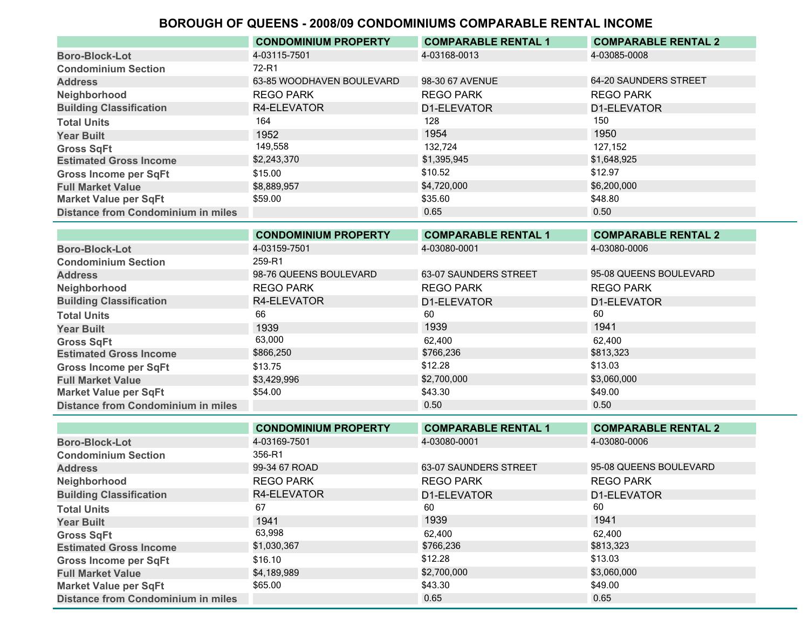|                                           | <b>CONDOMINIUM PROPERTY</b> | <b>COMPARABLE RENTAL 1</b> | <b>COMPARABLE RENTAL 2</b> |
|-------------------------------------------|-----------------------------|----------------------------|----------------------------|
| <b>Boro-Block-Lot</b>                     | 4-03115-7501                | 4-03168-0013               | 4-03085-0008               |
| <b>Condominium Section</b>                | 72-R1                       |                            |                            |
| <b>Address</b>                            | 63-85 WOODHAVEN BOULEVARD   | 98-30 67 AVENUE            | 64-20 SAUNDERS STREET      |
| Neighborhood                              | <b>REGO PARK</b>            | <b>REGO PARK</b>           | <b>REGO PARK</b>           |
| <b>Building Classification</b>            | R4-ELEVATOR                 | D1-ELEVATOR                | D1-ELEVATOR                |
| <b>Total Units</b>                        | 164                         | 128                        | 150                        |
| <b>Year Built</b>                         | 1952                        | 1954                       | 1950                       |
| <b>Gross SqFt</b>                         | 149,558                     | 132.724                    | 127.152                    |
| <b>Estimated Gross Income</b>             | \$2,243,370                 | \$1,395,945                | \$1,648,925                |
| <b>Gross Income per SqFt</b>              | \$15.00                     | \$10.52                    | \$12.97                    |
| <b>Full Market Value</b>                  | \$8,889,957                 | \$4,720,000                | \$6,200,000                |
| <b>Market Value per SqFt</b>              | \$59.00                     | \$35.60                    | \$48.80                    |
| <b>Distance from Condominium in miles</b> |                             | 0.65                       | 0.50                       |

|                                           | <b>CONDOMINIUM PROPERTY</b> | <b>COMPARABLE RENTAL 1</b> | <b>COMPARABLE RENTAL 2</b> |
|-------------------------------------------|-----------------------------|----------------------------|----------------------------|
| <b>Boro-Block-Lot</b>                     | 4-03159-7501                | 4-03080-0001               | 4-03080-0006               |
| <b>Condominium Section</b>                | 259-R1                      |                            |                            |
| <b>Address</b>                            | 98-76 QUEENS BOULEVARD      | 63-07 SAUNDERS STREET      | 95-08 QUEENS BOULEVARD     |
| Neighborhood                              | <b>REGO PARK</b>            | <b>REGO PARK</b>           | <b>REGO PARK</b>           |
| <b>Building Classification</b>            | R4-ELEVATOR                 | D1-ELEVATOR                | D1-ELEVATOR                |
| <b>Total Units</b>                        | 66                          | 60                         | 60                         |
| <b>Year Built</b>                         | 1939                        | 1939                       | 1941                       |
| <b>Gross SqFt</b>                         | 63,000                      | 62.400                     | 62.400                     |
| <b>Estimated Gross Income</b>             | \$866,250                   | \$766,236                  | \$813,323                  |
| <b>Gross Income per SqFt</b>              | \$13.75                     | \$12.28                    | \$13.03                    |
| <b>Full Market Value</b>                  | \$3,429,996                 | \$2,700,000                | \$3,060,000                |
| <b>Market Value per SqFt</b>              | \$54.00                     | \$43.30                    | \$49.00                    |
| <b>Distance from Condominium in miles</b> |                             | 0.50                       | 0.50                       |
|                                           |                             |                            |                            |

|                                           | <b>CONDOMINIUM PROPERTY</b> | <b>COMPARABLE RENTAL 1</b> | <b>COMPARABLE RENTAL 2</b> |
|-------------------------------------------|-----------------------------|----------------------------|----------------------------|
| <b>Boro-Block-Lot</b>                     | 4-03169-7501                | 4-03080-0001               | 4-03080-0006               |
| <b>Condominium Section</b>                | 356-R1                      |                            |                            |
| <b>Address</b>                            | 99-34 67 ROAD               | 63-07 SAUNDERS STREET      | 95-08 QUEENS BOULEVARD     |
| Neighborhood                              | <b>REGO PARK</b>            | <b>REGO PARK</b>           | <b>REGO PARK</b>           |
| <b>Building Classification</b>            | R4-ELEVATOR                 | D1-ELEVATOR                | D1-ELEVATOR                |
| <b>Total Units</b>                        | 67                          | 60                         | 60                         |
| <b>Year Built</b>                         | 1941                        | 1939                       | 1941                       |
| <b>Gross SqFt</b>                         | 63,998                      | 62.400                     | 62.400                     |
| <b>Estimated Gross Income</b>             | \$1,030,367                 | \$766,236                  | \$813,323                  |
| <b>Gross Income per SqFt</b>              | \$16.10                     | \$12.28                    | \$13.03                    |
| <b>Full Market Value</b>                  | \$4,189,989                 | \$2,700,000                | \$3,060,000                |
| <b>Market Value per SqFt</b>              | \$65.00                     | \$43.30                    | \$49.00                    |
| <b>Distance from Condominium in miles</b> |                             | 0.65                       | 0.65                       |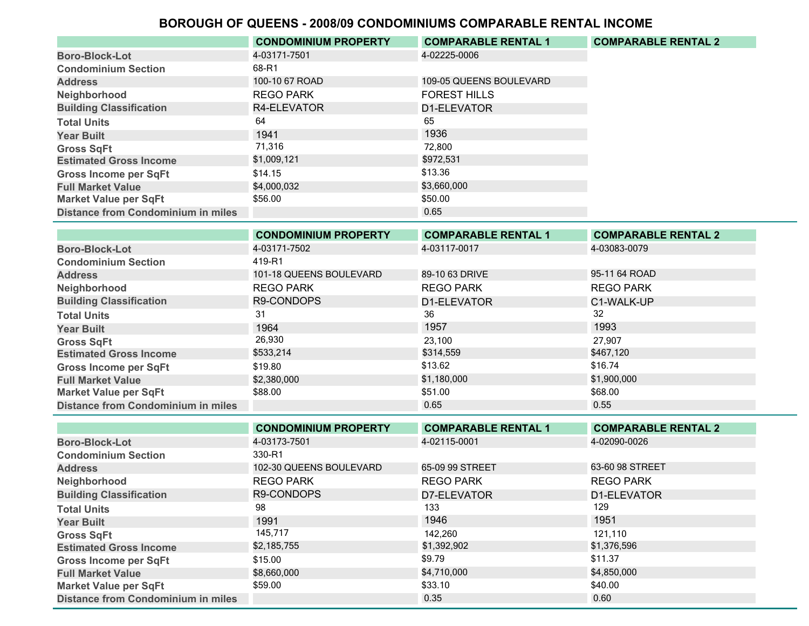|                                           | <b>CONDOMINIUM PROPERTY</b> | <b>COMPARABLE RENTAL 1</b> | <b>COMPARABLE RENTAL 2</b> |
|-------------------------------------------|-----------------------------|----------------------------|----------------------------|
| <b>Boro-Block-Lot</b>                     | 4-03171-7501                | 4-02225-0006               |                            |
| <b>Condominium Section</b>                | 68-R1                       |                            |                            |
| <b>Address</b>                            | 100-10 67 ROAD              | 109-05 QUEENS BOULEVARD    |                            |
| Neighborhood                              | <b>REGO PARK</b>            | <b>FOREST HILLS</b>        |                            |
| <b>Building Classification</b>            | R4-ELEVATOR                 | D1-ELEVATOR                |                            |
| <b>Total Units</b>                        | 64                          | 65                         |                            |
| <b>Year Built</b>                         | 1941                        | 1936                       |                            |
| <b>Gross SqFt</b>                         | 71,316                      | 72.800                     |                            |
| <b>Estimated Gross Income</b>             | \$1,009,121                 | \$972,531                  |                            |
| <b>Gross Income per SqFt</b>              | \$14.15                     | \$13.36                    |                            |
| <b>Full Market Value</b>                  | \$4,000,032                 | \$3,660,000                |                            |
| <b>Market Value per SqFt</b>              | \$56.00                     | \$50.00                    |                            |
| <b>Distance from Condominium in miles</b> |                             | 0.65                       |                            |

|                                           | <b>CONDOMINIUM PROPERTY</b> | <b>COMPARABLE RENTAL 1</b> | <b>COMPARABLE RENTAL 2</b> |
|-------------------------------------------|-----------------------------|----------------------------|----------------------------|
| <b>Boro-Block-Lot</b>                     | 4-03171-7502                | 4-03117-0017               | 4-03083-0079               |
| <b>Condominium Section</b>                | 419-R1                      |                            |                            |
| <b>Address</b>                            | 101-18 QUEENS BOULEVARD     | 89-10 63 DRIVE             | 95-11 64 ROAD              |
| Neighborhood                              | <b>REGO PARK</b>            | <b>REGO PARK</b>           | <b>REGO PARK</b>           |
| <b>Building Classification</b>            | R9-CONDOPS                  | D1-ELEVATOR                | C1-WALK-UP                 |
| <b>Total Units</b>                        | 31                          | 36                         | 32                         |
| <b>Year Built</b>                         | 1964                        | 1957                       | 1993                       |
| <b>Gross SqFt</b>                         | 26,930                      | 23,100                     | 27.907                     |
| <b>Estimated Gross Income</b>             | \$533,214                   | \$314,559                  | \$467,120                  |
| <b>Gross Income per SqFt</b>              | \$19.80                     | \$13.62                    | \$16.74                    |
| <b>Full Market Value</b>                  | \$2,380,000                 | \$1,180,000                | \$1,900,000                |
| <b>Market Value per SqFt</b>              | \$88.00                     | \$51.00                    | \$68.00                    |
| <b>Distance from Condominium in miles</b> |                             | 0.65                       | 0.55                       |

|                                           | <b>CONDOMINIUM PROPERTY</b> | <b>COMPARABLE RENTAL 1</b> | <b>COMPARABLE RENTAL 2</b> |
|-------------------------------------------|-----------------------------|----------------------------|----------------------------|
| <b>Boro-Block-Lot</b>                     | 4-03173-7501                | 4-02115-0001               | 4-02090-0026               |
| <b>Condominium Section</b>                | 330-R1                      |                            |                            |
| <b>Address</b>                            | 102-30 QUEENS BOULEVARD     | 65-09 99 STREET            | 63-60 98 STREET            |
| Neighborhood                              | <b>REGO PARK</b>            | <b>REGO PARK</b>           | <b>REGO PARK</b>           |
| <b>Building Classification</b>            | R9-CONDOPS                  | D7-ELEVATOR                | D1-ELEVATOR                |
| <b>Total Units</b>                        | 98                          | 133                        | 129                        |
| <b>Year Built</b>                         | 1991                        | 1946                       | 1951                       |
| <b>Gross SqFt</b>                         | 145,717                     | 142.260                    | 121,110                    |
| <b>Estimated Gross Income</b>             | \$2,185,755                 | \$1,392,902                | \$1,376,596                |
| <b>Gross Income per SqFt</b>              | \$15.00                     | \$9.79                     | \$11.37                    |
| <b>Full Market Value</b>                  | \$8,660,000                 | \$4,710,000                | \$4,850,000                |
| <b>Market Value per SqFt</b>              | \$59.00                     | \$33.10                    | \$40.00                    |
| <b>Distance from Condominium in miles</b> |                             | 0.35                       | 0.60                       |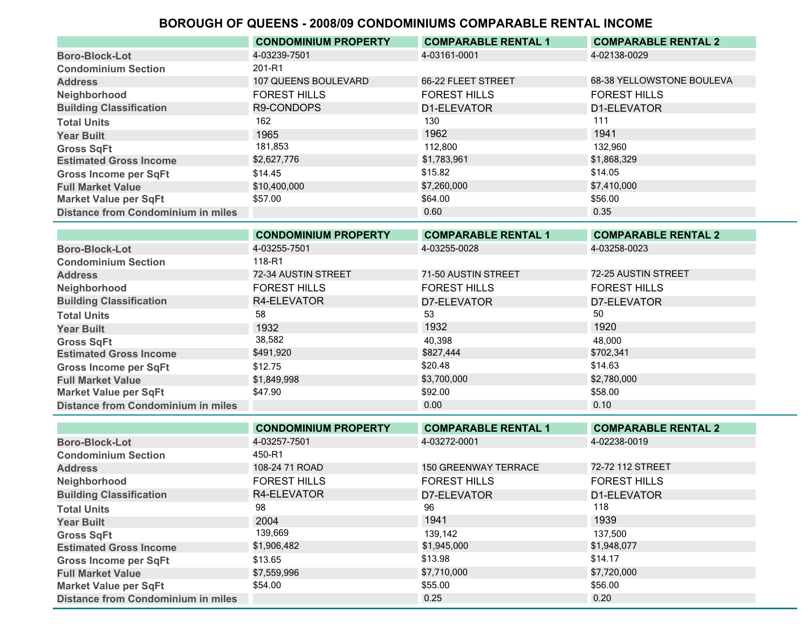|                                           | <b>CONDOMINIUM PROPERTY</b> | <b>COMPARABLE RENTAL 1</b> | <b>COMPARABLE RENTAL 2</b> |
|-------------------------------------------|-----------------------------|----------------------------|----------------------------|
| <b>Boro-Block-Lot</b>                     | 4-03239-7501                | 4-03161-0001               | 4-02138-0029               |
| <b>Condominium Section</b>                | 201-R1                      |                            |                            |
| <b>Address</b>                            | 107 QUEENS BOULEVARD        | 66-22 FLEET STREET         | 68-38 YELLOWSTONE BOULEVA  |
| Neighborhood                              | <b>FOREST HILLS</b>         | <b>FOREST HILLS</b>        | <b>FOREST HILLS</b>        |
| <b>Building Classification</b>            | R9-CONDOPS                  | D1-ELEVATOR                | D1-ELEVATOR                |
| <b>Total Units</b>                        | 162                         | 130                        | 111                        |
| <b>Year Built</b>                         | 1965                        | 1962                       | 1941                       |
| <b>Gross SqFt</b>                         | 181,853                     | 112.800                    | 132,960                    |
| <b>Estimated Gross Income</b>             | \$2,627,776                 | \$1,783,961                | \$1,868,329                |
| <b>Gross Income per SqFt</b>              | \$14.45                     | \$15.82                    | \$14.05                    |
| <b>Full Market Value</b>                  | \$10,400,000                | \$7,260,000                | \$7,410,000                |
| <b>Market Value per SqFt</b>              | \$57.00                     | \$64.00                    | \$56.00                    |
| <b>Distance from Condominium in miles</b> |                             | 0.60                       | 0.35                       |

|                                           | <b>CONDOMINIUM PROPERTY</b> | <b>COMPARABLE RENTAL 1</b> | <b>COMPARABLE RENTAL 2</b> |
|-------------------------------------------|-----------------------------|----------------------------|----------------------------|
| <b>Boro-Block-Lot</b>                     | 4-03255-7501                | 4-03255-0028               | 4-03258-0023               |
| <b>Condominium Section</b>                | 118-R1                      |                            |                            |
| <b>Address</b>                            | 72-34 AUSTIN STREET         | 71-50 AUSTIN STREET        | 72-25 AUSTIN STREET        |
| Neighborhood                              | <b>FOREST HILLS</b>         | <b>FOREST HILLS</b>        | <b>FOREST HILLS</b>        |
| <b>Building Classification</b>            | R4-ELEVATOR                 | D7-ELEVATOR                | D7-ELEVATOR                |
| <b>Total Units</b>                        | 58                          | 53                         | 50                         |
| <b>Year Built</b>                         | 1932                        | 1932                       | 1920                       |
| <b>Gross SqFt</b>                         | 38,582                      | 40.398                     | 48.000                     |
| <b>Estimated Gross Income</b>             | \$491,920                   | \$827,444                  | \$702,341                  |
| <b>Gross Income per SqFt</b>              | \$12.75                     | \$20.48                    | \$14.63                    |
| <b>Full Market Value</b>                  | \$1,849,998                 | \$3,700,000                | \$2,780,000                |
| <b>Market Value per SqFt</b>              | \$47.90                     | \$92.00                    | \$58.00                    |
| <b>Distance from Condominium in miles</b> |                             | 0.00                       | 0.10                       |

|                                           | <b>CONDOMINIUM PROPERTY</b> | <b>COMPARABLE RENTAL 1</b>  | <b>COMPARABLE RENTAL 2</b> |
|-------------------------------------------|-----------------------------|-----------------------------|----------------------------|
| <b>Boro-Block-Lot</b>                     | 4-03257-7501                | 4-03272-0001                | 4-02238-0019               |
| <b>Condominium Section</b>                | 450-R1                      |                             |                            |
| <b>Address</b>                            | 108-24 71 ROAD              | <b>150 GREENWAY TERRACE</b> | 72-72 112 STREET           |
| Neighborhood                              | <b>FOREST HILLS</b>         | <b>FOREST HILLS</b>         | <b>FOREST HILLS</b>        |
| <b>Building Classification</b>            | R4-ELEVATOR                 | D7-ELEVATOR                 | D1-ELEVATOR                |
| <b>Total Units</b>                        | 98                          | 96                          | 118                        |
| <b>Year Built</b>                         | 2004                        | 1941                        | 1939                       |
| <b>Gross SqFt</b>                         | 139,669                     | 139,142                     | 137.500                    |
| <b>Estimated Gross Income</b>             | \$1,906,482                 | \$1,945,000                 | \$1,948,077                |
| <b>Gross Income per SqFt</b>              | \$13.65                     | \$13.98                     | \$14.17                    |
| <b>Full Market Value</b>                  | \$7,559,996                 | \$7,710,000                 | \$7,720,000                |
| <b>Market Value per SqFt</b>              | \$54.00                     | \$55.00                     | \$56.00                    |
| <b>Distance from Condominium in miles</b> |                             | 0.25                        | 0.20                       |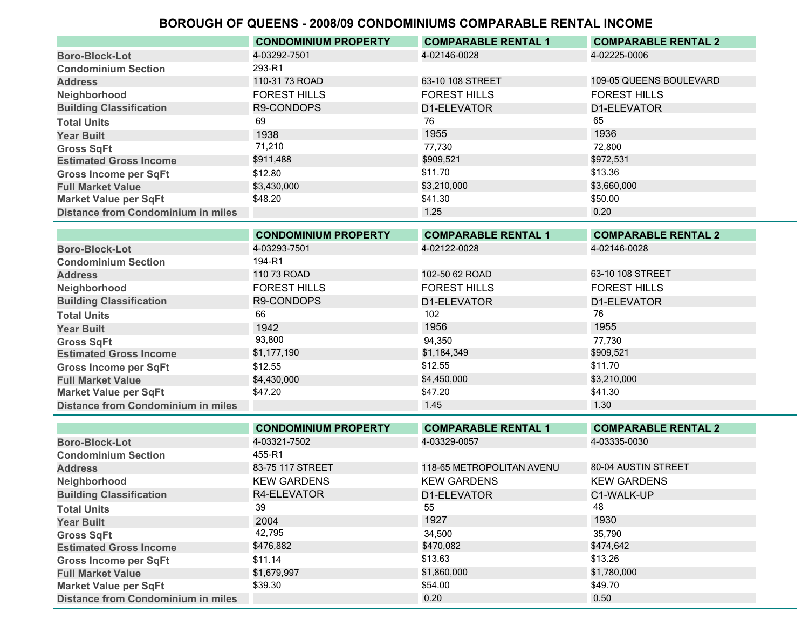|                                           | <b>CONDOMINIUM PROPERTY</b> | <b>COMPARABLE RENTAL 1</b> | <b>COMPARABLE RENTAL 2</b> |
|-------------------------------------------|-----------------------------|----------------------------|----------------------------|
| <b>Boro-Block-Lot</b>                     | 4-03292-7501                | 4-02146-0028               | 4-02225-0006               |
| <b>Condominium Section</b>                | 293-R1                      |                            |                            |
| <b>Address</b>                            | 110-31 73 ROAD              | 63-10 108 STREET           | 109-05 QUEENS BOULEVARD    |
| Neighborhood                              | <b>FOREST HILLS</b>         | <b>FOREST HILLS</b>        | <b>FOREST HILLS</b>        |
| <b>Building Classification</b>            | R9-CONDOPS                  | D1-ELEVATOR                | D1-ELEVATOR                |
| <b>Total Units</b>                        | 69                          | 76                         | 65                         |
| <b>Year Built</b>                         | 1938                        | 1955                       | 1936                       |
| <b>Gross SqFt</b>                         | 71,210                      | 77.730                     | 72,800                     |
| <b>Estimated Gross Income</b>             | \$911,488                   | \$909,521                  | \$972,531                  |
| <b>Gross Income per SqFt</b>              | \$12.80                     | \$11.70                    | \$13.36                    |
| <b>Full Market Value</b>                  | \$3,430,000                 | \$3,210,000                | \$3,660,000                |
| <b>Market Value per SqFt</b>              | \$48.20                     | \$41.30                    | \$50.00                    |
| <b>Distance from Condominium in miles</b> |                             | 1.25                       | 0.20                       |

|                                           | <b>CONDOMINIUM PROPERTY</b> | <b>COMPARABLE RENTAL 1</b> | <b>COMPARABLE RENTAL 2</b> |
|-------------------------------------------|-----------------------------|----------------------------|----------------------------|
| <b>Boro-Block-Lot</b>                     | 4-03293-7501                | 4-02122-0028               | 4-02146-0028               |
| <b>Condominium Section</b>                | 194-R1                      |                            |                            |
| <b>Address</b>                            | 110 73 ROAD                 | 102-50 62 ROAD             | 63-10 108 STREET           |
| Neighborhood                              | <b>FOREST HILLS</b>         | <b>FOREST HILLS</b>        | <b>FOREST HILLS</b>        |
| <b>Building Classification</b>            | R9-CONDOPS                  | D1-ELEVATOR                | D1-ELEVATOR                |
| <b>Total Units</b>                        | 66                          | 102                        | 76                         |
| <b>Year Built</b>                         | 1942                        | 1956                       | 1955                       |
| <b>Gross SqFt</b>                         | 93,800                      | 94,350                     | 77.730                     |
| <b>Estimated Gross Income</b>             | \$1,177,190                 | \$1,184,349                | \$909,521                  |
| <b>Gross Income per SqFt</b>              | \$12.55                     | \$12.55                    | \$11.70                    |
| <b>Full Market Value</b>                  | \$4,430,000                 | \$4,450,000                | \$3,210,000                |
| <b>Market Value per SqFt</b>              | \$47.20                     | \$47.20                    | \$41.30                    |
| <b>Distance from Condominium in miles</b> |                             | 1.45                       | 1.30                       |

|                                           | <b>CONDOMINIUM PROPERTY</b> | <b>COMPARABLE RENTAL 1</b> | <b>COMPARABLE RENTAL 2</b> |
|-------------------------------------------|-----------------------------|----------------------------|----------------------------|
| <b>Boro-Block-Lot</b>                     | 4-03321-7502                | 4-03329-0057               | 4-03335-0030               |
| <b>Condominium Section</b>                | 455-R1                      |                            |                            |
| <b>Address</b>                            | 83-75 117 STREET            | 118-65 METROPOLITAN AVENU  | 80-04 AUSTIN STREET        |
| Neighborhood                              | <b>KEW GARDENS</b>          | <b>KEW GARDENS</b>         | <b>KEW GARDENS</b>         |
| <b>Building Classification</b>            | R4-ELEVATOR                 | D1-ELEVATOR                | C1-WALK-UP                 |
| <b>Total Units</b>                        | 39                          | 55                         | 48                         |
| <b>Year Built</b>                         | 2004                        | 1927                       | 1930                       |
| <b>Gross SqFt</b>                         | 42,795                      | 34.500                     | 35.790                     |
| <b>Estimated Gross Income</b>             | \$476,882                   | \$470,082                  | \$474,642                  |
| <b>Gross Income per SqFt</b>              | \$11.14                     | \$13.63                    | \$13.26                    |
| <b>Full Market Value</b>                  | \$1,679,997                 | \$1,860,000                | \$1,780,000                |
| <b>Market Value per SqFt</b>              | \$39.30                     | \$54.00                    | \$49.70                    |
| <b>Distance from Condominium in miles</b> |                             | 0.20                       | 0.50                       |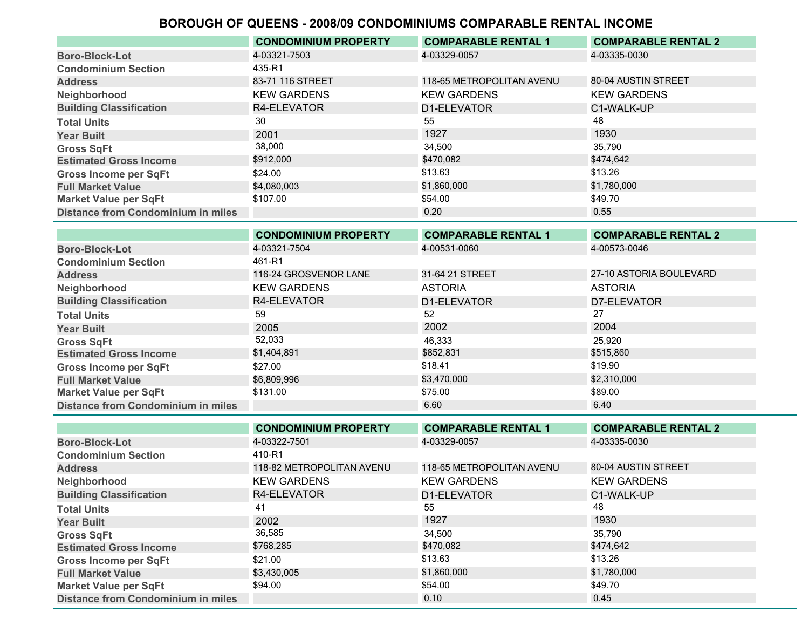|                                           | <b>CONDOMINIUM PROPERTY</b> | <b>COMPARABLE RENTAL 1</b> | <b>COMPARABLE RENTAL 2</b> |
|-------------------------------------------|-----------------------------|----------------------------|----------------------------|
| <b>Boro-Block-Lot</b>                     | 4-03321-7503                | 4-03329-0057               | 4-03335-0030               |
| <b>Condominium Section</b>                | 435-R1                      |                            |                            |
| <b>Address</b>                            | 83-71 116 STREET            | 118-65 METROPOLITAN AVENU  | 80-04 AUSTIN STREET        |
| Neighborhood                              | <b>KEW GARDENS</b>          | <b>KEW GARDENS</b>         | <b>KEW GARDENS</b>         |
| <b>Building Classification</b>            | R4-ELEVATOR                 | D1-ELEVATOR                | C1-WALK-UP                 |
| <b>Total Units</b>                        | 30                          | 55                         | 48                         |
| <b>Year Built</b>                         | 2001                        | 1927                       | 1930                       |
| <b>Gross SqFt</b>                         | 38,000                      | 34,500                     | 35.790                     |
| <b>Estimated Gross Income</b>             | \$912,000                   | \$470.082                  | \$474,642                  |
| <b>Gross Income per SqFt</b>              | \$24.00                     | \$13.63                    | \$13.26                    |
| <b>Full Market Value</b>                  | \$4,080,003                 | \$1,860,000                | \$1,780,000                |
| <b>Market Value per SqFt</b>              | \$107.00                    | \$54.00                    | \$49.70                    |
| <b>Distance from Condominium in miles</b> |                             | 0.20                       | 0.55                       |

|                                           | <b>CONDOMINIUM PROPERTY</b> | <b>COMPARABLE RENTAL 1</b> | <b>COMPARABLE RENTAL 2</b> |
|-------------------------------------------|-----------------------------|----------------------------|----------------------------|
| <b>Boro-Block-Lot</b>                     | 4-03321-7504                | 4-00531-0060               | 4-00573-0046               |
| <b>Condominium Section</b>                | 461-R1                      |                            |                            |
| <b>Address</b>                            | 116-24 GROSVENOR LANE       | 31-64 21 STREET            | 27-10 ASTORIA BOULEVARD    |
| Neighborhood                              | <b>KEW GARDENS</b>          | <b>ASTORIA</b>             | <b>ASTORIA</b>             |
| <b>Building Classification</b>            | R4-ELEVATOR                 | D1-ELEVATOR                | D7-ELEVATOR                |
| <b>Total Units</b>                        | 59                          | 52                         | 27                         |
| <b>Year Built</b>                         | 2005                        | 2002                       | 2004                       |
| <b>Gross SqFt</b>                         | 52,033                      | 46,333                     | 25.920                     |
| <b>Estimated Gross Income</b>             | \$1,404,891                 | \$852,831                  | \$515,860                  |
| <b>Gross Income per SqFt</b>              | \$27.00                     | \$18.41                    | \$19.90                    |
| <b>Full Market Value</b>                  | \$6,809,996                 | \$3,470,000                | \$2,310,000                |
| <b>Market Value per SqFt</b>              | \$131.00                    | \$75.00                    | \$89.00                    |
| <b>Distance from Condominium in miles</b> |                             | 6.60                       | 6.40                       |

|                                           | <b>CONDOMINIUM PROPERTY</b> | <b>COMPARABLE RENTAL 1</b> | <b>COMPARABLE RENTAL 2</b> |
|-------------------------------------------|-----------------------------|----------------------------|----------------------------|
| <b>Boro-Block-Lot</b>                     | 4-03322-7501                | 4-03329-0057               | 4-03335-0030               |
| <b>Condominium Section</b>                | 410-R1                      |                            |                            |
| <b>Address</b>                            | 118-82 METROPOLITAN AVENU   | 118-65 METROPOLITAN AVENU  | 80-04 AUSTIN STREET        |
| Neighborhood                              | <b>KEW GARDENS</b>          | <b>KEW GARDENS</b>         | <b>KEW GARDENS</b>         |
| <b>Building Classification</b>            | R4-ELEVATOR                 | D1-ELEVATOR                | C1-WALK-UP                 |
| <b>Total Units</b>                        | 41                          | 55                         | 48                         |
| <b>Year Built</b>                         | 2002                        | 1927                       | 1930                       |
| <b>Gross SqFt</b>                         | 36,585                      | 34,500                     | 35.790                     |
| <b>Estimated Gross Income</b>             | \$768,285                   | \$470,082                  | \$474,642                  |
| <b>Gross Income per SqFt</b>              | \$21.00                     | \$13.63                    | \$13.26                    |
| <b>Full Market Value</b>                  | \$3,430,005                 | \$1,860,000                | \$1,780,000                |
| <b>Market Value per SqFt</b>              | \$94.00                     | \$54.00                    | \$49.70                    |
| <b>Distance from Condominium in miles</b> |                             | 0.10                       | 0.45                       |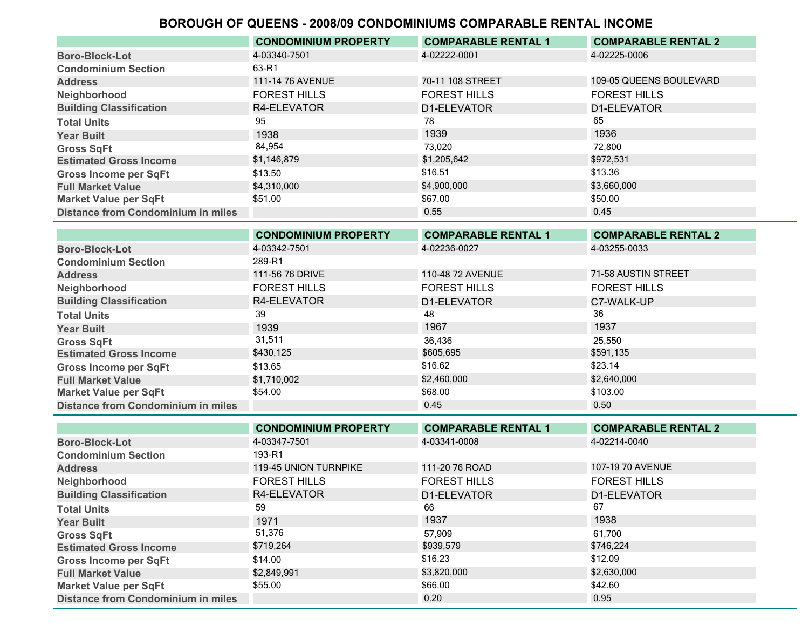|                                    | <b>CONDOMINIUM PROPERTY</b> | <b>COMPARABLE RENTAL 1</b> | <b>COMPARABLE RENTAL 2</b> |
|------------------------------------|-----------------------------|----------------------------|----------------------------|
| <b>Boro-Block-Lot</b>              | 4-03340-7501                | 4-02222-0001               | 4-02225-0006               |
| <b>Condominium Section</b>         | 63-R1                       |                            |                            |
| <b>Address</b>                     | 111-14 76 AVENUE            | 70-11 108 STREET           | 109-05 QUEENS BOULEVARD    |
| Neighborhood                       | <b>FOREST HILLS</b>         | <b>FOREST HILLS</b>        | <b>FOREST HILLS</b>        |
| <b>Building Classification</b>     | R4-ELEVATOR                 | D1-ELEVATOR                | D1-ELEVATOR                |
| <b>Total Units</b>                 | 95                          | 78                         | 65                         |
| <b>Year Built</b>                  | 1938                        | 1939                       | 1936                       |
| <b>Gross SqFt</b>                  | 84,954                      | 73.020                     | 72.800                     |
| <b>Estimated Gross Income</b>      | \$1,146,879                 | \$1,205,642                | \$972,531                  |
| <b>Gross Income per SqFt</b>       | \$13.50                     | \$16.51                    | \$13.36                    |
| <b>Full Market Value</b>           | \$4,310,000                 | \$4,900,000                | \$3,660,000                |
| <b>Market Value per SqFt</b>       | \$51.00                     | \$67.00                    | \$50.00                    |
| Distance from Condominium in miles |                             | 0.55                       | 0.45                       |

|                                           | <b>CONDOMINIUM PROPERTY</b> | <b>COMPARABLE RENTAL 1</b> | <b>COMPARABLE RENTAL 2</b> |
|-------------------------------------------|-----------------------------|----------------------------|----------------------------|
| <b>Boro-Block-Lot</b>                     | 4-03342-7501                | 4-02236-0027               | 4-03255-0033               |
| <b>Condominium Section</b>                | 289-R1                      |                            |                            |
| <b>Address</b>                            | 111-56 76 DRIVE             | 110-48 72 AVENUE           | 71-58 AUSTIN STREET        |
| Neighborhood                              | <b>FOREST HILLS</b>         | <b>FOREST HILLS</b>        | <b>FOREST HILLS</b>        |
| <b>Building Classification</b>            | R4-ELEVATOR                 | D1-ELEVATOR                | C7-WALK-UP                 |
| <b>Total Units</b>                        | 39                          | 48                         | 36                         |
| <b>Year Built</b>                         | 1939                        | 1967                       | 1937                       |
| <b>Gross SqFt</b>                         | 31,511                      | 36,436                     | 25,550                     |
| <b>Estimated Gross Income</b>             | \$430,125                   | \$605,695                  | \$591.135                  |
| <b>Gross Income per SqFt</b>              | \$13.65                     | \$16.62                    | \$23.14                    |
| <b>Full Market Value</b>                  | \$1,710,002                 | \$2,460,000                | \$2,640,000                |
| <b>Market Value per SqFt</b>              | \$54.00                     | \$68.00                    | \$103.00                   |
| <b>Distance from Condominium in miles</b> |                             | 0.45                       | 0.50                       |

|                                           | <b>CONDOMINIUM PROPERTY</b>  | <b>COMPARABLE RENTAL 1</b> | <b>COMPARABLE RENTAL 2</b> |
|-------------------------------------------|------------------------------|----------------------------|----------------------------|
| <b>Boro-Block-Lot</b>                     | 4-03347-7501                 | 4-03341-0008               | 4-02214-0040               |
| <b>Condominium Section</b>                | 193-R1                       |                            |                            |
| <b>Address</b>                            | <b>119-45 UNION TURNPIKE</b> | 111-20 76 ROAD             | 107-19 70 AVENUE           |
| Neighborhood                              | <b>FOREST HILLS</b>          | <b>FOREST HILLS</b>        | <b>FOREST HILLS</b>        |
| <b>Building Classification</b>            | R4-ELEVATOR                  | D1-ELEVATOR                | D1-ELEVATOR                |
| <b>Total Units</b>                        | 59                           | 66                         | 67                         |
| <b>Year Built</b>                         | 1971                         | 1937                       | 1938                       |
| <b>Gross SqFt</b>                         | 51,376                       | 57.909                     | 61.700                     |
| <b>Estimated Gross Income</b>             | \$719,264                    | \$939,579                  | \$746,224                  |
| <b>Gross Income per SqFt</b>              | \$14.00                      | \$16.23                    | \$12.09                    |
| <b>Full Market Value</b>                  | \$2,849,991                  | \$3,820,000                | \$2,630,000                |
| <b>Market Value per SqFt</b>              | \$55.00                      | \$66.00                    | \$42.60                    |
| <b>Distance from Condominium in miles</b> |                              | 0.20                       | 0.95                       |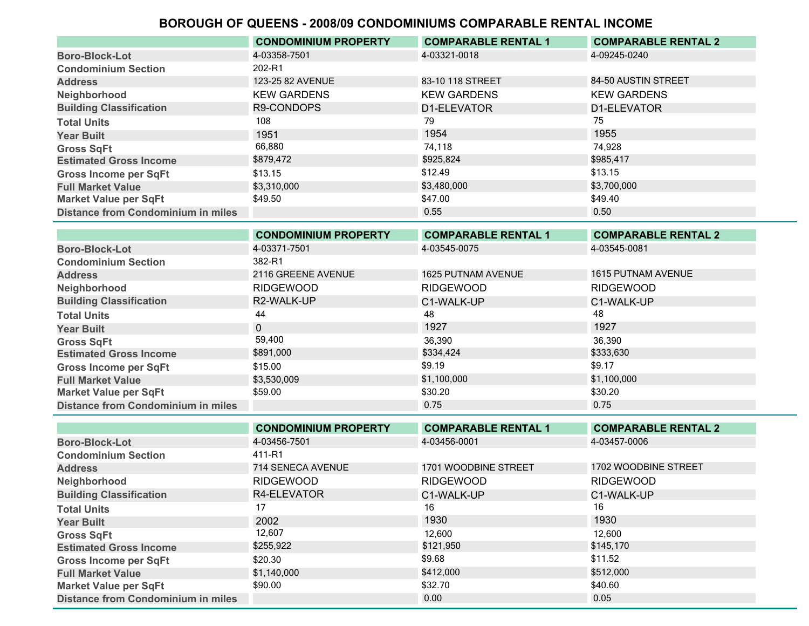|                                           | <b>CONDOMINIUM PROPERTY</b> | <b>COMPARABLE RENTAL 1</b> | <b>COMPARABLE RENTAL 2</b> |
|-------------------------------------------|-----------------------------|----------------------------|----------------------------|
| <b>Boro-Block-Lot</b>                     | 4-03358-7501                | 4-03321-0018               | 4-09245-0240               |
| <b>Condominium Section</b>                | 202-R1                      |                            |                            |
| <b>Address</b>                            | 123-25 82 AVENUE            | 83-10 118 STREET           | 84-50 AUSTIN STREET        |
| Neighborhood                              | <b>KEW GARDENS</b>          | <b>KEW GARDENS</b>         | <b>KEW GARDENS</b>         |
| <b>Building Classification</b>            | R9-CONDOPS                  | D1-ELEVATOR                | D1-ELEVATOR                |
| <b>Total Units</b>                        | 108                         | 79                         | 75                         |
| <b>Year Built</b>                         | 1951                        | 1954                       | 1955                       |
| <b>Gross SqFt</b>                         | 66,880                      | 74.118                     | 74.928                     |
| <b>Estimated Gross Income</b>             | \$879,472                   | \$925,824                  | \$985,417                  |
| <b>Gross Income per SqFt</b>              | \$13.15                     | \$12.49                    | \$13.15                    |
| <b>Full Market Value</b>                  | \$3,310,000                 | \$3,480,000                | \$3,700,000                |
| <b>Market Value per SqFt</b>              | \$49.50                     | \$47.00                    | \$49.40                    |
| <b>Distance from Condominium in miles</b> |                             | 0.55                       | 0.50                       |

|                                           | <b>CONDOMINIUM PROPERTY</b> | <b>COMPARABLE RENTAL 1</b> | <b>COMPARABLE RENTAL 2</b> |
|-------------------------------------------|-----------------------------|----------------------------|----------------------------|
| <b>Boro-Block-Lot</b>                     | 4-03371-7501                | 4-03545-0075               | 4-03545-0081               |
| <b>Condominium Section</b>                | 382-R1                      |                            |                            |
| <b>Address</b>                            | 2116 GREENE AVENUE          | <b>1625 PUTNAM AVENUE</b>  | 1615 PUTNAM AVENUE         |
| Neighborhood                              | <b>RIDGEWOOD</b>            | <b>RIDGEWOOD</b>           | <b>RIDGEWOOD</b>           |
| <b>Building Classification</b>            | R2-WALK-UP                  | C1-WALK-UP                 | C1-WALK-UP                 |
| <b>Total Units</b>                        | 44                          | 48                         | 48                         |
| <b>Year Built</b>                         | $\mathbf{0}$                | 1927                       | 1927                       |
| <b>Gross SqFt</b>                         | 59,400                      | 36,390                     | 36,390                     |
| <b>Estimated Gross Income</b>             | \$891,000                   | \$334,424                  | \$333,630                  |
| <b>Gross Income per SqFt</b>              | \$15.00                     | \$9.19                     | \$9.17                     |
| <b>Full Market Value</b>                  | \$3,530,009                 | \$1,100,000                | \$1,100,000                |
| <b>Market Value per SqFt</b>              | \$59.00                     | \$30.20                    | \$30.20                    |
| <b>Distance from Condominium in miles</b> |                             | 0.75                       | 0.75                       |

|                                           | <b>CONDOMINIUM PROPERTY</b> | <b>COMPARABLE RENTAL 1</b> | <b>COMPARABLE RENTAL 2</b> |
|-------------------------------------------|-----------------------------|----------------------------|----------------------------|
| <b>Boro-Block-Lot</b>                     | 4-03456-7501                | 4-03456-0001               | 4-03457-0006               |
| <b>Condominium Section</b>                | 411-R1                      |                            |                            |
| <b>Address</b>                            | 714 SENECA AVENUE           | 1701 WOODBINE STREET       | 1702 WOODBINE STREET       |
| Neighborhood                              | <b>RIDGEWOOD</b>            | <b>RIDGEWOOD</b>           | <b>RIDGEWOOD</b>           |
| <b>Building Classification</b>            | R4-ELEVATOR                 | C1-WALK-UP                 | C1-WALK-UP                 |
| <b>Total Units</b>                        | 17                          | 16                         | 16                         |
| <b>Year Built</b>                         | 2002                        | 1930                       | 1930                       |
| <b>Gross SqFt</b>                         | 12,607                      | 12,600                     | 12.600                     |
| <b>Estimated Gross Income</b>             | \$255,922                   | \$121,950                  | \$145,170                  |
| <b>Gross Income per SqFt</b>              | \$20.30                     | \$9.68                     | \$11.52                    |
| <b>Full Market Value</b>                  | \$1,140,000                 | \$412,000                  | \$512,000                  |
| <b>Market Value per SqFt</b>              | \$90.00                     | \$32.70                    | \$40.60                    |
| <b>Distance from Condominium in miles</b> |                             | 0.00                       | 0.05                       |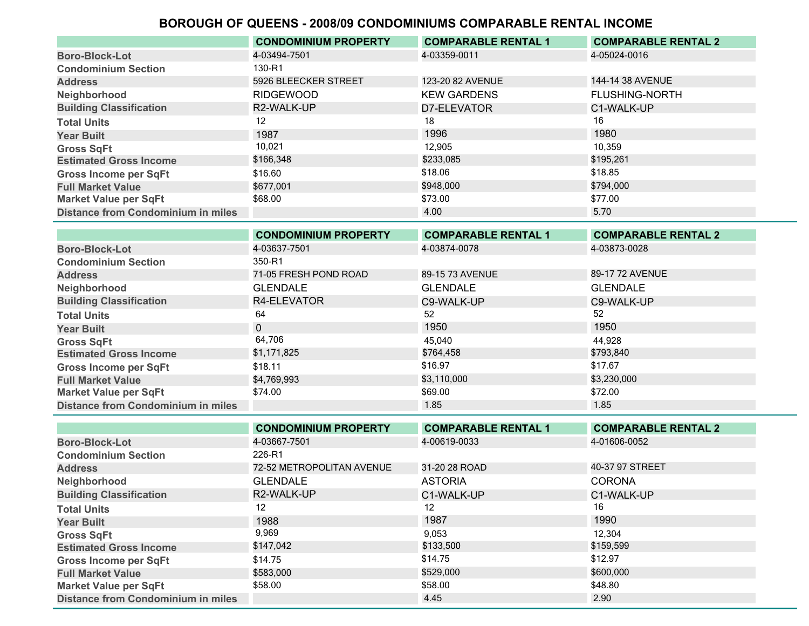|                                           | <b>CONDOMINIUM PROPERTY</b> | <b>COMPARABLE RENTAL 1</b> | <b>COMPARABLE RENTAL 2</b> |
|-------------------------------------------|-----------------------------|----------------------------|----------------------------|
| <b>Boro-Block-Lot</b>                     | 4-03494-7501                | 4-03359-0011               | 4-05024-0016               |
| <b>Condominium Section</b>                | 130-R1                      |                            |                            |
| <b>Address</b>                            | 5926 BLEECKER STREET        | 123-20 82 AVENUE           | 144-14 38 AVENUE           |
| Neighborhood                              | <b>RIDGEWOOD</b>            | <b>KEW GARDENS</b>         | <b>FLUSHING-NORTH</b>      |
| <b>Building Classification</b>            | R2-WALK-UP                  | D7-ELEVATOR                | C1-WALK-UP                 |
| <b>Total Units</b>                        | 12                          | 18                         | 16                         |
| <b>Year Built</b>                         | 1987                        | 1996                       | 1980                       |
| <b>Gross SqFt</b>                         | 10,021                      | 12.905                     | 10,359                     |
| <b>Estimated Gross Income</b>             | \$166,348                   | \$233,085                  | \$195,261                  |
| <b>Gross Income per SqFt</b>              | \$16.60                     | \$18.06                    | \$18.85                    |
| <b>Full Market Value</b>                  | \$677,001                   | \$948,000                  | \$794,000                  |
| <b>Market Value per SqFt</b>              | \$68.00                     | \$73.00                    | \$77.00                    |
| <b>Distance from Condominium in miles</b> |                             | 4.00                       | 5.70                       |

|                                           | <b>CONDOMINIUM PROPERTY</b> | <b>COMPARABLE RENTAL 1</b> | <b>COMPARABLE RENTAL 2</b> |
|-------------------------------------------|-----------------------------|----------------------------|----------------------------|
| <b>Boro-Block-Lot</b>                     | 4-03637-7501                | 4-03874-0078               | 4-03873-0028               |
| <b>Condominium Section</b>                | 350-R1                      |                            |                            |
| <b>Address</b>                            | 71-05 FRESH POND ROAD       | 89-15 73 AVENUE            | 89-17 72 AVENUE            |
| Neighborhood                              | <b>GLENDALE</b>             | <b>GLENDALE</b>            | <b>GLENDALE</b>            |
| <b>Building Classification</b>            | R4-ELEVATOR                 | C9-WALK-UP                 | C9-WALK-UP                 |
| <b>Total Units</b>                        | 64                          | 52                         | 52                         |
| <b>Year Built</b>                         | $\Omega$                    | 1950                       | 1950                       |
| <b>Gross SqFt</b>                         | 64,706                      | 45,040                     | 44,928                     |
| <b>Estimated Gross Income</b>             | \$1,171,825                 | \$764,458                  | \$793,840                  |
| <b>Gross Income per SqFt</b>              | \$18.11                     | \$16.97                    | \$17.67                    |
| <b>Full Market Value</b>                  | \$4,769,993                 | \$3,110,000                | \$3,230,000                |
| <b>Market Value per SqFt</b>              | \$74.00                     | \$69.00                    | \$72.00                    |
| <b>Distance from Condominium in miles</b> |                             | 1.85                       | 1.85                       |

|                                           | <b>CONDOMINIUM PROPERTY</b> | <b>COMPARABLE RENTAL 1</b> | <b>COMPARABLE RENTAL 2</b> |
|-------------------------------------------|-----------------------------|----------------------------|----------------------------|
| <b>Boro-Block-Lot</b>                     | 4-03667-7501                | 4-00619-0033               | 4-01606-0052               |
| <b>Condominium Section</b>                | 226-R1                      |                            |                            |
| <b>Address</b>                            | 72-52 METROPOLITAN AVENUE   | 31-20 28 ROAD              | 40-37 97 STREET            |
| Neighborhood                              | <b>GLENDALE</b>             | <b>ASTORIA</b>             | <b>CORONA</b>              |
| <b>Building Classification</b>            | R2-WALK-UP                  | C1-WALK-UP                 | C1-WALK-UP                 |
| <b>Total Units</b>                        | $12 \overline{ }$           | 12                         | 16                         |
| <b>Year Built</b>                         | 1988                        | 1987                       | 1990                       |
| <b>Gross SqFt</b>                         | 9,969                       | 9,053                      | 12.304                     |
| <b>Estimated Gross Income</b>             | \$147,042                   | \$133,500                  | \$159,599                  |
| <b>Gross Income per SqFt</b>              | \$14.75                     | \$14.75                    | \$12.97                    |
| <b>Full Market Value</b>                  | \$583,000                   | \$529,000                  | \$600,000                  |
| <b>Market Value per SqFt</b>              | \$58.00                     | \$58.00                    | \$48.80                    |
| <b>Distance from Condominium in miles</b> |                             | 4.45                       | 2.90                       |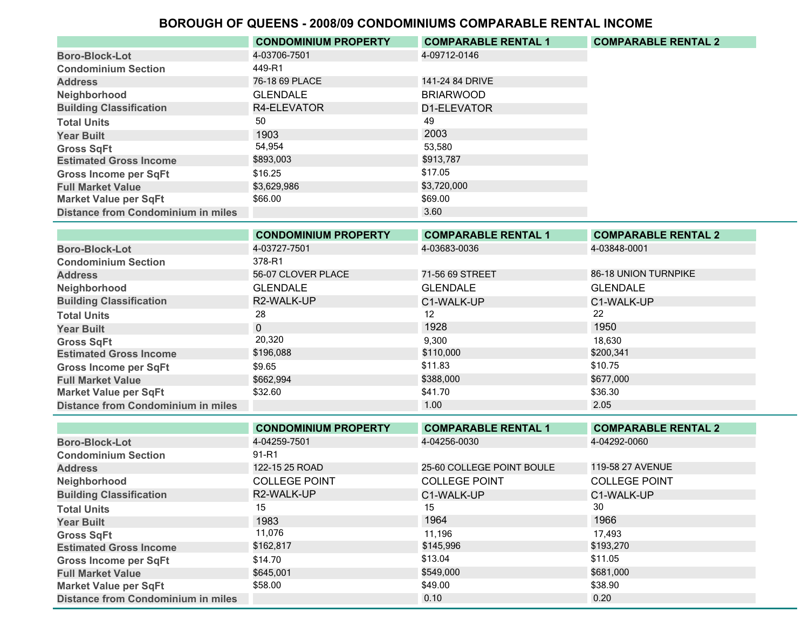|                                           | <b>CONDOMINIUM PROPERTY</b> | <b>COMPARABLE RENTAL 1</b> | <b>COMPARABLE RENTAL 2</b> |
|-------------------------------------------|-----------------------------|----------------------------|----------------------------|
| <b>Boro-Block-Lot</b>                     | 4-03706-7501                | 4-09712-0146               |                            |
| <b>Condominium Section</b>                | 449-R1                      |                            |                            |
| <b>Address</b>                            | 76-18 69 PLACE              | 141-24 84 DRIVE            |                            |
| Neighborhood                              | <b>GLENDALE</b>             | <b>BRIARWOOD</b>           |                            |
| <b>Building Classification</b>            | R4-ELEVATOR                 | D1-ELEVATOR                |                            |
| <b>Total Units</b>                        | 50                          | 49                         |                            |
| <b>Year Built</b>                         | 1903                        | 2003                       |                            |
| <b>Gross SqFt</b>                         | 54,954                      | 53.580                     |                            |
| <b>Estimated Gross Income</b>             | \$893,003                   | \$913,787                  |                            |
| <b>Gross Income per SqFt</b>              | \$16.25                     | \$17.05                    |                            |
| <b>Full Market Value</b>                  | \$3,629,986                 | \$3,720,000                |                            |
| <b>Market Value per SqFt</b>              | \$66.00                     | \$69.00                    |                            |
| <b>Distance from Condominium in miles</b> |                             | 3.60                       |                            |

|                                           | <b>CONDOMINIUM PROPERTY</b> | <b>COMPARABLE RENTAL 1</b> | <b>COMPARABLE RENTAL 2</b> |
|-------------------------------------------|-----------------------------|----------------------------|----------------------------|
| <b>Boro-Block-Lot</b>                     | 4-03727-7501                | 4-03683-0036               | 4-03848-0001               |
| <b>Condominium Section</b>                | 378-R1                      |                            |                            |
| <b>Address</b>                            | 56-07 CLOVER PLACE          | 71-56 69 STREET            | 86-18 UNION TURNPIKE       |
| Neighborhood                              | <b>GLENDALE</b>             | <b>GLENDALE</b>            | <b>GLENDALE</b>            |
| <b>Building Classification</b>            | R2-WALK-UP                  | C1-WALK-UP                 | C1-WALK-UP                 |
| <b>Total Units</b>                        | 28                          | 12                         | 22                         |
| <b>Year Built</b>                         | $\Omega$                    | 1928                       | 1950                       |
| <b>Gross SqFt</b>                         | 20,320                      | 9,300                      | 18,630                     |
| <b>Estimated Gross Income</b>             | \$196,088                   | \$110,000                  | \$200,341                  |
| <b>Gross Income per SqFt</b>              | \$9.65                      | \$11.83                    | \$10.75                    |
| <b>Full Market Value</b>                  | \$662,994                   | \$388,000                  | \$677,000                  |
| <b>Market Value per SqFt</b>              | \$32.60                     | \$41.70                    | \$36.30                    |
| <b>Distance from Condominium in miles</b> |                             | 1.00                       | 2.05                       |

|                                           | <b>CONDOMINIUM PROPERTY</b> | <b>COMPARABLE RENTAL 1</b> | <b>COMPARABLE RENTAL 2</b> |
|-------------------------------------------|-----------------------------|----------------------------|----------------------------|
| <b>Boro-Block-Lot</b>                     | 4-04259-7501                | 4-04256-0030               | 4-04292-0060               |
| <b>Condominium Section</b>                | 91-R1                       |                            |                            |
| <b>Address</b>                            | 122-15 25 ROAD              | 25-60 COLLEGE POINT BOULE  | 119-58 27 AVENUE           |
| Neighborhood                              | <b>COLLEGE POINT</b>        | <b>COLLEGE POINT</b>       | <b>COLLEGE POINT</b>       |
| <b>Building Classification</b>            | R2-WALK-UP                  | C1-WALK-UP                 | C1-WALK-UP                 |
| <b>Total Units</b>                        | 15                          | 15                         | 30                         |
| <b>Year Built</b>                         | 1983                        | 1964                       | 1966                       |
| <b>Gross SqFt</b>                         | 11,076                      | 11.196                     | 17.493                     |
| <b>Estimated Gross Income</b>             | \$162,817                   | \$145,996                  | \$193,270                  |
| <b>Gross Income per SqFt</b>              | \$14.70                     | \$13.04                    | \$11.05                    |
| <b>Full Market Value</b>                  | \$645,001                   | \$549,000                  | \$681,000                  |
| <b>Market Value per SqFt</b>              | \$58.00                     | \$49.00                    | \$38.90                    |
| <b>Distance from Condominium in miles</b> |                             | 0.10                       | 0.20                       |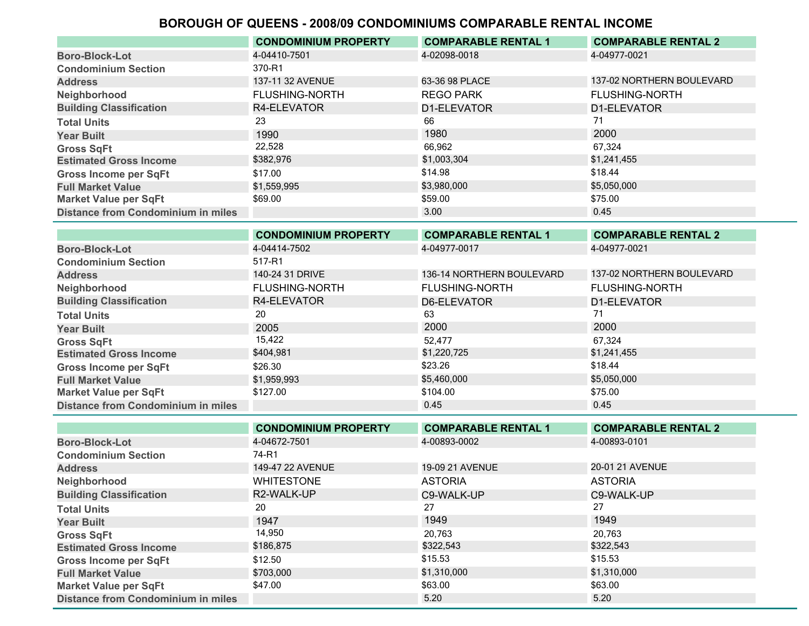|                                           | <b>CONDOMINIUM PROPERTY</b> | <b>COMPARABLE RENTAL 1</b> | <b>COMPARABLE RENTAL 2</b> |
|-------------------------------------------|-----------------------------|----------------------------|----------------------------|
| <b>Boro-Block-Lot</b>                     | 4-04410-7501                | 4-02098-0018               | 4-04977-0021               |
| <b>Condominium Section</b>                | 370-R1                      |                            |                            |
| <b>Address</b>                            | 137-11 32 AVENUE            | 63-36 98 PLACE             | 137-02 NORTHERN BOULEVARD  |
| Neighborhood                              | <b>FLUSHING-NORTH</b>       | <b>REGO PARK</b>           | <b>FLUSHING-NORTH</b>      |
| <b>Building Classification</b>            | R4-ELEVATOR                 | D1-ELEVATOR                | D1-ELEVATOR                |
| <b>Total Units</b>                        | 23                          | 66                         | 71                         |
| <b>Year Built</b>                         | 1990                        | 1980                       | 2000                       |
| <b>Gross SqFt</b>                         | 22,528                      | 66.962                     | 67.324                     |
| <b>Estimated Gross Income</b>             | \$382,976                   | \$1,003,304                | \$1,241,455                |
| <b>Gross Income per SqFt</b>              | \$17.00                     | \$14.98                    | \$18.44                    |
| <b>Full Market Value</b>                  | \$1,559,995                 | \$3,980,000                | \$5,050,000                |
| <b>Market Value per SqFt</b>              | \$69.00                     | \$59.00                    | \$75.00                    |
| <b>Distance from Condominium in miles</b> |                             | 3.00                       | 0.45                       |

|                                           | <b>CONDOMINIUM PROPERTY</b> | <b>COMPARABLE RENTAL 1</b> | <b>COMPARABLE RENTAL 2</b> |
|-------------------------------------------|-----------------------------|----------------------------|----------------------------|
| <b>Boro-Block-Lot</b>                     | 4-04414-7502                | 4-04977-0017               | 4-04977-0021               |
| <b>Condominium Section</b>                | 517-R1                      |                            |                            |
| <b>Address</b>                            | 140-24 31 DRIVE             | 136-14 NORTHERN BOULEVARD  | 137-02 NORTHERN BOULEVARD  |
| Neighborhood                              | <b>FLUSHING-NORTH</b>       | <b>FLUSHING-NORTH</b>      | <b>FLUSHING-NORTH</b>      |
| <b>Building Classification</b>            | R4-ELEVATOR                 | D6-ELEVATOR                | D1-ELEVATOR                |
| <b>Total Units</b>                        | 20                          | 63                         | 71                         |
| <b>Year Built</b>                         | 2005                        | 2000                       | 2000                       |
| <b>Gross SqFt</b>                         | 15,422                      | 52.477                     | 67,324                     |
| <b>Estimated Gross Income</b>             | \$404.981                   | \$1,220,725                | \$1,241,455                |
| <b>Gross Income per SqFt</b>              | \$26.30                     | \$23.26                    | \$18.44                    |
| <b>Full Market Value</b>                  | \$1,959,993                 | \$5,460,000                | \$5,050,000                |
| <b>Market Value per SqFt</b>              | \$127.00                    | \$104.00                   | \$75.00                    |
| <b>Distance from Condominium in miles</b> |                             | 0.45                       | 0.45                       |

|                                           | <b>CONDOMINIUM PROPERTY</b> | <b>COMPARABLE RENTAL 1</b> | <b>COMPARABLE RENTAL 2</b> |
|-------------------------------------------|-----------------------------|----------------------------|----------------------------|
| <b>Boro-Block-Lot</b>                     | 4-04672-7501                | 4-00893-0002               | 4-00893-0101               |
| <b>Condominium Section</b>                | 74-R1                       |                            |                            |
| <b>Address</b>                            | 149-47 22 AVENUE            | 19-09 21 AVENUE            | 20-01 21 AVENUE            |
| Neighborhood                              | <b>WHITESTONE</b>           | <b>ASTORIA</b>             | <b>ASTORIA</b>             |
| <b>Building Classification</b>            | R2-WALK-UP                  | C9-WALK-UP                 | C9-WALK-UP                 |
| <b>Total Units</b>                        | 20                          | 27                         | 27                         |
| <b>Year Built</b>                         | 1947                        | 1949                       | 1949                       |
| <b>Gross SqFt</b>                         | 14,950                      | 20.763                     | 20.763                     |
| <b>Estimated Gross Income</b>             | \$186,875                   | \$322,543                  | \$322,543                  |
| <b>Gross Income per SqFt</b>              | \$12.50                     | \$15.53                    | \$15.53                    |
| <b>Full Market Value</b>                  | \$703,000                   | \$1,310,000                | \$1,310,000                |
| <b>Market Value per SqFt</b>              | \$47.00                     | \$63.00                    | \$63.00                    |
| <b>Distance from Condominium in miles</b> |                             | 5.20                       | 5.20                       |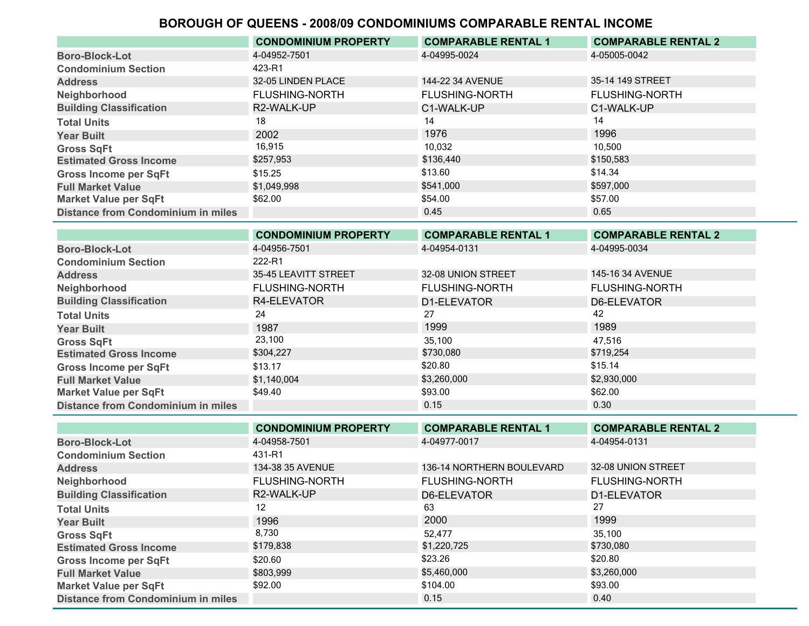|                                           | <b>CONDOMINIUM PROPERTY</b> | <b>COMPARABLE RENTAL 1</b> | <b>COMPARABLE RENTAL 2</b> |
|-------------------------------------------|-----------------------------|----------------------------|----------------------------|
| <b>Boro-Block-Lot</b>                     | 4-04952-7501                | 4-04995-0024               | 4-05005-0042               |
| <b>Condominium Section</b>                | 423-R1                      |                            |                            |
| <b>Address</b>                            | 32-05 LINDEN PLACE          | 144-22 34 AVENUE           | 35-14 149 STREET           |
| Neighborhood                              | <b>FLUSHING-NORTH</b>       | <b>FLUSHING-NORTH</b>      | <b>FLUSHING-NORTH</b>      |
| <b>Building Classification</b>            | R2-WALK-UP                  | C1-WALK-UP                 | C1-WALK-UP                 |
| <b>Total Units</b>                        | 18                          | 14                         | 14                         |
| <b>Year Built</b>                         | 2002                        | 1976                       | 1996                       |
| <b>Gross SqFt</b>                         | 16,915                      | 10.032                     | 10.500                     |
| <b>Estimated Gross Income</b>             | \$257,953                   | \$136,440                  | \$150,583                  |
| <b>Gross Income per SqFt</b>              | \$15.25                     | \$13.60                    | \$14.34                    |
| <b>Full Market Value</b>                  | \$1,049,998                 | \$541,000                  | \$597,000                  |
| <b>Market Value per SqFt</b>              | \$62.00                     | \$54.00                    | \$57.00                    |
| <b>Distance from Condominium in miles</b> |                             | 0.45                       | 0.65                       |

| <b>COMPARABLE RENTAL 2</b> |
|----------------------------|
|                            |
|                            |
|                            |
|                            |
|                            |
|                            |
|                            |
|                            |
|                            |
|                            |
|                            |
|                            |
|                            |
|                            |

|                                           | <b>CONDOMINIUM PROPERTY</b> | <b>COMPARABLE RENTAL 1</b> | <b>COMPARABLE RENTAL 2</b> |
|-------------------------------------------|-----------------------------|----------------------------|----------------------------|
| <b>Boro-Block-Lot</b>                     | 4-04958-7501                | 4-04977-0017               | 4-04954-0131               |
| <b>Condominium Section</b>                | 431-R1                      |                            |                            |
| <b>Address</b>                            | 134-38 35 AVENUE            | 136-14 NORTHERN BOULEVARD  | 32-08 UNION STREET         |
| Neighborhood                              | <b>FLUSHING-NORTH</b>       | <b>FLUSHING-NORTH</b>      | <b>FLUSHING-NORTH</b>      |
| <b>Building Classification</b>            | R2-WALK-UP                  | D6-ELEVATOR                | D1-ELEVATOR                |
| <b>Total Units</b>                        | 12                          | 63                         | 27                         |
| <b>Year Built</b>                         | 1996                        | 2000                       | 1999                       |
| <b>Gross SqFt</b>                         | 8,730                       | 52.477                     | 35.100                     |
| <b>Estimated Gross Income</b>             | \$179,838                   | \$1,220,725                | \$730,080                  |
| <b>Gross Income per SqFt</b>              | \$20.60                     | \$23.26                    | \$20.80                    |
| <b>Full Market Value</b>                  | \$803,999                   | \$5,460,000                | \$3,260,000                |
| <b>Market Value per SqFt</b>              | \$92.00                     | \$104.00                   | \$93.00                    |
| <b>Distance from Condominium in miles</b> |                             | 0.15                       | 0.40                       |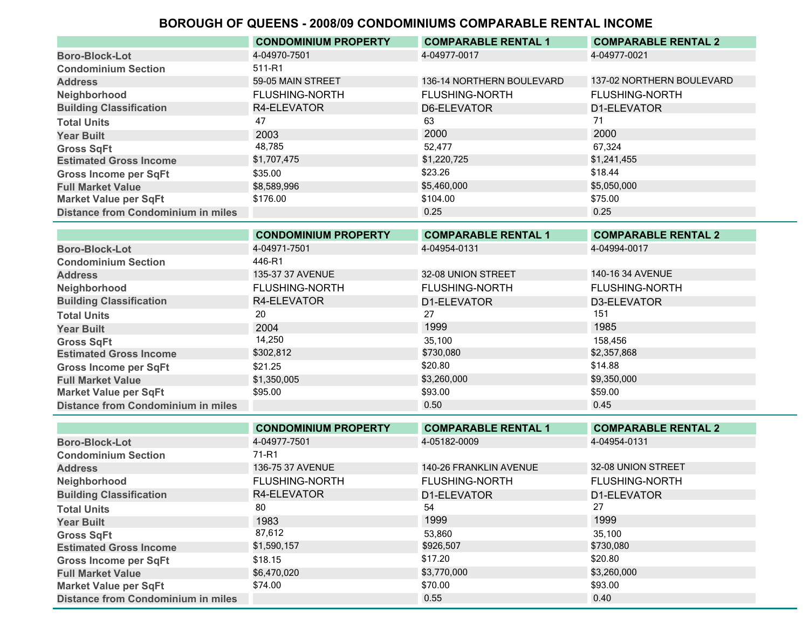|                                           | <b>CONDOMINIUM PROPERTY</b> | <b>COMPARABLE RENTAL 1</b> | <b>COMPARABLE RENTAL 2</b> |
|-------------------------------------------|-----------------------------|----------------------------|----------------------------|
| <b>Boro-Block-Lot</b>                     | 4-04970-7501                | 4-04977-0017               | 4-04977-0021               |
| <b>Condominium Section</b>                | 511-R1                      |                            |                            |
| <b>Address</b>                            | 59-05 MAIN STREET           | 136-14 NORTHERN BOULEVARD  | 137-02 NORTHERN BOULEVARD  |
| Neighborhood                              | <b>FLUSHING-NORTH</b>       | <b>FLUSHING-NORTH</b>      | <b>FLUSHING-NORTH</b>      |
| <b>Building Classification</b>            | R4-ELEVATOR                 | D6-ELEVATOR                | D1-FLEVATOR                |
| <b>Total Units</b>                        | 47                          | 63                         | 71                         |
| <b>Year Built</b>                         | 2003                        | 2000                       | 2000                       |
| <b>Gross SqFt</b>                         | 48,785                      | 52.477                     | 67.324                     |
| <b>Estimated Gross Income</b>             | \$1,707,475                 | \$1,220,725                | \$1,241,455                |
| <b>Gross Income per SqFt</b>              | \$35.00                     | \$23.26                    | \$18.44                    |
| <b>Full Market Value</b>                  | \$8,589,996                 | \$5,460,000                | \$5,050,000                |
| <b>Market Value per SqFt</b>              | \$176.00                    | \$104.00                   | \$75.00                    |
| <b>Distance from Condominium in miles</b> |                             | 0.25                       | 0.25                       |
|                                           |                             |                            |                            |

|                                           | <b>CONDOMINIUM PROPERTY</b> | <b>COMPARABLE RENTAL 1</b> | <b>COMPARABLE RENTAL 2</b> |
|-------------------------------------------|-----------------------------|----------------------------|----------------------------|
| <b>Boro-Block-Lot</b>                     | 4-04971-7501                | 4-04954-0131               | 4-04994-0017               |
| <b>Condominium Section</b>                | 446-R1                      |                            |                            |
| <b>Address</b>                            | 135-37 37 AVENUE            | 32-08 UNION STREET         | 140-16 34 AVENUE           |
| Neighborhood                              | <b>FLUSHING-NORTH</b>       | <b>FLUSHING-NORTH</b>      | <b>FLUSHING-NORTH</b>      |
| <b>Building Classification</b>            | R4-ELEVATOR                 | D1-ELEVATOR                | D3-ELEVATOR                |
| <b>Total Units</b>                        | 20                          | 27                         | 151                        |
| <b>Year Built</b>                         | 2004                        | 1999                       | 1985                       |
| <b>Gross SqFt</b>                         | 14,250                      | 35.100                     | 158.456                    |
| <b>Estimated Gross Income</b>             | \$302,812                   | \$730,080                  | \$2,357,868                |
| <b>Gross Income per SqFt</b>              | \$21.25                     | \$20.80                    | \$14.88                    |
| <b>Full Market Value</b>                  | \$1,350,005                 | \$3,260,000                | \$9,350,000                |
| <b>Market Value per SqFt</b>              | \$95.00                     | \$93.00                    | \$59.00                    |
| <b>Distance from Condominium in miles</b> |                             | 0.50                       | 0.45                       |
|                                           |                             |                            |                            |

|                                           | <b>CONDOMINIUM PROPERTY</b> | <b>COMPARABLE RENTAL 1</b> | <b>COMPARABLE RENTAL 2</b> |
|-------------------------------------------|-----------------------------|----------------------------|----------------------------|
| <b>Boro-Block-Lot</b>                     | 4-04977-7501                | 4-05182-0009               | 4-04954-0131               |
| <b>Condominium Section</b>                | 71-R1                       |                            |                            |
| <b>Address</b>                            | 136-75 37 AVENUE            | 140-26 FRANKLIN AVENUE     | 32-08 UNION STREET         |
| Neighborhood                              | <b>FLUSHING-NORTH</b>       | <b>FLUSHING-NORTH</b>      | <b>FLUSHING-NORTH</b>      |
| <b>Building Classification</b>            | R4-ELEVATOR                 | D1-ELEVATOR                | D1-ELEVATOR                |
| <b>Total Units</b>                        | 80                          | 54                         | 27                         |
| <b>Year Built</b>                         | 1983                        | 1999                       | 1999                       |
| <b>Gross SqFt</b>                         | 87,612                      | 53,860                     | 35.100                     |
| <b>Estimated Gross Income</b>             | \$1,590,157                 | \$926,507                  | \$730,080                  |
| <b>Gross Income per SqFt</b>              | \$18.15                     | \$17.20                    | \$20.80                    |
| <b>Full Market Value</b>                  | \$6,470,020                 | \$3,770,000                | \$3,260,000                |
| <b>Market Value per SqFt</b>              | \$74.00                     | \$70.00                    | \$93.00                    |
| <b>Distance from Condominium in miles</b> |                             | 0.55                       | 0.40                       |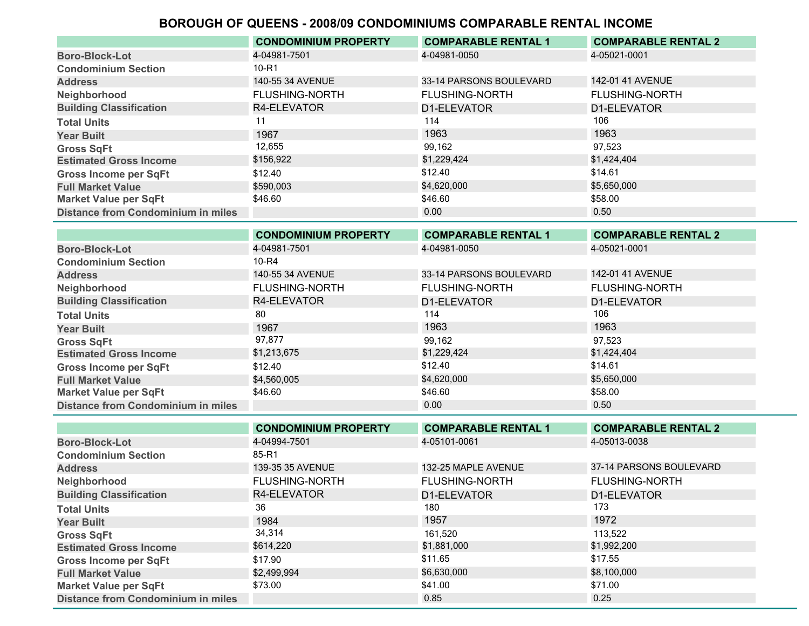|                                           | <b>CONDOMINIUM PROPERTY</b> | <b>COMPARABLE RENTAL 1</b> | <b>COMPARABLE RENTAL 2</b> |
|-------------------------------------------|-----------------------------|----------------------------|----------------------------|
| <b>Boro-Block-Lot</b>                     | 4-04981-7501                | 4-04981-0050               | 4-05021-0001               |
| <b>Condominium Section</b>                | $10 - R1$                   |                            |                            |
| <b>Address</b>                            | 140-55 34 AVENUE            | 33-14 PARSONS BOULEVARD    | 142-01 41 AVENUE           |
| Neighborhood                              | <b>FLUSHING-NORTH</b>       | <b>FLUSHING-NORTH</b>      | <b>FLUSHING-NORTH</b>      |
| <b>Building Classification</b>            | R4-ELEVATOR                 | D1-ELEVATOR                | D1-ELEVATOR                |
| <b>Total Units</b>                        |                             | 114                        | 106                        |
| <b>Year Built</b>                         | 1967                        | 1963                       | 1963                       |
| <b>Gross SqFt</b>                         | 12,655                      | 99,162                     | 97.523                     |
| <b>Estimated Gross Income</b>             | \$156,922                   | \$1,229,424                | \$1,424,404                |
| <b>Gross Income per SqFt</b>              | \$12.40                     | \$12.40                    | \$14.61                    |
| <b>Full Market Value</b>                  | \$590,003                   | \$4,620,000                | \$5,650,000                |
| <b>Market Value per SqFt</b>              | \$46.60                     | \$46.60                    | \$58.00                    |
| <b>Distance from Condominium in miles</b> |                             | 0.00                       | 0.50                       |
|                                           |                             |                            |                            |

|                                           | <b>CONDOMINIUM PROPERTY</b> | <b>COMPARABLE RENTAL 1</b> | <b>COMPARABLE RENTAL 2</b> |
|-------------------------------------------|-----------------------------|----------------------------|----------------------------|
| <b>Boro-Block-Lot</b>                     | 4-04981-7501                | 4-04981-0050               | 4-05021-0001               |
| <b>Condominium Section</b>                | 10-R4                       |                            |                            |
| <b>Address</b>                            | 140-55 34 AVENUE            | 33-14 PARSONS BOULEVARD    | 142-01 41 AVENUE           |
| Neighborhood                              | <b>FLUSHING-NORTH</b>       | <b>FLUSHING-NORTH</b>      | <b>FLUSHING-NORTH</b>      |
| <b>Building Classification</b>            | R4-ELEVATOR                 | D1-ELEVATOR                | D1-ELEVATOR                |
| <b>Total Units</b>                        | 80                          | 114                        | 106                        |
| <b>Year Built</b>                         | 1967                        | 1963                       | 1963                       |
| <b>Gross SqFt</b>                         | 97,877                      | 99,162                     | 97.523                     |
| <b>Estimated Gross Income</b>             | \$1,213,675                 | \$1,229,424                | \$1,424,404                |
| <b>Gross Income per SqFt</b>              | \$12.40                     | \$12.40                    | \$14.61                    |
| <b>Full Market Value</b>                  | \$4,560,005                 | \$4,620,000                | \$5,650,000                |
| <b>Market Value per SqFt</b>              | \$46.60                     | \$46.60                    | \$58.00                    |
| <b>Distance from Condominium in miles</b> |                             | 0.00                       | 0.50                       |

|                                           | <b>CONDOMINIUM PROPERTY</b> | <b>COMPARABLE RENTAL 1</b> | <b>COMPARABLE RENTAL 2</b> |
|-------------------------------------------|-----------------------------|----------------------------|----------------------------|
| <b>Boro-Block-Lot</b>                     | 4-04994-7501                | 4-05101-0061               | 4-05013-0038               |
| <b>Condominium Section</b>                | 85-R1                       |                            |                            |
| <b>Address</b>                            | 139-35 35 AVENUE            | 132-25 MAPLE AVENUE        | 37-14 PARSONS BOULEVARD    |
| Neighborhood                              | <b>FLUSHING-NORTH</b>       | <b>FLUSHING-NORTH</b>      | <b>FLUSHING-NORTH</b>      |
| <b>Building Classification</b>            | R4-ELEVATOR                 | D1-ELEVATOR                | D1-ELEVATOR                |
| <b>Total Units</b>                        | 36                          | 180                        | 173                        |
| <b>Year Built</b>                         | 1984                        | 1957                       | 1972                       |
| <b>Gross SqFt</b>                         | 34,314                      | 161.520                    | 113.522                    |
| <b>Estimated Gross Income</b>             | \$614,220                   | \$1,881,000                | \$1,992,200                |
| <b>Gross Income per SqFt</b>              | \$17.90                     | \$11.65                    | \$17.55                    |
| <b>Full Market Value</b>                  | \$2,499,994                 | \$6,630,000                | \$8,100,000                |
| Market Value per SqFt                     | \$73.00                     | \$41.00                    | \$71.00                    |
| <b>Distance from Condominium in miles</b> |                             | 0.85                       | 0.25                       |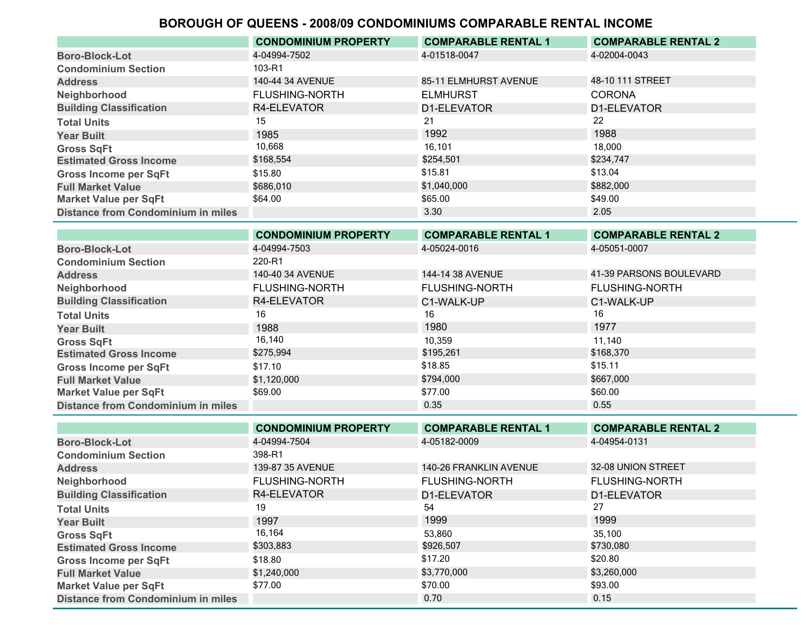|                                           | <b>CONDOMINIUM PROPERTY</b> | <b>COMPARABLE RENTAL 1</b> | <b>COMPARABLE RENTAL 2</b> |
|-------------------------------------------|-----------------------------|----------------------------|----------------------------|
| <b>Boro-Block-Lot</b>                     | 4-04994-7502                | 4-01518-0047               | 4-02004-0043               |
| <b>Condominium Section</b>                | 103-R1                      |                            |                            |
| <b>Address</b>                            | 140-44 34 AVENUE            | 85-11 ELMHURST AVENUE      | 48-10 111 STREET           |
| Neighborhood                              | <b>FLUSHING-NORTH</b>       | <b>ELMHURST</b>            | <b>CORONA</b>              |
| <b>Building Classification</b>            | R4-ELEVATOR                 | D1-ELEVATOR                | D1-ELEVATOR                |
| <b>Total Units</b>                        | 15                          | 21                         | 22                         |
| <b>Year Built</b>                         | 1985                        | 1992                       | 1988                       |
| <b>Gross SqFt</b>                         | 10,668                      | 16.101                     | 18.000                     |
| <b>Estimated Gross Income</b>             | \$168,554                   | \$254,501                  | \$234,747                  |
| <b>Gross Income per SqFt</b>              | \$15.80                     | \$15.81                    | \$13.04                    |
| <b>Full Market Value</b>                  | \$686,010                   | \$1,040,000                | \$882,000                  |
| Market Value per SqFt                     | \$64.00                     | \$65.00                    | \$49.00                    |
| <b>Distance from Condominium in miles</b> |                             | 3.30                       | 2.05                       |

|                                           | <b>CONDOMINIUM PROPERTY</b> | <b>COMPARABLE RENTAL 1</b> | <b>COMPARABLE RENTAL 2</b> |
|-------------------------------------------|-----------------------------|----------------------------|----------------------------|
| <b>Boro-Block-Lot</b>                     | 4-04994-7503                | 4-05024-0016               | 4-05051-0007               |
| <b>Condominium Section</b>                | 220-R1                      |                            |                            |
| <b>Address</b>                            | 140-40 34 AVENUE            | 144-14 38 AVENUE           | 41-39 PARSONS BOULEVARD    |
| Neighborhood                              | <b>FLUSHING-NORTH</b>       | <b>FLUSHING-NORTH</b>      | <b>FLUSHING-NORTH</b>      |
| <b>Building Classification</b>            | R4-ELEVATOR                 | C1-WALK-UP                 | C1-WALK-UP                 |
| <b>Total Units</b>                        | 16                          | 16                         | 16                         |
| <b>Year Built</b>                         | 1988                        | 1980                       | 1977                       |
| <b>Gross SqFt</b>                         | 16,140                      | 10,359                     | 11.140                     |
| <b>Estimated Gross Income</b>             | \$275,994                   | \$195,261                  | \$168,370                  |
| <b>Gross Income per SqFt</b>              | \$17.10                     | \$18.85                    | \$15.11                    |
| <b>Full Market Value</b>                  | \$1,120,000                 | \$794,000                  | \$667,000                  |
| <b>Market Value per SqFt</b>              | \$69.00                     | \$77.00                    | \$60.00                    |
| <b>Distance from Condominium in miles</b> |                             | 0.35                       | 0.55                       |

|                                           | <b>CONDOMINIUM PROPERTY</b> | <b>COMPARABLE RENTAL 1</b> | <b>COMPARABLE RENTAL 2</b> |
|-------------------------------------------|-----------------------------|----------------------------|----------------------------|
| <b>Boro-Block-Lot</b>                     | 4-04994-7504                | 4-05182-0009               | 4-04954-0131               |
| <b>Condominium Section</b>                | 398-R1                      |                            |                            |
| <b>Address</b>                            | 139-87 35 AVENUE            | 140-26 FRANKLIN AVENUE     | 32-08 UNION STREET         |
| Neighborhood                              | <b>FLUSHING-NORTH</b>       | <b>FLUSHING-NORTH</b>      | <b>FLUSHING-NORTH</b>      |
| <b>Building Classification</b>            | R4-ELEVATOR                 | D1-ELEVATOR                | D1-ELEVATOR                |
| <b>Total Units</b>                        | 19                          | 54                         | 27                         |
| <b>Year Built</b>                         | 1997                        | 1999                       | 1999                       |
| <b>Gross SqFt</b>                         | 16,164                      | 53.860                     | 35.100                     |
| <b>Estimated Gross Income</b>             | \$303,883                   | \$926,507                  | \$730,080                  |
| <b>Gross Income per SqFt</b>              | \$18.80                     | \$17.20                    | \$20.80                    |
| <b>Full Market Value</b>                  | \$1,240,000                 | \$3,770,000                | \$3,260,000                |
| <b>Market Value per SqFt</b>              | \$77.00                     | \$70.00                    | \$93.00                    |
| <b>Distance from Condominium in miles</b> |                             | 0.70                       | 0.15                       |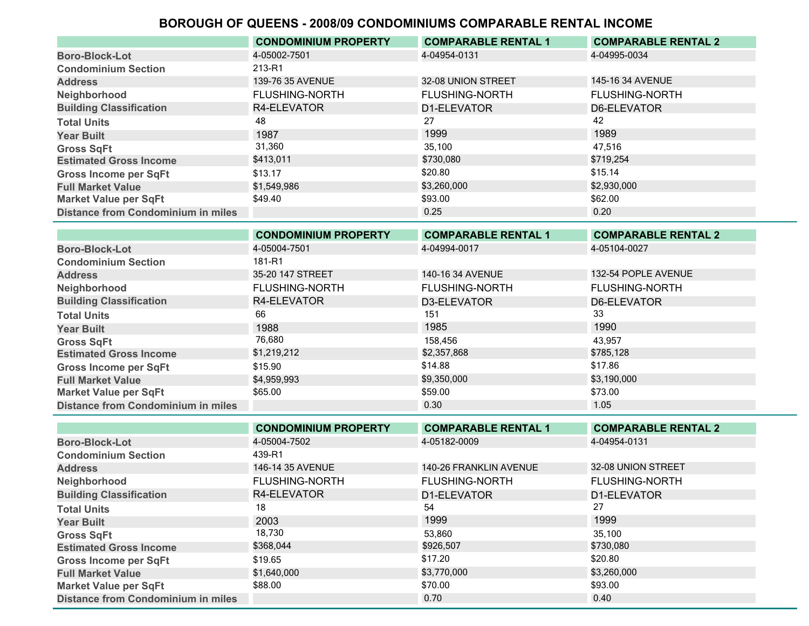|                                           | <b>CONDOMINIUM PROPERTY</b> | <b>COMPARABLE RENTAL 1</b> | <b>COMPARABLE RENTAL 2</b> |
|-------------------------------------------|-----------------------------|----------------------------|----------------------------|
| <b>Boro-Block-Lot</b>                     | 4-05002-7501                | 4-04954-0131               | 4-04995-0034               |
| <b>Condominium Section</b>                | 213-R1                      |                            |                            |
| <b>Address</b>                            | 139-76 35 AVENUE            | 32-08 UNION STREET         | 145-16 34 AVENUE           |
| Neighborhood                              | <b>FLUSHING-NORTH</b>       | <b>FLUSHING-NORTH</b>      | <b>FLUSHING-NORTH</b>      |
| <b>Building Classification</b>            | R4-ELEVATOR                 | D1-ELEVATOR                | <b>D6-ELEVATOR</b>         |
| <b>Total Units</b>                        | 48                          | 27                         | 42                         |
| <b>Year Built</b>                         | 1987                        | 1999                       | 1989                       |
| <b>Gross SqFt</b>                         | 31,360                      | 35,100                     | 47.516                     |
| <b>Estimated Gross Income</b>             | \$413,011                   | \$730,080                  | \$719,254                  |
| <b>Gross Income per SqFt</b>              | \$13.17                     | \$20.80                    | \$15.14                    |
| <b>Full Market Value</b>                  | \$1,549,986                 | \$3,260,000                | \$2,930,000                |
| <b>Market Value per SqFt</b>              | \$49.40                     | \$93.00                    | \$62.00                    |
| <b>Distance from Condominium in miles</b> |                             | 0.25                       | 0.20                       |

|                                           | <b>CONDOMINIUM PROPERTY</b> | <b>COMPARABLE RENTAL 1</b> | <b>COMPARABLE RENTAL 2</b> |
|-------------------------------------------|-----------------------------|----------------------------|----------------------------|
| <b>Boro-Block-Lot</b>                     | 4-05004-7501                | 4-04994-0017               | 4-05104-0027               |
| <b>Condominium Section</b>                | 181-R1                      |                            |                            |
| <b>Address</b>                            | 35-20 147 STREET            | 140-16 34 AVENUE           | 132-54 POPLE AVENUE        |
| Neighborhood                              | <b>FLUSHING-NORTH</b>       | <b>FLUSHING-NORTH</b>      | <b>FLUSHING-NORTH</b>      |
| <b>Building Classification</b>            | R4-ELEVATOR                 | D3-ELEVATOR                | D6-ELEVATOR                |
| <b>Total Units</b>                        | 66                          | 151                        | 33                         |
| <b>Year Built</b>                         | 1988                        | 1985                       | 1990                       |
| <b>Gross SqFt</b>                         | 76,680                      | 158.456                    | 43.957                     |
| <b>Estimated Gross Income</b>             | \$1,219,212                 | \$2,357,868                | \$785,128                  |
| <b>Gross Income per SqFt</b>              | \$15.90                     | \$14.88                    | \$17.86                    |
| <b>Full Market Value</b>                  | \$4,959,993                 | \$9,350,000                | \$3,190,000                |
| <b>Market Value per SqFt</b>              | \$65.00                     | \$59.00                    | \$73.00                    |
| <b>Distance from Condominium in miles</b> |                             | 0.30                       | 1.05                       |

|                                           | <b>CONDOMINIUM PROPERTY</b> | <b>COMPARABLE RENTAL 1</b> | <b>COMPARABLE RENTAL 2</b> |
|-------------------------------------------|-----------------------------|----------------------------|----------------------------|
| <b>Boro-Block-Lot</b>                     | 4-05004-7502                | 4-05182-0009               | 4-04954-0131               |
| <b>Condominium Section</b>                | 439-R1                      |                            |                            |
| <b>Address</b>                            | 146-14 35 AVENUE            | 140-26 FRANKLIN AVENUE     | 32-08 UNION STREET         |
| Neighborhood                              | <b>FLUSHING-NORTH</b>       | <b>FLUSHING-NORTH</b>      | <b>FLUSHING-NORTH</b>      |
| <b>Building Classification</b>            | R4-ELEVATOR                 | D1-ELEVATOR                | D1-ELEVATOR                |
| <b>Total Units</b>                        | 18                          | 54                         | 27                         |
| <b>Year Built</b>                         | 2003                        | 1999                       | 1999                       |
| <b>Gross SqFt</b>                         | 18,730                      | 53,860                     | 35.100                     |
| <b>Estimated Gross Income</b>             | \$368,044                   | \$926,507                  | \$730,080                  |
| <b>Gross Income per SqFt</b>              | \$19.65                     | \$17.20                    | \$20.80                    |
| <b>Full Market Value</b>                  | \$1,640,000                 | \$3,770,000                | \$3,260,000                |
| <b>Market Value per SqFt</b>              | \$88.00                     | \$70.00                    | \$93.00                    |
| <b>Distance from Condominium in miles</b> |                             | 0.70                       | 0.40                       |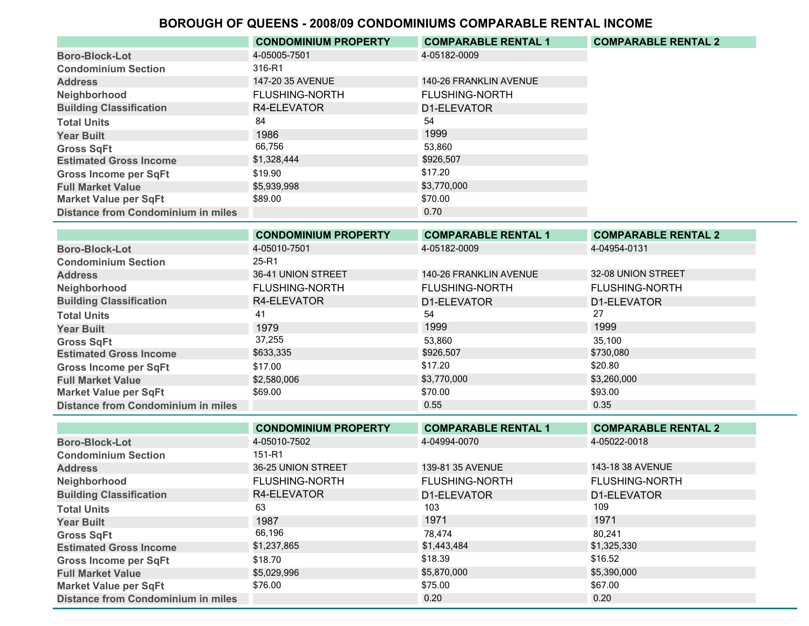|                                           | <b>CONDOMINIUM PROPERTY</b> | <b>COMPARABLE RENTAL 1</b> | <b>COMPARABLE RENTAL 2</b> |
|-------------------------------------------|-----------------------------|----------------------------|----------------------------|
| <b>Boro-Block-Lot</b>                     | 4-05005-7501                | 4-05182-0009               |                            |
| <b>Condominium Section</b>                | 316-R1                      |                            |                            |
| <b>Address</b>                            | 147-20 35 AVENUE            | 140-26 FRANKLIN AVENUE     |                            |
| Neighborhood                              | <b>FLUSHING-NORTH</b>       | <b>FLUSHING-NORTH</b>      |                            |
| <b>Building Classification</b>            | R4-ELEVATOR                 | D1-ELEVATOR                |                            |
| <b>Total Units</b>                        | 84                          | 54                         |                            |
| <b>Year Built</b>                         | 1986                        | 1999                       |                            |
| <b>Gross SqFt</b>                         | 66.756                      | 53.860                     |                            |
| <b>Estimated Gross Income</b>             | \$1,328,444                 | \$926,507                  |                            |
| <b>Gross Income per SqFt</b>              | \$19.90                     | \$17.20                    |                            |
| <b>Full Market Value</b>                  | \$5,939,998                 | \$3,770,000                |                            |
| <b>Market Value per SqFt</b>              | \$89.00                     | \$70.00                    |                            |
| <b>Distance from Condominium in miles</b> |                             | 0.70                       |                            |

|                                           | <b>CONDOMINIUM PROPERTY</b> | <b>COMPARABLE RENTAL 1</b> | <b>COMPARABLE RENTAL 2</b> |
|-------------------------------------------|-----------------------------|----------------------------|----------------------------|
| <b>Boro-Block-Lot</b>                     | 4-05010-7501                | 4-05182-0009               | 4-04954-0131               |
| <b>Condominium Section</b>                | 25-R1                       |                            |                            |
| <b>Address</b>                            | 36-41 UNION STREET          | 140-26 FRANKLIN AVENUE     | 32-08 UNION STREET         |
| Neighborhood                              | <b>FLUSHING-NORTH</b>       | <b>FLUSHING-NORTH</b>      | <b>FLUSHING-NORTH</b>      |
| <b>Building Classification</b>            | R4-ELEVATOR                 | D1-ELEVATOR                | D1-ELEVATOR                |
| <b>Total Units</b>                        | 41                          | 54                         | 27                         |
| <b>Year Built</b>                         | 1979                        | 1999                       | 1999                       |
| <b>Gross SqFt</b>                         | 37,255                      | 53,860                     | 35.100                     |
| <b>Estimated Gross Income</b>             | \$633,335                   | \$926,507                  | \$730,080                  |
| <b>Gross Income per SqFt</b>              | \$17.00                     | \$17.20                    | \$20.80                    |
| <b>Full Market Value</b>                  | \$2,580,006                 | \$3,770,000                | \$3,260,000                |
| <b>Market Value per SqFt</b>              | \$69.00                     | \$70.00                    | \$93.00                    |
| <b>Distance from Condominium in miles</b> |                             | 0.55                       | 0.35                       |

|                                           | <b>CONDOMINIUM PROPERTY</b> | <b>COMPARABLE RENTAL 1</b> | <b>COMPARABLE RENTAL 2</b> |
|-------------------------------------------|-----------------------------|----------------------------|----------------------------|
| <b>Boro-Block-Lot</b>                     | 4-05010-7502                | 4-04994-0070               | 4-05022-0018               |
| <b>Condominium Section</b>                | 151-R1                      |                            |                            |
| <b>Address</b>                            | 36-25 UNION STREET          | 139-81 35 AVENUE           | 143-18 38 AVENUE           |
| Neighborhood                              | <b>FLUSHING-NORTH</b>       | <b>FLUSHING-NORTH</b>      | <b>FLUSHING-NORTH</b>      |
| <b>Building Classification</b>            | R4-ELEVATOR                 | D1-ELEVATOR                | D1-ELEVATOR                |
| <b>Total Units</b>                        | 63                          | 103                        | 109                        |
| <b>Year Built</b>                         | 1987                        | 1971                       | 1971                       |
| <b>Gross SqFt</b>                         | 66,196                      | 78.474                     | 80.241                     |
| <b>Estimated Gross Income</b>             | \$1,237,865                 | \$1,443,484                | \$1,325,330                |
| <b>Gross Income per SqFt</b>              | \$18.70                     | \$18.39                    | \$16.52                    |
| <b>Full Market Value</b>                  | \$5,029,996                 | \$5,870,000                | \$5,390,000                |
| <b>Market Value per SqFt</b>              | \$76.00                     | \$75.00                    | \$67.00                    |
| <b>Distance from Condominium in miles</b> |                             | 0.20                       | 0.20                       |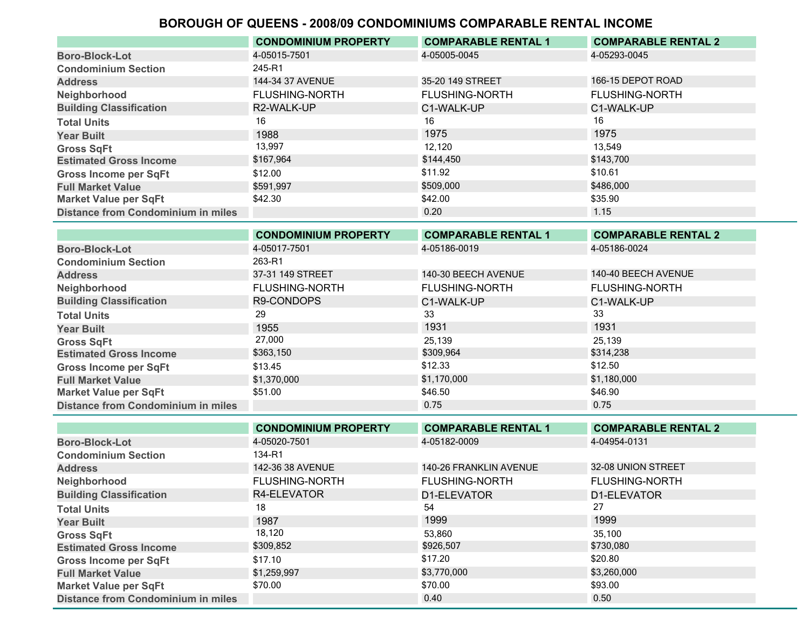|                                           | <b>CONDOMINIUM PROPERTY</b> | <b>COMPARABLE RENTAL 1</b> | <b>COMPARABLE RENTAL 2</b> |
|-------------------------------------------|-----------------------------|----------------------------|----------------------------|
| <b>Boro-Block-Lot</b>                     | 4-05015-7501                | 4-05005-0045               | 4-05293-0045               |
| <b>Condominium Section</b>                | 245-R1                      |                            |                            |
| <b>Address</b>                            | 144-34 37 AVENUE            | 35-20 149 STREET           | 166-15 DEPOT ROAD          |
| Neighborhood                              | <b>FLUSHING-NORTH</b>       | <b>FLUSHING-NORTH</b>      | <b>FLUSHING-NORTH</b>      |
| <b>Building Classification</b>            | R2-WALK-UP                  | C1-WALK-UP                 | C1-WALK-UP                 |
| <b>Total Units</b>                        | 16                          | 16                         | 16                         |
| <b>Year Built</b>                         | 1988                        | 1975                       | 1975                       |
| <b>Gross SqFt</b>                         | 13,997                      | 12.120                     | 13.549                     |
| <b>Estimated Gross Income</b>             | \$167,964                   | \$144,450                  | \$143,700                  |
| <b>Gross Income per SqFt</b>              | \$12.00                     | \$11.92                    | \$10.61                    |
| <b>Full Market Value</b>                  | \$591,997                   | \$509,000                  | \$486,000                  |
| <b>Market Value per SqFt</b>              | \$42.30                     | \$42.00                    | \$35.90                    |
| <b>Distance from Condominium in miles</b> |                             | 0.20                       | 1.15                       |

|                                           | <b>CONDOMINIUM PROPERTY</b> | <b>COMPARABLE RENTAL 1</b> | <b>COMPARABLE RENTAL 2</b> |
|-------------------------------------------|-----------------------------|----------------------------|----------------------------|
| <b>Boro-Block-Lot</b>                     | 4-05017-7501                | 4-05186-0019               | 4-05186-0024               |
| <b>Condominium Section</b>                | 263-R1                      |                            |                            |
| <b>Address</b>                            | 37-31 149 STREET            | 140-30 BEECH AVENUE        | 140-40 BEECH AVENUE        |
| Neighborhood                              | <b>FLUSHING-NORTH</b>       | <b>FLUSHING-NORTH</b>      | <b>FLUSHING-NORTH</b>      |
| <b>Building Classification</b>            | R9-CONDOPS                  | C1-WALK-UP                 | C1-WALK-UP                 |
| <b>Total Units</b>                        | 29                          | 33                         | 33                         |
| <b>Year Built</b>                         | 1955                        | 1931                       | 1931                       |
| <b>Gross SqFt</b>                         | 27,000                      | 25,139                     | 25.139                     |
| <b>Estimated Gross Income</b>             | \$363,150                   | \$309,964                  | \$314,238                  |
| <b>Gross Income per SqFt</b>              | \$13.45                     | \$12.33                    | \$12.50                    |
| <b>Full Market Value</b>                  | \$1,370,000                 | \$1,170,000                | \$1,180,000                |
| <b>Market Value per SqFt</b>              | \$51.00                     | \$46.50                    | \$46.90                    |
| <b>Distance from Condominium in miles</b> |                             | 0.75                       | 0.75                       |

|                                    | <b>CONDOMINIUM PROPERTY</b> | <b>COMPARABLE RENTAL 1</b> | <b>COMPARABLE RENTAL 2</b> |
|------------------------------------|-----------------------------|----------------------------|----------------------------|
| <b>Boro-Block-Lot</b>              | 4-05020-7501                | 4-05182-0009               | 4-04954-0131               |
| <b>Condominium Section</b>         | 134-R1                      |                            |                            |
| <b>Address</b>                     | 142-36 38 AVENUE            | 140-26 FRANKLIN AVENUE     | 32-08 UNION STREET         |
| Neighborhood                       | <b>FLUSHING-NORTH</b>       | <b>FLUSHING-NORTH</b>      | <b>FLUSHING-NORTH</b>      |
| <b>Building Classification</b>     | R4-ELEVATOR                 | D1-ELEVATOR                | D1-ELEVATOR                |
| <b>Total Units</b>                 | 18                          | 54                         | 27                         |
| <b>Year Built</b>                  | 1987                        | 1999                       | 1999                       |
| <b>Gross SqFt</b>                  | 18,120                      | 53,860                     | 35,100                     |
| <b>Estimated Gross Income</b>      | \$309,852                   | \$926,507                  | \$730,080                  |
| <b>Gross Income per SqFt</b>       | \$17.10                     | \$17.20                    | \$20.80                    |
| <b>Full Market Value</b>           | \$1,259,997                 | \$3,770,000                | \$3,260,000                |
| <b>Market Value per SqFt</b>       | \$70.00                     | \$70.00                    | \$93.00                    |
| Distance from Condominium in miles |                             | 0.40                       | 0.50                       |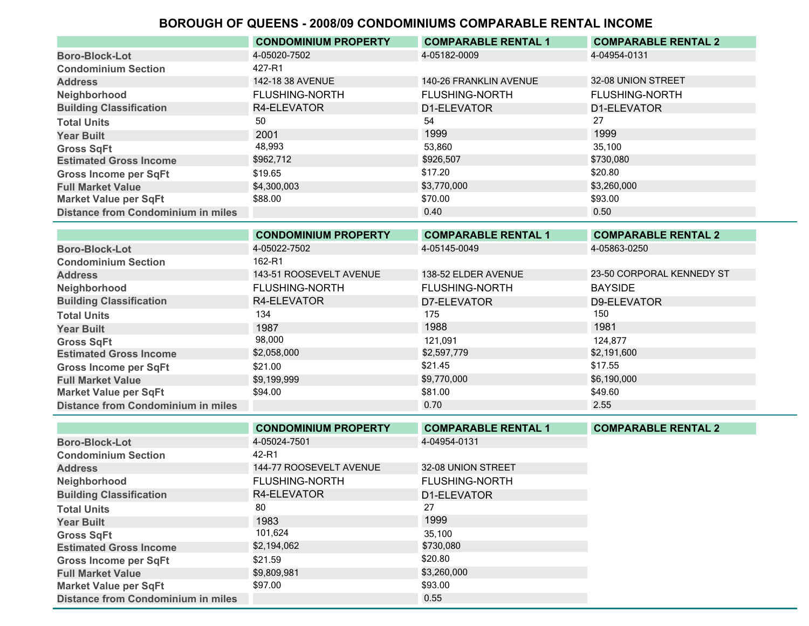|                                           | <b>CONDOMINIUM PROPERTY</b> | <b>COMPARABLE RENTAL 1</b> | <b>COMPARABLE RENTAL 2</b> |
|-------------------------------------------|-----------------------------|----------------------------|----------------------------|
| <b>Boro-Block-Lot</b>                     | 4-05020-7502                | 4-05182-0009               | 4-04954-0131               |
| <b>Condominium Section</b>                | 427-R1                      |                            |                            |
| <b>Address</b>                            | 142-18 38 AVENUE            | 140-26 FRANKLIN AVENUE     | 32-08 UNION STREET         |
| Neighborhood                              | <b>FLUSHING-NORTH</b>       | <b>FLUSHING-NORTH</b>      | <b>FLUSHING-NORTH</b>      |
| <b>Building Classification</b>            | R4-ELEVATOR                 | D1-ELEVATOR                | D1-ELEVATOR                |
| <b>Total Units</b>                        | 50                          | 54                         | 27                         |
| <b>Year Built</b>                         | 2001                        | 1999                       | 1999                       |
| <b>Gross SqFt</b>                         | 48,993                      | 53.860                     | 35.100                     |
| <b>Estimated Gross Income</b>             | \$962,712                   | \$926,507                  | \$730,080                  |
| <b>Gross Income per SqFt</b>              | \$19.65                     | \$17.20                    | \$20.80                    |
| <b>Full Market Value</b>                  | \$4,300,003                 | \$3,770,000                | \$3,260,000                |
| <b>Market Value per SqFt</b>              | \$88.00                     | \$70.00                    | \$93.00                    |
| <b>Distance from Condominium in miles</b> |                             | 0.40                       | 0.50                       |

|                                           | <b>CONDOMINIUM PROPERTY</b> | <b>COMPARABLE RENTAL 1</b> | <b>COMPARABLE RENTAL 2</b> |
|-------------------------------------------|-----------------------------|----------------------------|----------------------------|
| <b>Boro-Block-Lot</b>                     | 4-05022-7502                | 4-05145-0049               | 4-05863-0250               |
| <b>Condominium Section</b>                | 162-R1                      |                            |                            |
| <b>Address</b>                            | 143-51 ROOSEVELT AVENUE     | 138-52 ELDER AVENUE        | 23-50 CORPORAL KENNEDY ST  |
| Neighborhood                              | <b>FLUSHING-NORTH</b>       | <b>FLUSHING-NORTH</b>      | <b>BAYSIDE</b>             |
| <b>Building Classification</b>            | R4-ELEVATOR                 | D7-ELEVATOR                | D9-ELEVATOR                |
| <b>Total Units</b>                        | 134                         | 175                        | 150                        |
| <b>Year Built</b>                         | 1987                        | 1988                       | 1981                       |
| <b>Gross SqFt</b>                         | 98,000                      | 121.091                    | 124.877                    |
| <b>Estimated Gross Income</b>             | \$2,058,000                 | \$2,597,779                | \$2,191,600                |
| <b>Gross Income per SqFt</b>              | \$21.00                     | \$21.45                    | \$17.55                    |
| <b>Full Market Value</b>                  | \$9,199,999                 | \$9,770,000                | \$6,190,000                |
| <b>Market Value per SqFt</b>              | \$94.00                     | \$81.00                    | \$49.60                    |
| <b>Distance from Condominium in miles</b> |                             | 0.70                       | 2.55                       |

|                                           | <b>CONDOMINIUM PROPERTY</b> | <b>COMPARABLE RENTAL 1</b> | <b>COMPARABLE RENTAL 2</b> |
|-------------------------------------------|-----------------------------|----------------------------|----------------------------|
| <b>Boro-Block-Lot</b>                     | 4-05024-7501                | 4-04954-0131               |                            |
| <b>Condominium Section</b>                | 42-R1                       |                            |                            |
| <b>Address</b>                            | 144-77 ROOSEVELT AVENUE     | 32-08 UNION STREET         |                            |
| Neighborhood                              | <b>FLUSHING-NORTH</b>       | <b>FLUSHING-NORTH</b>      |                            |
| <b>Building Classification</b>            | R4-ELEVATOR                 | D1-ELEVATOR                |                            |
| <b>Total Units</b>                        | 80                          | 27                         |                            |
| <b>Year Built</b>                         | 1983                        | 1999                       |                            |
| <b>Gross SqFt</b>                         | 101,624                     | 35,100                     |                            |
| <b>Estimated Gross Income</b>             | \$2,194,062                 | \$730,080                  |                            |
| <b>Gross Income per SqFt</b>              | \$21.59                     | \$20.80                    |                            |
| <b>Full Market Value</b>                  | \$9,809,981                 | \$3,260,000                |                            |
| <b>Market Value per SqFt</b>              | \$97.00                     | \$93.00                    |                            |
| <b>Distance from Condominium in miles</b> |                             | 0.55                       |                            |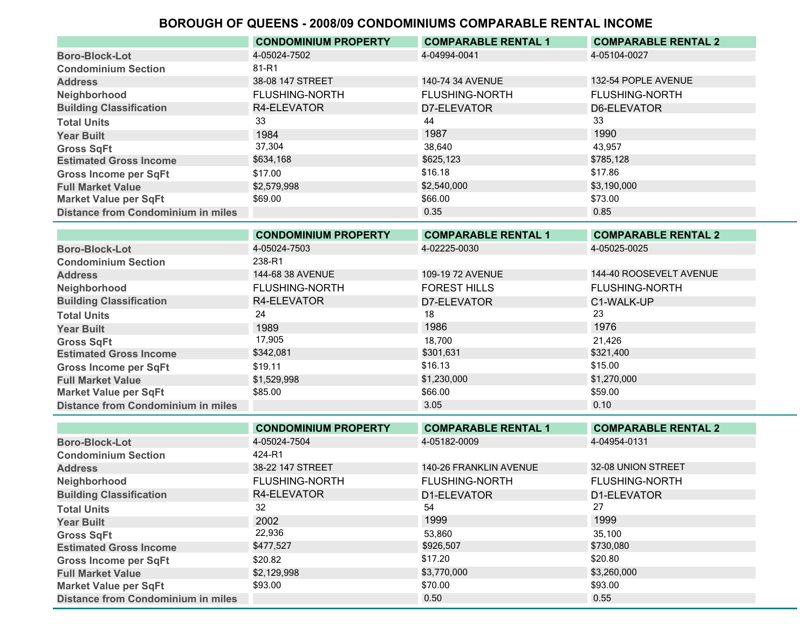|                                           | <b>CONDOMINIUM PROPERTY</b> | <b>COMPARABLE RENTAL 1</b> | <b>COMPARABLE RENTAL 2</b> |
|-------------------------------------------|-----------------------------|----------------------------|----------------------------|
| <b>Boro-Block-Lot</b>                     | 4-05024-7502                | 4-04994-0041               | 4-05104-0027               |
| <b>Condominium Section</b>                | 81-R1                       |                            |                            |
| <b>Address</b>                            | 38-08 147 STREET            | 140-74 34 AVENUE           | 132-54 POPLE AVENUE        |
| Neighborhood                              | <b>FLUSHING-NORTH</b>       | <b>FLUSHING-NORTH</b>      | <b>FLUSHING-NORTH</b>      |
| <b>Building Classification</b>            | R4-ELEVATOR                 | D7-ELEVATOR                | D6-ELEVATOR                |
| <b>Total Units</b>                        | 33                          | 44                         | 33                         |
| <b>Year Built</b>                         | 1984                        | 1987                       | 1990                       |
| <b>Gross SqFt</b>                         | 37,304                      | 38.640                     | 43,957                     |
| <b>Estimated Gross Income</b>             | \$634,168                   | \$625,123                  | \$785,128                  |
| <b>Gross Income per SqFt</b>              | \$17.00                     | \$16.18                    | \$17.86                    |
| <b>Full Market Value</b>                  | \$2,579,998                 | \$2,540,000                | \$3,190,000                |
| <b>Market Value per SqFt</b>              | \$69.00                     | \$66.00                    | \$73.00                    |
| <b>Distance from Condominium in miles</b> |                             | 0.35                       | 0.85                       |

|                                           | <b>CONDOMINIUM PROPERTY</b> | <b>COMPARABLE RENTAL 1</b> | <b>COMPARABLE RENTAL 2</b> |
|-------------------------------------------|-----------------------------|----------------------------|----------------------------|
| <b>Boro-Block-Lot</b>                     | 4-05024-7503                | 4-02225-0030               | 4-05025-0025               |
| <b>Condominium Section</b>                | 238-R1                      |                            |                            |
| <b>Address</b>                            | 144-68 38 AVENUE            | 109-19 72 AVENUE           | 144-40 ROOSEVELT AVENUE    |
| Neighborhood                              | <b>FLUSHING-NORTH</b>       | <b>FOREST HILLS</b>        | <b>FLUSHING-NORTH</b>      |
| <b>Building Classification</b>            | R4-ELEVATOR                 | D7-ELEVATOR                | C1-WALK-UP                 |
| <b>Total Units</b>                        | 24                          | 18                         | 23                         |
| <b>Year Built</b>                         | 1989                        | 1986                       | 1976                       |
| <b>Gross SqFt</b>                         | 17,905                      | 18.700                     | 21,426                     |
| <b>Estimated Gross Income</b>             | \$342,081                   | \$301,631                  | \$321,400                  |
| <b>Gross Income per SqFt</b>              | \$19.11                     | \$16.13                    | \$15.00                    |
| <b>Full Market Value</b>                  | \$1,529,998                 | \$1,230,000                | \$1,270,000                |
| <b>Market Value per SqFt</b>              | \$85.00                     | \$66.00                    | \$59.00                    |
| <b>Distance from Condominium in miles</b> |                             | 3.05                       | 0.10                       |

|                                           | <b>CONDOMINIUM PROPERTY</b> | <b>COMPARABLE RENTAL 1</b> | <b>COMPARABLE RENTAL 2</b> |
|-------------------------------------------|-----------------------------|----------------------------|----------------------------|
| <b>Boro-Block-Lot</b>                     | 4-05024-7504                | 4-05182-0009               | 4-04954-0131               |
| <b>Condominium Section</b>                | 424-R1                      |                            |                            |
| <b>Address</b>                            | 38-22 147 STREET            | 140-26 FRANKLIN AVENUE     | 32-08 UNION STREET         |
| Neighborhood                              | <b>FLUSHING-NORTH</b>       | <b>FLUSHING-NORTH</b>      | <b>FLUSHING-NORTH</b>      |
| <b>Building Classification</b>            | R4-ELEVATOR                 | D1-ELEVATOR                | D1-ELEVATOR                |
| <b>Total Units</b>                        | 32                          | 54                         | 27                         |
| <b>Year Built</b>                         | 2002                        | 1999                       | 1999                       |
| <b>Gross SqFt</b>                         | 22,936                      | 53,860                     | 35.100                     |
| <b>Estimated Gross Income</b>             | \$477,527                   | \$926,507                  | \$730,080                  |
| <b>Gross Income per SqFt</b>              | \$20.82                     | \$17.20                    | \$20.80                    |
| <b>Full Market Value</b>                  | \$2,129,998                 | \$3,770,000                | \$3,260,000                |
| <b>Market Value per SqFt</b>              | \$93.00                     | \$70.00                    | \$93.00                    |
| <b>Distance from Condominium in miles</b> |                             | 0.50                       | 0.55                       |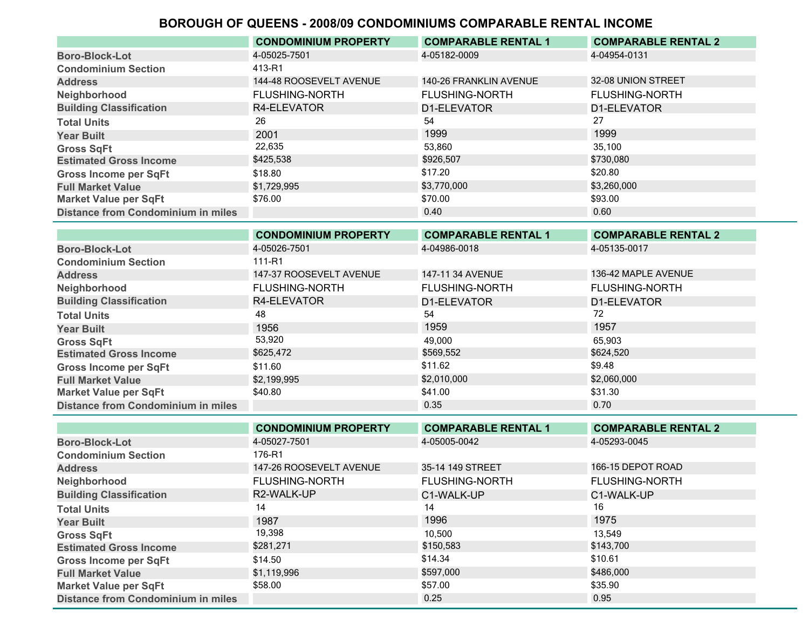|                                           | <b>CONDOMINIUM PROPERTY</b> | <b>COMPARABLE RENTAL 1</b> | <b>COMPARABLE RENTAL 2</b> |
|-------------------------------------------|-----------------------------|----------------------------|----------------------------|
| <b>Boro-Block-Lot</b>                     | 4-05025-7501                | 4-05182-0009               | 4-04954-0131               |
| <b>Condominium Section</b>                | 413-R1                      |                            |                            |
| <b>Address</b>                            | 144-48 ROOSEVELT AVENUE     | 140-26 FRANKLIN AVENUE     | 32-08 UNION STREET         |
| Neighborhood                              | <b>FLUSHING-NORTH</b>       | <b>FLUSHING-NORTH</b>      | <b>FLUSHING-NORTH</b>      |
| <b>Building Classification</b>            | R4-ELEVATOR                 | D1-ELEVATOR                | D1-ELEVATOR                |
| <b>Total Units</b>                        | 26                          | 54                         | 27                         |
| <b>Year Built</b>                         | 2001                        | 1999                       | 1999                       |
| <b>Gross SqFt</b>                         | 22,635                      | 53,860                     | 35,100                     |
| <b>Estimated Gross Income</b>             | \$425,538                   | \$926,507                  | \$730,080                  |
| <b>Gross Income per SqFt</b>              | \$18.80                     | \$17.20                    | \$20.80                    |
| <b>Full Market Value</b>                  | \$1,729,995                 | \$3,770,000                | \$3,260,000                |
| <b>Market Value per SqFt</b>              | \$76.00                     | \$70.00                    | \$93.00                    |
| <b>Distance from Condominium in miles</b> |                             | 0.40                       | 0.60                       |
|                                           |                             |                            |                            |

|                                           | <b>CONDOMINIUM PROPERTY</b> | <b>COMPARABLE RENTAL 1</b> | <b>COMPARABLE RENTAL 2</b> |
|-------------------------------------------|-----------------------------|----------------------------|----------------------------|
| <b>Boro-Block-Lot</b>                     | 4-05026-7501                | 4-04986-0018               | 4-05135-0017               |
| <b>Condominium Section</b>                | 111-R1                      |                            |                            |
| <b>Address</b>                            | 147-37 ROOSEVELT AVENUE     | 147-11 34 AVENUE           | 136-42 MAPLE AVENUE        |
| Neighborhood                              | <b>FLUSHING-NORTH</b>       | <b>FLUSHING-NORTH</b>      | <b>FLUSHING-NORTH</b>      |
| <b>Building Classification</b>            | R4-ELEVATOR                 | D1-ELEVATOR                | D1-ELEVATOR                |
| <b>Total Units</b>                        | 48                          | 54                         | 72                         |
| <b>Year Built</b>                         | 1956                        | 1959                       | 1957                       |
| <b>Gross SqFt</b>                         | 53,920                      | 49.000                     | 65.903                     |
| <b>Estimated Gross Income</b>             | \$625,472                   | \$569,552                  | \$624,520                  |
| <b>Gross Income per SqFt</b>              | \$11.60                     | \$11.62                    | \$9.48                     |
| <b>Full Market Value</b>                  | \$2,199,995                 | \$2,010,000                | \$2,060,000                |
| <b>Market Value per SqFt</b>              | \$40.80                     | \$41.00                    | \$31.30                    |
| <b>Distance from Condominium in miles</b> |                             | 0.35                       | 0.70                       |
|                                           |                             |                            |                            |

|                                           | <b>CONDOMINIUM PROPERTY</b> | <b>COMPARABLE RENTAL 1</b> | <b>COMPARABLE RENTAL 2</b> |
|-------------------------------------------|-----------------------------|----------------------------|----------------------------|
| <b>Boro-Block-Lot</b>                     | 4-05027-7501                | 4-05005-0042               | 4-05293-0045               |
| <b>Condominium Section</b>                | 176-R1                      |                            |                            |
| <b>Address</b>                            | 147-26 ROOSEVELT AVENUE     | 35-14 149 STREET           | 166-15 DEPOT ROAD          |
| Neighborhood                              | <b>FLUSHING-NORTH</b>       | <b>FLUSHING-NORTH</b>      | <b>FLUSHING-NORTH</b>      |
| <b>Building Classification</b>            | R2-WALK-UP                  | C1-WALK-UP                 | C1-WALK-UP                 |
| <b>Total Units</b>                        | 14                          | 14                         | 16                         |
| <b>Year Built</b>                         | 1987                        | 1996                       | 1975                       |
| <b>Gross SqFt</b>                         | 19,398                      | 10.500                     | 13.549                     |
| <b>Estimated Gross Income</b>             | \$281,271                   | \$150,583                  | \$143,700                  |
| <b>Gross Income per SqFt</b>              | \$14.50                     | \$14.34                    | \$10.61                    |
| <b>Full Market Value</b>                  | \$1,119,996                 | \$597,000                  | \$486,000                  |
| <b>Market Value per SqFt</b>              | \$58.00                     | \$57.00                    | \$35.90                    |
| <b>Distance from Condominium in miles</b> |                             | 0.25                       | 0.95                       |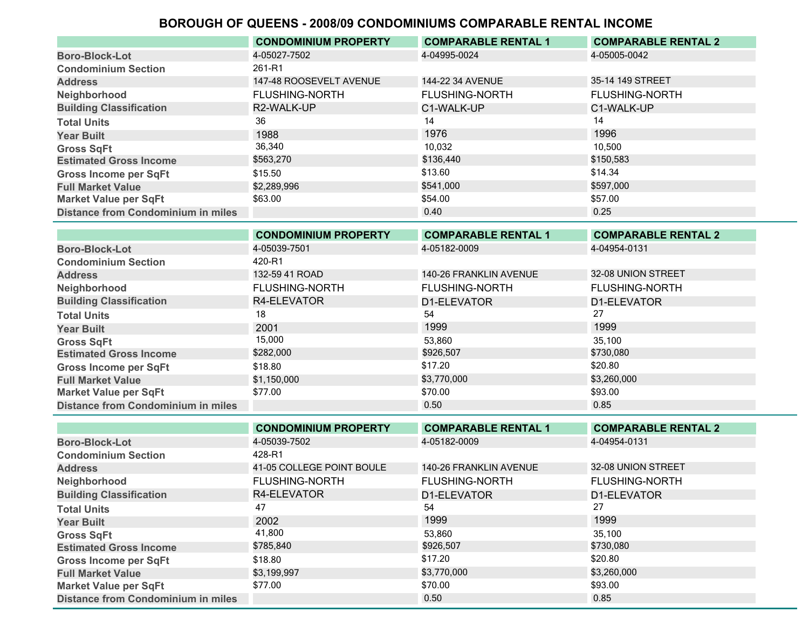|                                           | <b>CONDOMINIUM PROPERTY</b> | <b>COMPARABLE RENTAL 1</b> | <b>COMPARABLE RENTAL 2</b> |
|-------------------------------------------|-----------------------------|----------------------------|----------------------------|
| <b>Boro-Block-Lot</b>                     | 4-05027-7502                | 4-04995-0024               | 4-05005-0042               |
| <b>Condominium Section</b>                | 261-R1                      |                            |                            |
| <b>Address</b>                            | 147-48 ROOSEVELT AVENUE     | 144-22 34 AVENUE           | 35-14 149 STREET           |
| Neighborhood                              | <b>FLUSHING-NORTH</b>       | <b>FLUSHING-NORTH</b>      | <b>FLUSHING-NORTH</b>      |
| <b>Building Classification</b>            | R2-WALK-UP                  | C1-WALK-UP                 | C1-WALK-UP                 |
| <b>Total Units</b>                        | 36                          | 14                         | 14                         |
| <b>Year Built</b>                         | 1988                        | 1976                       | 1996                       |
| <b>Gross SqFt</b>                         | 36,340                      | 10.032                     | 10.500                     |
| <b>Estimated Gross Income</b>             | \$563,270                   | \$136,440                  | \$150,583                  |
| <b>Gross Income per SqFt</b>              | \$15.50                     | \$13.60                    | \$14.34                    |
| <b>Full Market Value</b>                  | \$2,289,996                 | \$541,000                  | \$597,000                  |
| <b>Market Value per SqFt</b>              | \$63.00                     | \$54.00                    | \$57.00                    |
| <b>Distance from Condominium in miles</b> |                             | 0.40                       | 0.25                       |

|                                           | <b>CONDOMINIUM PROPERTY</b> | <b>COMPARABLE RENTAL 1</b> | <b>COMPARABLE RENTAL 2</b> |
|-------------------------------------------|-----------------------------|----------------------------|----------------------------|
| <b>Boro-Block-Lot</b>                     | 4-05039-7501                | 4-05182-0009               | 4-04954-0131               |
| <b>Condominium Section</b>                | 420-R1                      |                            |                            |
| <b>Address</b>                            | 132-59 41 ROAD              | 140-26 FRANKLIN AVENUE     | 32-08 UNION STREET         |
| Neighborhood                              | <b>FLUSHING-NORTH</b>       | <b>FLUSHING-NORTH</b>      | <b>FLUSHING-NORTH</b>      |
| <b>Building Classification</b>            | R4-ELEVATOR                 | D1-ELEVATOR                | D1-ELEVATOR                |
| <b>Total Units</b>                        | 18                          | 54                         | 27                         |
| <b>Year Built</b>                         | 2001                        | 1999                       | 1999                       |
| <b>Gross SqFt</b>                         | 15,000                      | 53,860                     | 35,100                     |
| <b>Estimated Gross Income</b>             | \$282,000                   | \$926,507                  | \$730,080                  |
| <b>Gross Income per SqFt</b>              | \$18.80                     | \$17.20                    | \$20.80                    |
| <b>Full Market Value</b>                  | \$1,150,000                 | \$3,770,000                | \$3,260,000                |
| <b>Market Value per SqFt</b>              | \$77.00                     | \$70.00                    | \$93.00                    |
| <b>Distance from Condominium in miles</b> |                             | 0.50                       | 0.85                       |

|                                           | <b>CONDOMINIUM PROPERTY</b> | <b>COMPARABLE RENTAL 1</b> | <b>COMPARABLE RENTAL 2</b> |
|-------------------------------------------|-----------------------------|----------------------------|----------------------------|
| <b>Boro-Block-Lot</b>                     | 4-05039-7502                | 4-05182-0009               | 4-04954-0131               |
| <b>Condominium Section</b>                | 428-R1                      |                            |                            |
| <b>Address</b>                            | 41-05 COLLEGE POINT BOULE   | 140-26 FRANKLIN AVENUE     | 32-08 UNION STREET         |
| Neighborhood                              | <b>FLUSHING-NORTH</b>       | <b>FLUSHING-NORTH</b>      | <b>FLUSHING-NORTH</b>      |
| <b>Building Classification</b>            | R4-ELEVATOR                 | D1-ELEVATOR                | D1-ELEVATOR                |
| <b>Total Units</b>                        | 47                          | 54                         | 27                         |
| <b>Year Built</b>                         | 2002                        | 1999                       | 1999                       |
| <b>Gross SqFt</b>                         | 41,800                      | 53,860                     | 35.100                     |
| <b>Estimated Gross Income</b>             | \$785,840                   | \$926,507                  | \$730,080                  |
| <b>Gross Income per SqFt</b>              | \$18.80                     | \$17.20                    | \$20.80                    |
| <b>Full Market Value</b>                  | \$3,199,997                 | \$3,770,000                | \$3,260,000                |
| <b>Market Value per SqFt</b>              | \$77.00                     | \$70.00                    | \$93.00                    |
| <b>Distance from Condominium in miles</b> |                             | 0.50                       | 0.85                       |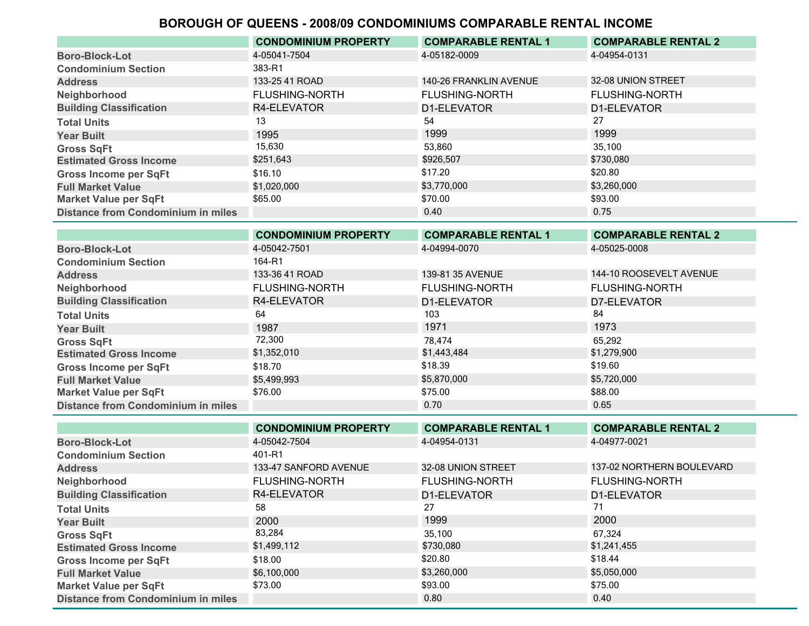|                                           | <b>CONDOMINIUM PROPERTY</b> | <b>COMPARABLE RENTAL 1</b> | <b>COMPARABLE RENTAL 2</b> |
|-------------------------------------------|-----------------------------|----------------------------|----------------------------|
| <b>Boro-Block-Lot</b>                     | 4-05041-7504                | 4-05182-0009               | 4-04954-0131               |
| <b>Condominium Section</b>                | 383-R1                      |                            |                            |
| <b>Address</b>                            | 133-25 41 ROAD              | 140-26 FRANKLIN AVENUE     | 32-08 UNION STREET         |
| Neighborhood                              | <b>FLUSHING-NORTH</b>       | <b>FLUSHING-NORTH</b>      | <b>FLUSHING-NORTH</b>      |
| <b>Building Classification</b>            | R4-ELEVATOR                 | D1-ELEVATOR                | D1-ELEVATOR                |
| <b>Total Units</b>                        | 13                          | 54                         | 27                         |
| <b>Year Built</b>                         | 1995                        | 1999                       | 1999                       |
| <b>Gross SqFt</b>                         | 15,630                      | 53.860                     | 35,100                     |
| <b>Estimated Gross Income</b>             | \$251,643                   | \$926,507                  | \$730,080                  |
| <b>Gross Income per SqFt</b>              | \$16.10                     | \$17.20                    | \$20.80                    |
| <b>Full Market Value</b>                  | \$1,020,000                 | \$3,770,000                | \$3,260,000                |
| <b>Market Value per SqFt</b>              | \$65.00                     | \$70.00                    | \$93.00                    |
| <b>Distance from Condominium in miles</b> |                             | 0.40                       | 0.75                       |

|                                           | <b>CONDOMINIUM PROPERTY</b> | <b>COMPARABLE RENTAL 1</b> | <b>COMPARABLE RENTAL 2</b> |
|-------------------------------------------|-----------------------------|----------------------------|----------------------------|
| <b>Boro-Block-Lot</b>                     | 4-05042-7501                | 4-04994-0070               | 4-05025-0008               |
| <b>Condominium Section</b>                | 164-R1                      |                            |                            |
| <b>Address</b>                            | 133-36 41 ROAD              | 139-81 35 AVENUE           | 144-10 ROOSEVELT AVENUE    |
| Neighborhood                              | <b>FLUSHING-NORTH</b>       | <b>FLUSHING-NORTH</b>      | <b>FLUSHING-NORTH</b>      |
| <b>Building Classification</b>            | R4-ELEVATOR                 | D1-ELEVATOR                | D7-ELEVATOR                |
| <b>Total Units</b>                        | 64                          | 103                        | 84                         |
| <b>Year Built</b>                         | 1987                        | 1971                       | 1973                       |
| <b>Gross SqFt</b>                         | 72,300                      | 78.474                     | 65.292                     |
| <b>Estimated Gross Income</b>             | \$1,352,010                 | \$1,443,484                | \$1,279,900                |
| <b>Gross Income per SqFt</b>              | \$18.70                     | \$18.39                    | \$19.60                    |
| <b>Full Market Value</b>                  | \$5,499,993                 | \$5,870,000                | \$5,720,000                |
| <b>Market Value per SqFt</b>              | \$76.00                     | \$75.00                    | \$88.00                    |
| <b>Distance from Condominium in miles</b> |                             | 0.70                       | 0.65                       |

|                                           | <b>CONDOMINIUM PROPERTY</b> | <b>COMPARABLE RENTAL 1</b> | <b>COMPARABLE RENTAL 2</b> |
|-------------------------------------------|-----------------------------|----------------------------|----------------------------|
| <b>Boro-Block-Lot</b>                     | 4-05042-7504                | 4-04954-0131               | 4-04977-0021               |
| <b>Condominium Section</b>                | 401-R1                      |                            |                            |
| <b>Address</b>                            | 133-47 SANFORD AVENUE       | 32-08 UNION STREET         | 137-02 NORTHERN BOULEVARD  |
| Neighborhood                              | <b>FLUSHING-NORTH</b>       | <b>FLUSHING-NORTH</b>      | <b>FLUSHING-NORTH</b>      |
| <b>Building Classification</b>            | R4-ELEVATOR                 | D1-ELEVATOR                | D1-ELEVATOR                |
| <b>Total Units</b>                        | 58                          | 27                         | 71                         |
| <b>Year Built</b>                         | 2000                        | 1999                       | 2000                       |
| <b>Gross SqFt</b>                         | 83,284                      | 35,100                     | 67,324                     |
| <b>Estimated Gross Income</b>             | \$1,499,112                 | \$730,080                  | \$1,241,455                |
| <b>Gross Income per SqFt</b>              | \$18.00                     | \$20.80                    | \$18.44                    |
| <b>Full Market Value</b>                  | \$6,100,000                 | \$3,260,000                | \$5,050,000                |
| Market Value per SqFt                     | \$73.00                     | \$93.00                    | \$75.00                    |
| <b>Distance from Condominium in miles</b> |                             | 0.80                       | 0.40                       |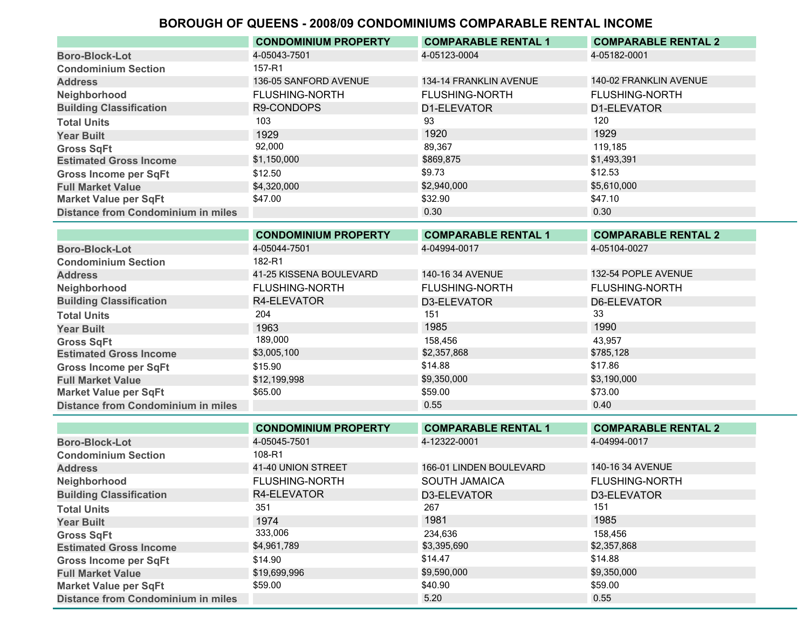| <b>Total Units</b><br><b>Year Built</b>   | 103<br>1929                 | 93<br>1920                 | 1929                       |
|-------------------------------------------|-----------------------------|----------------------------|----------------------------|
| <b>Gross SqFt</b>                         | 92,000                      | 89,367                     | 119,185                    |
| <b>Estimated Gross Income</b>             | \$1,150,000                 | \$869,875                  | \$1,493,391                |
| <b>Gross Income per SqFt</b>              | \$12.50                     | \$9.73                     | \$12.53                    |
| <b>Full Market Value</b>                  | \$4,320,000                 | \$2,940,000                | \$5,610,000                |
| <b>Market Value per SqFt</b>              | \$47.00                     | \$32.90                    | \$47.10                    |
| <b>Distance from Condominium in miles</b> |                             | 0.30                       | 0.30                       |
|                                           | <b>CONDOMINIUM PROPERTY</b> | <b>COMPARABLE RENTAL 1</b> | <b>COMPARABLE RENTAL 2</b> |

| <b>Boro-Block-Lot</b>              | 4-05044-7501            | 4-04994-0017          | 4-05104-0027          |
|------------------------------------|-------------------------|-----------------------|-----------------------|
| <b>Condominium Section</b>         | 182-R1                  |                       |                       |
| <b>Address</b>                     | 41-25 KISSENA BOULEVARD | 140-16 34 AVENUE      | 132-54 POPLE AVENUE   |
| Neighborhood                       | <b>FLUSHING-NORTH</b>   | <b>FLUSHING-NORTH</b> | <b>FLUSHING-NORTH</b> |
| <b>Building Classification</b>     | R4-ELEVATOR             | D3-ELEVATOR           | D6-ELEVATOR           |
| <b>Total Units</b>                 | 204                     | 151                   | 33                    |
| <b>Year Built</b>                  | 1963                    | 1985                  | 1990                  |
| <b>Gross SqFt</b>                  | 189,000                 | 158,456               | 43.957                |
| <b>Estimated Gross Income</b>      | \$3,005,100             | \$2,357,868           | \$785,128             |
| <b>Gross Income per SqFt</b>       | \$15.90                 | \$14.88               | \$17.86               |
| <b>Full Market Value</b>           | \$12,199,998            | \$9,350,000           | \$3,190,000           |
| <b>Market Value per SqFt</b>       | \$65.00                 | \$59.00               | \$73.00               |
| Distance from Condominium in miles |                         | 0.55                  | 0.40                  |
|                                    |                         |                       |                       |

|                                           | <b>CONDOMINIUM PROPERTY</b> | <b>COMPARABLE RENTAL 1</b> | <b>COMPARABLE RENTAL 2</b> |
|-------------------------------------------|-----------------------------|----------------------------|----------------------------|
| <b>Boro-Block-Lot</b>                     | 4-05045-7501                | 4-12322-0001               | 4-04994-0017               |
| <b>Condominium Section</b>                | 108-R1                      |                            |                            |
| <b>Address</b>                            | 41-40 UNION STREET          | 166-01 LINDEN BOULEVARD    | 140-16 34 AVENUE           |
| Neighborhood                              | <b>FLUSHING-NORTH</b>       | <b>SOUTH JAMAICA</b>       | <b>FLUSHING-NORTH</b>      |
| <b>Building Classification</b>            | R4-ELEVATOR                 | D3-ELEVATOR                | D3-ELEVATOR                |
| <b>Total Units</b>                        | 351                         | 267                        | 151                        |
| <b>Year Built</b>                         | 1974                        | 1981                       | 1985                       |
| <b>Gross SqFt</b>                         | 333,006                     | 234,636                    | 158,456                    |
| <b>Estimated Gross Income</b>             | \$4,961,789                 | \$3,395,690                | \$2,357,868                |
| <b>Gross Income per SqFt</b>              | \$14.90                     | \$14.47                    | \$14.88                    |
| <b>Full Market Value</b>                  | \$19,699,996                | \$9,590,000                | \$9,350,000                |
| <b>Market Value per SqFt</b>              | \$59.00                     | \$40.90                    | \$59.00                    |
| <b>Distance from Condominium in miles</b> |                             | 5.20                       | 0.55                       |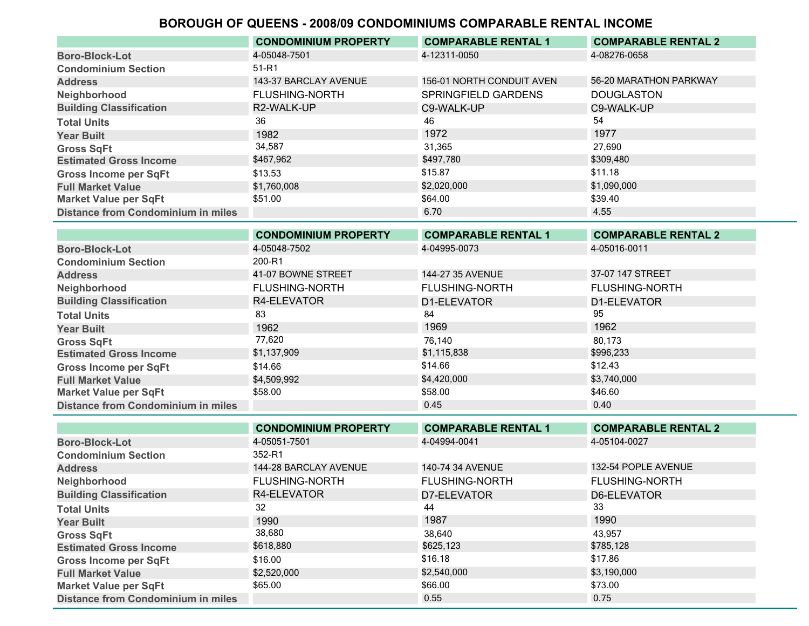|                                           | <b>CONDOMINIUM PROPERTY</b> | <b>COMPARABLE RENTAL 1</b> | <b>COMPARABLE RENTAL 2</b> |
|-------------------------------------------|-----------------------------|----------------------------|----------------------------|
| <b>Boro-Block-Lot</b>                     | 4-05048-7501                | 4-12311-0050               | 4-08276-0658               |
| <b>Condominium Section</b>                | 51-R1                       |                            |                            |
| <b>Address</b>                            | 143-37 BARCLAY AVENUE       | 156-01 NORTH CONDUIT AVEN  | 56-20 MARATHON PARKWAY     |
| Neighborhood                              | <b>FLUSHING-NORTH</b>       | <b>SPRINGFIELD GARDENS</b> | <b>DOUGLASTON</b>          |
| <b>Building Classification</b>            | R2-WALK-UP                  | C9-WALK-UP                 | C9-WALK-UP                 |
| <b>Total Units</b>                        | 36                          | 46                         | 54                         |
| <b>Year Built</b>                         | 1982                        | 1972                       | 1977                       |
| <b>Gross SqFt</b>                         | 34,587                      | 31,365                     | 27,690                     |
| <b>Estimated Gross Income</b>             | \$467,962                   | \$497,780                  | \$309,480                  |
| <b>Gross Income per SqFt</b>              | \$13.53                     | \$15.87                    | \$11.18                    |
| <b>Full Market Value</b>                  | \$1,760,008                 | \$2,020,000                | \$1,090,000                |
| <b>Market Value per SqFt</b>              | \$51.00                     | \$64.00                    | \$39.40                    |
| <b>Distance from Condominium in miles</b> |                             | 6.70                       | 4.55                       |
|                                           |                             |                            |                            |

|                                           | <b>CONDOMINIUM PROPERTY</b> | <b>COMPARABLE RENTAL 1</b> | <b>COMPARABLE RENTAL 2</b> |
|-------------------------------------------|-----------------------------|----------------------------|----------------------------|
| <b>Boro-Block-Lot</b>                     | 4-05048-7502                | 4-04995-0073               | 4-05016-0011               |
| <b>Condominium Section</b>                | 200-R1                      |                            |                            |
| <b>Address</b>                            | 41-07 BOWNE STREET          | 144-27 35 AVENUE           | 37-07 147 STREET           |
| Neighborhood                              | <b>FLUSHING-NORTH</b>       | <b>FLUSHING-NORTH</b>      | <b>FLUSHING-NORTH</b>      |
| <b>Building Classification</b>            | R4-ELEVATOR                 | D1-ELEVATOR                | D1-ELEVATOR                |
| <b>Total Units</b>                        | 83                          | 84                         | 95                         |
| <b>Year Built</b>                         | 1962                        | 1969                       | 1962                       |
| <b>Gross SqFt</b>                         | 77,620                      | 76.140                     | 80.173                     |
| <b>Estimated Gross Income</b>             | \$1,137,909                 | \$1,115,838                | \$996,233                  |
| <b>Gross Income per SqFt</b>              | \$14.66                     | \$14.66                    | \$12.43                    |
| <b>Full Market Value</b>                  | \$4,509,992                 | \$4,420,000                | \$3,740,000                |
| <b>Market Value per SqFt</b>              | \$58.00                     | \$58.00                    | \$46.60                    |
| <b>Distance from Condominium in miles</b> |                             | 0.45                       | 0.40                       |
|                                           |                             |                            |                            |

|                                           | <b>CONDOMINIUM PROPERTY</b> | <b>COMPARABLE RENTAL 1</b> | <b>COMPARABLE RENTAL 2</b> |
|-------------------------------------------|-----------------------------|----------------------------|----------------------------|
| <b>Boro-Block-Lot</b>                     | 4-05051-7501                | 4-04994-0041               | 4-05104-0027               |
| <b>Condominium Section</b>                | 352-R1                      |                            |                            |
| <b>Address</b>                            | 144-28 BARCLAY AVENUE       | 140-74 34 AVENUE           | 132-54 POPLE AVENUE        |
| Neighborhood                              | <b>FLUSHING-NORTH</b>       | <b>FLUSHING-NORTH</b>      | <b>FLUSHING-NORTH</b>      |
| <b>Building Classification</b>            | R4-ELEVATOR                 | D7-ELEVATOR                | D6-ELEVATOR                |
| <b>Total Units</b>                        | 32                          | 44                         | 33                         |
| <b>Year Built</b>                         | 1990                        | 1987                       | 1990                       |
| <b>Gross SqFt</b>                         | 38,680                      | 38,640                     | 43,957                     |
| <b>Estimated Gross Income</b>             | \$618,880                   | \$625,123                  | \$785,128                  |
| <b>Gross Income per SqFt</b>              | \$16.00                     | \$16.18                    | \$17.86                    |
| <b>Full Market Value</b>                  | \$2,520,000                 | \$2,540,000                | \$3,190,000                |
| <b>Market Value per SqFt</b>              | \$65.00                     | \$66.00                    | \$73.00                    |
| <b>Distance from Condominium in miles</b> |                             | 0.55                       | 0.75                       |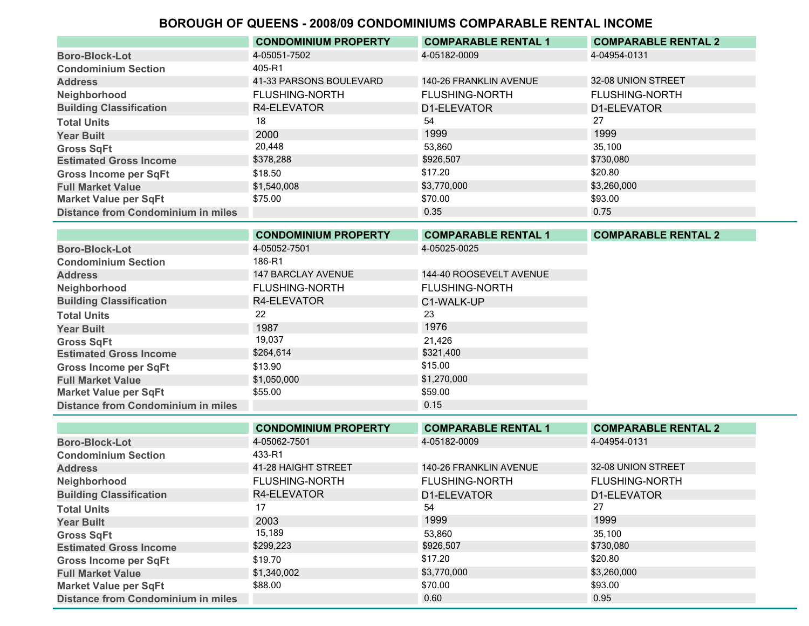|                                           | <b>CONDOMINIUM PROPERTY</b> | <b>COMPARABLE RENTAL 1</b> | <b>COMPARABLE RENTAL 2</b> |
|-------------------------------------------|-----------------------------|----------------------------|----------------------------|
| <b>Boro-Block-Lot</b>                     | 4-05051-7502                | 4-05182-0009               | 4-04954-0131               |
| <b>Condominium Section</b>                | 405-R1                      |                            |                            |
| <b>Address</b>                            | 41-33 PARSONS BOULEVARD     | 140-26 FRANKLIN AVENUE     | 32-08 UNION STREET         |
| Neighborhood                              | <b>FLUSHING-NORTH</b>       | <b>FLUSHING-NORTH</b>      | <b>FLUSHING-NORTH</b>      |
| <b>Building Classification</b>            | R4-ELEVATOR                 | D1-ELEVATOR                | D1-ELEVATOR                |
| <b>Total Units</b>                        | 18                          | 54                         | 27                         |
| <b>Year Built</b>                         | 2000                        | 1999                       | 1999                       |
| <b>Gross SqFt</b>                         | 20,448                      | 53,860                     | 35.100                     |
| <b>Estimated Gross Income</b>             | \$378,288                   | \$926,507                  | \$730,080                  |
| <b>Gross Income per SqFt</b>              | \$18.50                     | \$17.20                    | \$20.80                    |
| <b>Full Market Value</b>                  | \$1,540,008                 | \$3,770,000                | \$3,260,000                |
| <b>Market Value per SqFt</b>              | \$75.00                     | \$70.00                    | \$93.00                    |
| <b>Distance from Condominium in miles</b> |                             | 0.35                       | 0.75                       |

|                                           | <b>CONDOMINIUM PROPERTY</b> | <b>COMPARABLE RENTAL 1</b> | <b>COMPARABLE RENTAL 2</b> |
|-------------------------------------------|-----------------------------|----------------------------|----------------------------|
| <b>Boro-Block-Lot</b>                     | 4-05052-7501                | 4-05025-0025               |                            |
| <b>Condominium Section</b>                | 186-R1                      |                            |                            |
| <b>Address</b>                            | 147 BARCLAY AVENUE          | 144-40 ROOSEVELT AVENUE    |                            |
| Neighborhood                              | <b>FLUSHING-NORTH</b>       | <b>FLUSHING-NORTH</b>      |                            |
| <b>Building Classification</b>            | R4-ELEVATOR                 | C1-WALK-UP                 |                            |
| <b>Total Units</b>                        | 22                          | 23                         |                            |
| <b>Year Built</b>                         | 1987                        | 1976                       |                            |
| <b>Gross SqFt</b>                         | 19,037                      | 21,426                     |                            |
| <b>Estimated Gross Income</b>             | \$264,614                   | \$321,400                  |                            |
| <b>Gross Income per SqFt</b>              | \$13.90                     | \$15.00                    |                            |
| <b>Full Market Value</b>                  | \$1,050,000                 | \$1,270,000                |                            |
| <b>Market Value per SqFt</b>              | \$55.00                     | \$59.00                    |                            |
| <b>Distance from Condominium in miles</b> |                             | 0.15                       |                            |

|                                           | <b>CONDOMINIUM PROPERTY</b> | <b>COMPARABLE RENTAL 1</b> | <b>COMPARABLE RENTAL 2</b> |
|-------------------------------------------|-----------------------------|----------------------------|----------------------------|
| <b>Boro-Block-Lot</b>                     | 4-05062-7501                | 4-05182-0009               | 4-04954-0131               |
| <b>Condominium Section</b>                | 433-R1                      |                            |                            |
| <b>Address</b>                            | 41-28 HAIGHT STREET         | 140-26 FRANKLIN AVENUE     | 32-08 UNION STREET         |
| Neighborhood                              | <b>FLUSHING-NORTH</b>       | <b>FLUSHING-NORTH</b>      | <b>FLUSHING-NORTH</b>      |
| <b>Building Classification</b>            | R4-ELEVATOR                 | D1-ELEVATOR                | D1-ELEVATOR                |
| <b>Total Units</b>                        | 17                          | 54                         | 27                         |
| <b>Year Built</b>                         | 2003                        | 1999                       | 1999                       |
| <b>Gross SqFt</b>                         | 15,189                      | 53.860                     | 35.100                     |
| <b>Estimated Gross Income</b>             | \$299,223                   | \$926,507                  | \$730,080                  |
| <b>Gross Income per SqFt</b>              | \$19.70                     | \$17.20                    | \$20.80                    |
| <b>Full Market Value</b>                  | \$1,340,002                 | \$3,770,000                | \$3,260,000                |
| <b>Market Value per SqFt</b>              | \$88.00                     | \$70.00                    | \$93.00                    |
| <b>Distance from Condominium in miles</b> |                             | 0.60                       | 0.95                       |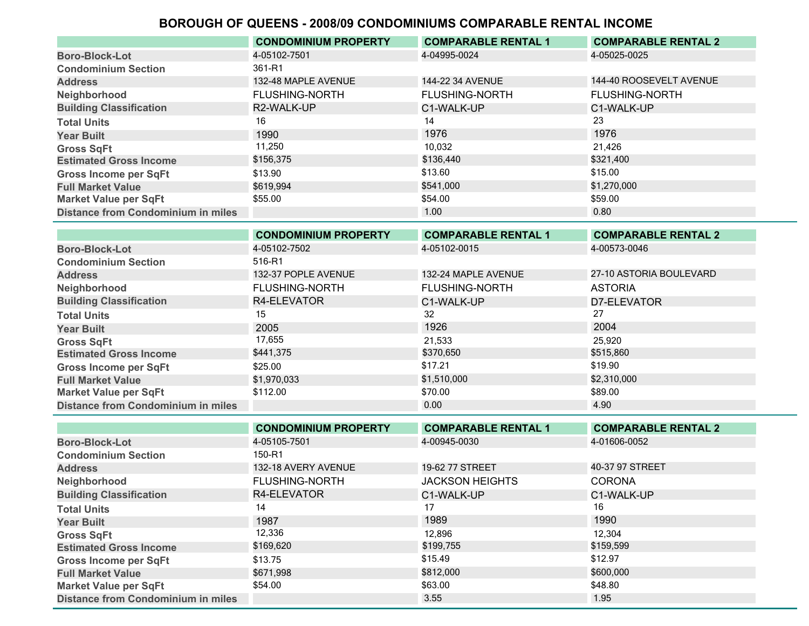|                                           | <b>CONDOMINIUM PROPERTY</b> | <b>COMPARABLE RENTAL 1</b> | <b>COMPARABLE RENTAL 2</b> |
|-------------------------------------------|-----------------------------|----------------------------|----------------------------|
| <b>Boro-Block-Lot</b>                     | 4-05102-7501                | 4-04995-0024               | 4-05025-0025               |
| <b>Condominium Section</b>                | 361-R1                      |                            |                            |
| <b>Address</b>                            | 132-48 MAPLE AVENUE         | 144-22 34 AVENUE           | 144-40 ROOSEVELT AVENUE    |
| Neighborhood                              | <b>FLUSHING-NORTH</b>       | <b>FLUSHING-NORTH</b>      | <b>FLUSHING-NORTH</b>      |
| <b>Building Classification</b>            | R2-WALK-UP                  | C1-WALK-UP                 | C1-WALK-UP                 |
| <b>Total Units</b>                        | 16                          | 14                         | 23                         |
| <b>Year Built</b>                         | 1990                        | 1976                       | 1976                       |
| <b>Gross SqFt</b>                         | 11,250                      | 10.032                     | 21,426                     |
| <b>Estimated Gross Income</b>             | \$156,375                   | \$136,440                  | \$321,400                  |
| <b>Gross Income per SqFt</b>              | \$13.90                     | \$13.60                    | \$15.00                    |
| <b>Full Market Value</b>                  | \$619,994                   | \$541,000                  | \$1,270,000                |
| <b>Market Value per SqFt</b>              | \$55.00                     | \$54.00                    | \$59.00                    |
| <b>Distance from Condominium in miles</b> |                             | 1.00                       | 0.80                       |

|                                           | <b>CONDOMINIUM PROPERTY</b> | <b>COMPARABLE RENTAL 1</b> | <b>COMPARABLE RENTAL 2</b> |
|-------------------------------------------|-----------------------------|----------------------------|----------------------------|
| <b>Boro-Block-Lot</b>                     | 4-05102-7502                | 4-05102-0015               | 4-00573-0046               |
| <b>Condominium Section</b>                | 516-R1                      |                            |                            |
| <b>Address</b>                            | 132-37 POPLE AVENUE         | 132-24 MAPLE AVENUE        | 27-10 ASTORIA BOULEVARD    |
| Neighborhood                              | <b>FLUSHING-NORTH</b>       | <b>FLUSHING-NORTH</b>      | <b>ASTORIA</b>             |
| <b>Building Classification</b>            | R4-ELEVATOR                 | C1-WALK-UP                 | D7-ELEVATOR                |
| <b>Total Units</b>                        | 15                          | 32                         | 27                         |
| <b>Year Built</b>                         | 2005                        | 1926                       | 2004                       |
| <b>Gross SqFt</b>                         | 17,655                      | 21,533                     | 25,920                     |
| <b>Estimated Gross Income</b>             | \$441,375                   | \$370,650                  | \$515,860                  |
| <b>Gross Income per SqFt</b>              | \$25.00                     | \$17.21                    | \$19.90                    |
| <b>Full Market Value</b>                  | \$1,970,033                 | \$1,510,000                | \$2,310,000                |
| <b>Market Value per SqFt</b>              | \$112.00                    | \$70.00                    | \$89.00                    |
| <b>Distance from Condominium in miles</b> |                             | 0.00                       | 4.90                       |

|                                           | <b>CONDOMINIUM PROPERTY</b> | <b>COMPARABLE RENTAL 1</b> | <b>COMPARABLE RENTAL 2</b> |
|-------------------------------------------|-----------------------------|----------------------------|----------------------------|
| <b>Boro-Block-Lot</b>                     | 4-05105-7501                | 4-00945-0030               | 4-01606-0052               |
| <b>Condominium Section</b>                | 150-R1                      |                            |                            |
| <b>Address</b>                            | 132-18 AVERY AVENUE         | 19-62 77 STREET            | 40-37 97 STREET            |
| Neighborhood                              | <b>FLUSHING-NORTH</b>       | <b>JACKSON HEIGHTS</b>     | <b>CORONA</b>              |
| <b>Building Classification</b>            | R4-ELEVATOR                 | C1-WALK-UP                 | C1-WALK-UP                 |
| <b>Total Units</b>                        | 14                          | 17                         | 16                         |
| <b>Year Built</b>                         | 1987                        | 1989                       | 1990                       |
| <b>Gross SqFt</b>                         | 12,336                      | 12,896                     | 12,304                     |
| <b>Estimated Gross Income</b>             | \$169,620                   | \$199,755                  | \$159,599                  |
| <b>Gross Income per SqFt</b>              | \$13.75                     | \$15.49                    | \$12.97                    |
| <b>Full Market Value</b>                  | \$671.998                   | \$812,000                  | \$600,000                  |
| <b>Market Value per SqFt</b>              | \$54.00                     | \$63.00                    | \$48.80                    |
| <b>Distance from Condominium in miles</b> |                             | 3.55                       | 1.95                       |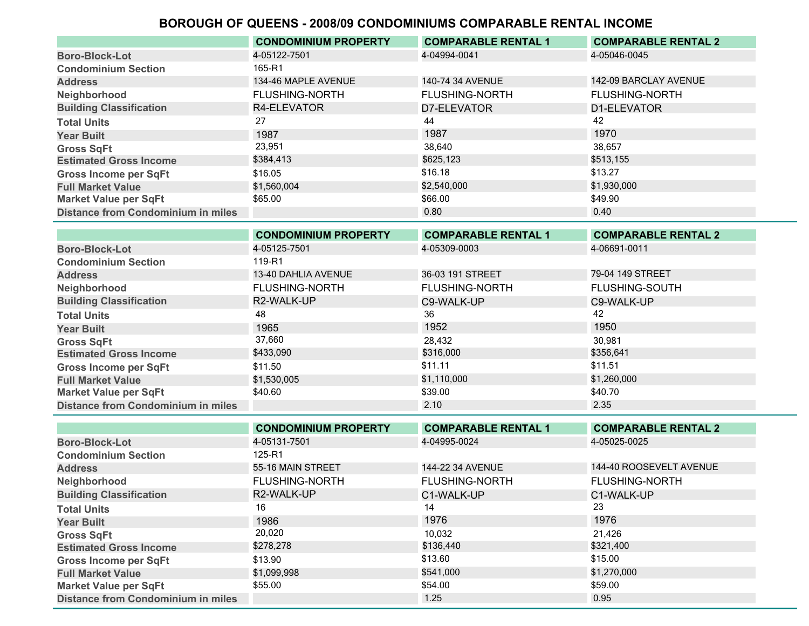|                                           | <b>CONDOMINIUM PROPERTY</b> | <b>COMPARABLE RENTAL 1</b> | <b>COMPARABLE RENTAL 2</b> |
|-------------------------------------------|-----------------------------|----------------------------|----------------------------|
| <b>Boro-Block-Lot</b>                     | 4-05122-7501                | 4-04994-0041               | 4-05046-0045               |
| <b>Condominium Section</b>                | 165-R1                      |                            |                            |
| <b>Address</b>                            | 134-46 MAPLE AVENUE         | 140-74 34 AVENUE           | 142-09 BARCLAY AVENUE      |
| Neighborhood                              | <b>FLUSHING-NORTH</b>       | <b>FLUSHING-NORTH</b>      | <b>FLUSHING-NORTH</b>      |
| <b>Building Classification</b>            | R4-ELEVATOR                 | D7-ELEVATOR                | D1-ELEVATOR                |
| <b>Total Units</b>                        | 27                          | 44                         | 42                         |
| <b>Year Built</b>                         | 1987                        | 1987                       | 1970                       |
| <b>Gross SqFt</b>                         | 23,951                      | 38,640                     | 38,657                     |
| <b>Estimated Gross Income</b>             | \$384,413                   | \$625,123                  | \$513,155                  |
| <b>Gross Income per SqFt</b>              | \$16.05                     | \$16.18                    | \$13.27                    |
| <b>Full Market Value</b>                  | \$1,560,004                 | \$2,540,000                | \$1,930,000                |
| <b>Market Value per SqFt</b>              | \$65.00                     | \$66.00                    | \$49.90                    |
| <b>Distance from Condominium in miles</b> |                             | 0.80                       | 0.40                       |

|                                           | <b>CONDOMINIUM PROPERTY</b> | <b>COMPARABLE RENTAL 1</b> | <b>COMPARABLE RENTAL 2</b> |
|-------------------------------------------|-----------------------------|----------------------------|----------------------------|
| <b>Boro-Block-Lot</b>                     | 4-05125-7501                | 4-05309-0003               | 4-06691-0011               |
| <b>Condominium Section</b>                | 119-R1                      |                            |                            |
| <b>Address</b>                            | 13-40 DAHLIA AVENUE         | 36-03 191 STREET           | 79-04 149 STREET           |
| Neighborhood                              | <b>FLUSHING-NORTH</b>       | <b>FLUSHING-NORTH</b>      | <b>FLUSHING-SOUTH</b>      |
| <b>Building Classification</b>            | R2-WALK-UP                  | C9-WALK-UP                 | C9-WALK-UP                 |
| <b>Total Units</b>                        | 48                          | 36                         | 42                         |
| <b>Year Built</b>                         | 1965                        | 1952                       | 1950                       |
| <b>Gross SqFt</b>                         | 37,660                      | 28,432                     | 30.981                     |
| <b>Estimated Gross Income</b>             | \$433,090                   | \$316,000                  | \$356,641                  |
| <b>Gross Income per SqFt</b>              | \$11.50                     | \$11.11                    | \$11.51                    |
| <b>Full Market Value</b>                  | \$1,530,005                 | \$1,110,000                | \$1,260,000                |
| <b>Market Value per SqFt</b>              | \$40.60                     | \$39.00                    | \$40.70                    |
| <b>Distance from Condominium in miles</b> |                             | 2.10                       | 2.35                       |

|                                           | <b>CONDOMINIUM PROPERTY</b> | <b>COMPARABLE RENTAL 1</b> | <b>COMPARABLE RENTAL 2</b> |
|-------------------------------------------|-----------------------------|----------------------------|----------------------------|
| <b>Boro-Block-Lot</b>                     | 4-05131-7501                | 4-04995-0024               | 4-05025-0025               |
| <b>Condominium Section</b>                | 125-R1                      |                            |                            |
| <b>Address</b>                            | 55-16 MAIN STREET           | 144-22 34 AVENUE           | 144-40 ROOSEVELT AVENUE    |
| Neighborhood                              | <b>FLUSHING-NORTH</b>       | <b>FLUSHING-NORTH</b>      | <b>FLUSHING-NORTH</b>      |
| <b>Building Classification</b>            | R2-WALK-UP                  | C1-WALK-UP                 | C1-WALK-UP                 |
| <b>Total Units</b>                        | 16                          | 14                         | 23                         |
| <b>Year Built</b>                         | 1986                        | 1976                       | 1976                       |
| <b>Gross SqFt</b>                         | 20,020                      | 10,032                     | 21.426                     |
| <b>Estimated Gross Income</b>             | \$278,278                   | \$136,440                  | \$321,400                  |
| <b>Gross Income per SqFt</b>              | \$13.90                     | \$13.60                    | \$15.00                    |
| <b>Full Market Value</b>                  | \$1,099,998                 | \$541,000                  | \$1,270,000                |
| <b>Market Value per SqFt</b>              | \$55.00                     | \$54.00                    | \$59.00                    |
| <b>Distance from Condominium in miles</b> |                             | 1.25                       | 0.95                       |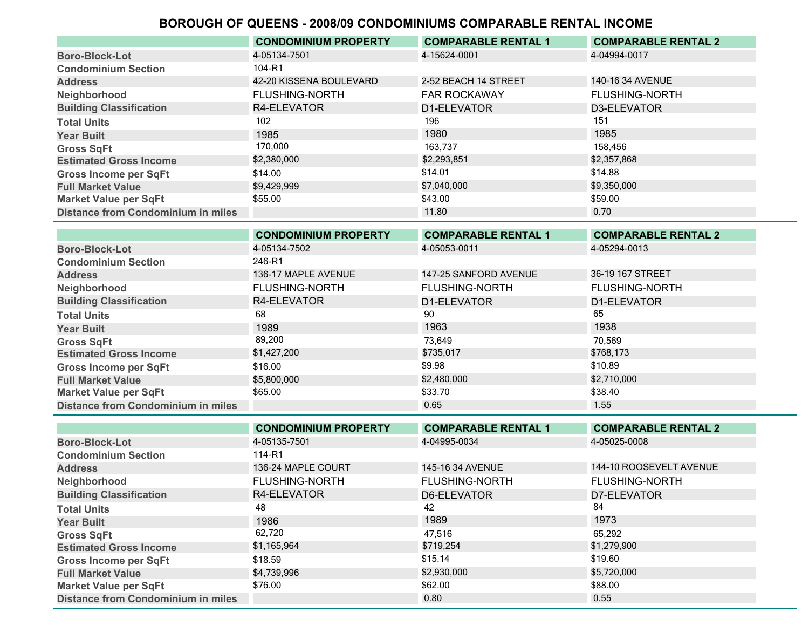|                                           | <b>CONDOMINIUM PROPERTY</b> | <b>COMPARABLE RENTAL 1</b> | <b>COMPARABLE RENTAL 2</b> |
|-------------------------------------------|-----------------------------|----------------------------|----------------------------|
| <b>Boro-Block-Lot</b>                     | 4-05134-7501                | 4-15624-0001               | 4-04994-0017               |
| <b>Condominium Section</b>                | 104-R1                      |                            |                            |
| <b>Address</b>                            | 42-20 KISSENA BOULEVARD     | 2-52 BEACH 14 STREET       | 140-16 34 AVENUE           |
| Neighborhood                              | <b>FLUSHING-NORTH</b>       | <b>FAR ROCKAWAY</b>        | <b>FLUSHING-NORTH</b>      |
| <b>Building Classification</b>            | R4-ELEVATOR                 | D1-ELEVATOR                | D3-ELEVATOR                |
| <b>Total Units</b>                        | 102                         | 196                        | 151                        |
| <b>Year Built</b>                         | 1985                        | 1980                       | 1985                       |
| <b>Gross SqFt</b>                         | 170,000                     | 163.737                    | 158,456                    |
| <b>Estimated Gross Income</b>             | \$2,380,000                 | \$2,293,851                | \$2,357,868                |
| <b>Gross Income per SqFt</b>              | \$14.00                     | \$14.01                    | \$14.88                    |
| <b>Full Market Value</b>                  | \$9,429,999                 | \$7,040,000                | \$9,350,000                |
| <b>Market Value per SqFt</b>              | \$55.00                     | \$43.00                    | \$59.00                    |
| <b>Distance from Condominium in miles</b> |                             | 11.80                      | 0.70                       |
|                                           |                             |                            |                            |

|                                           | <b>CONDOMINIUM PROPERTY</b> | <b>COMPARABLE RENTAL 1</b> | <b>COMPARABLE RENTAL 2</b> |
|-------------------------------------------|-----------------------------|----------------------------|----------------------------|
| <b>Boro-Block-Lot</b>                     | 4-05134-7502                | 4-05053-0011               | 4-05294-0013               |
| <b>Condominium Section</b>                | 246-R1                      |                            |                            |
| <b>Address</b>                            | 136-17 MAPLE AVENUE         | 147-25 SANFORD AVENUE      | 36-19 167 STREET           |
| Neighborhood                              | <b>FLUSHING-NORTH</b>       | <b>FLUSHING-NORTH</b>      | <b>FLUSHING-NORTH</b>      |
| <b>Building Classification</b>            | R4-ELEVATOR                 | D1-ELEVATOR                | D1-ELEVATOR                |
| <b>Total Units</b>                        | 68                          | 90                         | 65                         |
| <b>Year Built</b>                         | 1989                        | 1963                       | 1938                       |
| <b>Gross SqFt</b>                         | 89,200                      | 73.649                     | 70.569                     |
| <b>Estimated Gross Income</b>             | \$1,427,200                 | \$735,017                  | \$768,173                  |
| <b>Gross Income per SqFt</b>              | \$16.00                     | \$9.98                     | \$10.89                    |
| <b>Full Market Value</b>                  | \$5,800,000                 | \$2,480,000                | \$2,710,000                |
| <b>Market Value per SqFt</b>              | \$65.00                     | \$33.70                    | \$38.40                    |
| <b>Distance from Condominium in miles</b> |                             | 0.65                       | 1.55                       |
|                                           |                             |                            |                            |

|                                           | <b>CONDOMINIUM PROPERTY</b> | <b>COMPARABLE RENTAL 1</b> | <b>COMPARABLE RENTAL 2</b> |
|-------------------------------------------|-----------------------------|----------------------------|----------------------------|
| <b>Boro-Block-Lot</b>                     | 4-05135-7501                | 4-04995-0034               | 4-05025-0008               |
| <b>Condominium Section</b>                | 114-R1                      |                            |                            |
| <b>Address</b>                            | 136-24 MAPLE COURT          | 145-16 34 AVENUE           | 144-10 ROOSEVELT AVENUE    |
| Neighborhood                              | <b>FLUSHING-NORTH</b>       | <b>FLUSHING-NORTH</b>      | <b>FLUSHING-NORTH</b>      |
| <b>Building Classification</b>            | R4-ELEVATOR                 | D6-ELEVATOR                | D7-ELEVATOR                |
| <b>Total Units</b>                        | 48                          | 42                         | 84                         |
| <b>Year Built</b>                         | 1986                        | 1989                       | 1973                       |
| <b>Gross SqFt</b>                         | 62,720                      | 47,516                     | 65.292                     |
| <b>Estimated Gross Income</b>             | \$1,165,964                 | \$719,254                  | \$1,279,900                |
| <b>Gross Income per SqFt</b>              | \$18.59                     | \$15.14                    | \$19.60                    |
| <b>Full Market Value</b>                  | \$4,739,996                 | \$2,930,000                | \$5,720,000                |
| <b>Market Value per SqFt</b>              | \$76.00                     | \$62.00                    | \$88.00                    |
| <b>Distance from Condominium in miles</b> |                             | 0.80                       | 0.55                       |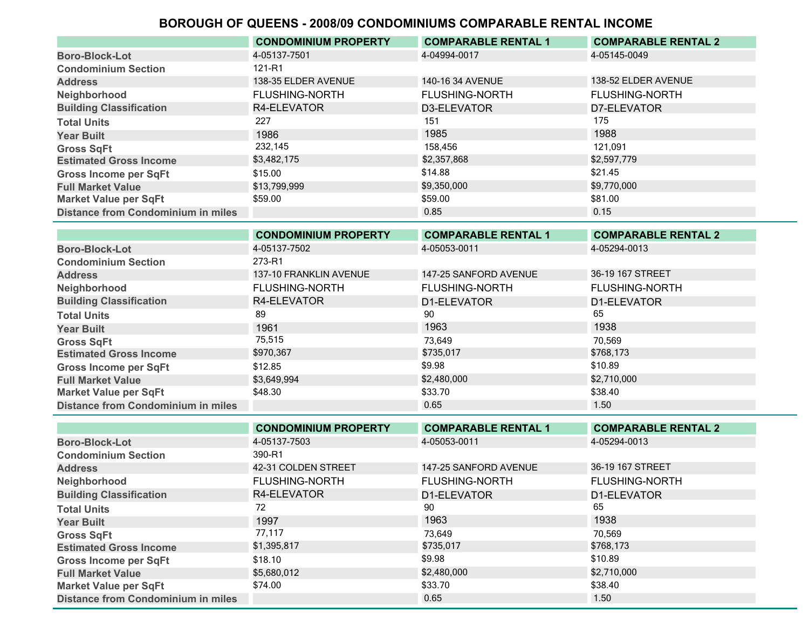|                                           | <b>CONDOMINIUM PROPERTY</b> | <b>COMPARABLE RENTAL 1</b> | <b>COMPARABLE RENTAL 2</b> |
|-------------------------------------------|-----------------------------|----------------------------|----------------------------|
| <b>Boro-Block-Lot</b>                     | 4-05137-7501                | 4-04994-0017               | 4-05145-0049               |
| <b>Condominium Section</b>                | 121-R1                      |                            |                            |
| <b>Address</b>                            | 138-35 ELDER AVENUE         | 140-16 34 AVENUE           | 138-52 ELDER AVENUE        |
| Neighborhood                              | <b>FLUSHING-NORTH</b>       | <b>FLUSHING-NORTH</b>      | <b>FLUSHING-NORTH</b>      |
| <b>Building Classification</b>            | R4-ELEVATOR                 | D3-ELEVATOR                | D7-ELEVATOR                |
| <b>Total Units</b>                        | 227                         | 151                        | 175                        |
| <b>Year Built</b>                         | 1986                        | 1985                       | 1988                       |
| <b>Gross SqFt</b>                         | 232,145                     | 158,456                    | 121.091                    |
| <b>Estimated Gross Income</b>             | \$3,482,175                 | \$2,357,868                | \$2,597,779                |
| <b>Gross Income per SqFt</b>              | \$15.00                     | \$14.88                    | \$21.45                    |
| <b>Full Market Value</b>                  | \$13,799,999                | \$9,350,000                | \$9,770,000                |
| <b>Market Value per SqFt</b>              | \$59.00                     | \$59.00                    | \$81.00                    |
| <b>Distance from Condominium in miles</b> |                             | 0.85                       | 0.15                       |
|                                           |                             |                            |                            |

|                                           | <b>CONDOMINIUM PROPERTY</b> | <b>COMPARABLE RENTAL 1</b> | <b>COMPARABLE RENTAL 2</b> |
|-------------------------------------------|-----------------------------|----------------------------|----------------------------|
| <b>Boro-Block-Lot</b>                     | 4-05137-7502                | 4-05053-0011               | 4-05294-0013               |
| <b>Condominium Section</b>                | 273-R1                      |                            |                            |
| <b>Address</b>                            | 137-10 FRANKLIN AVENUE      | 147-25 SANFORD AVENUE      | 36-19 167 STREET           |
| Neighborhood                              | <b>FLUSHING-NORTH</b>       | <b>FLUSHING-NORTH</b>      | <b>FLUSHING-NORTH</b>      |
| <b>Building Classification</b>            | R4-ELEVATOR                 | D1-ELEVATOR                | D1-ELEVATOR                |
| <b>Total Units</b>                        | 89                          | 90                         | 65                         |
| <b>Year Built</b>                         | 1961                        | 1963                       | 1938                       |
| <b>Gross SqFt</b>                         | 75,515                      | 73.649                     | 70.569                     |
| <b>Estimated Gross Income</b>             | \$970,367                   | \$735,017                  | \$768,173                  |
| <b>Gross Income per SqFt</b>              | \$12.85                     | \$9.98                     | \$10.89                    |
| <b>Full Market Value</b>                  | \$3,649,994                 | \$2,480,000                | \$2,710,000                |
| <b>Market Value per SqFt</b>              | \$48.30                     | \$33.70                    | \$38.40                    |
| <b>Distance from Condominium in miles</b> |                             | 0.65                       | 1.50                       |
|                                           |                             |                            |                            |

|                                           | <b>CONDOMINIUM PROPERTY</b> | <b>COMPARABLE RENTAL 1</b> | <b>COMPARABLE RENTAL 2</b> |
|-------------------------------------------|-----------------------------|----------------------------|----------------------------|
| <b>Boro-Block-Lot</b>                     | 4-05137-7503                | 4-05053-0011               | 4-05294-0013               |
| <b>Condominium Section</b>                | 390-R1                      |                            |                            |
| <b>Address</b>                            | 42-31 COLDEN STREET         | 147-25 SANFORD AVENUE      | 36-19 167 STREET           |
| Neighborhood                              | <b>FLUSHING-NORTH</b>       | <b>FLUSHING-NORTH</b>      | <b>FLUSHING-NORTH</b>      |
| <b>Building Classification</b>            | R4-ELEVATOR                 | D1-ELEVATOR                | D1-ELEVATOR                |
| <b>Total Units</b>                        | 72                          | 90                         | 65                         |
| <b>Year Built</b>                         | 1997                        | 1963                       | 1938                       |
| <b>Gross SqFt</b>                         | 77,117                      | 73,649                     | 70,569                     |
| <b>Estimated Gross Income</b>             | \$1,395,817                 | \$735,017                  | \$768,173                  |
| <b>Gross Income per SqFt</b>              | \$18.10                     | \$9.98                     | \$10.89                    |
| <b>Full Market Value</b>                  | \$5,680,012                 | \$2,480,000                | \$2,710,000                |
| <b>Market Value per SqFt</b>              | \$74.00                     | \$33.70                    | \$38.40                    |
| <b>Distance from Condominium in miles</b> |                             | 0.65                       | 1.50                       |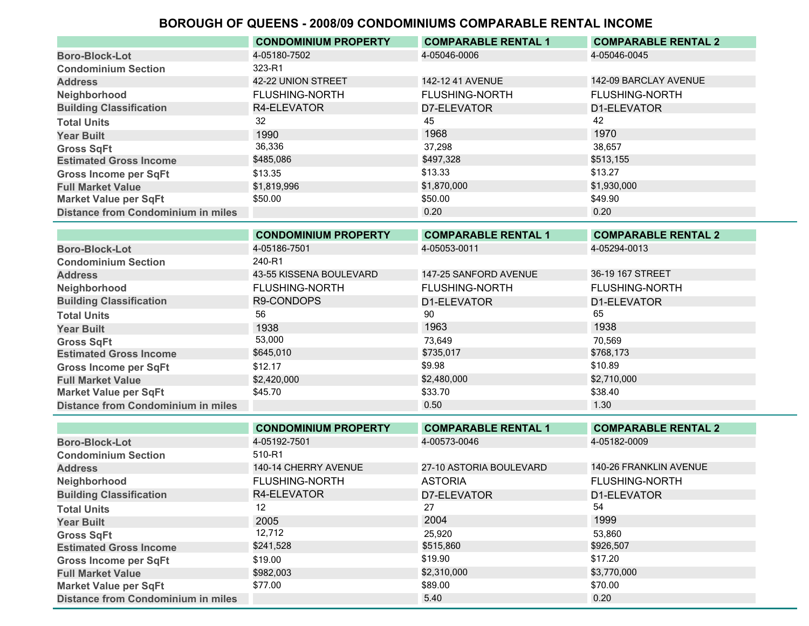|                                           | <b>CONDOMINIUM PROPERTY</b> | <b>COMPARABLE RENTAL 1</b> | <b>COMPARABLE RENTAL 2</b> |
|-------------------------------------------|-----------------------------|----------------------------|----------------------------|
| <b>Boro-Block-Lot</b>                     | 4-05180-7502                | 4-05046-0006               | 4-05046-0045               |
| <b>Condominium Section</b>                | 323-R1                      |                            |                            |
| <b>Address</b>                            | 42-22 UNION STREET          | 142-12 41 AVENUE           | 142-09 BARCLAY AVENUE      |
| Neighborhood                              | <b>FLUSHING-NORTH</b>       | <b>FLUSHING-NORTH</b>      | <b>FLUSHING-NORTH</b>      |
| <b>Building Classification</b>            | R4-ELEVATOR                 | D7-ELEVATOR                | D1-ELEVATOR                |
| <b>Total Units</b>                        | 32                          | 45                         | 42                         |
| <b>Year Built</b>                         | 1990                        | 1968                       | 1970                       |
| <b>Gross SqFt</b>                         | 36,336                      | 37,298                     | 38,657                     |
| <b>Estimated Gross Income</b>             | \$485,086                   | \$497,328                  | \$513,155                  |
| <b>Gross Income per SqFt</b>              | \$13.35                     | \$13.33                    | \$13.27                    |
| <b>Full Market Value</b>                  | \$1,819,996                 | \$1,870,000                | \$1,930,000                |
| <b>Market Value per SqFt</b>              | \$50.00                     | \$50.00                    | \$49.90                    |
| <b>Distance from Condominium in miles</b> |                             | 0.20                       | 0.20                       |
|                                           |                             |                            |                            |

|                                           | <b>CONDOMINIUM PROPERTY</b> | <b>COMPARABLE RENTAL 1</b> | <b>COMPARABLE RENTAL 2</b> |
|-------------------------------------------|-----------------------------|----------------------------|----------------------------|
| <b>Boro-Block-Lot</b>                     | 4-05186-7501                | 4-05053-0011               | 4-05294-0013               |
| <b>Condominium Section</b>                | 240-R1                      |                            |                            |
| <b>Address</b>                            | 43-55 KISSENA BOULEVARD     | 147-25 SANFORD AVENUE      | 36-19 167 STREET           |
| Neighborhood                              | <b>FLUSHING-NORTH</b>       | <b>FLUSHING-NORTH</b>      | <b>FLUSHING-NORTH</b>      |
| <b>Building Classification</b>            | R9-CONDOPS                  | D1-ELEVATOR                | D1-ELEVATOR                |
| <b>Total Units</b>                        | 56                          | 90                         | 65                         |
| <b>Year Built</b>                         | 1938                        | 1963                       | 1938                       |
| <b>Gross SqFt</b>                         | 53,000                      | 73.649                     | 70.569                     |
| <b>Estimated Gross Income</b>             | \$645,010                   | \$735,017                  | \$768,173                  |
| <b>Gross Income per SqFt</b>              | \$12.17                     | \$9.98                     | \$10.89                    |
| <b>Full Market Value</b>                  | \$2,420,000                 | \$2,480,000                | \$2,710,000                |
| <b>Market Value per SqFt</b>              | \$45.70                     | \$33.70                    | \$38.40                    |
| <b>Distance from Condominium in miles</b> |                             | 0.50                       | 1.30                       |

|                                           | <b>CONDOMINIUM PROPERTY</b> | <b>COMPARABLE RENTAL 1</b> | <b>COMPARABLE RENTAL 2</b> |
|-------------------------------------------|-----------------------------|----------------------------|----------------------------|
| <b>Boro-Block-Lot</b>                     | 4-05192-7501                | 4-00573-0046               | 4-05182-0009               |
| <b>Condominium Section</b>                | 510-R1                      |                            |                            |
| <b>Address</b>                            | 140-14 CHERRY AVENUE        | 27-10 ASTORIA BOULEVARD    | 140-26 FRANKLIN AVENUE     |
| Neighborhood                              | <b>FLUSHING-NORTH</b>       | <b>ASTORIA</b>             | <b>FLUSHING-NORTH</b>      |
| <b>Building Classification</b>            | R4-ELEVATOR                 | D7-ELEVATOR                | D1-ELEVATOR                |
| <b>Total Units</b>                        | 12                          | 27                         | 54                         |
| <b>Year Built</b>                         | 2005                        | 2004                       | 1999                       |
| <b>Gross SqFt</b>                         | 12,712                      | 25.920                     | 53.860                     |
| <b>Estimated Gross Income</b>             | \$241,528                   | \$515,860                  | \$926,507                  |
| <b>Gross Income per SqFt</b>              | \$19.00                     | \$19.90                    | \$17.20                    |
| <b>Full Market Value</b>                  | \$982,003                   | \$2,310,000                | \$3,770,000                |
| <b>Market Value per SqFt</b>              | \$77.00                     | \$89.00                    | \$70.00                    |
| <b>Distance from Condominium in miles</b> |                             | 5.40                       | 0.20                       |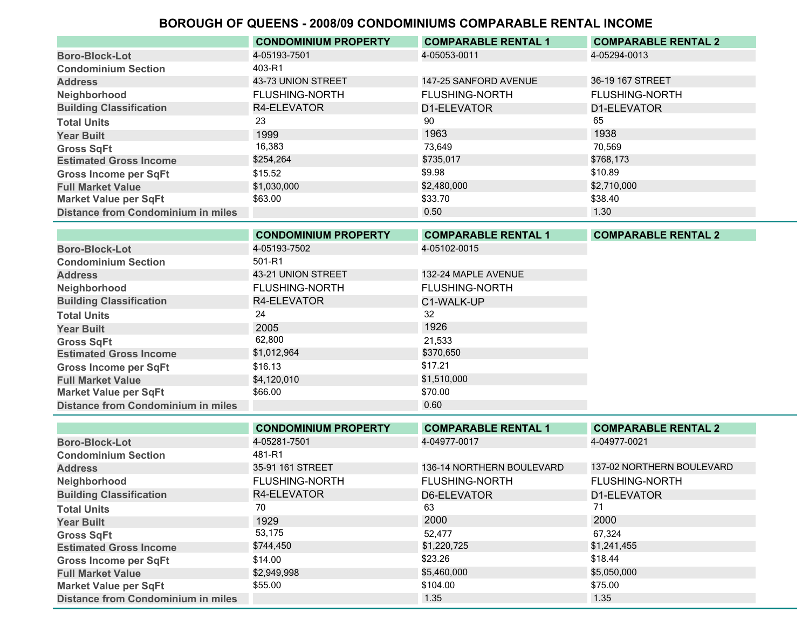|                                           | <b>CONDOMINIUM PROPERTY</b> | <b>COMPARABLE RENTAL 1</b> | <b>COMPARABLE RENTAL 2</b> |
|-------------------------------------------|-----------------------------|----------------------------|----------------------------|
| <b>Boro-Block-Lot</b>                     | 4-05193-7501                | 4-05053-0011               | 4-05294-0013               |
| <b>Condominium Section</b>                | 403-R1                      |                            |                            |
| <b>Address</b>                            | 43-73 UNION STREET          | 147-25 SANFORD AVENUE      | 36-19 167 STREET           |
| Neighborhood                              | <b>FLUSHING-NORTH</b>       | <b>FLUSHING-NORTH</b>      | <b>FLUSHING-NORTH</b>      |
| <b>Building Classification</b>            | R4-ELEVATOR                 | D1-ELEVATOR                | D1-ELEVATOR                |
| <b>Total Units</b>                        | 23                          | 90                         | 65                         |
| <b>Year Built</b>                         | 1999                        | 1963                       | 1938                       |
| <b>Gross SqFt</b>                         | 16,383                      | 73,649                     | 70,569                     |
| <b>Estimated Gross Income</b>             | \$254,264                   | \$735,017                  | \$768,173                  |
| <b>Gross Income per SqFt</b>              | \$15.52                     | \$9.98                     | \$10.89                    |
| <b>Full Market Value</b>                  | \$1,030,000                 | \$2,480,000                | \$2,710,000                |
| <b>Market Value per SqFt</b>              | \$63.00                     | \$33.70                    | \$38.40                    |
| <b>Distance from Condominium in miles</b> |                             | 0.50                       | 1.30                       |

|                                           | <b>CONDOMINIUM PROPERTY</b> | <b>COMPARABLE RENTAL 1</b> | <b>COMPARABLE RENTAL 2</b> |
|-------------------------------------------|-----------------------------|----------------------------|----------------------------|
| <b>Boro-Block-Lot</b>                     | 4-05193-7502                | 4-05102-0015               |                            |
| <b>Condominium Section</b>                | 501-R1                      |                            |                            |
| <b>Address</b>                            | 43-21 UNION STREET          | 132-24 MAPLE AVENUE        |                            |
| Neighborhood                              | <b>FLUSHING-NORTH</b>       | <b>FLUSHING-NORTH</b>      |                            |
| <b>Building Classification</b>            | R4-ELEVATOR                 | C1-WALK-UP                 |                            |
| <b>Total Units</b>                        | 24                          | 32                         |                            |
| <b>Year Built</b>                         | 2005                        | 1926                       |                            |
| <b>Gross SqFt</b>                         | 62,800                      | 21,533                     |                            |
| <b>Estimated Gross Income</b>             | \$1,012,964                 | \$370,650                  |                            |
| <b>Gross Income per SqFt</b>              | \$16.13                     | \$17.21                    |                            |
| <b>Full Market Value</b>                  | \$4,120,010                 | \$1,510,000                |                            |
| <b>Market Value per SqFt</b>              | \$66.00                     | \$70.00                    |                            |
| <b>Distance from Condominium in miles</b> |                             | 0.60                       |                            |

|                                           | <b>CONDOMINIUM PROPERTY</b> | <b>COMPARABLE RENTAL 1</b> | <b>COMPARABLE RENTAL 2</b> |
|-------------------------------------------|-----------------------------|----------------------------|----------------------------|
| <b>Boro-Block-Lot</b>                     | 4-05281-7501                | 4-04977-0017               | 4-04977-0021               |
| <b>Condominium Section</b>                | 481-R1                      |                            |                            |
| <b>Address</b>                            | 35-91 161 STREET            | 136-14 NORTHERN BOULEVARD  | 137-02 NORTHERN BOULEVARD  |
| Neighborhood                              | <b>FLUSHING-NORTH</b>       | <b>FLUSHING-NORTH</b>      | <b>FLUSHING-NORTH</b>      |
| <b>Building Classification</b>            | R4-ELEVATOR                 | D6-ELEVATOR                | D1-ELEVATOR                |
| <b>Total Units</b>                        | 70                          | 63                         | 71                         |
| <b>Year Built</b>                         | 1929                        | 2000                       | 2000                       |
| <b>Gross SqFt</b>                         | 53,175                      | 52.477                     | 67.324                     |
| <b>Estimated Gross Income</b>             | \$744,450                   | \$1,220,725                | \$1,241,455                |
| <b>Gross Income per SqFt</b>              | \$14.00                     | \$23.26                    | \$18.44                    |
| <b>Full Market Value</b>                  | \$2,949,998                 | \$5,460,000                | \$5,050,000                |
| <b>Market Value per SqFt</b>              | \$55.00                     | \$104.00                   | \$75.00                    |
| <b>Distance from Condominium in miles</b> |                             | 1.35                       | 1.35                       |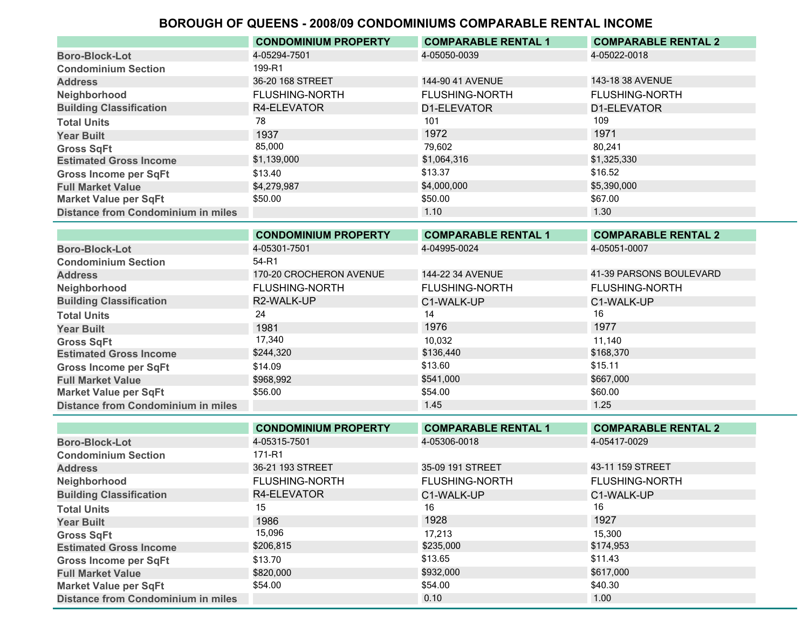|                                           | <b>CONDOMINIUM PROPERTY</b> | <b>COMPARABLE RENTAL 1</b> | <b>COMPARABLE RENTAL 2</b> |
|-------------------------------------------|-----------------------------|----------------------------|----------------------------|
| <b>Boro-Block-Lot</b>                     | 4-05294-7501                | 4-05050-0039               | 4-05022-0018               |
| <b>Condominium Section</b>                | 199-R1                      |                            |                            |
| <b>Address</b>                            | 36-20 168 STREET            | 144-90 41 AVENUE           | 143-18 38 AVENUE           |
| Neighborhood                              | <b>FLUSHING-NORTH</b>       | <b>FLUSHING-NORTH</b>      | <b>FLUSHING-NORTH</b>      |
| <b>Building Classification</b>            | R4-ELEVATOR                 | D1-ELEVATOR                | D1-ELEVATOR                |
| <b>Total Units</b>                        | 78                          | 101                        | 109                        |
| <b>Year Built</b>                         | 1937                        | 1972                       | 1971                       |
| <b>Gross SqFt</b>                         | 85,000                      | 79.602                     | 80.241                     |
| <b>Estimated Gross Income</b>             | \$1,139,000                 | \$1,064,316                | \$1,325,330                |
| <b>Gross Income per SqFt</b>              | \$13.40                     | \$13.37                    | \$16.52                    |
| <b>Full Market Value</b>                  | \$4,279,987                 | \$4,000,000                | \$5,390,000                |
| <b>Market Value per SqFt</b>              | \$50.00                     | \$50.00                    | \$67.00                    |
| <b>Distance from Condominium in miles</b> |                             | 1.10                       | 1.30                       |

|                                           | <b>CONDOMINIUM PROPERTY</b> | <b>COMPARABLE RENTAL 1</b> | <b>COMPARABLE RENTAL 2</b> |
|-------------------------------------------|-----------------------------|----------------------------|----------------------------|
| <b>Boro-Block-Lot</b>                     | 4-05301-7501                | 4-04995-0024               | 4-05051-0007               |
| <b>Condominium Section</b>                | 54-R1                       |                            |                            |
| <b>Address</b>                            | 170-20 CROCHERON AVENUE     | 144-22 34 AVENUE           | 41-39 PARSONS BOULEVARD    |
| Neighborhood                              | <b>FLUSHING-NORTH</b>       | <b>FLUSHING-NORTH</b>      | <b>FLUSHING-NORTH</b>      |
| <b>Building Classification</b>            | R2-WALK-UP                  | C1-WALK-UP                 | C1-WALK-UP                 |
| <b>Total Units</b>                        | 24                          | 14                         | 16                         |
| <b>Year Built</b>                         | 1981                        | 1976                       | 1977                       |
| <b>Gross SqFt</b>                         | 17,340                      | 10.032                     | 11.140                     |
| <b>Estimated Gross Income</b>             | \$244,320                   | \$136,440                  | \$168,370                  |
| <b>Gross Income per SqFt</b>              | \$14.09                     | \$13.60                    | \$15.11                    |
| <b>Full Market Value</b>                  | \$968.992                   | \$541,000                  | \$667,000                  |
| <b>Market Value per SqFt</b>              | \$56.00                     | \$54.00                    | \$60.00                    |
| <b>Distance from Condominium in miles</b> |                             | 1.45                       | 1.25                       |

|                                           | <b>CONDOMINIUM PROPERTY</b> | <b>COMPARABLE RENTAL 1</b> | <b>COMPARABLE RENTAL 2</b> |
|-------------------------------------------|-----------------------------|----------------------------|----------------------------|
| <b>Boro-Block-Lot</b>                     | 4-05315-7501                | 4-05306-0018               | 4-05417-0029               |
| <b>Condominium Section</b>                | 171-R1                      |                            |                            |
| <b>Address</b>                            | 36-21 193 STREET            | 35-09 191 STREET           | 43-11 159 STREET           |
| Neighborhood                              | <b>FLUSHING-NORTH</b>       | <b>FLUSHING-NORTH</b>      | <b>FLUSHING-NORTH</b>      |
| <b>Building Classification</b>            | R4-ELEVATOR                 | C1-WALK-UP                 | C1-WALK-UP                 |
| <b>Total Units</b>                        | 15                          | 16                         | 16                         |
| <b>Year Built</b>                         | 1986                        | 1928                       | 1927                       |
| <b>Gross SqFt</b>                         | 15,096                      | 17.213                     | 15,300                     |
| <b>Estimated Gross Income</b>             | \$206,815                   | \$235,000                  | \$174,953                  |
| <b>Gross Income per SqFt</b>              | \$13.70                     | \$13.65                    | \$11.43                    |
| <b>Full Market Value</b>                  | \$820,000                   | \$932,000                  | \$617,000                  |
| <b>Market Value per SqFt</b>              | \$54.00                     | \$54.00                    | \$40.30                    |
| <b>Distance from Condominium in miles</b> |                             | 0.10                       | 1.00                       |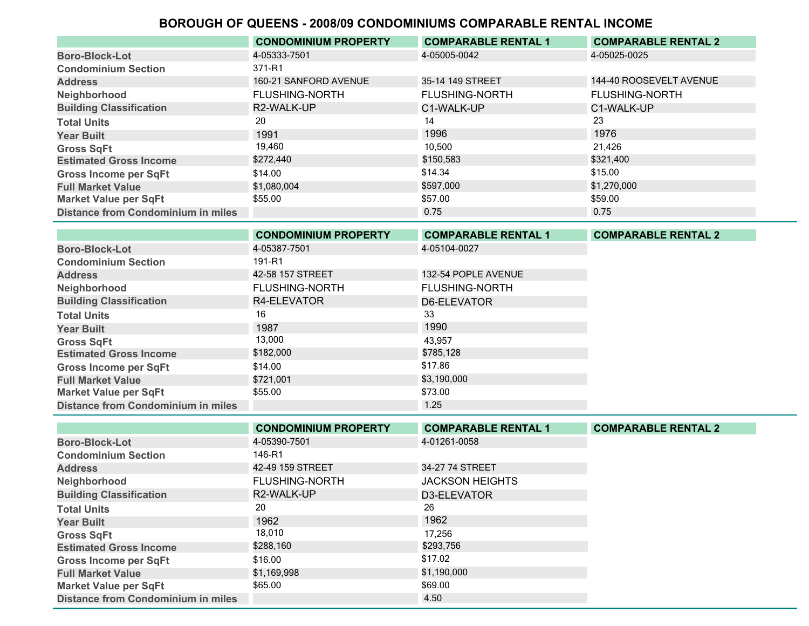|                                           | <b>CONDOMINIUM PROPERTY</b> | <b>COMPARABLE RENTAL 1</b> | <b>COMPARABLE RENTAL 2</b> |
|-------------------------------------------|-----------------------------|----------------------------|----------------------------|
| <b>Boro-Block-Lot</b>                     | 4-05333-7501                | 4-05005-0042               | 4-05025-0025               |
| <b>Condominium Section</b>                | 371-R1                      |                            |                            |
| <b>Address</b>                            | 160-21 SANFORD AVENUE       | 35-14 149 STREET           | 144-40 ROOSEVELT AVENUE    |
| Neighborhood                              | <b>FLUSHING-NORTH</b>       | <b>FLUSHING-NORTH</b>      | <b>FLUSHING-NORTH</b>      |
| <b>Building Classification</b>            | R2-WALK-UP                  | C1-WALK-UP                 | C1-WALK-UP                 |
| <b>Total Units</b>                        | 20                          | 14                         | 23                         |
| <b>Year Built</b>                         | 1991                        | 1996                       | 1976                       |
| <b>Gross SqFt</b>                         | 19,460                      | 10.500                     | 21.426                     |
| <b>Estimated Gross Income</b>             | \$272,440                   | \$150,583                  | \$321,400                  |
| <b>Gross Income per SqFt</b>              | \$14.00                     | \$14.34                    | \$15.00                    |
| <b>Full Market Value</b>                  | \$1,080,004                 | \$597,000                  | \$1,270,000                |
| <b>Market Value per SqFt</b>              | \$55.00                     | \$57.00                    | \$59.00                    |
| <b>Distance from Condominium in miles</b> |                             | 0.75                       | 0.75                       |

|                                           | <b>CONDOMINIUM PROPERTY</b> | <b>COMPARABLE RENTAL 1</b> | <b>COMPARABLE RENTAL 2</b> |
|-------------------------------------------|-----------------------------|----------------------------|----------------------------|
| <b>Boro-Block-Lot</b>                     | 4-05387-7501                | 4-05104-0027               |                            |
| <b>Condominium Section</b>                | 191-R1                      |                            |                            |
| <b>Address</b>                            | 42-58 157 STREET            | 132-54 POPLE AVENUE        |                            |
| Neighborhood                              | <b>FLUSHING-NORTH</b>       | <b>FLUSHING-NORTH</b>      |                            |
| <b>Building Classification</b>            | R4-ELEVATOR                 | D6-ELEVATOR                |                            |
| <b>Total Units</b>                        | 16                          | 33                         |                            |
| <b>Year Built</b>                         | 1987                        | 1990                       |                            |
| <b>Gross SqFt</b>                         | 13,000                      | 43.957                     |                            |
| <b>Estimated Gross Income</b>             | \$182,000                   | \$785,128                  |                            |
| <b>Gross Income per SqFt</b>              | \$14.00                     | \$17.86                    |                            |
| <b>Full Market Value</b>                  | \$721,001                   | \$3,190,000                |                            |
| <b>Market Value per SqFt</b>              | \$55.00                     | \$73.00                    |                            |
| <b>Distance from Condominium in miles</b> |                             | 1.25                       |                            |

|                                           | <b>CONDOMINIUM PROPERTY</b> | <b>COMPARABLE RENTAL 1</b> | <b>COMPARABLE RENTAL 2</b> |
|-------------------------------------------|-----------------------------|----------------------------|----------------------------|
| <b>Boro-Block-Lot</b>                     | 4-05390-7501                | 4-01261-0058               |                            |
| <b>Condominium Section</b>                | 146-R1                      |                            |                            |
| <b>Address</b>                            | 42-49 159 STREET            | 34-27 74 STREET            |                            |
| Neighborhood                              | <b>FLUSHING-NORTH</b>       | <b>JACKSON HEIGHTS</b>     |                            |
| <b>Building Classification</b>            | R2-WALK-UP                  | D3-ELEVATOR                |                            |
| <b>Total Units</b>                        | 20                          | 26                         |                            |
| <b>Year Built</b>                         | 1962                        | 1962                       |                            |
| <b>Gross SqFt</b>                         | 18,010                      | 17.256                     |                            |
| <b>Estimated Gross Income</b>             | \$288,160                   | \$293,756                  |                            |
| <b>Gross Income per SqFt</b>              | \$16.00                     | \$17.02                    |                            |
| <b>Full Market Value</b>                  | \$1,169,998                 | \$1,190,000                |                            |
| <b>Market Value per SqFt</b>              | \$65.00                     | \$69.00                    |                            |
| <b>Distance from Condominium in miles</b> |                             | 4.50                       |                            |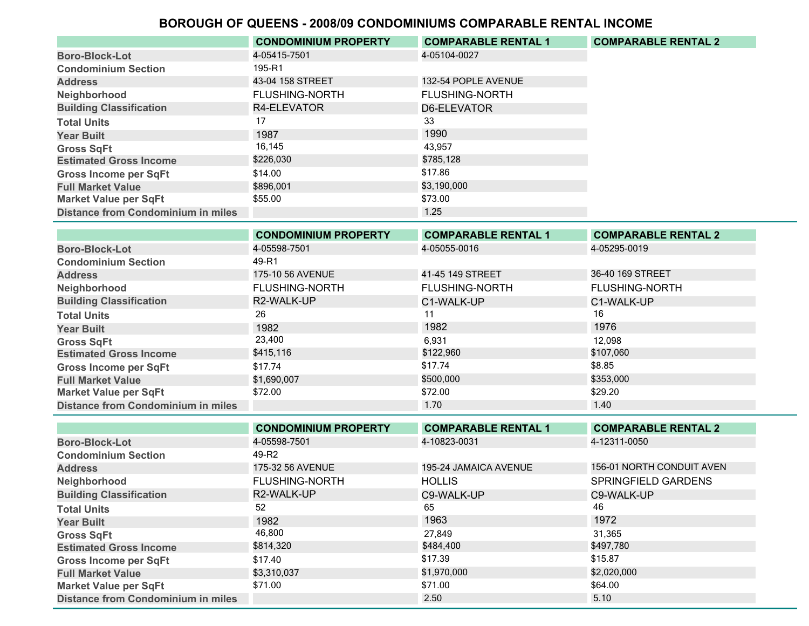|                                           | <b>CONDOMINIUM PROPERTY</b> | <b>COMPARABLE RENTAL 1</b> | <b>COMPARABLE RENTAL 2</b> |
|-------------------------------------------|-----------------------------|----------------------------|----------------------------|
| <b>Boro-Block-Lot</b>                     | 4-05415-7501                | 4-05104-0027               |                            |
| <b>Condominium Section</b>                | 195-R1                      |                            |                            |
| <b>Address</b>                            | 43-04 158 STREET            | 132-54 POPLE AVENUE        |                            |
| Neighborhood                              | <b>FLUSHING-NORTH</b>       | <b>FLUSHING-NORTH</b>      |                            |
| <b>Building Classification</b>            | R4-ELEVATOR                 | D6-ELEVATOR                |                            |
| <b>Total Units</b>                        | 17                          | 33                         |                            |
| <b>Year Built</b>                         | 1987                        | 1990                       |                            |
| <b>Gross SqFt</b>                         | 16,145                      | 43,957                     |                            |
| <b>Estimated Gross Income</b>             | \$226,030                   | \$785.128                  |                            |
| <b>Gross Income per SqFt</b>              | \$14.00                     | \$17.86                    |                            |
| <b>Full Market Value</b>                  | \$896,001                   | \$3,190,000                |                            |
| <b>Market Value per SqFt</b>              | \$55.00                     | \$73.00                    |                            |
| <b>Distance from Condominium in miles</b> |                             | 1.25                       |                            |

|                                           | <b>CONDOMINIUM PROPERTY</b> | <b>COMPARABLE RENTAL 1</b> | <b>COMPARABLE RENTAL 2</b> |
|-------------------------------------------|-----------------------------|----------------------------|----------------------------|
| <b>Boro-Block-Lot</b>                     | 4-05598-7501                | 4-05055-0016               | 4-05295-0019               |
| <b>Condominium Section</b>                | 49-R1                       |                            |                            |
| <b>Address</b>                            | 175-10 56 AVENUE            | 41-45 149 STREET           | 36-40 169 STREET           |
| Neighborhood                              | <b>FLUSHING-NORTH</b>       | <b>FLUSHING-NORTH</b>      | <b>FLUSHING-NORTH</b>      |
| <b>Building Classification</b>            | R2-WALK-UP                  | C1-WALK-UP                 | C1-WALK-UP                 |
| <b>Total Units</b>                        | 26                          | 11                         | 16                         |
| <b>Year Built</b>                         | 1982                        | 1982                       | 1976                       |
| <b>Gross SqFt</b>                         | 23,400                      | 6,931                      | 12,098                     |
| <b>Estimated Gross Income</b>             | \$415,116                   | \$122,960                  | \$107,060                  |
| <b>Gross Income per SqFt</b>              | \$17.74                     | \$17.74                    | \$8.85                     |
| <b>Full Market Value</b>                  | \$1,690,007                 | \$500,000                  | \$353,000                  |
| <b>Market Value per SqFt</b>              | \$72.00                     | \$72.00                    | \$29.20                    |
| <b>Distance from Condominium in miles</b> |                             | 1.70                       | 1.40                       |

|                                           | <b>CONDOMINIUM PROPERTY</b> | <b>COMPARABLE RENTAL 1</b> | <b>COMPARABLE RENTAL 2</b> |
|-------------------------------------------|-----------------------------|----------------------------|----------------------------|
| <b>Boro-Block-Lot</b>                     | 4-05598-7501                | 4-10823-0031               | 4-12311-0050               |
| <b>Condominium Section</b>                | 49-R2                       |                            |                            |
| <b>Address</b>                            | 175-32 56 AVENUE            | 195-24 JAMAICA AVENUE      | 156-01 NORTH CONDUIT AVEN  |
| Neighborhood                              | <b>FLUSHING-NORTH</b>       | <b>HOLLIS</b>              | <b>SPRINGFIELD GARDENS</b> |
| <b>Building Classification</b>            | R2-WALK-UP                  | C9-WALK-UP                 | C9-WALK-UP                 |
| <b>Total Units</b>                        | 52                          | 65                         | 46                         |
| <b>Year Built</b>                         | 1982                        | 1963                       | 1972                       |
| <b>Gross SqFt</b>                         | 46,800                      | 27.849                     | 31,365                     |
| <b>Estimated Gross Income</b>             | \$814,320                   | \$484,400                  | \$497,780                  |
| <b>Gross Income per SqFt</b>              | \$17.40                     | \$17.39                    | \$15.87                    |
| <b>Full Market Value</b>                  | \$3,310,037                 | \$1,970,000                | \$2,020,000                |
| <b>Market Value per SqFt</b>              | \$71.00                     | \$71.00                    | \$64.00                    |
| <b>Distance from Condominium in miles</b> |                             | 2.50                       | 5.10                       |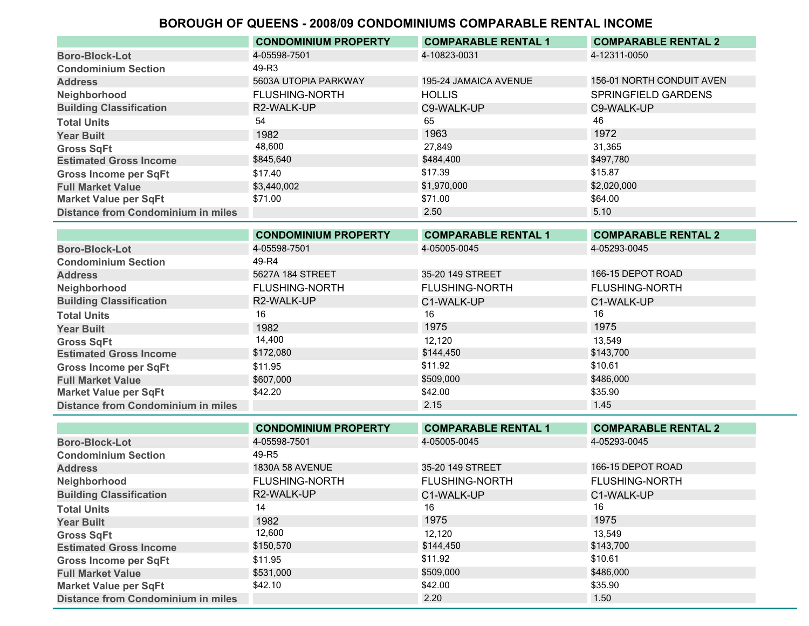|                                           | <b>CONDOMINIUM PROPERTY</b> | <b>COMPARABLE RENTAL 1</b> | <b>COMPARABLE RENTAL 2</b> |
|-------------------------------------------|-----------------------------|----------------------------|----------------------------|
| <b>Boro-Block-Lot</b>                     | 4-05598-7501                | 4-10823-0031               | 4-12311-0050               |
| <b>Condominium Section</b>                | 49-R3                       |                            |                            |
| <b>Address</b>                            | 5603A UTOPIA PARKWAY        | 195-24 JAMAICA AVENUE      | 156-01 NORTH CONDUIT AVEN  |
| Neighborhood                              | <b>FLUSHING-NORTH</b>       | <b>HOLLIS</b>              | SPRINGFIELD GARDENS        |
| <b>Building Classification</b>            | R2-WALK-UP                  | C9-WALK-UP                 | C9-WALK-UP                 |
| <b>Total Units</b>                        | 54                          | 65                         | 46                         |
| <b>Year Built</b>                         | 1982                        | 1963                       | 1972                       |
| <b>Gross SqFt</b>                         | 48,600                      | 27.849                     | 31.365                     |
| <b>Estimated Gross Income</b>             | \$845,640                   | \$484,400                  | \$497,780                  |
| <b>Gross Income per SqFt</b>              | \$17.40                     | \$17.39                    | \$15.87                    |
| <b>Full Market Value</b>                  | \$3,440,002                 | \$1,970,000                | \$2,020,000                |
| <b>Market Value per SqFt</b>              | \$71.00                     | \$71.00                    | \$64.00                    |
| <b>Distance from Condominium in miles</b> |                             | 2.50                       | 5.10                       |

|                                           | <b>CONDOMINIUM PROPERTY</b> | <b>COMPARABLE RENTAL 1</b> | <b>COMPARABLE RENTAL 2</b> |
|-------------------------------------------|-----------------------------|----------------------------|----------------------------|
| <b>Boro-Block-Lot</b>                     | 4-05598-7501                | 4-05005-0045               | 4-05293-0045               |
| <b>Condominium Section</b>                | 49-R4                       |                            |                            |
| <b>Address</b>                            | 5627A 184 STREET            | 35-20 149 STREET           | 166-15 DEPOT ROAD          |
| Neighborhood                              | <b>FLUSHING-NORTH</b>       | <b>FLUSHING-NORTH</b>      | <b>FLUSHING-NORTH</b>      |
| <b>Building Classification</b>            | R2-WALK-UP                  | C1-WALK-UP                 | C1-WALK-UP                 |
| <b>Total Units</b>                        | 16                          | 16                         | 16                         |
| <b>Year Built</b>                         | 1982                        | 1975                       | 1975                       |
| <b>Gross SqFt</b>                         | 14,400                      | 12,120                     | 13,549                     |
| <b>Estimated Gross Income</b>             | \$172,080                   | \$144,450                  | \$143,700                  |
| <b>Gross Income per SqFt</b>              | \$11.95                     | \$11.92                    | \$10.61                    |
| <b>Full Market Value</b>                  | \$607.000                   | \$509,000                  | \$486,000                  |
| <b>Market Value per SqFt</b>              | \$42.20                     | \$42.00                    | \$35.90                    |
| <b>Distance from Condominium in miles</b> |                             | 2.15                       | 1.45                       |

|                                           | <b>CONDOMINIUM PROPERTY</b> | <b>COMPARABLE RENTAL 1</b> | <b>COMPARABLE RENTAL 2</b> |
|-------------------------------------------|-----------------------------|----------------------------|----------------------------|
| <b>Boro-Block-Lot</b>                     | 4-05598-7501                | 4-05005-0045               | 4-05293-0045               |
| <b>Condominium Section</b>                | 49-R5                       |                            |                            |
| <b>Address</b>                            | <b>1830A 58 AVENUE</b>      | 35-20 149 STREET           | 166-15 DEPOT ROAD          |
| Neighborhood                              | <b>FLUSHING-NORTH</b>       | <b>FLUSHING-NORTH</b>      | <b>FLUSHING-NORTH</b>      |
| <b>Building Classification</b>            | R2-WALK-UP                  | C1-WALK-UP                 | C1-WALK-UP                 |
| <b>Total Units</b>                        | 14                          | 16                         | 16                         |
| <b>Year Built</b>                         | 1982                        | 1975                       | 1975                       |
| <b>Gross SqFt</b>                         | 12,600                      | 12.120                     | 13.549                     |
| <b>Estimated Gross Income</b>             | \$150,570                   | \$144,450                  | \$143,700                  |
| <b>Gross Income per SqFt</b>              | \$11.95                     | \$11.92                    | \$10.61                    |
| <b>Full Market Value</b>                  | \$531,000                   | \$509,000                  | \$486,000                  |
| <b>Market Value per SqFt</b>              | \$42.10                     | \$42.00                    | \$35.90                    |
| <b>Distance from Condominium in miles</b> |                             | 2.20                       | 1.50                       |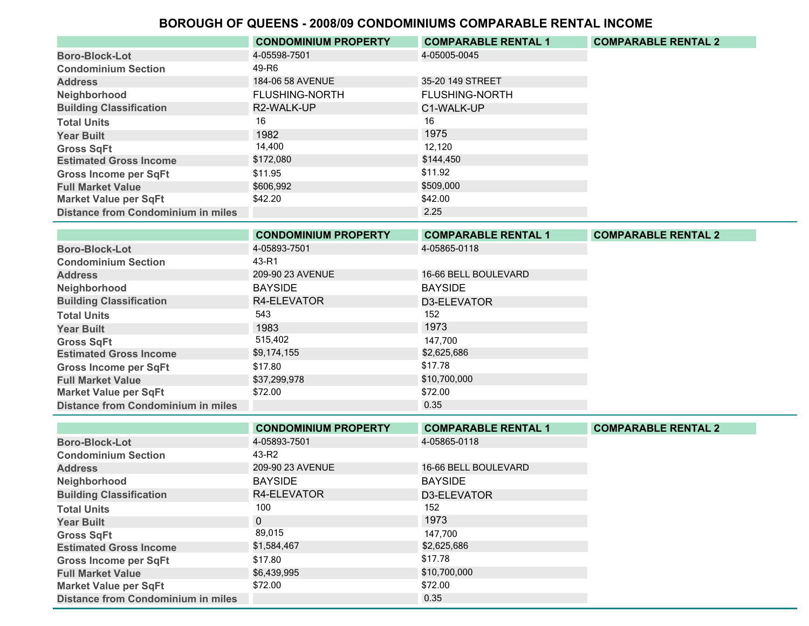|                                           | <b>CONDOMINIUM PROPERTY</b> | <b>COMPARABLE RENTAL 1</b> | <b>COMPARABLE RENTAL 2</b> |
|-------------------------------------------|-----------------------------|----------------------------|----------------------------|
| <b>Boro-Block-Lot</b>                     | 4-05598-7501                | 4-05005-0045               |                            |
| <b>Condominium Section</b>                | 49-R6                       |                            |                            |
| <b>Address</b>                            | 184-06 58 AVENUE            | 35-20 149 STREET           |                            |
| Neighborhood                              | <b>FLUSHING-NORTH</b>       | <b>FLUSHING-NORTH</b>      |                            |
| <b>Building Classification</b>            | R2-WALK-UP                  | C1-WALK-UP                 |                            |
| <b>Total Units</b>                        | 16                          | 16                         |                            |
| <b>Year Built</b>                         | 1982                        | 1975                       |                            |
| <b>Gross SqFt</b>                         | 14,400                      | 12.120                     |                            |
| <b>Estimated Gross Income</b>             | \$172,080                   | \$144,450                  |                            |
| <b>Gross Income per SqFt</b>              | \$11.95                     | \$11.92                    |                            |
| <b>Full Market Value</b>                  | \$606,992                   | \$509,000                  |                            |
| <b>Market Value per SqFt</b>              | \$42.20                     | \$42.00                    |                            |
| <b>Distance from Condominium in miles</b> |                             | 2.25                       |                            |

|                                           | <b>CONDOMINIUM PROPERTY</b> | <b>COMPARABLE RENTAL 1</b> | <b>COMPARABLE RENTAL 2</b> |
|-------------------------------------------|-----------------------------|----------------------------|----------------------------|
| <b>Boro-Block-Lot</b>                     | 4-05893-7501                | 4-05865-0118               |                            |
| <b>Condominium Section</b>                | 43-R1                       |                            |                            |
| <b>Address</b>                            | 209-90 23 AVENUE            | 16-66 BELL BOULEVARD       |                            |
| Neighborhood                              | <b>BAYSIDE</b>              | <b>BAYSIDE</b>             |                            |
| <b>Building Classification</b>            | R4-ELEVATOR                 | D3-ELEVATOR                |                            |
| <b>Total Units</b>                        | 543                         | 152                        |                            |
| <b>Year Built</b>                         | 1983                        | 1973                       |                            |
| <b>Gross SqFt</b>                         | 515,402                     | 147.700                    |                            |
| <b>Estimated Gross Income</b>             | \$9,174,155                 | \$2,625,686                |                            |
| <b>Gross Income per SqFt</b>              | \$17.80                     | \$17.78                    |                            |
| <b>Full Market Value</b>                  | \$37,299,978                | \$10,700,000               |                            |
| <b>Market Value per SqFt</b>              | \$72.00                     | \$72.00                    |                            |
| <b>Distance from Condominium in miles</b> |                             | 0.35                       |                            |

|                                           | <b>CONDOMINIUM PROPERTY</b> | <b>COMPARABLE RENTAL 1</b> | <b>COMPARABLE RENTAL 2</b> |
|-------------------------------------------|-----------------------------|----------------------------|----------------------------|
| <b>Boro-Block-Lot</b>                     | 4-05893-7501                | 4-05865-0118               |                            |
| <b>Condominium Section</b>                | 43-R2                       |                            |                            |
| <b>Address</b>                            | 209-90 23 AVENUE            | 16-66 BELL BOULEVARD       |                            |
| Neighborhood                              | <b>BAYSIDE</b>              | <b>BAYSIDE</b>             |                            |
| <b>Building Classification</b>            | R4-ELEVATOR                 | D3-ELEVATOR                |                            |
| <b>Total Units</b>                        | 100                         | 152                        |                            |
| <b>Year Built</b>                         | $\Omega$                    | 1973                       |                            |
| <b>Gross SqFt</b>                         | 89,015                      | 147.700                    |                            |
| <b>Estimated Gross Income</b>             | \$1,584,467                 | \$2,625,686                |                            |
| <b>Gross Income per SqFt</b>              | \$17.80                     | \$17.78                    |                            |
| <b>Full Market Value</b>                  | \$6,439,995                 | \$10,700,000               |                            |
| <b>Market Value per SqFt</b>              | \$72.00                     | \$72.00                    |                            |
| <b>Distance from Condominium in miles</b> |                             | 0.35                       |                            |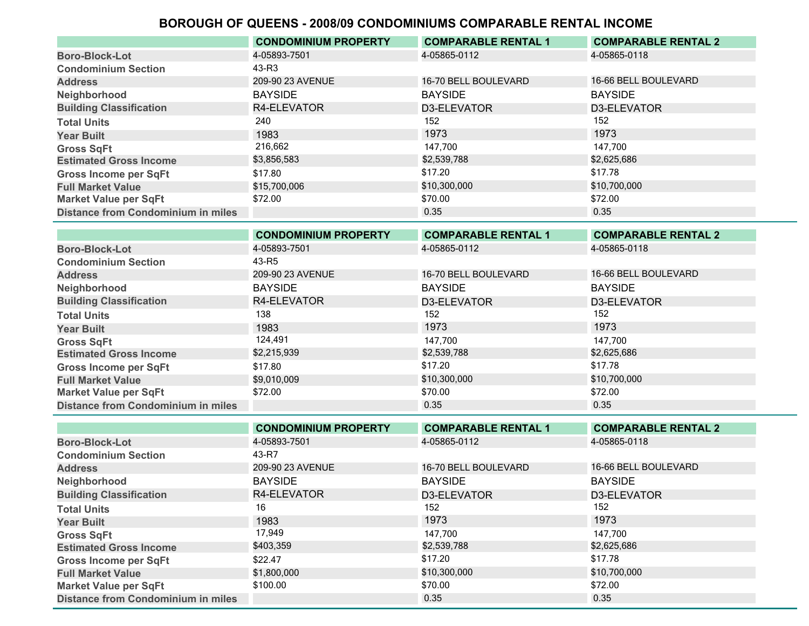|                                           | <b>CONDOMINIUM PROPERTY</b> | <b>COMPARABLE RENTAL 1</b> | <b>COMPARABLE RENTAL 2</b> |
|-------------------------------------------|-----------------------------|----------------------------|----------------------------|
| <b>Boro-Block-Lot</b>                     | 4-05893-7501                | 4-05865-0112               | 4-05865-0118               |
| <b>Condominium Section</b>                | 43-R3                       |                            |                            |
| <b>Address</b>                            | 209-90 23 AVENUE            | 16-70 BELL BOULEVARD       | 16-66 BELL BOULEVARD       |
| Neighborhood                              | <b>BAYSIDE</b>              | <b>BAYSIDE</b>             | <b>BAYSIDE</b>             |
| <b>Building Classification</b>            | R4-ELEVATOR                 | D3-ELEVATOR                | D3-ELEVATOR                |
| <b>Total Units</b>                        | 240                         | 152                        | 152                        |
| <b>Year Built</b>                         | 1983                        | 1973                       | 1973                       |
| <b>Gross SqFt</b>                         | 216,662                     | 147.700                    | 147.700                    |
| <b>Estimated Gross Income</b>             | \$3,856,583                 | \$2,539,788                | \$2,625,686                |
| <b>Gross Income per SqFt</b>              | \$17.80                     | \$17.20                    | \$17.78                    |
| <b>Full Market Value</b>                  | \$15,700,006                | \$10,300,000               | \$10,700,000               |
| <b>Market Value per SqFt</b>              | \$72.00                     | \$70.00                    | \$72.00                    |
| <b>Distance from Condominium in miles</b> |                             | 0.35                       | 0.35                       |

|                                           | <b>CONDOMINIUM PROPERTY</b> | <b>COMPARABLE RENTAL 1</b> | <b>COMPARABLE RENTAL 2</b> |
|-------------------------------------------|-----------------------------|----------------------------|----------------------------|
| <b>Boro-Block-Lot</b>                     | 4-05893-7501                | 4-05865-0112               | 4-05865-0118               |
| <b>Condominium Section</b>                | 43-R5                       |                            |                            |
| <b>Address</b>                            | 209-90 23 AVENUE            | 16-70 BELL BOULEVARD       | 16-66 BELL BOULEVARD       |
| Neighborhood                              | <b>BAYSIDE</b>              | <b>BAYSIDE</b>             | <b>BAYSIDE</b>             |
| <b>Building Classification</b>            | R4-ELEVATOR                 | D3-ELEVATOR                | D3-ELEVATOR                |
| <b>Total Units</b>                        | 138                         | 152                        | 152                        |
| <b>Year Built</b>                         | 1983                        | 1973                       | 1973                       |
| <b>Gross SqFt</b>                         | 124,491                     | 147,700                    | 147,700                    |
| <b>Estimated Gross Income</b>             | \$2,215,939                 | \$2,539,788                | \$2,625,686                |
| <b>Gross Income per SqFt</b>              | \$17.80                     | \$17.20                    | \$17.78                    |
| <b>Full Market Value</b>                  | \$9,010,009                 | \$10,300,000               | \$10,700,000               |
| <b>Market Value per SqFt</b>              | \$72.00                     | \$70.00                    | \$72.00                    |
| <b>Distance from Condominium in miles</b> |                             | 0.35                       | 0.35                       |

|                                           | <b>CONDOMINIUM PROPERTY</b> | <b>COMPARABLE RENTAL 1</b> | <b>COMPARABLE RENTAL 2</b> |
|-------------------------------------------|-----------------------------|----------------------------|----------------------------|
| <b>Boro-Block-Lot</b>                     | 4-05893-7501                | 4-05865-0112               | 4-05865-0118               |
| <b>Condominium Section</b>                | 43-R7                       |                            |                            |
| <b>Address</b>                            | 209-90 23 AVENUE            | 16-70 BELL BOULEVARD       | 16-66 BELL BOULEVARD       |
| Neighborhood                              | <b>BAYSIDE</b>              | <b>BAYSIDE</b>             | <b>BAYSIDE</b>             |
| <b>Building Classification</b>            | R4-ELEVATOR                 | D3-ELEVATOR                | D3-ELEVATOR                |
| <b>Total Units</b>                        | 16                          | 152                        | 152                        |
| <b>Year Built</b>                         | 1983                        | 1973                       | 1973                       |
| <b>Gross SqFt</b>                         | 17,949                      | 147,700                    | 147,700                    |
| <b>Estimated Gross Income</b>             | \$403,359                   | \$2,539,788                | \$2,625,686                |
| <b>Gross Income per SqFt</b>              | \$22.47                     | \$17.20                    | \$17.78                    |
| <b>Full Market Value</b>                  | \$1,800,000                 | \$10,300,000               | \$10,700,000               |
| <b>Market Value per SqFt</b>              | \$100.00                    | \$70.00                    | \$72.00                    |
| <b>Distance from Condominium in miles</b> |                             | 0.35                       | 0.35                       |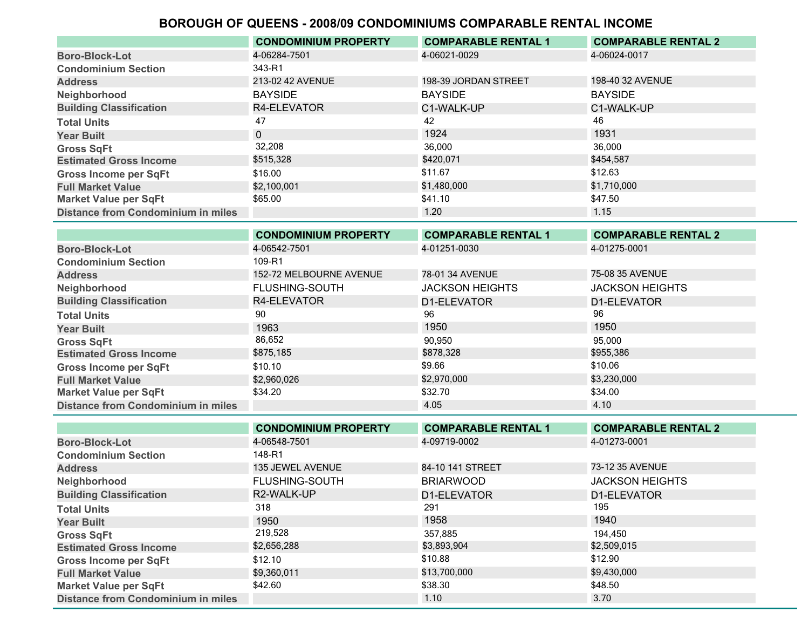|                                           | <b>CONDOMINIUM PROPERTY</b> | <b>COMPARABLE RENTAL 1</b> | <b>COMPARABLE RENTAL 2</b> |
|-------------------------------------------|-----------------------------|----------------------------|----------------------------|
| <b>Boro-Block-Lot</b>                     | 4-06284-7501                | 4-06021-0029               | 4-06024-0017               |
| <b>Condominium Section</b>                | 343-R1                      |                            |                            |
| <b>Address</b>                            | 213-02 42 AVENUE            | 198-39 JORDAN STREET       | 198-40 32 AVENUE           |
| Neighborhood                              | <b>BAYSIDE</b>              | <b>BAYSIDE</b>             | <b>BAYSIDE</b>             |
| <b>Building Classification</b>            | R4-ELEVATOR                 | C1-WALK-UP                 | C1-WALK-UP                 |
| <b>Total Units</b>                        | 47                          | 42                         | 46                         |
| <b>Year Built</b>                         | $\Omega$                    | 1924                       | 1931                       |
| <b>Gross SqFt</b>                         | 32,208                      | 36.000                     | 36,000                     |
| <b>Estimated Gross Income</b>             | \$515,328                   | \$420,071                  | \$454,587                  |
| <b>Gross Income per SqFt</b>              | \$16.00                     | \$11.67                    | \$12.63                    |
| <b>Full Market Value</b>                  | \$2,100,001                 | \$1,480,000                | \$1,710,000                |
| <b>Market Value per SqFt</b>              | \$65.00                     | \$41.10                    | \$47.50                    |
| <b>Distance from Condominium in miles</b> |                             | 1.20                       | 1.15                       |

|                                           | <b>CONDOMINIUM PROPERTY</b> | <b>COMPARABLE RENTAL 1</b> | <b>COMPARABLE RENTAL 2</b> |
|-------------------------------------------|-----------------------------|----------------------------|----------------------------|
| <b>Boro-Block-Lot</b>                     | 4-06542-7501                | 4-01251-0030               | 4-01275-0001               |
| <b>Condominium Section</b>                | 109-R1                      |                            |                            |
| <b>Address</b>                            | 152-72 MELBOURNE AVENUE     | 78-01 34 AVENUE            | 75-08 35 AVENUE            |
| Neighborhood                              | <b>FLUSHING-SOUTH</b>       | <b>JACKSON HEIGHTS</b>     | <b>JACKSON HEIGHTS</b>     |
| <b>Building Classification</b>            | R4-ELEVATOR                 | D1-ELEVATOR                | D1-ELEVATOR                |
| <b>Total Units</b>                        | 90                          | 96                         | 96                         |
| <b>Year Built</b>                         | 1963                        | 1950                       | 1950                       |
| <b>Gross SqFt</b>                         | 86,652                      | 90.950                     | 95.000                     |
| <b>Estimated Gross Income</b>             | \$875,185                   | \$878,328                  | \$955,386                  |
| <b>Gross Income per SqFt</b>              | \$10.10                     | \$9.66                     | \$10.06                    |
| <b>Full Market Value</b>                  | \$2,960,026                 | \$2,970,000                | \$3,230,000                |
| <b>Market Value per SqFt</b>              | \$34.20                     | \$32.70                    | \$34.00                    |
| <b>Distance from Condominium in miles</b> |                             | 4.05                       | 4.10                       |
|                                           |                             |                            |                            |

|                                           | <b>CONDOMINIUM PROPERTY</b> | <b>COMPARABLE RENTAL 1</b> | <b>COMPARABLE RENTAL 2</b> |
|-------------------------------------------|-----------------------------|----------------------------|----------------------------|
| <b>Boro-Block-Lot</b>                     | 4-06548-7501                | 4-09719-0002               | 4-01273-0001               |
| <b>Condominium Section</b>                | 148-R1                      |                            |                            |
| <b>Address</b>                            | 135 JEWEL AVENUE            | 84-10 141 STREET           | 73-12 35 AVENUE            |
| Neighborhood                              | <b>FLUSHING-SOUTH</b>       | <b>BRIARWOOD</b>           | <b>JACKSON HEIGHTS</b>     |
| <b>Building Classification</b>            | R2-WALK-UP                  | D1-ELEVATOR                | D1-ELEVATOR                |
| <b>Total Units</b>                        | 318                         | 291                        | 195                        |
| <b>Year Built</b>                         | 1950                        | 1958                       | 1940                       |
| <b>Gross SqFt</b>                         | 219,528                     | 357,885                    | 194,450                    |
| <b>Estimated Gross Income</b>             | \$2,656,288                 | \$3,893,904                | \$2,509,015                |
| <b>Gross Income per SqFt</b>              | \$12.10                     | \$10.88                    | \$12.90                    |
| <b>Full Market Value</b>                  | \$9,360,011                 | \$13,700,000               | \$9,430,000                |
| <b>Market Value per SqFt</b>              | \$42.60                     | \$38.30                    | \$48.50                    |
| <b>Distance from Condominium in miles</b> |                             | 1.10                       | 3.70                       |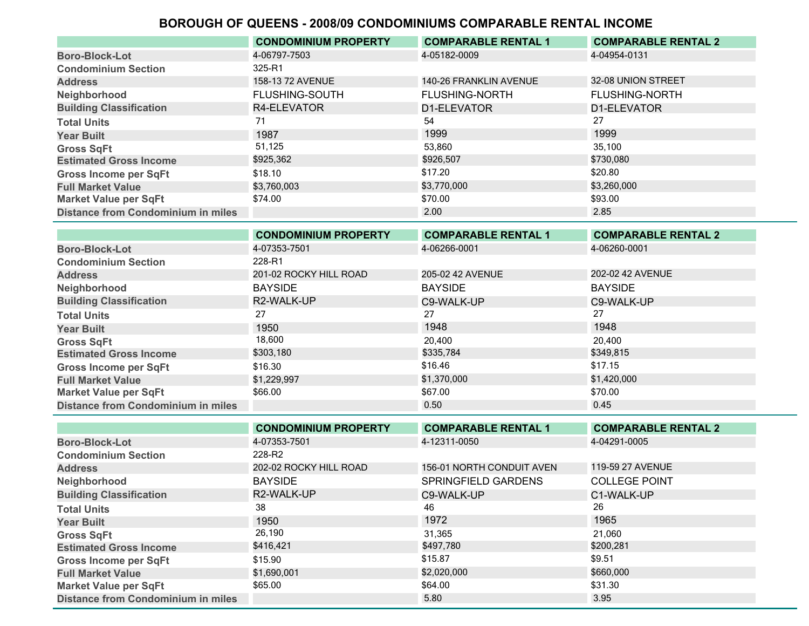|                                           | <b>CONDOMINIUM PROPERTY</b> | <b>COMPARABLE RENTAL 1</b> | <b>COMPARABLE RENTAL 2</b> |
|-------------------------------------------|-----------------------------|----------------------------|----------------------------|
| <b>Boro-Block-Lot</b>                     | 4-06797-7503                | 4-05182-0009               | 4-04954-0131               |
| <b>Condominium Section</b>                | 325-R1                      |                            |                            |
| <b>Address</b>                            | 158-13 72 AVENUE            | 140-26 FRANKLIN AVENUE     | 32-08 UNION STREET         |
| Neighborhood                              | <b>FLUSHING-SOUTH</b>       | <b>FLUSHING-NORTH</b>      | <b>FLUSHING-NORTH</b>      |
| <b>Building Classification</b>            | R4-ELEVATOR                 | D1-ELEVATOR                | D1-ELEVATOR                |
| <b>Total Units</b>                        | 71                          | 54                         | 27                         |
| <b>Year Built</b>                         | 1987                        | 1999                       | 1999                       |
| <b>Gross SqFt</b>                         | 51,125                      | 53,860                     | 35,100                     |
| <b>Estimated Gross Income</b>             | \$925,362                   | \$926,507                  | \$730,080                  |
| <b>Gross Income per SqFt</b>              | \$18.10                     | \$17.20                    | \$20.80                    |
| <b>Full Market Value</b>                  | \$3,760,003                 | \$3,770,000                | \$3,260,000                |
| <b>Market Value per SqFt</b>              | \$74.00                     | \$70.00                    | \$93.00                    |
| <b>Distance from Condominium in miles</b> |                             | 2.00                       | 2.85                       |

|                                           | <b>CONDOMINIUM PROPERTY</b> | <b>COMPARABLE RENTAL 1</b> | <b>COMPARABLE RENTAL 2</b> |
|-------------------------------------------|-----------------------------|----------------------------|----------------------------|
| <b>Boro-Block-Lot</b>                     | 4-07353-7501                | 4-06266-0001               | 4-06260-0001               |
| <b>Condominium Section</b>                | 228-R1                      |                            |                            |
| <b>Address</b>                            | 201-02 ROCKY HILL ROAD      | 205-02 42 AVENUE           | 202-02 42 AVENUE           |
| Neighborhood                              | <b>BAYSIDE</b>              | <b>BAYSIDE</b>             | <b>BAYSIDE</b>             |
| <b>Building Classification</b>            | R2-WALK-UP                  | C9-WALK-UP                 | C9-WALK-UP                 |
| <b>Total Units</b>                        | 27                          | 27                         | 27                         |
| <b>Year Built</b>                         | 1950                        | 1948                       | 1948                       |
| <b>Gross SqFt</b>                         | 18,600                      | 20,400                     | 20,400                     |
| <b>Estimated Gross Income</b>             | \$303,180                   | \$335,784                  | \$349,815                  |
| <b>Gross Income per SqFt</b>              | \$16.30                     | \$16.46                    | \$17.15                    |
| <b>Full Market Value</b>                  | \$1,229,997                 | \$1,370,000                | \$1,420,000                |
| <b>Market Value per SqFt</b>              | \$66.00                     | \$67.00                    | \$70.00                    |
| <b>Distance from Condominium in miles</b> |                             | 0.50                       | 0.45                       |

|                                           | <b>CONDOMINIUM PROPERTY</b> | <b>COMPARABLE RENTAL 1</b> | <b>COMPARABLE RENTAL 2</b> |
|-------------------------------------------|-----------------------------|----------------------------|----------------------------|
| <b>Boro-Block-Lot</b>                     | 4-07353-7501                | 4-12311-0050               | 4-04291-0005               |
| <b>Condominium Section</b>                | 228-R2                      |                            |                            |
| <b>Address</b>                            | 202-02 ROCKY HILL ROAD      | 156-01 NORTH CONDUIT AVEN  | 119-59 27 AVENUE           |
| Neighborhood                              | <b>BAYSIDE</b>              | SPRINGFIELD GARDENS        | <b>COLLEGE POINT</b>       |
| <b>Building Classification</b>            | R2-WALK-UP                  | C9-WALK-UP                 | C1-WALK-UP                 |
| <b>Total Units</b>                        | 38                          | 46                         | 26                         |
| <b>Year Built</b>                         | 1950                        | 1972                       | 1965                       |
| <b>Gross SqFt</b>                         | 26,190                      | 31,365                     | 21,060                     |
| <b>Estimated Gross Income</b>             | \$416,421                   | \$497,780                  | \$200,281                  |
| <b>Gross Income per SqFt</b>              | \$15.90                     | \$15.87                    | \$9.51                     |
| <b>Full Market Value</b>                  | \$1,690,001                 | \$2,020,000                | \$660,000                  |
| <b>Market Value per SqFt</b>              | \$65.00                     | \$64.00                    | \$31.30                    |
| <b>Distance from Condominium in miles</b> |                             | 5.80                       | 3.95                       |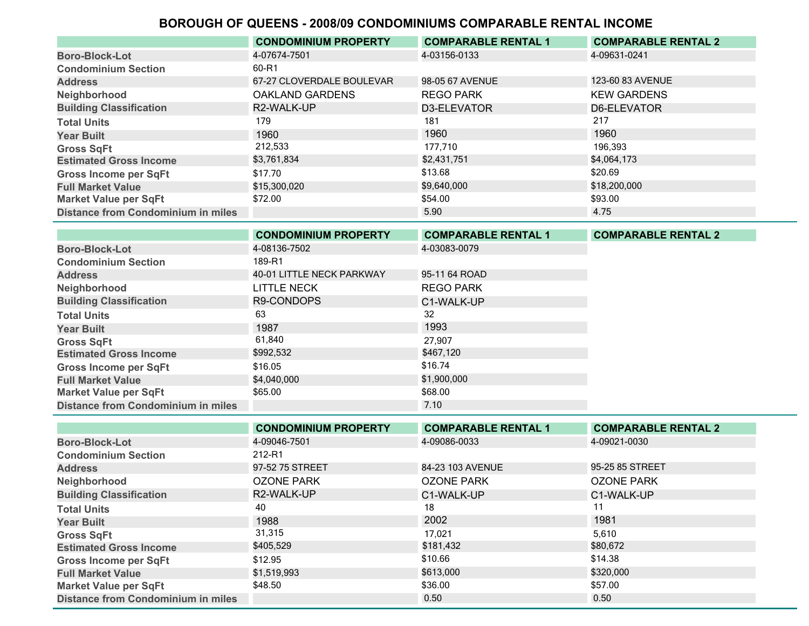|                                           | <b>CONDOMINIUM PROPERTY</b> | <b>COMPARABLE RENTAL 1</b> | <b>COMPARABLE RENTAL 2</b> |
|-------------------------------------------|-----------------------------|----------------------------|----------------------------|
| <b>Boro-Block-Lot</b>                     | 4-07674-7501                | 4-03156-0133               | 4-09631-0241               |
| <b>Condominium Section</b>                | 60-R1                       |                            |                            |
| <b>Address</b>                            | 67-27 CLOVERDALE BOULEVAR   | 98-05 67 AVENUE            | 123-60 83 AVENUE           |
| Neighborhood                              | <b>OAKLAND GARDENS</b>      | <b>REGO PARK</b>           | <b>KEW GARDENS</b>         |
| <b>Building Classification</b>            | R2-WALK-UP                  | D3-ELEVATOR                | D6-ELEVATOR                |
| <b>Total Units</b>                        | 179                         | 181                        | 217                        |
| <b>Year Built</b>                         | 1960                        | 1960                       | 1960                       |
| <b>Gross SqFt</b>                         | 212,533                     | 177.710                    | 196,393                    |
| <b>Estimated Gross Income</b>             | \$3,761,834                 | \$2,431,751                | \$4,064,173                |
| <b>Gross Income per SqFt</b>              | \$17.70                     | \$13.68                    | \$20.69                    |
| <b>Full Market Value</b>                  | \$15,300,020                | \$9,640,000                | \$18,200,000               |
| <b>Market Value per SqFt</b>              | \$72.00                     | \$54.00                    | \$93.00                    |
| <b>Distance from Condominium in miles</b> |                             | 5.90                       | 4.75                       |

|                                    | <b>CONDOMINIUM PROPERTY</b> | <b>COMPARABLE RENTAL 1</b> | <b>COMPARABLE RENTAL 2</b> |
|------------------------------------|-----------------------------|----------------------------|----------------------------|
| <b>Boro-Block-Lot</b>              | 4-08136-7502                | 4-03083-0079               |                            |
| <b>Condominium Section</b>         | 189-R1                      |                            |                            |
| <b>Address</b>                     | 40-01 LITTLE NECK PARKWAY   | 95-11 64 ROAD              |                            |
| Neighborhood                       | <b>LITTLE NECK</b>          | <b>REGO PARK</b>           |                            |
| <b>Building Classification</b>     | R9-CONDOPS                  | C1-WALK-UP                 |                            |
| <b>Total Units</b>                 | 63                          | 32                         |                            |
| <b>Year Built</b>                  | 1987                        | 1993                       |                            |
| <b>Gross SqFt</b>                  | 61,840                      | 27,907                     |                            |
| <b>Estimated Gross Income</b>      | \$992,532                   | \$467,120                  |                            |
| <b>Gross Income per SqFt</b>       | \$16.05                     | \$16.74                    |                            |
| <b>Full Market Value</b>           | \$4,040,000                 | \$1,900,000                |                            |
| <b>Market Value per SqFt</b>       | \$65.00                     | \$68.00                    |                            |
| Distance from Condominium in miles |                             | 7.10                       |                            |

|                                           | <b>CONDOMINIUM PROPERTY</b> | <b>COMPARABLE RENTAL 1</b> | <b>COMPARABLE RENTAL 2</b> |
|-------------------------------------------|-----------------------------|----------------------------|----------------------------|
| <b>Boro-Block-Lot</b>                     | 4-09046-7501                | 4-09086-0033               | 4-09021-0030               |
| <b>Condominium Section</b>                | 212-R1                      |                            |                            |
| <b>Address</b>                            | 97-52 75 STREET             | 84-23 103 AVENUE           | 95-25 85 STREET            |
| Neighborhood                              | OZONE PARK                  | <b>OZONE PARK</b>          | <b>OZONE PARK</b>          |
| <b>Building Classification</b>            | R2-WALK-UP                  | C1-WALK-UP                 | C1-WALK-UP                 |
| <b>Total Units</b>                        | 40                          | 18                         |                            |
| <b>Year Built</b>                         | 1988                        | 2002                       | 1981                       |
| <b>Gross SqFt</b>                         | 31,315                      | 17.021                     | 5,610                      |
| <b>Estimated Gross Income</b>             | \$405,529                   | \$181,432                  | \$80,672                   |
| <b>Gross Income per SqFt</b>              | \$12.95                     | \$10.66                    | \$14.38                    |
| <b>Full Market Value</b>                  | \$1,519,993                 | \$613,000                  | \$320,000                  |
| <b>Market Value per SqFt</b>              | \$48.50                     | \$36.00                    | \$57.00                    |
| <b>Distance from Condominium in miles</b> |                             | 0.50                       | 0.50                       |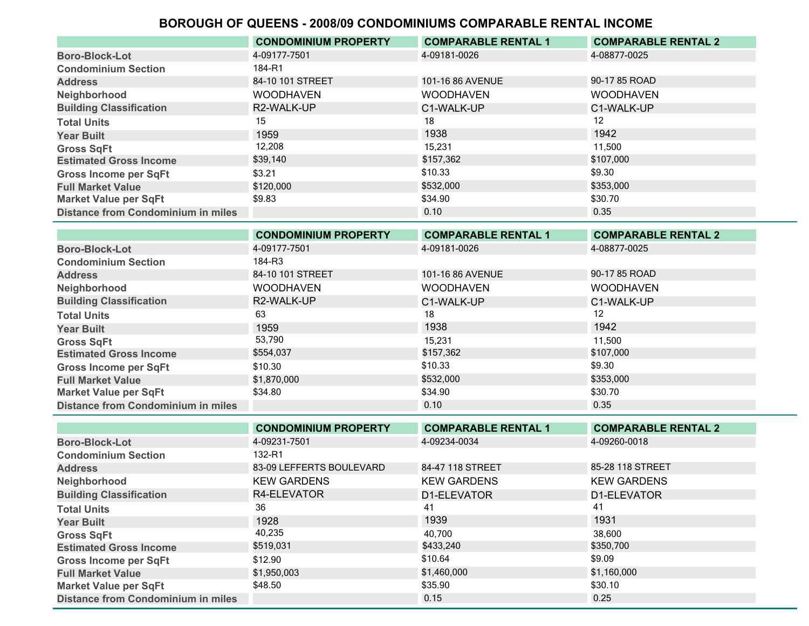|                                           | <b>CONDOMINIUM PROPERTY</b> | <b>COMPARABLE RENTAL 1</b> | <b>COMPARABLE RENTAL 2</b> |
|-------------------------------------------|-----------------------------|----------------------------|----------------------------|
| <b>Boro-Block-Lot</b>                     | 4-09177-7501                | 4-09181-0026               | 4-08877-0025               |
| <b>Condominium Section</b>                | 184-R1                      |                            |                            |
| <b>Address</b>                            | 84-10 101 STREET            | 101-16 86 AVENUE           | 90-17 85 ROAD              |
| Neighborhood                              | <b>WOODHAVEN</b>            | <b>WOODHAVEN</b>           | <b>WOODHAVEN</b>           |
| <b>Building Classification</b>            | R2-WALK-UP                  | C1-WALK-UP                 | C1-WALK-UP                 |
| <b>Total Units</b>                        | 15                          | 18                         | 12                         |
| <b>Year Built</b>                         | 1959                        | 1938                       | 1942                       |
| <b>Gross SqFt</b>                         | 12,208                      | 15.231                     | 11.500                     |
| <b>Estimated Gross Income</b>             | \$39,140                    | \$157,362                  | \$107,000                  |
| <b>Gross Income per SqFt</b>              | \$3.21                      | \$10.33                    | \$9.30                     |
| <b>Full Market Value</b>                  | \$120,000                   | \$532,000                  | \$353,000                  |
| <b>Market Value per SqFt</b>              | \$9.83                      | \$34.90                    | \$30.70                    |
| <b>Distance from Condominium in miles</b> |                             | 0.10                       | 0.35                       |

|                                           | <b>CONDOMINIUM PROPERTY</b> | <b>COMPARABLE RENTAL 1</b> | <b>COMPARABLE RENTAL 2</b> |
|-------------------------------------------|-----------------------------|----------------------------|----------------------------|
| <b>Boro-Block-Lot</b>                     | 4-09177-7501                | 4-09181-0026               | 4-08877-0025               |
| <b>Condominium Section</b>                | 184-R3                      |                            |                            |
| <b>Address</b>                            | 84-10 101 STREET            | 101-16 86 AVENUE           | 90-17 85 ROAD              |
| Neighborhood                              | <b>WOODHAVEN</b>            | <b>WOODHAVEN</b>           | <b>WOODHAVEN</b>           |
| <b>Building Classification</b>            | R2-WALK-UP                  | C1-WALK-UP                 | C1-WALK-UP                 |
| <b>Total Units</b>                        | 63                          | 18                         | 12                         |
| <b>Year Built</b>                         | 1959                        | 1938                       | 1942                       |
| <b>Gross SqFt</b>                         | 53,790                      | 15,231                     | 11,500                     |
| <b>Estimated Gross Income</b>             | \$554,037                   | \$157,362                  | \$107,000                  |
| <b>Gross Income per SqFt</b>              | \$10.30                     | \$10.33                    | \$9.30                     |
| <b>Full Market Value</b>                  | \$1,870,000                 | \$532,000                  | \$353,000                  |
| <b>Market Value per SqFt</b>              | \$34.80                     | \$34.90                    | \$30.70                    |
| <b>Distance from Condominium in miles</b> |                             | 0.10                       | 0.35                       |

|                                           | <b>CONDOMINIUM PROPERTY</b> | <b>COMPARABLE RENTAL 1</b> | <b>COMPARABLE RENTAL 2</b> |
|-------------------------------------------|-----------------------------|----------------------------|----------------------------|
| <b>Boro-Block-Lot</b>                     | 4-09231-7501                | 4-09234-0034               | 4-09260-0018               |
| <b>Condominium Section</b>                | 132-R1                      |                            |                            |
| <b>Address</b>                            | 83-09 LEFFERTS BOULEVARD    | 84-47 118 STREET           | 85-28 118 STREET           |
| Neighborhood                              | <b>KEW GARDENS</b>          | <b>KEW GARDENS</b>         | <b>KEW GARDENS</b>         |
| <b>Building Classification</b>            | R4-ELEVATOR                 | D1-ELEVATOR                | D1-ELEVATOR                |
| <b>Total Units</b>                        | 36                          | 41                         | 41                         |
| <b>Year Built</b>                         | 1928                        | 1939                       | 1931                       |
| <b>Gross SqFt</b>                         | 40,235                      | 40.700                     | 38,600                     |
| <b>Estimated Gross Income</b>             | \$519,031                   | \$433,240                  | \$350,700                  |
| <b>Gross Income per SqFt</b>              | \$12.90                     | \$10.64                    | \$9.09                     |
| <b>Full Market Value</b>                  | \$1,950,003                 | \$1,460,000                | \$1,160,000                |
| <b>Market Value per SqFt</b>              | \$48.50                     | \$35.90                    | \$30.10                    |
| <b>Distance from Condominium in miles</b> |                             | 0.15                       | 0.25                       |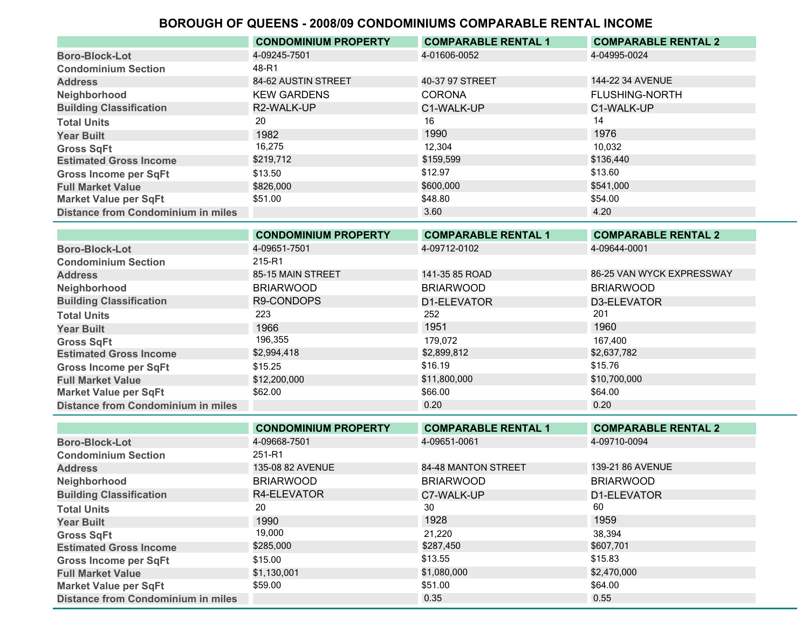| 4-04995-0024<br>4-09245-7501<br>4-01606-0052<br>48-R1<br>144-22 34 AVENUE<br>40-37 97 STREET<br>84-62 AUSTIN STREET<br><b>KEW GARDENS</b><br><b>CORONA</b><br><b>FLUSHING-NORTH</b><br>R2-WALK-UP<br>C1-WALK-UP<br>C1-WALK-UP<br>14<br>20<br>16<br>1976<br>1990<br>1982<br>16,275<br>12.304<br>10,032<br>\$219,712<br>\$136,440<br>\$159,599<br>\$12.97<br>\$13.60<br>\$13.50<br>\$541,000<br>\$600,000<br>\$826,000<br>\$54.00<br>\$51.00<br>\$48.80 |                                           | <b>CONDOMINIUM PROPERTY</b> | <b>COMPARABLE RENTAL 1</b> | <b>COMPARABLE RENTAL 2</b> |
|-------------------------------------------------------------------------------------------------------------------------------------------------------------------------------------------------------------------------------------------------------------------------------------------------------------------------------------------------------------------------------------------------------------------------------------------------------|-------------------------------------------|-----------------------------|----------------------------|----------------------------|
|                                                                                                                                                                                                                                                                                                                                                                                                                                                       | <b>Boro-Block-Lot</b>                     |                             |                            |                            |
|                                                                                                                                                                                                                                                                                                                                                                                                                                                       | <b>Condominium Section</b>                |                             |                            |                            |
|                                                                                                                                                                                                                                                                                                                                                                                                                                                       | <b>Address</b>                            |                             |                            |                            |
|                                                                                                                                                                                                                                                                                                                                                                                                                                                       | Neighborhood                              |                             |                            |                            |
|                                                                                                                                                                                                                                                                                                                                                                                                                                                       | <b>Building Classification</b>            |                             |                            |                            |
|                                                                                                                                                                                                                                                                                                                                                                                                                                                       | <b>Total Units</b>                        |                             |                            |                            |
|                                                                                                                                                                                                                                                                                                                                                                                                                                                       | <b>Year Built</b>                         |                             |                            |                            |
|                                                                                                                                                                                                                                                                                                                                                                                                                                                       | <b>Gross SqFt</b>                         |                             |                            |                            |
|                                                                                                                                                                                                                                                                                                                                                                                                                                                       | <b>Estimated Gross Income</b>             |                             |                            |                            |
|                                                                                                                                                                                                                                                                                                                                                                                                                                                       | <b>Gross Income per SqFt</b>              |                             |                            |                            |
|                                                                                                                                                                                                                                                                                                                                                                                                                                                       | <b>Full Market Value</b>                  |                             |                            |                            |
|                                                                                                                                                                                                                                                                                                                                                                                                                                                       | <b>Market Value per SqFt</b>              |                             |                            |                            |
| 4.20<br>3.60                                                                                                                                                                                                                                                                                                                                                                                                                                          | <b>Distance from Condominium in miles</b> |                             |                            |                            |

| <b>CONDOMINIUM PROPERTY</b> | <b>COMPARABLE RENTAL 1</b> | <b>COMPARABLE RENTAL 2</b> |
|-----------------------------|----------------------------|----------------------------|
| 4-09651-7501                | 4-09712-0102               | 4-09644-0001               |
| 215-R1                      |                            |                            |
| 85-15 MAIN STREET           | 141-35 85 ROAD             | 86-25 VAN WYCK EXPRESSWAY  |
| <b>BRIARWOOD</b>            | <b>BRIARWOOD</b>           | <b>BRIARWOOD</b>           |
| R9-CONDOPS                  | D1-ELEVATOR                | D3-ELEVATOR                |
| 223                         | 252                        | 201                        |
| 1966                        | 1951                       | 1960                       |
| 196,355                     | 179.072                    | 167.400                    |
| \$2,994,418                 | \$2,899,812                | \$2,637,782                |
| \$15.25                     | \$16.19                    | \$15.76                    |
| \$12,200,000                | \$11,800,000               | \$10,700,000               |
| \$62.00                     | \$66.00                    | \$64.00                    |
|                             | 0.20                       | 0.20                       |
|                             |                            |                            |

|                                           | <b>CONDOMINIUM PROPERTY</b> | <b>COMPARABLE RENTAL 1</b> | <b>COMPARABLE RENTAL 2</b> |
|-------------------------------------------|-----------------------------|----------------------------|----------------------------|
| <b>Boro-Block-Lot</b>                     | 4-09668-7501                | 4-09651-0061               | 4-09710-0094               |
| <b>Condominium Section</b>                | 251-R1                      |                            |                            |
| <b>Address</b>                            | 135-08 82 AVENUE            | 84-48 MANTON STREET        | 139-21 86 AVENUE           |
| Neighborhood                              | <b>BRIARWOOD</b>            | <b>BRIARWOOD</b>           | <b>BRIARWOOD</b>           |
| <b>Building Classification</b>            | R4-ELEVATOR                 | C7-WALK-UP                 | D1-ELEVATOR                |
| <b>Total Units</b>                        | 20                          | 30                         | 60                         |
| <b>Year Built</b>                         | 1990                        | 1928                       | 1959                       |
| <b>Gross SqFt</b>                         | 19,000                      | 21,220                     | 38,394                     |
| <b>Estimated Gross Income</b>             | \$285,000                   | \$287,450                  | \$607,701                  |
| <b>Gross Income per SqFt</b>              | \$15.00                     | \$13.55                    | \$15.83                    |
| <b>Full Market Value</b>                  | \$1,130,001                 | \$1,080,000                | \$2,470,000                |
| <b>Market Value per SqFt</b>              | \$59.00                     | \$51.00                    | \$64.00                    |
| <b>Distance from Condominium in miles</b> |                             | 0.35                       | 0.55                       |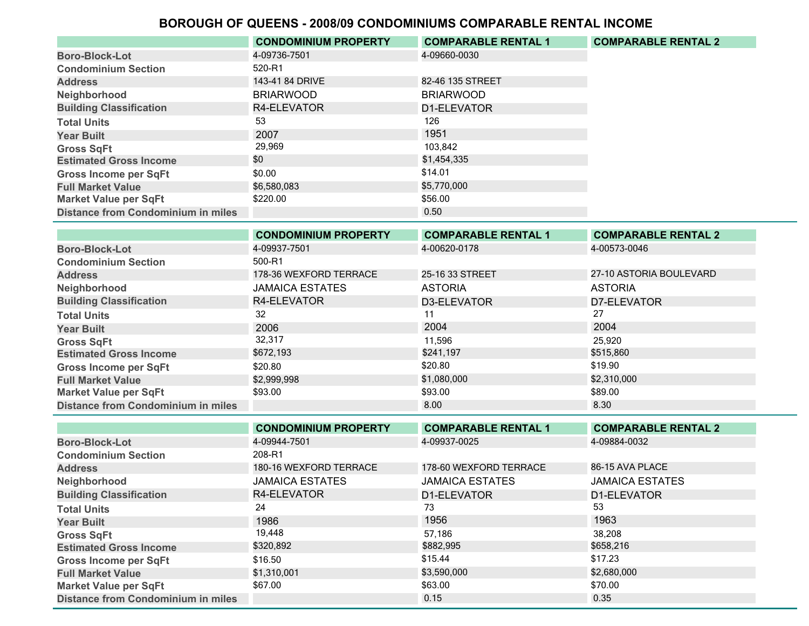|                                           | <b>CONDOMINIUM PROPERTY</b> | <b>COMPARABLE RENTAL 1</b> | <b>COMPARABLE RENTAL 2</b> |
|-------------------------------------------|-----------------------------|----------------------------|----------------------------|
| <b>Boro-Block-Lot</b>                     | 4-09736-7501                | 4-09660-0030               |                            |
| <b>Condominium Section</b>                | 520-R1                      |                            |                            |
| <b>Address</b>                            | 143-41 84 DRIVE             | 82-46 135 STREET           |                            |
| Neighborhood                              | <b>BRIARWOOD</b>            | <b>BRIARWOOD</b>           |                            |
| <b>Building Classification</b>            | R4-ELEVATOR                 | D1-ELEVATOR                |                            |
| <b>Total Units</b>                        | 53                          | 126                        |                            |
| <b>Year Built</b>                         | 2007                        | 1951                       |                            |
| <b>Gross SqFt</b>                         | 29,969                      | 103.842                    |                            |
| <b>Estimated Gross Income</b>             | \$0                         | \$1,454,335                |                            |
| <b>Gross Income per SqFt</b>              | \$0.00                      | \$14.01                    |                            |
| <b>Full Market Value</b>                  | \$6,580,083                 | \$5,770,000                |                            |
| <b>Market Value per SqFt</b>              | \$220.00                    | \$56.00                    |                            |
| <b>Distance from Condominium in miles</b> |                             | 0.50                       |                            |

|                                           | <b>CONDOMINIUM PROPERTY</b> | <b>COMPARABLE RENTAL 1</b> | <b>COMPARABLE RENTAL 2</b> |
|-------------------------------------------|-----------------------------|----------------------------|----------------------------|
| <b>Boro-Block-Lot</b>                     | 4-09937-7501                | 4-00620-0178               | 4-00573-0046               |
| <b>Condominium Section</b>                | 500-R1                      |                            |                            |
| <b>Address</b>                            | 178-36 WEXFORD TERRACE      | 25-16 33 STREET            | 27-10 ASTORIA BOULEVARD    |
| Neighborhood                              | <b>JAMAICA ESTATES</b>      | <b>ASTORIA</b>             | <b>ASTORIA</b>             |
| <b>Building Classification</b>            | R4-ELEVATOR                 | D3-ELEVATOR                | D7-ELEVATOR                |
| <b>Total Units</b>                        | 32                          | 11                         | 27                         |
| <b>Year Built</b>                         | 2006                        | 2004                       | 2004                       |
| <b>Gross SqFt</b>                         | 32,317                      | 11,596                     | 25.920                     |
| <b>Estimated Gross Income</b>             | \$672,193                   | \$241,197                  | \$515,860                  |
| <b>Gross Income per SqFt</b>              | \$20.80                     | \$20.80                    | \$19.90                    |
| <b>Full Market Value</b>                  | \$2,999,998                 | \$1,080,000                | \$2,310,000                |
| <b>Market Value per SqFt</b>              | \$93.00                     | \$93.00                    | \$89.00                    |
| <b>Distance from Condominium in miles</b> |                             | 8.00                       | 8.30                       |

|                                           | <b>CONDOMINIUM PROPERTY</b> | <b>COMPARABLE RENTAL 1</b> | <b>COMPARABLE RENTAL 2</b> |
|-------------------------------------------|-----------------------------|----------------------------|----------------------------|
| <b>Boro-Block-Lot</b>                     | 4-09944-7501                | 4-09937-0025               | 4-09884-0032               |
| <b>Condominium Section</b>                | 208-R1                      |                            |                            |
| <b>Address</b>                            | 180-16 WEXFORD TERRACE      | 178-60 WEXFORD TERRACE     | 86-15 AVA PLACE            |
| Neighborhood                              | <b>JAMAICA ESTATES</b>      | <b>JAMAICA ESTATES</b>     | <b>JAMAICA ESTATES</b>     |
| <b>Building Classification</b>            | R4-ELEVATOR                 | D1-ELEVATOR                | D1-ELEVATOR                |
| <b>Total Units</b>                        | 24                          | 73                         | 53                         |
| <b>Year Built</b>                         | 1986                        | 1956                       | 1963                       |
| <b>Gross SqFt</b>                         | 19,448                      | 57,186                     | 38.208                     |
| <b>Estimated Gross Income</b>             | \$320,892                   | \$882,995                  | \$658,216                  |
| <b>Gross Income per SqFt</b>              | \$16.50                     | \$15.44                    | \$17.23                    |
| <b>Full Market Value</b>                  | \$1,310,001                 | \$3,590,000                | \$2,680,000                |
| <b>Market Value per SqFt</b>              | \$67.00                     | \$63.00                    | \$70.00                    |
| <b>Distance from Condominium in miles</b> |                             | 0.15                       | 0.35                       |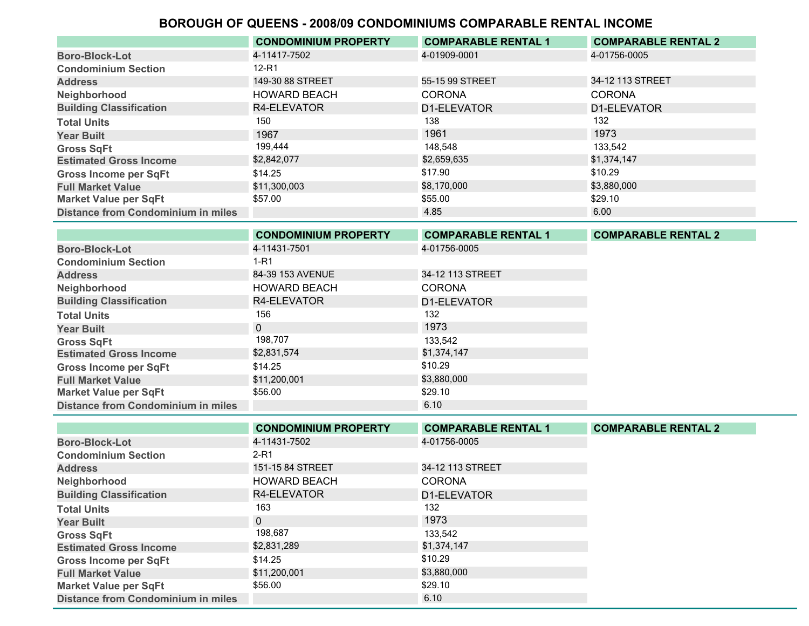|                                           | <b>CONDOMINIUM PROPERTY</b> | <b>COMPARABLE RENTAL 1</b> | <b>COMPARABLE RENTAL 2</b> |
|-------------------------------------------|-----------------------------|----------------------------|----------------------------|
| <b>Boro-Block-Lot</b>                     | 4-11417-7502                | 4-01909-0001               | 4-01756-0005               |
| <b>Condominium Section</b>                | $12-R1$                     |                            |                            |
| <b>Address</b>                            | 149-30 88 STREET            | 55-15 99 STREET            | 34-12 113 STREET           |
| Neighborhood                              | <b>HOWARD BEACH</b>         | <b>CORONA</b>              | <b>CORONA</b>              |
| <b>Building Classification</b>            | R4-ELEVATOR                 | D1-ELEVATOR                | D1-ELEVATOR                |
| <b>Total Units</b>                        | 150                         | 138                        | 132                        |
| <b>Year Built</b>                         | 1967                        | 1961                       | 1973                       |
| <b>Gross SqFt</b>                         | 199,444                     | 148.548                    | 133.542                    |
| <b>Estimated Gross Income</b>             | \$2,842,077                 | \$2,659,635                | \$1,374,147                |
| <b>Gross Income per SqFt</b>              | \$14.25                     | \$17.90                    | \$10.29                    |
| <b>Full Market Value</b>                  | \$11,300,003                | \$8,170,000                | \$3,880,000                |
| <b>Market Value per SqFt</b>              | \$57.00                     | \$55.00                    | \$29.10                    |
| <b>Distance from Condominium in miles</b> |                             | 4.85                       | 6.00                       |

|                                           | <b>CONDOMINIUM PROPERTY</b> | <b>COMPARABLE RENTAL 1</b> | <b>COMPARABLE RENTAL 2</b> |
|-------------------------------------------|-----------------------------|----------------------------|----------------------------|
| <b>Boro-Block-Lot</b>                     | 4-11431-7501                | 4-01756-0005               |                            |
| <b>Condominium Section</b>                | 1-R1                        |                            |                            |
| <b>Address</b>                            | 84-39 153 AVENUE            | 34-12 113 STREET           |                            |
| Neighborhood                              | <b>HOWARD BEACH</b>         | <b>CORONA</b>              |                            |
| <b>Building Classification</b>            | R4-ELEVATOR                 | D1-ELEVATOR                |                            |
| <b>Total Units</b>                        | 156                         | 132                        |                            |
| <b>Year Built</b>                         | $\Omega$                    | 1973                       |                            |
| <b>Gross SqFt</b>                         | 198,707                     | 133.542                    |                            |
| <b>Estimated Gross Income</b>             | \$2,831,574                 | \$1,374,147                |                            |
| <b>Gross Income per SqFt</b>              | \$14.25                     | \$10.29                    |                            |
| <b>Full Market Value</b>                  | \$11,200,001                | \$3,880,000                |                            |
| <b>Market Value per SqFt</b>              | \$56.00                     | \$29.10                    |                            |
| <b>Distance from Condominium in miles</b> |                             | 6.10                       |                            |

|                                           | <b>CONDOMINIUM PROPERTY</b> | <b>COMPARABLE RENTAL 1</b> | <b>COMPARABLE RENTAL 2</b> |
|-------------------------------------------|-----------------------------|----------------------------|----------------------------|
| <b>Boro-Block-Lot</b>                     | 4-11431-7502                | 4-01756-0005               |                            |
| <b>Condominium Section</b>                | $2-R1$                      |                            |                            |
| <b>Address</b>                            | 151-15 84 STREET            | 34-12 113 STREET           |                            |
| Neighborhood                              | <b>HOWARD BEACH</b>         | <b>CORONA</b>              |                            |
| <b>Building Classification</b>            | R4-ELEVATOR                 | D1-ELEVATOR                |                            |
| <b>Total Units</b>                        | 163                         | 132                        |                            |
| <b>Year Built</b>                         | $\Omega$                    | 1973                       |                            |
| <b>Gross SqFt</b>                         | 198,687                     | 133.542                    |                            |
| <b>Estimated Gross Income</b>             | \$2,831,289                 | \$1,374,147                |                            |
| <b>Gross Income per SqFt</b>              | \$14.25                     | \$10.29                    |                            |
| <b>Full Market Value</b>                  | \$11,200,001                | \$3,880,000                |                            |
| <b>Market Value per SqFt</b>              | \$56.00                     | \$29.10                    |                            |
| <b>Distance from Condominium in miles</b> |                             | 6.10                       |                            |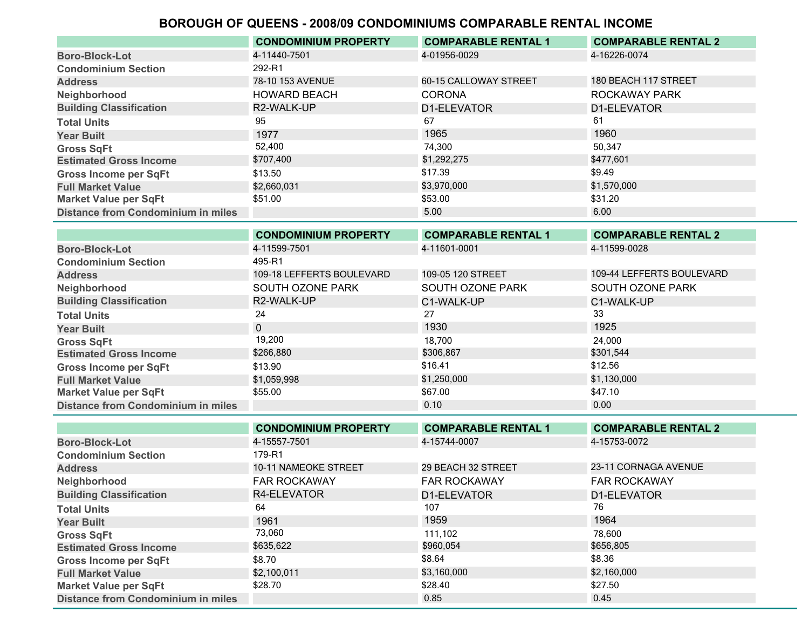|                                           | <b>CONDOMINIUM PROPERTY</b> | <b>COMPARABLE RENTAL 1</b> | <b>COMPARABLE RENTAL 2</b> |
|-------------------------------------------|-----------------------------|----------------------------|----------------------------|
| <b>Boro-Block-Lot</b>                     | 4-11440-7501                | 4-01956-0029               | 4-16226-0074               |
| <b>Condominium Section</b>                | 292-R1                      |                            |                            |
| <b>Address</b>                            | 78-10 153 AVENUE            | 60-15 CALLOWAY STREET      | 180 BEACH 117 STREET       |
| Neighborhood                              | <b>HOWARD BEACH</b>         | <b>CORONA</b>              | ROCKAWAY PARK              |
| <b>Building Classification</b>            | R2-WALK-UP                  | D1-ELEVATOR                | D1-ELEVATOR                |
| <b>Total Units</b>                        | 95                          | 67                         | 61                         |
| <b>Year Built</b>                         | 1977                        | 1965                       | 1960                       |
| <b>Gross SqFt</b>                         | 52,400                      | 74,300                     | 50,347                     |
| <b>Estimated Gross Income</b>             | \$707,400                   | \$1,292,275                | \$477,601                  |
| <b>Gross Income per SqFt</b>              | \$13.50                     | \$17.39                    | \$9.49                     |
| <b>Full Market Value</b>                  | \$2,660,031                 | \$3,970,000                | \$1,570,000                |
| <b>Market Value per SqFt</b>              | \$51.00                     | \$53.00                    | \$31.20                    |
| <b>Distance from Condominium in miles</b> |                             | 5.00                       | 6.00                       |
|                                           | <b>CONDOMINIUM PROPERTY</b> | <b>COMPARABLE RENTAL 1</b> | <b>COMPARABLE RENTAL 2</b> |
| <b>Boro-Block-Lot</b>                     | 4-11599-7501                | 4-11601-0001               | 4-11599-0028               |

| <b>DUIV-DIVUN-LUL</b>              | . 000 <i>.</i> 00 .       | .                 | .                         |
|------------------------------------|---------------------------|-------------------|---------------------------|
| <b>Condominium Section</b>         | 495-R1                    |                   |                           |
| <b>Address</b>                     | 109-18 LEFFERTS BOULEVARD | 109-05 120 STREET | 109-44 LEFFERTS BOULEVARD |
| Neighborhood                       | SOUTH OZONE PARK          | SOUTH OZONE PARK  | SOUTH OZONE PARK          |
| <b>Building Classification</b>     | R2-WALK-UP                | C1-WALK-UP        | C1-WALK-UP                |
| <b>Total Units</b>                 | 24                        | 27                | 33                        |
| <b>Year Built</b>                  |                           | 1930              | 1925                      |
| <b>Gross SqFt</b>                  | 19,200                    | 18.700            | 24.000                    |
| <b>Estimated Gross Income</b>      | \$266,880                 | \$306,867         | \$301,544                 |
| <b>Gross Income per SqFt</b>       | \$13.90                   | \$16.41           | \$12.56                   |
| <b>Full Market Value</b>           | \$1,059,998               | \$1,250,000       | \$1,130,000               |
| <b>Market Value per SqFt</b>       | \$55.00                   | \$67.00           | \$47.10                   |
| Distance from Condominium in miles |                           | 0.10              | 0.00 <sub>1</sub>         |

|                                           | <b>CONDOMINIUM PROPERTY</b> | <b>COMPARABLE RENTAL 1</b> | <b>COMPARABLE RENTAL 2</b> |
|-------------------------------------------|-----------------------------|----------------------------|----------------------------|
| <b>Boro-Block-Lot</b>                     | 4-15557-7501                | 4-15744-0007               | 4-15753-0072               |
| <b>Condominium Section</b>                | 179-R1                      |                            |                            |
| <b>Address</b>                            | <b>10-11 NAMEOKE STREET</b> | 29 BEACH 32 STREET         | 23-11 CORNAGA AVENUE       |
| Neighborhood                              | <b>FAR ROCKAWAY</b>         | <b>FAR ROCKAWAY</b>        | <b>FAR ROCKAWAY</b>        |
| <b>Building Classification</b>            | R4-ELEVATOR                 | D1-ELEVATOR                | D1-ELEVATOR                |
| <b>Total Units</b>                        | 64                          | 107                        | 76                         |
| <b>Year Built</b>                         | 1961                        | 1959                       | 1964                       |
| <b>Gross SqFt</b>                         | 73,060                      | 111,102                    | 78.600                     |
| <b>Estimated Gross Income</b>             | \$635,622                   | \$960,054                  | \$656,805                  |
| <b>Gross Income per SqFt</b>              | \$8.70                      | \$8.64                     | \$8.36                     |
| <b>Full Market Value</b>                  | \$2,100,011                 | \$3,160,000                | \$2,160,000                |
| <b>Market Value per SqFt</b>              | \$28.70                     | \$28.40                    | \$27.50                    |
| <b>Distance from Condominium in miles</b> |                             | 0.85                       | 0.45                       |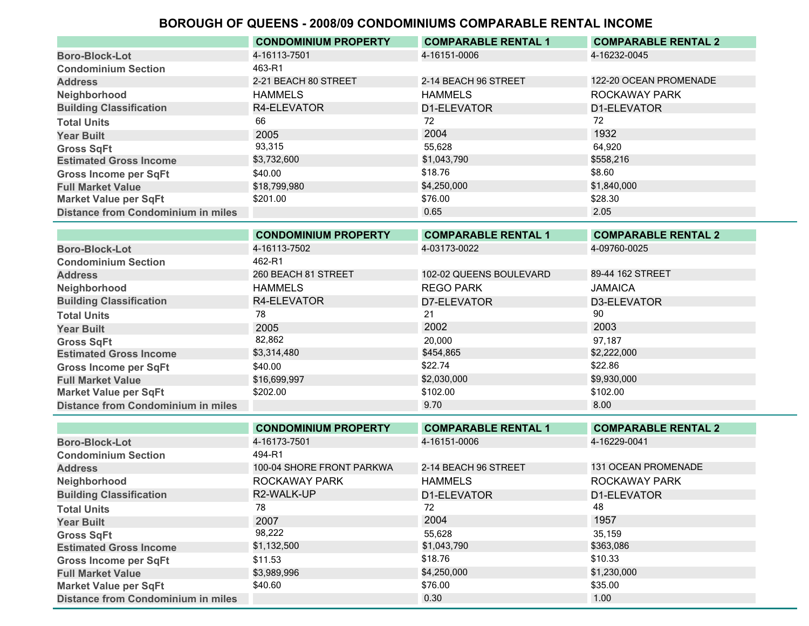|                                           | <b>CONDOMINIUM PROPERTY</b> | <b>COMPARABLE RENTAL 1</b> | <b>COMPARABLE RENTAL 2</b> |
|-------------------------------------------|-----------------------------|----------------------------|----------------------------|
| <b>Boro-Block-Lot</b>                     | 4-16113-7501                | 4-16151-0006               | 4-16232-0045               |
| <b>Condominium Section</b>                | 463-R1                      |                            |                            |
| <b>Address</b>                            | 2-21 BEACH 80 STREET        | 2-14 BEACH 96 STREET       | 122-20 OCEAN PROMENADE     |
| Neighborhood                              | <b>HAMMELS</b>              | HAMMELS                    | ROCKAWAY PARK              |
| <b>Building Classification</b>            | R4-ELEVATOR                 | D1-ELEVATOR                | D1-ELEVATOR                |
| <b>Total Units</b>                        | 66                          | 72                         | 72                         |
| <b>Year Built</b>                         | 2005                        | 2004                       | 1932                       |
| <b>Gross SqFt</b>                         | 93,315                      | 55.628                     | 64.920                     |
| <b>Estimated Gross Income</b>             | \$3,732,600                 | \$1,043,790                | \$558,216                  |
| <b>Gross Income per SqFt</b>              | \$40.00                     | \$18.76                    | \$8.60                     |
| <b>Full Market Value</b>                  | \$18,799,980                | \$4,250,000                | \$1,840,000                |
| <b>Market Value per SqFt</b>              | \$201.00                    | \$76.00                    | \$28.30                    |
| <b>Distance from Condominium in miles</b> |                             | 0.65                       | 2.05                       |

|                                           | <b>CONDOMINIUM PROPERTY</b> | <b>COMPARABLE RENTAL 1</b> | <b>COMPARABLE RENTAL 2</b> |
|-------------------------------------------|-----------------------------|----------------------------|----------------------------|
| <b>Boro-Block-Lot</b>                     | 4-16113-7502                | 4-03173-0022               | 4-09760-0025               |
| <b>Condominium Section</b>                | 462-R1                      |                            |                            |
| <b>Address</b>                            | 260 BEACH 81 STREET         | 102-02 QUEENS BOULEVARD    | 89-44 162 STREET           |
| Neighborhood                              | <b>HAMMELS</b>              | <b>REGO PARK</b>           | <b>JAMAICA</b>             |
| <b>Building Classification</b>            | R4-ELEVATOR                 | D7-ELEVATOR                | D3-ELEVATOR                |
| <b>Total Units</b>                        | 78                          | 21                         | 90                         |
| <b>Year Built</b>                         | 2005                        | 2002                       | 2003                       |
| <b>Gross SqFt</b>                         | 82,862                      | 20,000                     | 97.187                     |
| <b>Estimated Gross Income</b>             | \$3,314,480                 | \$454,865                  | \$2,222,000                |
| <b>Gross Income per SqFt</b>              | \$40.00                     | \$22.74                    | \$22.86                    |
| <b>Full Market Value</b>                  | \$16,699,997                | \$2,030,000                | \$9,930,000                |
| <b>Market Value per SqFt</b>              | \$202.00                    | \$102.00                   | \$102.00                   |
| <b>Distance from Condominium in miles</b> |                             | 9.70                       | 8.00                       |

|                                           | <b>CONDOMINIUM PROPERTY</b> | <b>COMPARABLE RENTAL 1</b> | <b>COMPARABLE RENTAL 2</b> |
|-------------------------------------------|-----------------------------|----------------------------|----------------------------|
| <b>Boro-Block-Lot</b>                     | 4-16173-7501                | 4-16151-0006               | 4-16229-0041               |
| <b>Condominium Section</b>                | 494-R1                      |                            |                            |
| <b>Address</b>                            | 100-04 SHORE FRONT PARKWA   | 2-14 BEACH 96 STREET       | <b>131 OCEAN PROMENADE</b> |
| Neighborhood                              | ROCKAWAY PARK               | <b>HAMMELS</b>             | ROCKAWAY PARK              |
| <b>Building Classification</b>            | R2-WALK-UP                  | D1-ELEVATOR                | D1-ELEVATOR                |
| <b>Total Units</b>                        | 78                          | 72                         | 48                         |
| <b>Year Built</b>                         | 2007                        | 2004                       | 1957                       |
| <b>Gross SqFt</b>                         | 98,222                      | 55,628                     | 35,159                     |
| <b>Estimated Gross Income</b>             | \$1,132,500                 | \$1,043,790                | \$363,086                  |
| <b>Gross Income per SqFt</b>              | \$11.53                     | \$18.76                    | \$10.33                    |
| <b>Full Market Value</b>                  | \$3,989,996                 | \$4,250,000                | \$1,230,000                |
| <b>Market Value per SqFt</b>              | \$40.60                     | \$76.00                    | \$35.00                    |
| <b>Distance from Condominium in miles</b> |                             | 0.30                       | 1.00                       |